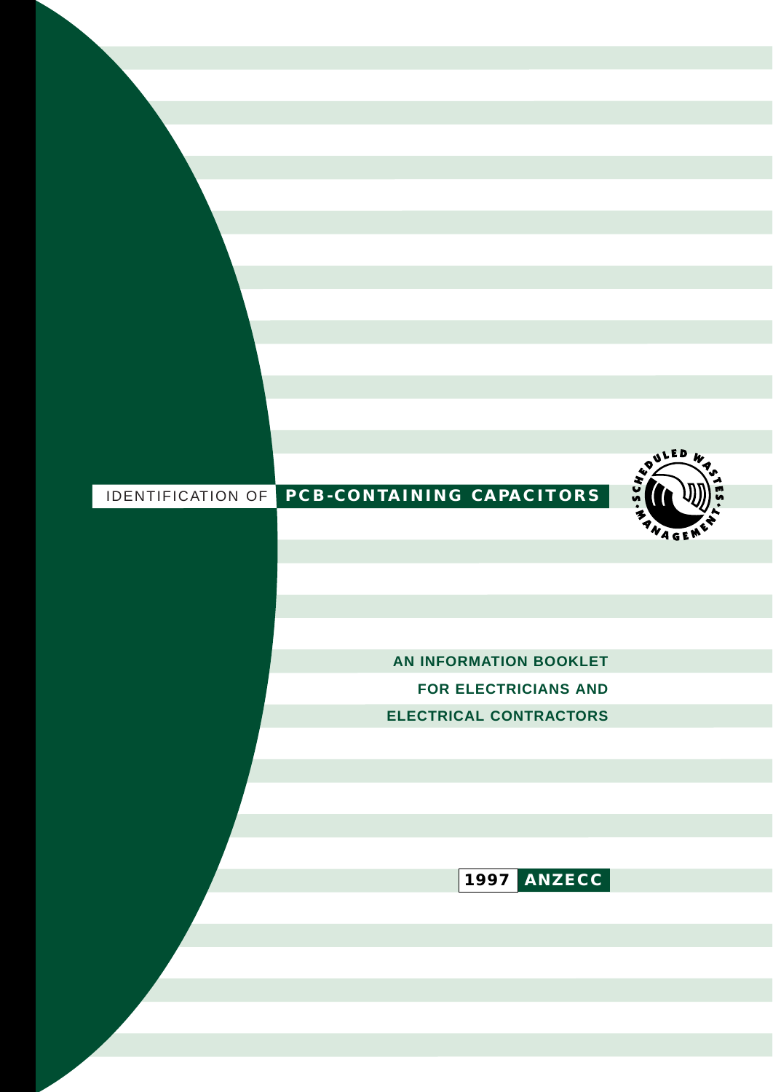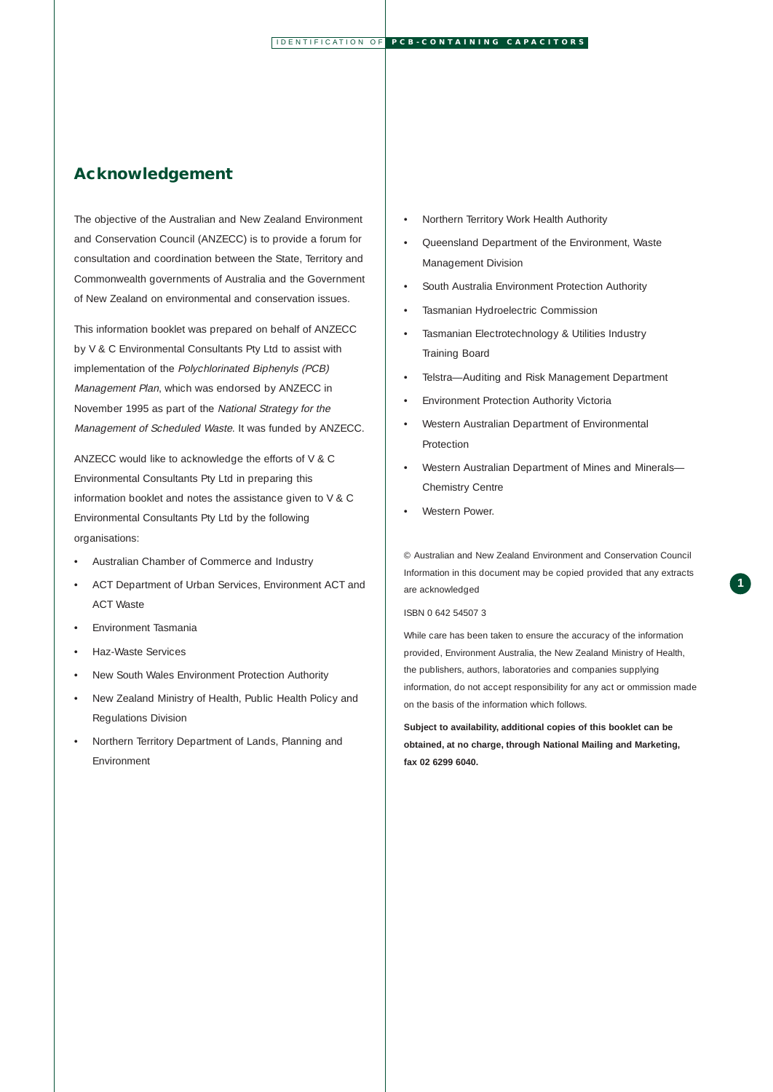## **Acknowledgement**

The objective of the Australian and New Zealand Environment and Conservation Council (ANZECC) is to provide a forum for consultation and coordination between the State, Territory and Commonwealth governments of Australia and the Government of New Zealand on environmental and conservation issues.

This information booklet was prepared on behalf of ANZECC by V & C Environmental Consultants Pty Ltd to assist with implementation of the Polychlorinated Biphenyls (PCB) Management Plan, which was endorsed by ANZECC in November 1995 as part of the National Strategy for the Management of Scheduled Waste. It was funded by ANZECC.

ANZECC would like to acknowledge the efforts of V & C Environmental Consultants Pty Ltd in preparing this information booklet and notes the assistance given to V & C Environmental Consultants Pty Ltd by the following organisations:

- Australian Chamber of Commerce and Industry
- ACT Department of Urban Services, Environment ACT and ACT Waste
- Environment Tasmania
- Haz-Waste Services
- New South Wales Environment Protection Authority
- New Zealand Ministry of Health, Public Health Policy and Regulations Division
- Northern Territory Department of Lands, Planning and Environment
- Northern Territory Work Health Authority
- Queensland Department of the Environment, Waste Management Division
- South Australia Environment Protection Authority
- Tasmanian Hydroelectric Commission
- Tasmanian Electrotechnology & Utilities Industry Training Board
- Telstra—Auditing and Risk Management Department
- Environment Protection Authority Victoria
- Western Australian Department of Environmental Protection
- Western Australian Department of Mines and Minerals— Chemistry Centre
- Western Power.

© Australian and New Zealand Environment and Conservation Council Information in this document may be copied provided that any extracts are acknowledged

#### ISBN 0 642 54507 3

While care has been taken to ensure the accuracy of the information provided, Environment Australia, the New Zealand Ministry of Health, the publishers, authors, laboratories and companies supplying information, do not accept responsibility for any act or ommission made on the basis of the information which follows.

**Subject to availability, additional copies of this booklet can be obtained, at no charge, through National Mailing and Marketing, fax 02 6299 6040.**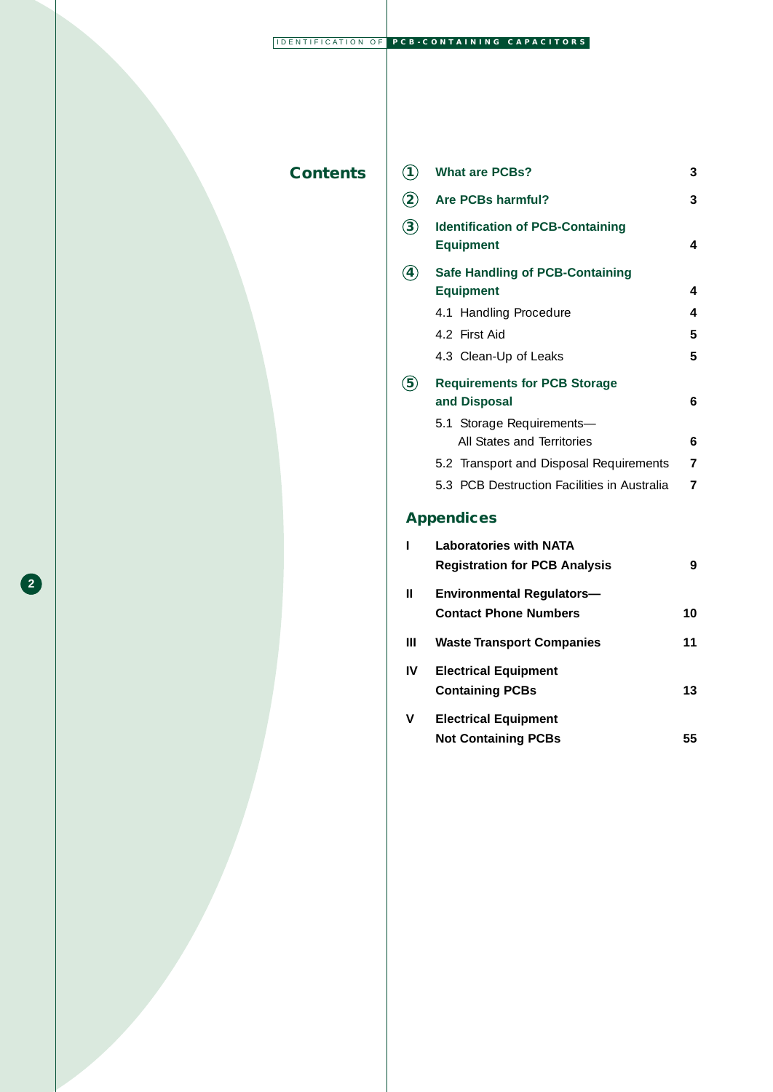## **Contents**

**2**

|                         |                                                             | 3 |  |  |  |  |  |
|-------------------------|-------------------------------------------------------------|---|--|--|--|--|--|
| $\overline{\mathbf{2}}$ | Are PCBs harmful?                                           |   |  |  |  |  |  |
| $\widehat{\mathbf{3}}$  | <b>Identification of PCB-Containing</b><br><b>Equipment</b> |   |  |  |  |  |  |
| 4                       | <b>Safe Handling of PCB-Containing</b><br><b>Equipment</b>  | 4 |  |  |  |  |  |
|                         | 4.1 Handling Procedure                                      | 4 |  |  |  |  |  |
|                         | 4.2 First Aid                                               | 5 |  |  |  |  |  |
|                         | 4.3 Clean-Up of Leaks                                       | 5 |  |  |  |  |  |
|                         | <b>Requirements for PCB Storage</b><br>and Disposal         | 6 |  |  |  |  |  |
|                         | 5.1 Storage Requirements-<br>All States and Territories     | 6 |  |  |  |  |  |
|                         | 5.2 Transport and Disposal Requirements                     | 7 |  |  |  |  |  |
|                         | 5.3 PCB Destruction Facilities in Australia                 | 7 |  |  |  |  |  |
|                         |                                                             |   |  |  |  |  |  |

**1 What are PCBs? 3**

# **Appendices**

|    | <b>Laboratories with NATA</b>        |    |
|----|--------------------------------------|----|
|    | <b>Registration for PCB Analysis</b> | 9  |
| Ш  | <b>Environmental Regulators—</b>     |    |
|    | <b>Contact Phone Numbers</b>         | 10 |
| Ш  | <b>Waste Transport Companies</b>     | 11 |
| IV | <b>Electrical Equipment</b>          |    |
|    | <b>Containing PCBs</b>               | 13 |
| v  | <b>Electrical Equipment</b>          |    |
|    | <b>Not Containing PCBs</b>           | 55 |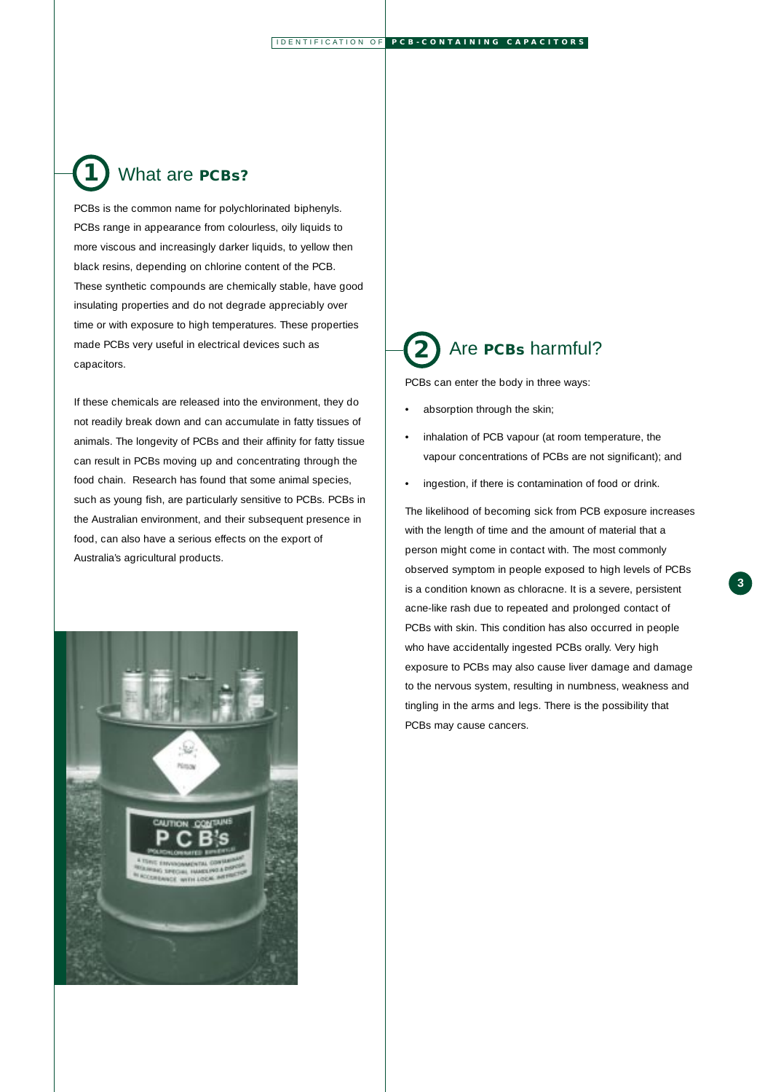## What are **PCBs? 1**

PCBs is the common name for polychlorinated biphenyls. PCBs range in appearance from colourless, oily liquids to more viscous and increasingly darker liquids, to yellow then black resins, depending on chlorine content of the PCB. These synthetic compounds are chemically stable, have good insulating properties and do not degrade appreciably over time or with exposure to high temperatures. These properties made PCBs very useful in electrical devices such as capacitors.

If these chemicals are released into the environment, they do not readily break down and can accumulate in fatty tissues of animals. The longevity of PCBs and their affinity for fatty tissue can result in PCBs moving up and concentrating through the food chain. Research has found that some animal species, such as young fish, are particularly sensitive to PCBs. PCBs in the Australian environment, and their subsequent presence in food, can also have a serious effects on the export of Australia's agricultural products.



# Are **PCBs** harmful? **2**

PCBs can enter the body in three ways:

- absorption through the skin;
- inhalation of PCB vapour (at room temperature, the vapour concentrations of PCBs are not significant); and
- ingestion, if there is contamination of food or drink.

The likelihood of becoming sick from PCB exposure increases with the length of time and the amount of material that a person might come in contact with. The most commonly observed symptom in people exposed to high levels of PCBs is a condition known as chloracne. It is a severe, persistent acne-like rash due to repeated and prolonged contact of PCBs with skin. This condition has also occurred in people who have accidentally ingested PCBs orally. Very high exposure to PCBs may also cause liver damage and damage to the nervous system, resulting in numbness, weakness and tingling in the arms and legs. There is the possibility that PCBs may cause cancers.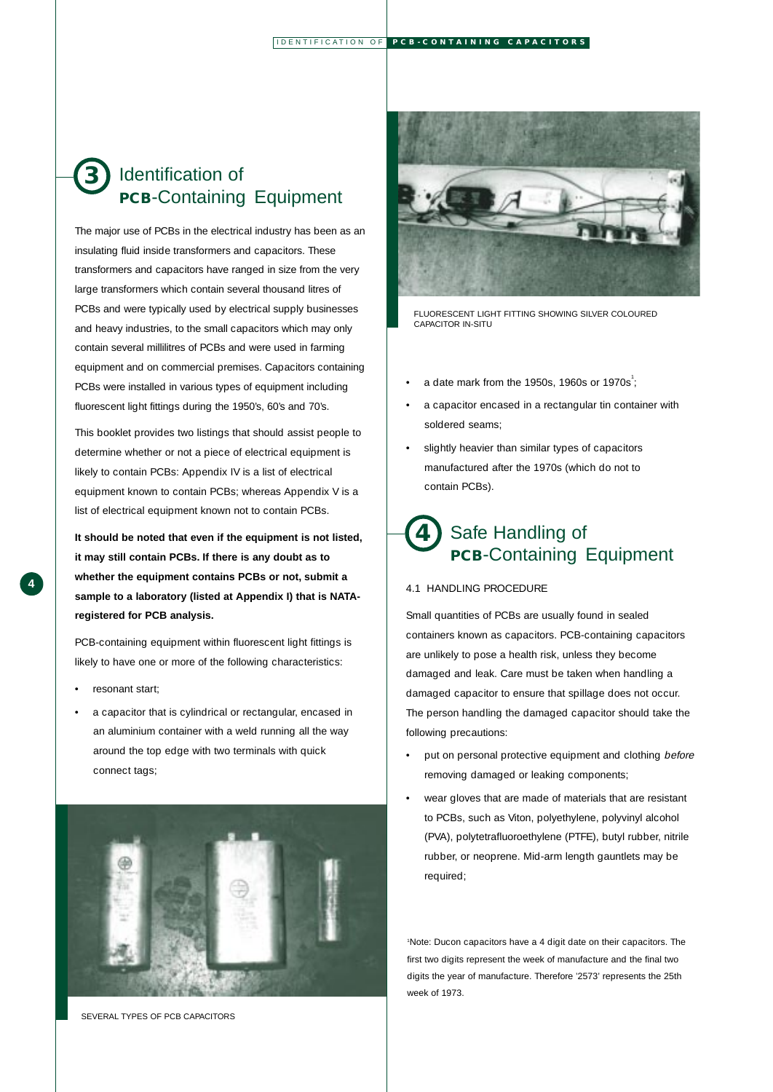## Identification of **PCB**-Containing Equipment **3**

The major use of PCBs in the electrical industry has been as an insulating fluid inside transformers and capacitors. These transformers and capacitors have ranged in size from the very large transformers which contain several thousand litres of PCBs and were typically used by electrical supply businesses and heavy industries, to the small capacitors which may only contain several millilitres of PCBs and were used in farming equipment and on commercial premises. Capacitors containing PCBs were installed in various types of equipment including fluorescent light fittings during the 1950's, 60's and 70's.

This booklet provides two listings that should assist people to determine whether or not a piece of electrical equipment is likely to contain PCBs: Appendix IV is a list of electrical equipment known to contain PCBs; whereas Appendix V is a list of electrical equipment known not to contain PCBs.

**It should be noted that even if the equipment is not listed, it may still contain PCBs. If there is any doubt as to whether the equipment contains PCBs or not, submit a sample to a laboratory (listed at Appendix I) that is NATAregistered for PCB analysis.**

PCB-containing equipment within fluorescent light fittings is likely to have one or more of the following characteristics:

- resonant start;
- a capacitor that is cylindrical or rectangular, encased in an aluminium container with a weld running all the way around the top edge with two terminals with quick connect tags;



SEVERAL TYPES OF PCB CAPACITORS



FLUORESCENT LIGHT FITTING SHOWING SILVER COLOURED CAPACITOR IN-SITU

- a date mark from the 1950s, 1960s or 1970s<sup>1</sup>;
- a capacitor encased in a rectangular tin container with soldered seams;
- slightly heavier than similar types of capacitors manufactured after the 1970s (which do not to contain PCBs).

## Safe Handling of **PCB**-Containing Equipment **4**

#### 4.1 HANDLING PROCEDURE

Small quantities of PCBs are usually found in sealed containers known as capacitors. PCB-containing capacitors are unlikely to pose a health risk, unless they become damaged and leak. Care must be taken when handling a damaged capacitor to ensure that spillage does not occur. The person handling the damaged capacitor should take the following precautions:

- put on personal protective equipment and clothing before removing damaged or leaking components;
- wear gloves that are made of materials that are resistant to PCBs, such as Viton, polyethylene, polyvinyl alcohol (PVA), polytetrafluoroethylene (PTFE), butyl rubber, nitrile rubber, or neoprene. Mid-arm length gauntlets may be required;

1 Note: Ducon capacitors have a 4 digit date on their capacitors. The first two digits represent the week of manufacture and the final two digits the year of manufacture. Therefore '2573' represents the 25th week of 1973.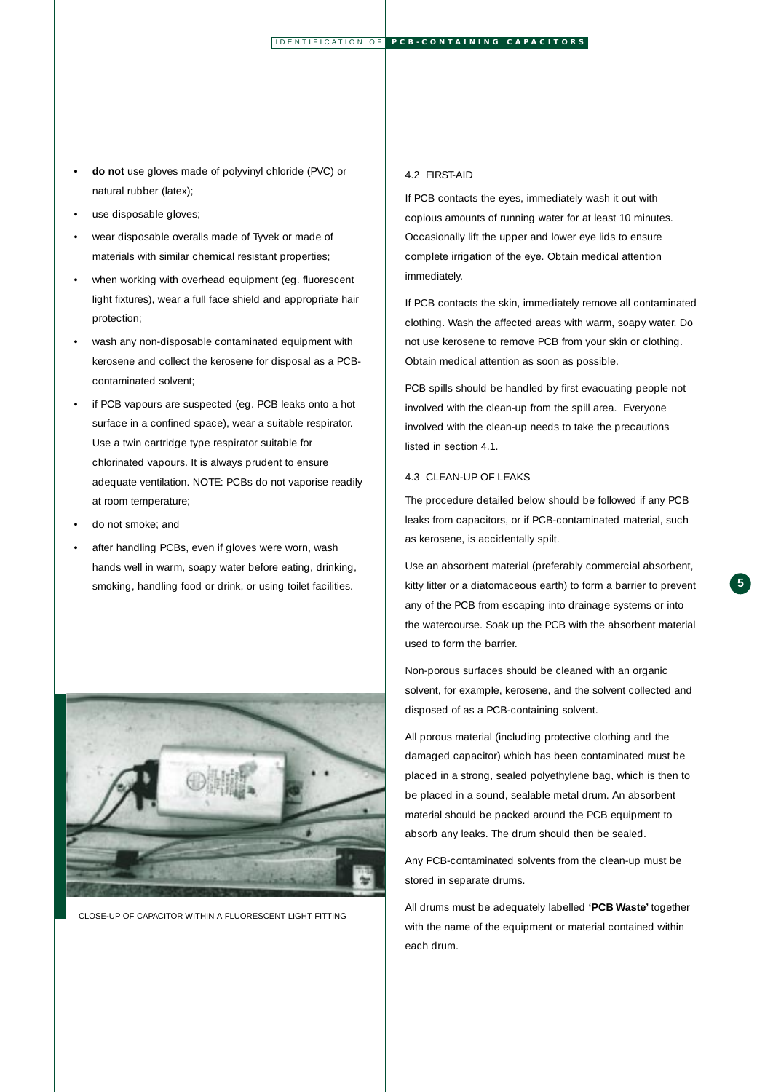- **do not** use gloves made of polyvinyl chloride (PVC) or natural rubber (latex);
- use disposable gloves;
- wear disposable overalls made of Tyvek or made of materials with similar chemical resistant properties;
- when working with overhead equipment (eg. fluorescent light fixtures), wear a full face shield and appropriate hair protection;
- wash any non-disposable contaminated equipment with kerosene and collect the kerosene for disposal as a PCBcontaminated solvent;
- if PCB vapours are suspected (eg. PCB leaks onto a hot surface in a confined space), wear a suitable respirator. Use a twin cartridge type respirator suitable for chlorinated vapours. It is always prudent to ensure adequate ventilation. NOTE: PCBs do not vaporise readily at room temperature;
- do not smoke; and
- after handling PCBs, even if gloves were worn, wash hands well in warm, soapy water before eating, drinking, smoking, handling food or drink, or using toilet facilities.



CLOSE-UP OF CAPACITOR WITHIN A FLUORESCENT LIGHT FITTING

### 4.2 FIRST-AID

If PCB contacts the eyes, immediately wash it out with copious amounts of running water for at least 10 minutes. Occasionally lift the upper and lower eye lids to ensure complete irrigation of the eye. Obtain medical attention immediately.

If PCB contacts the skin, immediately remove all contaminated clothing. Wash the affected areas with warm, soapy water. Do not use kerosene to remove PCB from your skin or clothing. Obtain medical attention as soon as possible.

PCB spills should be handled by first evacuating people not involved with the clean-up from the spill area. Everyone involved with the clean-up needs to take the precautions listed in section 4.1.

#### 4.3 CLEAN-UP OF LEAKS

The procedure detailed below should be followed if any PCB leaks from capacitors, or if PCB-contaminated material, such as kerosene, is accidentally spilt.

Use an absorbent material (preferably commercial absorbent, kitty litter or a diatomaceous earth) to form a barrier to prevent any of the PCB from escaping into drainage systems or into the watercourse. Soak up the PCB with the absorbent material used to form the barrier.

Non-porous surfaces should be cleaned with an organic solvent, for example, kerosene, and the solvent collected and disposed of as a PCB-containing solvent.

All porous material (including protective clothing and the damaged capacitor) which has been contaminated must be placed in a strong, sealed polyethylene bag, which is then to be placed in a sound, sealable metal drum. An absorbent material should be packed around the PCB equipment to absorb any leaks. The drum should then be sealed.

Any PCB-contaminated solvents from the clean-up must be stored in separate drums.

All drums must be adequately labelled **'PCB Waste'** together with the name of the equipment or material contained within each drum.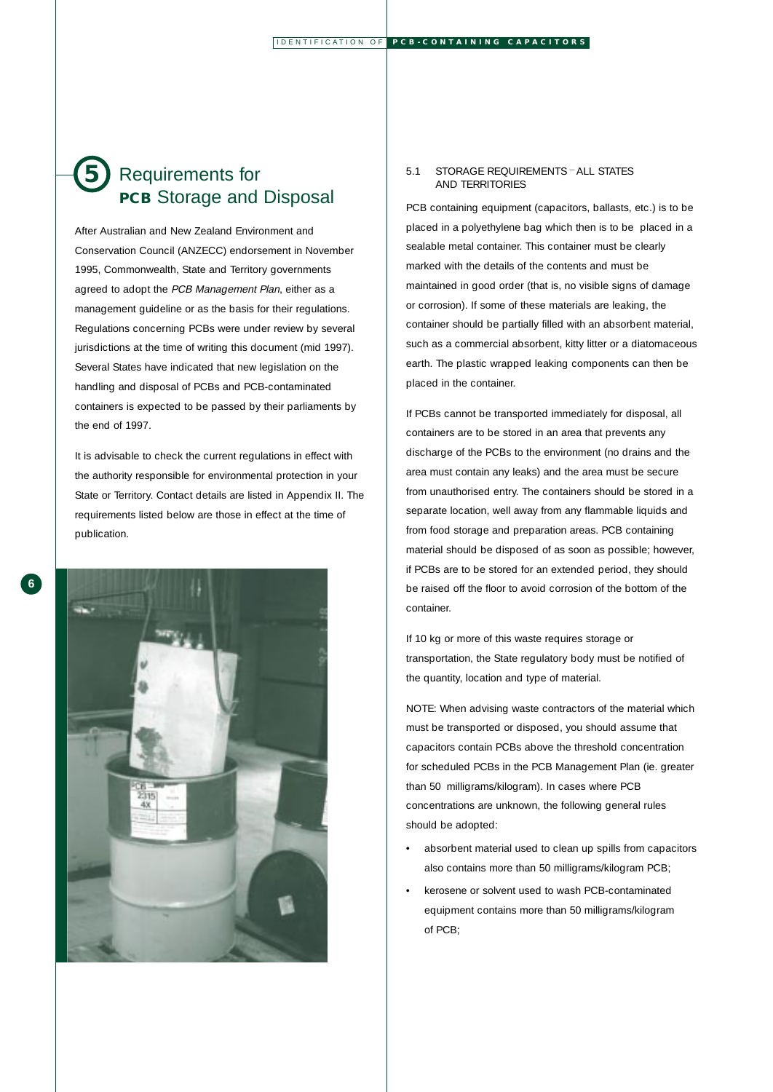## Requirements for **PCB** Storage and Disposal **5**

After Australian and New Zealand Environment and Conservation Council (ANZECC) endorsement in November 1995, Commonwealth, State and Territory governments agreed to adopt the PCB Management Plan, either as a management guideline or as the basis for their regulations. Regulations concerning PCBs were under review by several jurisdictions at the time of writing this document (mid 1997). Several States have indicated that new legislation on the handling and disposal of PCBs and PCB-contaminated containers is expected to be passed by their parliaments by the end of 1997.

It is advisable to check the current regulations in effect with the authority responsible for environmental protection in your State or Territory. Contact details are listed in Appendix II. The requirements listed below are those in effect at the time of publication.



#### 5.1 STORAGE REQUIREMENTS — ALL STATES AND TERRITORIES

PCB containing equipment (capacitors, ballasts, etc.) is to be placed in a polyethylene bag which then is to be placed in a sealable metal container. This container must be clearly marked with the details of the contents and must be maintained in good order (that is, no visible signs of damage or corrosion). If some of these materials are leaking, the container should be partially filled with an absorbent material, such as a commercial absorbent, kitty litter or a diatomaceous earth. The plastic wrapped leaking components can then be placed in the container.

If PCBs cannot be transported immediately for disposal, all containers are to be stored in an area that prevents any discharge of the PCBs to the environment (no drains and the area must contain any leaks) and the area must be secure from unauthorised entry. The containers should be stored in a separate location, well away from any flammable liquids and from food storage and preparation areas. PCB containing material should be disposed of as soon as possible; however, if PCBs are to be stored for an extended period, they should be raised off the floor to avoid corrosion of the bottom of the container.

If 10 kg or more of this waste requires storage or transportation, the State regulatory body must be notified of the quantity, location and type of material.

NOTE: When advising waste contractors of the material which must be transported or disposed, you should assume that capacitors contain PCBs above the threshold concentration for scheduled PCBs in the PCB Management Plan (ie. greater than 50 milligrams/kilogram). In cases where PCB concentrations are unknown, the following general rules should be adopted:

- absorbent material used to clean up spills from capacitors also contains more than 50 milligrams/kilogram PCB;
- kerosene or solvent used to wash PCB-contaminated equipment contains more than 50 milligrams/kilogram of PCB;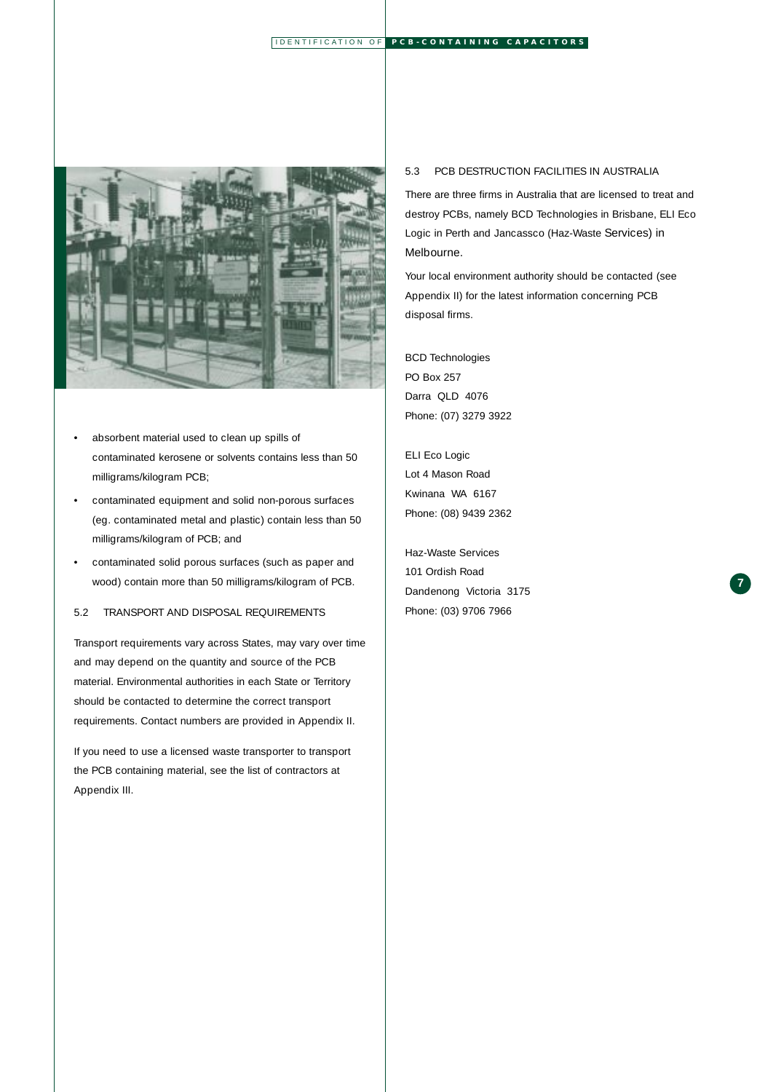

- absorbent material used to clean up spills of contaminated kerosene or solvents contains less than 50 milligrams/kilogram PCB;
- contaminated equipment and solid non-porous surfaces (eg. contaminated metal and plastic) contain less than 50 milligrams/kilogram of PCB; and
- contaminated solid porous surfaces (such as paper and wood) contain more than 50 milligrams/kilogram of PCB.

## 5.2 TRANSPORT AND DISPOSAL REQUIREMENTS

Transport requirements vary across States, may vary over time and may depend on the quantity and source of the PCB material. Environmental authorities in each State or Territory should be contacted to determine the correct transport requirements. Contact numbers are provided in Appendix II.

If you need to use a licensed waste transporter to transport the PCB containing material, see the list of contractors at Appendix III.

#### 5.3 PCB DESTRUCTION FACILITIES IN AUSTRALIA

There are three firms in Australia that are licensed to treat and destroy PCBs, namely BCD Technologies in Brisbane, ELI Eco Logic in Perth and Jancassco (Haz-Waste Services) in Melbourne.

Your local environment authority should be contacted (see Appendix II) for the latest information concerning PCB disposal firms.

**7**

### BCD Technologies

PO Box 257 Darra QLD 4076 Phone: (07) 3279 3922

## ELI Eco Logic Lot 4 Mason Road

Kwinana WA 6167 Phone: (08) 9439 2362

### Haz-Waste Services

101 Ordish Road Dandenong Victoria 3175 Phone: (03) 9706 7966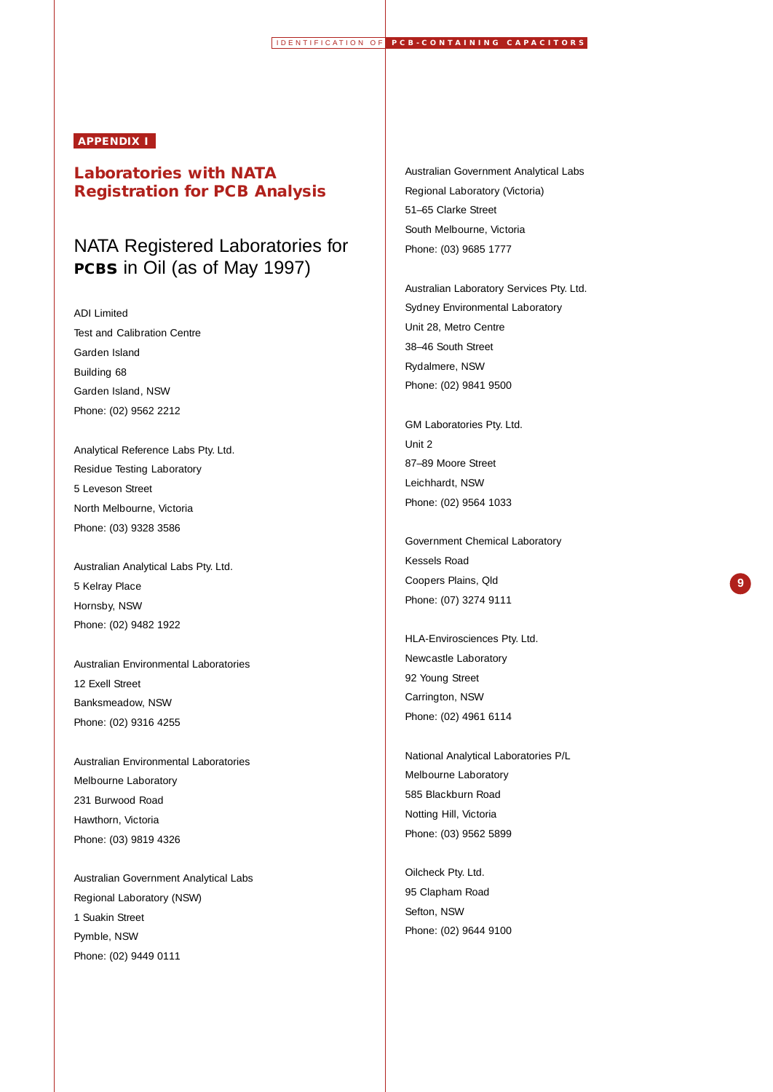## **APPENDIX I**

## **Laboratories with NATA Registration for PCB Analysis**

# NATA Registered Laboratories for **PCBs** in Oil (as of May 1997)

#### ADI Limited

Test and Calibration Centre Garden Island Building 68 Garden Island, NSW Phone: (02) 9562 2212

#### Analytical Reference Labs Pty. Ltd.

Residue Testing Laboratory 5 Leveson Street North Melbourne, Victoria Phone: (03) 9328 3586

## Australian Analytical Labs Pty. Ltd.

5 Kelray Place Hornsby, NSW Phone: (02) 9482 1922

Australian Environmental Laboratories 12 Exell Street Banksmeadow, NSW Phone: (02) 9316 4255

Australian Environmental Laboratories Melbourne Laboratory 231 Burwood Road Hawthorn, Victoria Phone: (03) 9819 4326

Australian Government Analytical Labs Regional Laboratory (NSW) 1 Suakin Street Pymble, NSW Phone: (02) 9449 0111

#### Australian Government Analytical Labs

Regional Laboratory (Victoria) 51–65 Clarke Street South Melbourne, Victoria Phone: (03) 9685 1777

#### Australian Laboratory Services Pty. Ltd.

Sydney Environmental Laboratory Unit 28, Metro Centre 38–46 South Street Rydalmere, NSW Phone: (02) 9841 9500

#### GM Laboratories Pty. Ltd.

Unit 2 87–89 Moore Street Leichhardt, NSW Phone: (02) 9564 1033

#### Government Chemical Laboratory

**9**

Kessels Road Coopers Plains, Qld Phone: (07) 3274 9111

HLA-Envirosciences Pty. Ltd. Newcastle Laboratory 92 Young Street Carrington, NSW Phone: (02) 4961 6114

## National Analytical Laboratories P/L Melbourne Laboratory 585 Blackburn Road Notting Hill, Victoria Phone: (03) 9562 5899

Oilcheck Pty. Ltd. 95 Clapham Road Sefton, NSW Phone: (02) 9644 9100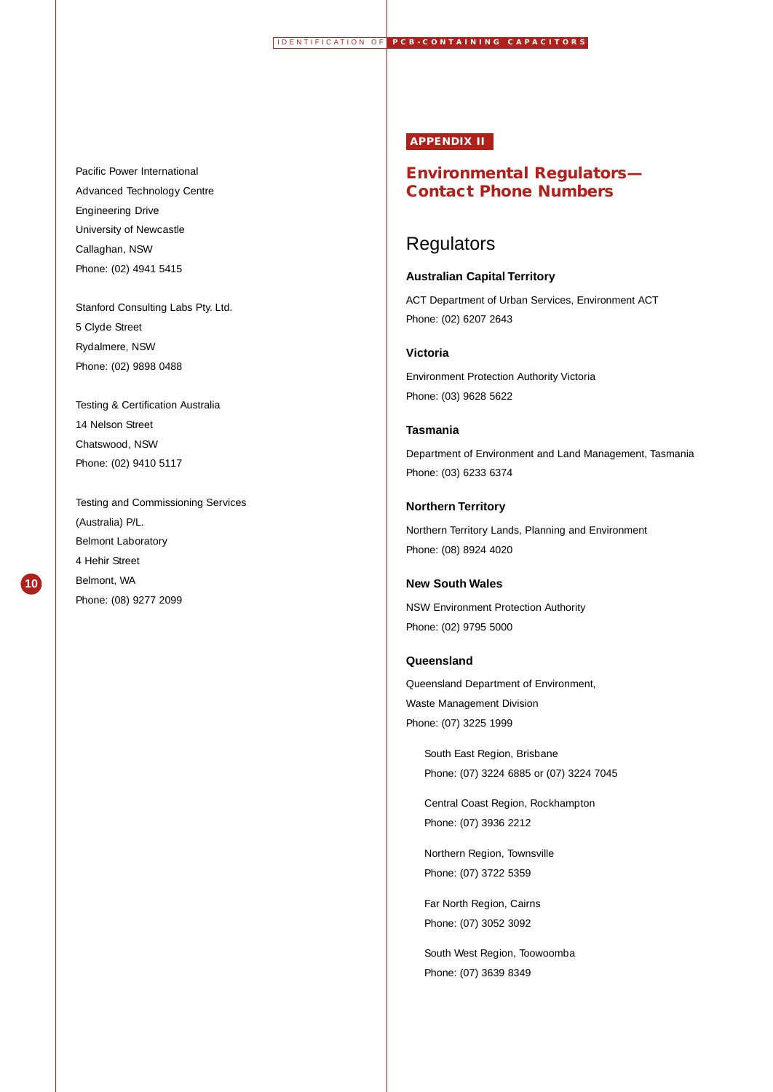#### Pacific Power International

Advanced Technology Centre Engineering Drive University of Newcastle Callaghan, NSW Phone: (02) 4941 5415

Stanford Consulting Labs Pty. Ltd. 5 Clyde Street Rydalmere, NSW Phone: (02) 9898 0488

## Testing & Certification Australia 14 Nelson Street

Chatswood, NSW Phone: (02) 9410 5117

**10**

Testing and Commissioning Services (Australia) P/L. Belmont Laboratory 4 Hehir Street Belmont, WA Phone: (08) 9277 2099

### **APPENDIX II**

## **Environmental Regulators— Contact Phone Numbers**

## **Regulators**

## **Australian Capital Territory**

ACT Department of Urban Services, Environment ACT Phone: (02) 6207 2643

#### **Victoria**

Environment Protection Authority Victoria Phone: (03) 9628 5622

## **Tasmania**

Department of Environment and Land Management, Tasmania Phone: (03) 6233 6374

### **Northern Territory**

Northern Territory Lands, Planning and Environment Phone: (08) 8924 4020

## **New South Wales**

NSW Environment Protection Authority Phone: (02) 9795 5000

#### **Queensland**

Queensland Department of Environment, Waste Management Division Phone: (07) 3225 1999

> South East Region, Brisbane Phone: (07) 3224 6885 or (07) 3224 7045

Central Coast Region, Rockhampton Phone: (07) 3936 2212

Northern Region, Townsville Phone: (07) 3722 5359

Far North Region, Cairns Phone: (07) 3052 3092

South West Region, Toowoomba Phone: (07) 3639 8349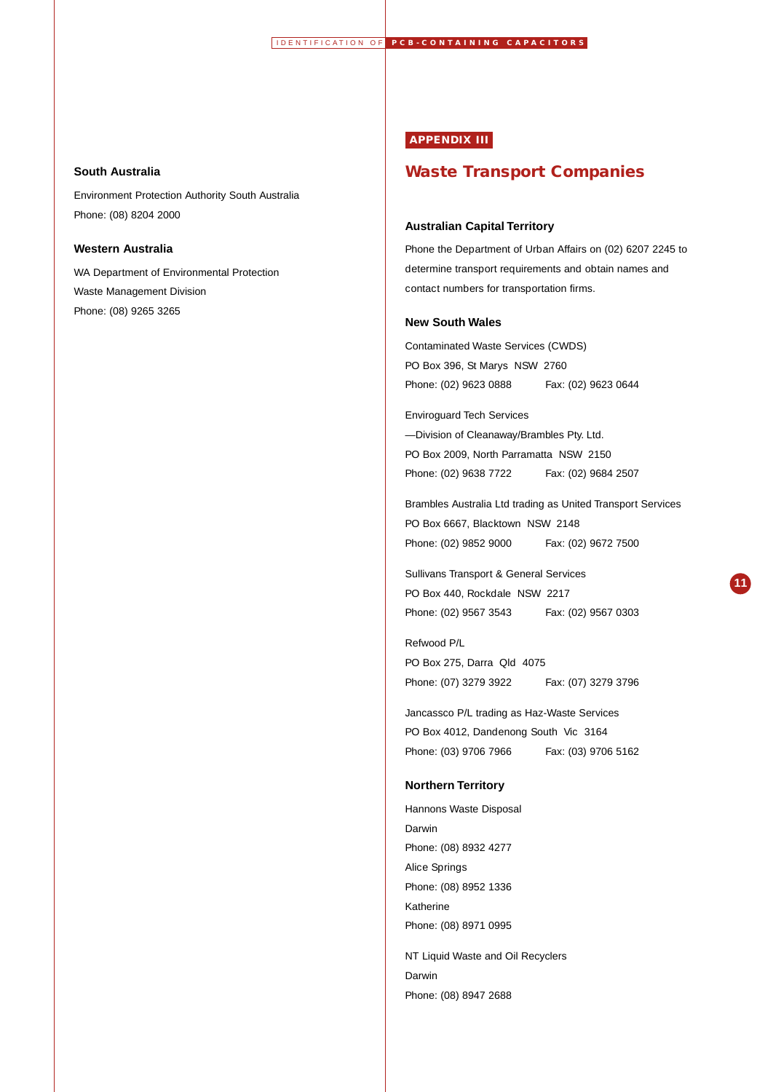#### **South Australia**

Environment Protection Authority South Australia Phone: (08) 8204 2000

## **Western Australia**

WA Department of Environmental Protection Waste Management Division Phone: (08) 9265 3265

## **APPENDIX III**

## **Waste Transport Companies**

#### **Australian Capital Territory**

Phone the Department of Urban Affairs on (02) 6207 2245 to determine transport requirements and obtain names and contact numbers for transportation firms.

### **New South Wales**

Contaminated Waste Services (CWDS) PO Box 396, St Marys NSW 2760 Phone: (02) 9623 0888 Fax: (02) 9623 0644

#### Enviroguard Tech Services

—Division of Cleanaway/Brambles Pty. Ltd. PO Box 2009, North Parramatta NSW 2150 Phone: (02) 9638 7722 Fax: (02) 9684 2507

Brambles Australia Ltd trading as United Transport Services PO Box 6667, Blacktown NSW 2148

Phone: (02) 9852 9000 Fax: (02) 9672 7500

#### Sullivans Transport & General Services

PO Box 440, Rockdale NSW 2217 Phone: (02) 9567 3543 Fax: (02) 9567 0303

Refwood P/L PO Box 275, Darra Qld 4075 Phone: (07) 3279 3922 Fax: (07) 3279 3796

#### Jancassco P/L trading as Haz-Waste Services

PO Box 4012, Dandenong South Vic 3164 Phone: (03) 9706 7966 Fax: (03) 9706 5162

#### **Northern Territory**

Hannons Waste Disposal Darwin Phone: (08) 8932 4277 Alice Springs Phone: (08) 8952 1336 Katherine Phone: (08) 8971 0995

NT Liquid Waste and Oil Recyclers Darwin Phone: (08) 8947 2688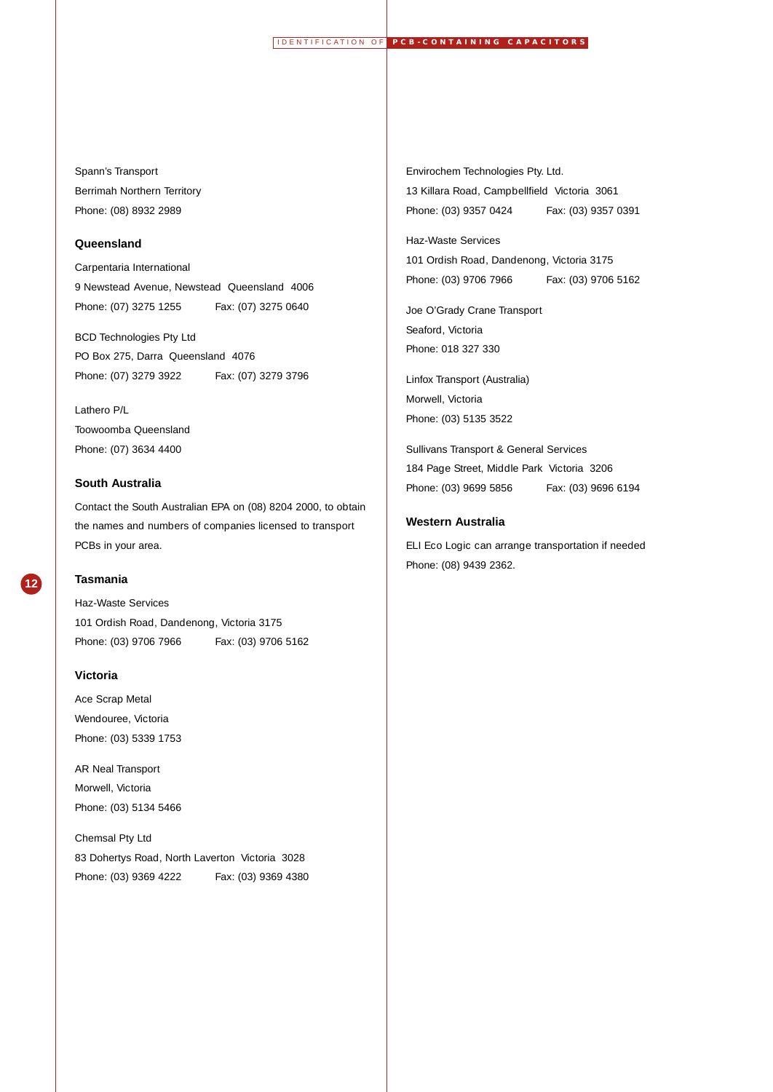## Spann's Transport

Berrimah Northern Territory Phone: (08) 8932 2989

### **Queensland**

#### Carpentaria International

9 Newstead Avenue, Newstead Queensland 4006 Phone: (07) 3275 1255 Fax: (07) 3275 0640

BCD Technologies Pty Ltd PO Box 275, Darra Queensland 4076 Phone: (07) 3279 3922 Fax: (07) 3279 3796

Lathero P/L Toowoomba Queensland Phone: (07) 3634 4400

## **South Australia**

Contact the South Australian EPA on (08) 8204 2000, to obtain the names and numbers of companies licensed to transport PCBs in your area.



## **Tasmania**

Haz-Waste Services

101 Ordish Road, Dandenong, Victoria 3175 Phone: (03) 9706 7966 Fax: (03) 9706 5162

## **Victoria**

Ace Scrap Metal Wendouree, Victoria Phone: (03) 5339 1753

AR Neal Transport Morwell, Victoria Phone: (03) 5134 5466

Chemsal Pty Ltd 83 Dohertys Road, North Laverton Victoria 3028 Phone: (03) 9369 4222 Fax: (03) 9369 4380 Envirochem Technologies Pty. Ltd.

13 Killara Road, Campbellfield Victoria 3061 Phone: (03) 9357 0424 Fax: (03) 9357 0391

#### Haz-Waste Services

101 Ordish Road, Dandenong, Victoria 3175 Phone: (03) 9706 7966 Fax: (03) 9706 5162

Joe O'Grady Crane Transport Seaford, Victoria Phone: 018 327 330

Linfox Transport (Australia)

Morwell, Victoria Phone: (03) 5135 3522

#### Sullivans Transport & General Services

184 Page Street, Middle Park Victoria 3206 Phone: (03) 9699 5856 Fax: (03) 9696 6194

#### **Western Australia**

ELI Eco Logic can arrange transportation if needed Phone: (08) 9439 2362.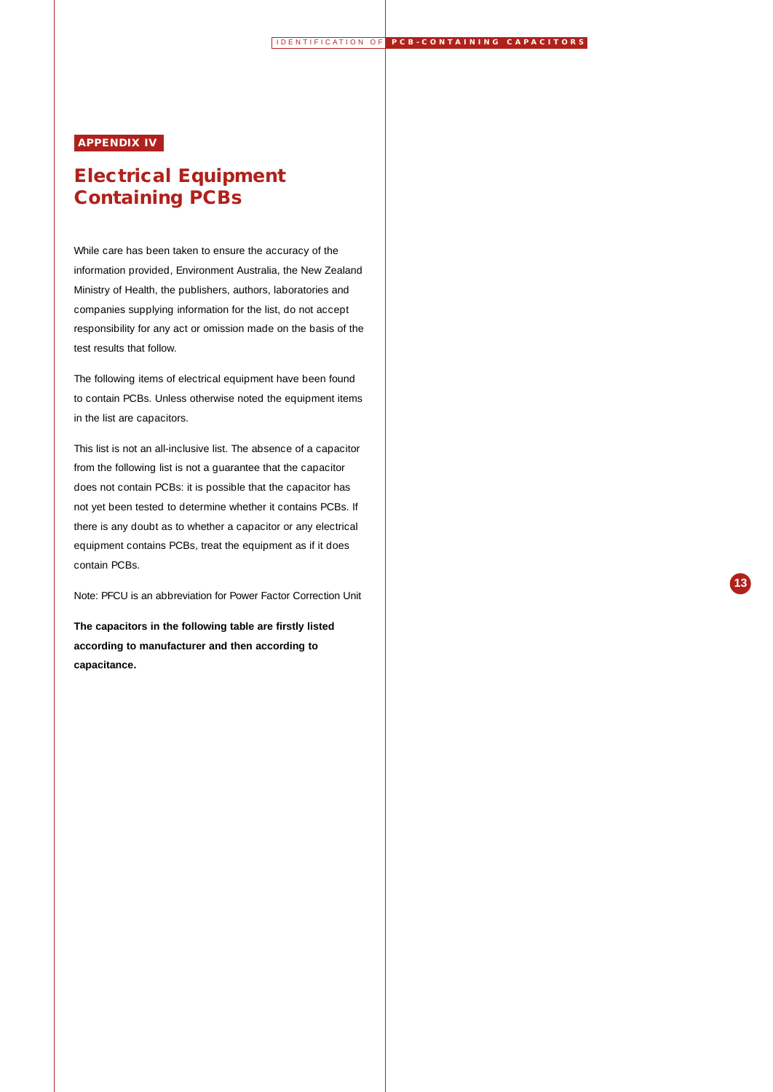**13**

## **APPENDIX IV**

# **Electrical Equipment Containing PCBs**

While care has been taken to ensure the accuracy of the information provided, Environment Australia, the New Zealand Ministry of Health, the publishers, authors, laboratories and companies supplying information for the list, do not accept responsibility for any act or omission made on the basis of the test results that follow.

The following items of electrical equipment have been found to contain PCBs. Unless otherwise noted the equipment items in the list are capacitors.

This list is not an all-inclusive list. The absence of a capacitor from the following list is not a guarantee that the capacitor does not contain PCBs: it is possible that the capacitor has not yet been tested to determine whether it contains PCBs. If there is any doubt as to whether a capacitor or any electrical equipment contains PCBs, treat the equipment as if it does contain PCBs.

Note: PFCU is an abbreviation for Power Factor Correction Unit

**The capacitors in the following table are firstly listed according to manufacturer and then according to capacitance.**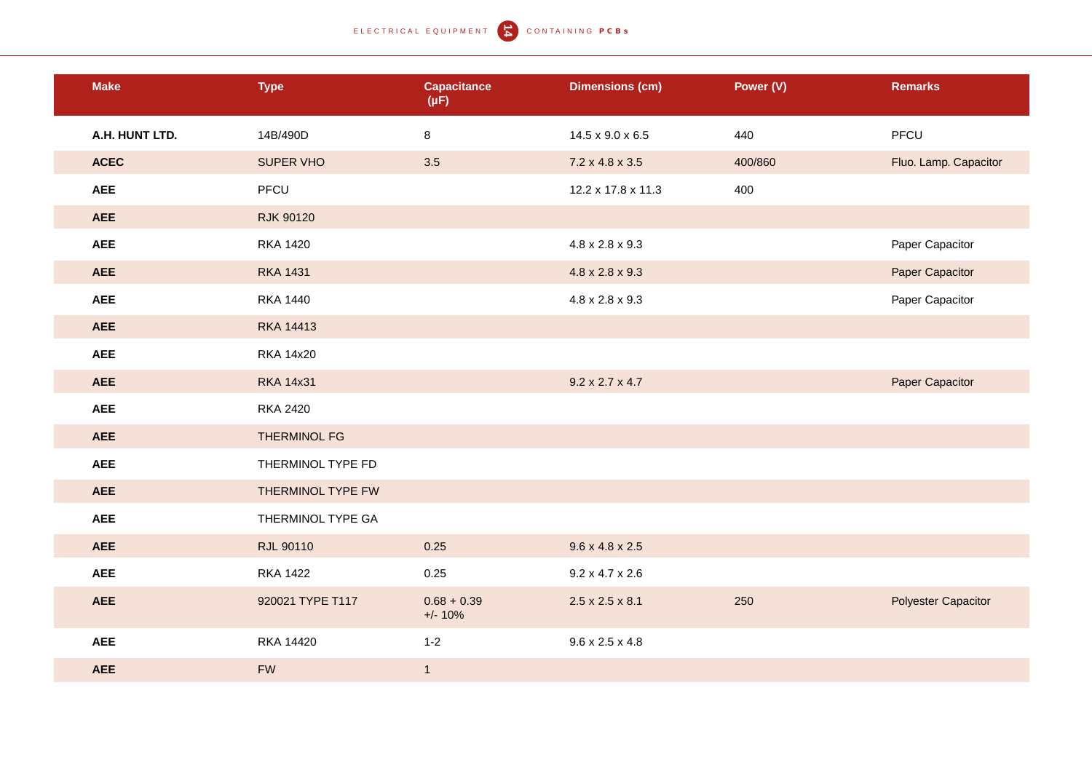ELECTRICAL EQUIPMENT **T** CONTAINING PCBS

| <b>Make</b>    | <b>Type</b>         | <b>Capacitance</b><br>$(\mu F)$ | <b>Dimensions (cm)</b>      | Power (V) | <b>Remarks</b>             |
|----------------|---------------------|---------------------------------|-----------------------------|-----------|----------------------------|
| A.H. HUNT LTD. | 14B/490D            | 8                               | 14.5 x 9.0 x 6.5            | 440       | PFCU                       |
| <b>ACEC</b>    | SUPER VHO           | 3.5                             | $7.2 \times 4.8 \times 3.5$ | 400/860   | Fluo. Lamp. Capacitor      |
| <b>AEE</b>     | PFCU                |                                 | 12.2 x 17.8 x 11.3          | 400       |                            |
| <b>AEE</b>     | <b>RJK 90120</b>    |                                 |                             |           |                            |
| <b>AEE</b>     | <b>RKA 1420</b>     |                                 | $4.8 \times 2.8 \times 9.3$ |           | Paper Capacitor            |
| <b>AEE</b>     | <b>RKA 1431</b>     |                                 | $4.8 \times 2.8 \times 9.3$ |           | Paper Capacitor            |
| <b>AEE</b>     | <b>RKA 1440</b>     |                                 | $4.8 \times 2.8 \times 9.3$ |           | Paper Capacitor            |
| <b>AEE</b>     | <b>RKA 14413</b>    |                                 |                             |           |                            |
| <b>AEE</b>     | <b>RKA 14x20</b>    |                                 |                             |           |                            |
| <b>AEE</b>     | <b>RKA 14x31</b>    |                                 | $9.2 \times 2.7 \times 4.7$ |           | Paper Capacitor            |
| <b>AEE</b>     | <b>RKA 2420</b>     |                                 |                             |           |                            |
| <b>AEE</b>     | <b>THERMINOL FG</b> |                                 |                             |           |                            |
| <b>AEE</b>     | THERMINOL TYPE FD   |                                 |                             |           |                            |
| <b>AEE</b>     | THERMINOL TYPE FW   |                                 |                             |           |                            |
| <b>AEE</b>     | THERMINOL TYPE GA   |                                 |                             |           |                            |
| <b>AEE</b>     | <b>RJL 90110</b>    | 0.25                            | $9.6 \times 4.8 \times 2.5$ |           |                            |
| <b>AEE</b>     | <b>RKA 1422</b>     | 0.25                            | $9.2 \times 4.7 \times 2.6$ |           |                            |
| <b>AEE</b>     | 920021 TYPE T117    | $0.68 + 0.39$<br>$+/- 10%$      | $2.5 \times 2.5 \times 8.1$ | 250       | <b>Polyester Capacitor</b> |
| <b>AEE</b>     | <b>RKA 14420</b>    | $1 - 2$                         | $9.6 \times 2.5 \times 4.8$ |           |                            |
| <b>AEE</b>     | <b>FW</b>           | $\mathbf{1}$                    |                             |           |                            |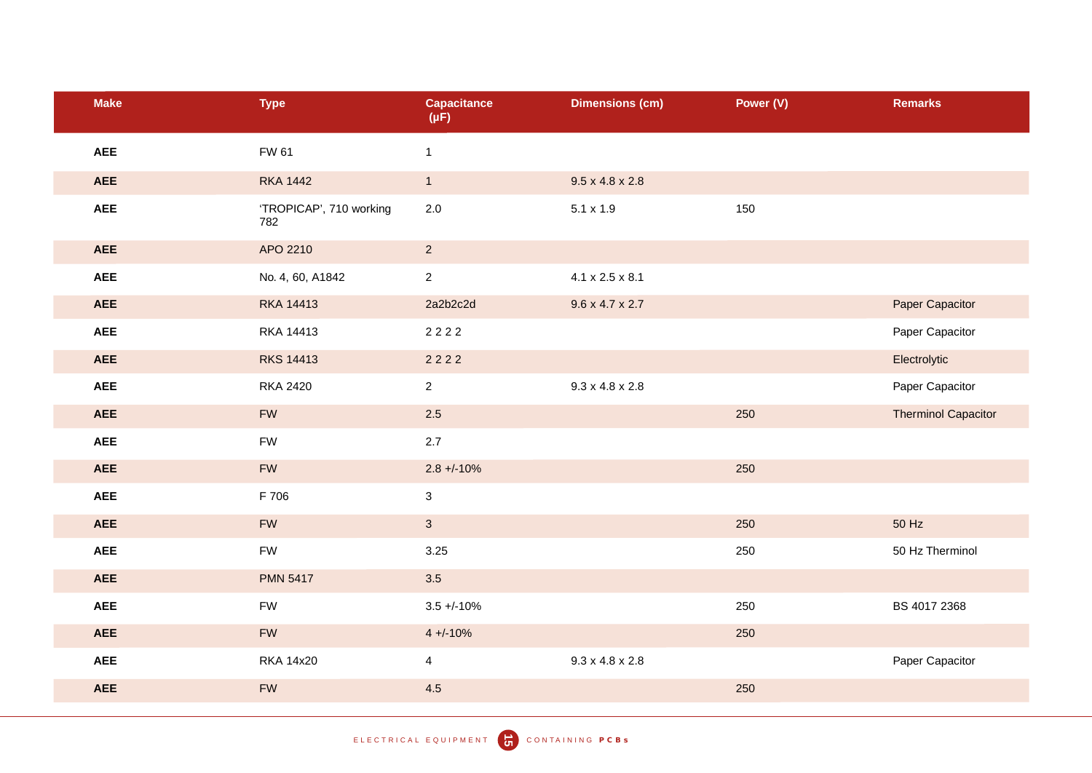| <b>Make</b> | <b>Type</b>                    | <b>Capacitance</b><br>$(\mu F)$ | <b>Dimensions (cm)</b>      | Power (V) | <b>Remarks</b>             |
|-------------|--------------------------------|---------------------------------|-----------------------------|-----------|----------------------------|
| <b>AEE</b>  | <b>FW 61</b>                   | $\mathbf{1}$                    |                             |           |                            |
| <b>AEE</b>  | <b>RKA 1442</b>                | 1                               | $9.5 \times 4.8 \times 2.8$ |           |                            |
| <b>AEE</b>  | 'TROPICAP', 710 working<br>782 | $2.0\,$                         | $5.1 \times 1.9$            | 150       |                            |
| <b>AEE</b>  | APO 2210                       | $\overline{2}$                  |                             |           |                            |
| <b>AEE</b>  | No. 4, 60, A1842               | $\overline{2}$                  | $4.1 \times 2.5 \times 8.1$ |           |                            |
| <b>AEE</b>  | <b>RKA 14413</b>               | 2a2b2c2d                        | $9.6 \times 4.7 \times 2.7$ |           | Paper Capacitor            |
| <b>AEE</b>  | RKA 14413                      | 2222                            |                             |           | Paper Capacitor            |
| <b>AEE</b>  | <b>RKS 14413</b>               | 2222                            |                             |           | Electrolytic               |
| <b>AEE</b>  | <b>RKA 2420</b>                | $\overline{2}$                  | $9.3 \times 4.8 \times 2.8$ |           | Paper Capacitor            |
| <b>AEE</b>  | <b>FW</b>                      | 2.5                             |                             | 250       | <b>Therminol Capacitor</b> |
| <b>AEE</b>  | FW                             | 2.7                             |                             |           |                            |
| <b>AEE</b>  | <b>FW</b>                      | $2.8 + -10%$                    |                             | 250       |                            |
| <b>AEE</b>  | F 706                          | $\mathbf{3}$                    |                             |           |                            |
| <b>AEE</b>  | <b>FW</b>                      | $\mathbf{3}$                    |                             | 250       | 50 Hz                      |
| <b>AEE</b>  | <b>FW</b>                      | 3.25                            |                             | 250       | 50 Hz Therminol            |
| <b>AEE</b>  | <b>PMN 5417</b>                | 3.5                             |                             |           |                            |
| <b>AEE</b>  | <b>FW</b>                      | $3.5 + (-10\%$                  |                             | 250       | BS 4017 2368               |
| <b>AEE</b>  | <b>FW</b>                      | $4 + (-10%)$                    |                             | 250       |                            |
| <b>AEE</b>  | <b>RKA 14x20</b>               | $\overline{4}$                  | $9.3 \times 4.8 \times 2.8$ |           | Paper Capacitor            |
| <b>AEE</b>  | ${\sf FW}$                     | 4.5                             |                             | 250       |                            |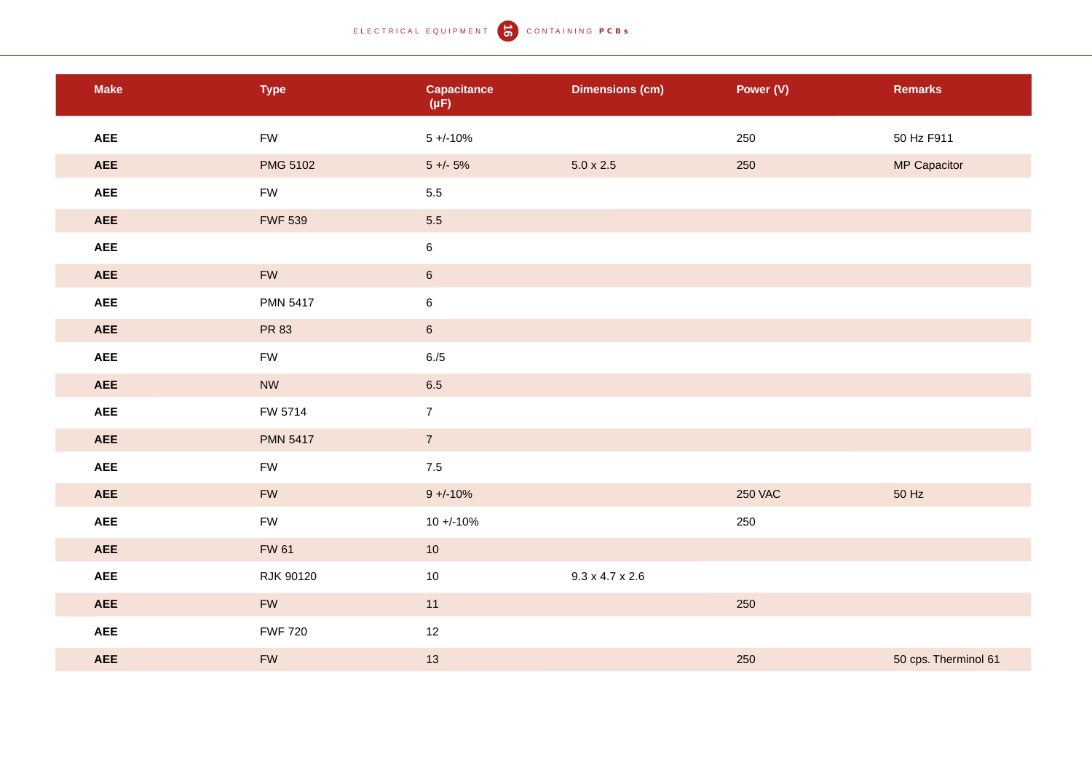## ELECTRICAL EQUIPMENT **6** CONTAINING PCBs

| <b>Make</b>          | <b>Type</b>     | <b>Capacitance</b><br>$(\mu F)$ | <b>Dimensions (cm)</b>      | Power (V)      | <b>Remarks</b>       |
|----------------------|-----------------|---------------------------------|-----------------------------|----------------|----------------------|
| <b>AEE</b>           | FW              | $5 + (-10\%$                    |                             | 250            | 50 Hz F911           |
| <b>AEE</b>           | <b>PMG 5102</b> | $5 +/- 5%$                      | $5.0 \times 2.5$            | 250            | <b>MP Capacitor</b>  |
| AEE                  | FW              | $5.5\,$                         |                             |                |                      |
| <b>AEE</b>           | <b>FWF 539</b>  | 5.5                             |                             |                |                      |
| AEE                  |                 | $\bf 6$                         |                             |                |                      |
| <b>AEE</b>           | ${\sf FW}$      | $6\overline{6}$                 |                             |                |                      |
| $\pmb{\mathsf{AEE}}$ | <b>PMN 5417</b> | $\bf 6$                         |                             |                |                      |
| <b>AEE</b>           | PR 83           | $6\overline{6}$                 |                             |                |                      |
| AEE                  | ${\sf FW}$      | $6./5$                          |                             |                |                      |
| <b>AEE</b>           | <b>NW</b>       | 6.5                             |                             |                |                      |
| $\pmb{\mathsf{AEE}}$ | FW 5714         | $\mathbf{7}$                    |                             |                |                      |
| <b>AEE</b>           | <b>PMN 5417</b> | $\mathbf{7}$                    |                             |                |                      |
| AEE                  | <b>FW</b>       | $7.5$                           |                             |                |                      |
| <b>AEE</b>           | ${\sf FW}$      | $9 + -10%$                      |                             | <b>250 VAC</b> | 50 Hz                |
| $\pmb{\mathsf{AEE}}$ | FW              | $10 + -10%$                     |                             | 250            |                      |
| <b>AEE</b>           | <b>FW 61</b>    | 10                              |                             |                |                      |
| AEE                  | RJK 90120       | $10\,$                          | $9.3 \times 4.7 \times 2.6$ |                |                      |
| <b>AEE</b>           | ${\sf FW}$      | 11                              |                             | 250            |                      |
| AEE                  | <b>FWF 720</b>  | 12                              |                             |                |                      |
| <b>AEE</b>           | ${\sf FW}$      | 13                              |                             | 250            | 50 cps. Therminol 61 |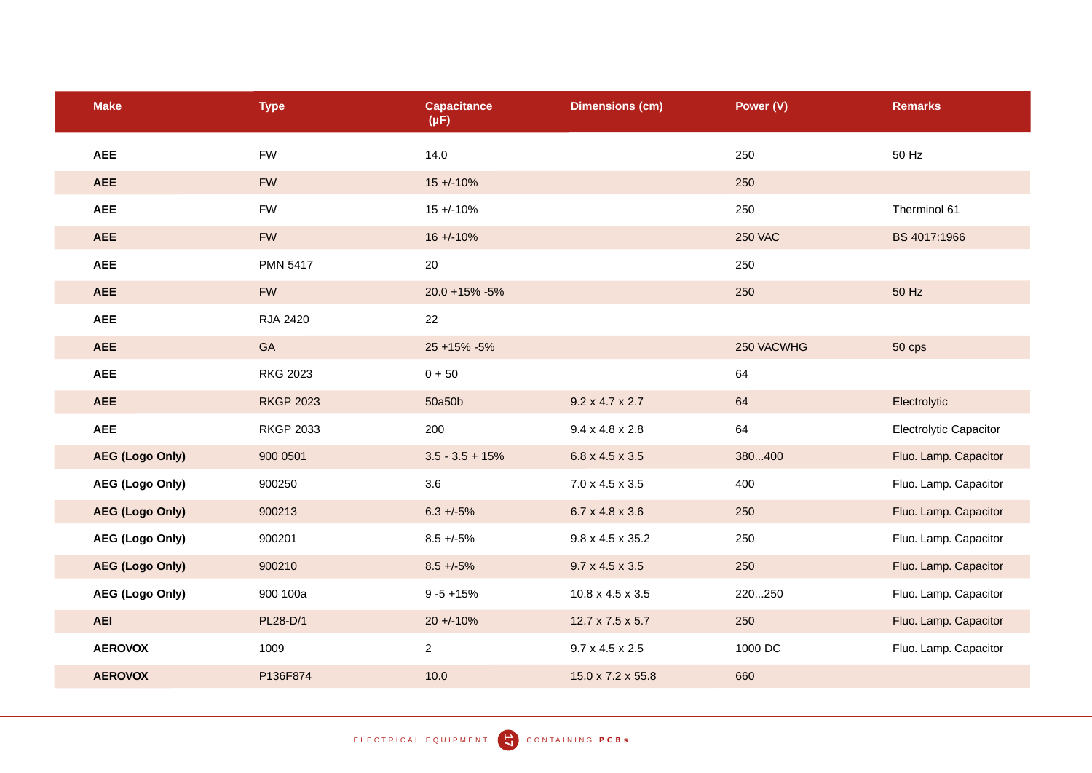| <b>Make</b>            | <b>Type</b>      | <b>Capacitance</b><br>$(\mu F)$ | <b>Dimensions (cm)</b>       | Power (V)      | <b>Remarks</b>                |
|------------------------|------------------|---------------------------------|------------------------------|----------------|-------------------------------|
| <b>AEE</b>             | <b>FW</b>        | 14.0                            |                              | 250            | 50 Hz                         |
| <b>AEE</b>             | <b>FW</b>        | $15 + (-10\%)$                  |                              | 250            |                               |
| <b>AEE</b>             | <b>FW</b>        | $15 + (-10\%$                   |                              | 250            | Therminol 61                  |
| <b>AEE</b>             | <b>FW</b>        | $16 + (-10\%)$                  |                              | <b>250 VAC</b> | BS 4017:1966                  |
| <b>AEE</b>             | <b>PMN 5417</b>  | 20                              |                              | 250            |                               |
| <b>AEE</b>             | <b>FW</b>        | 20.0 +15% -5%                   |                              | 250            | 50 Hz                         |
| <b>AEE</b>             | RJA 2420         | 22                              |                              |                |                               |
| <b>AEE</b>             | GA               | $25 + 15\% - 5\%$               |                              | 250 VACWHG     | 50 cps                        |
| <b>AEE</b>             | <b>RKG 2023</b>  | $0 + 50$                        |                              | 64             |                               |
| <b>AEE</b>             | <b>RKGP 2023</b> | 50a50b                          | $9.2 \times 4.7 \times 2.7$  | 64             | Electrolytic                  |
| <b>AEE</b>             | <b>RKGP 2033</b> | 200                             | $9.4 \times 4.8 \times 2.8$  | 64             | <b>Electrolytic Capacitor</b> |
| <b>AEG (Logo Only)</b> | 900 0501         | $3.5 - 3.5 + 15%$               | 6.8 x 4.5 x 3.5              | 380400         | Fluo. Lamp. Capacitor         |
| <b>AEG (Logo Only)</b> | 900250           | 3.6                             | $7.0 \times 4.5 \times 3.5$  | 400            | Fluo. Lamp. Capacitor         |
| <b>AEG (Logo Only)</b> | 900213           | $6.3 + -5\%$                    | 6.7 x 4.8 x 3.6              | 250            | Fluo. Lamp. Capacitor         |
| <b>AEG (Logo Only)</b> | 900201           | $8.5 + -5\%$                    | $9.8 \times 4.5 \times 35.2$ | 250            | Fluo. Lamp. Capacitor         |
| <b>AEG (Logo Only)</b> | 900210           | $8.5 + -5\%$                    | $9.7 \times 4.5 \times 3.5$  | 250            | Fluo. Lamp. Capacitor         |
| <b>AEG (Logo Only)</b> | 900 100a         | $9 - 5 + 15%$                   | $10.8 \times 4.5 \times 3.5$ | 220250         | Fluo. Lamp. Capacitor         |
| <b>AEI</b>             | PL28-D/1         | $20 + 10%$                      | 12.7 x 7.5 x 5.7             | 250            | Fluo. Lamp. Capacitor         |
| <b>AEROVOX</b>         | 1009             | $\overline{2}$                  | $9.7 \times 4.5 \times 2.5$  | 1000 DC        | Fluo. Lamp. Capacitor         |
| <b>AEROVOX</b>         | P136F874         | 10.0                            | 15.0 x 7.2 x 55.8            | 660            |                               |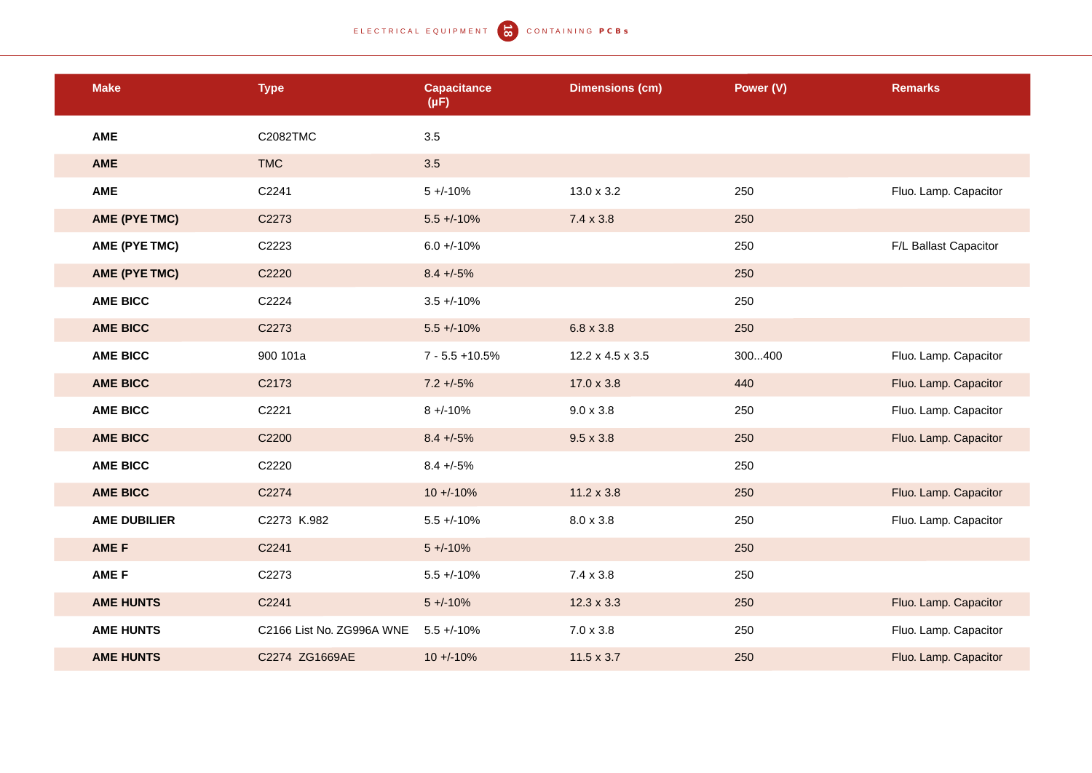| <b>Make</b>         | <b>Type</b>               | <b>Capacitance</b><br>$(\mu F)$ | <b>Dimensions (cm)</b> | Power (V) | <b>Remarks</b>        |
|---------------------|---------------------------|---------------------------------|------------------------|-----------|-----------------------|
| <b>AME</b>          | C2082TMC                  | 3.5                             |                        |           |                       |
| <b>AME</b>          | <b>TMC</b>                | 3.5                             |                        |           |                       |
| <b>AME</b>          | C2241                     | $5 + (-10\%)$                   | $13.0 \times 3.2$      | 250       | Fluo. Lamp. Capacitor |
| AME (PYE TMC)       | C2273                     | $5.5 + (-10\%)$                 | $7.4 \times 3.8$       | 250       |                       |
| AME (PYE TMC)       | C2223                     | $6.0 + (-10\%$                  |                        | 250       | F/L Ballast Capacitor |
| AME (PYE TMC)       | C2220                     | $8.4 + -5%$                     |                        | 250       |                       |
| <b>AME BICC</b>     | C2224                     | $3.5 + (-10\%$                  |                        | 250       |                       |
| <b>AME BICC</b>     | C2273                     | $5.5 + (-10\%$                  | $6.8 \times 3.8$       | 250       |                       |
| <b>AME BICC</b>     | 900 101a                  | $7 - 5.5 + 10.5%$               | 12.2 x 4.5 x 3.5       | 300400    | Fluo. Lamp. Capacitor |
| <b>AME BICC</b>     | C2173                     | $7.2 + 5\%$                     | 17.0 x 3.8             | 440       | Fluo. Lamp. Capacitor |
| <b>AME BICC</b>     | C2221                     | $8 + -10%$                      | $9.0 \times 3.8$       | 250       | Fluo. Lamp. Capacitor |
| <b>AME BICC</b>     | C2200                     | $8.4 + -5%$                     | $9.5 \times 3.8$       | 250       | Fluo. Lamp. Capacitor |
| <b>AME BICC</b>     | C2220                     | $8.4 + -5%$                     |                        | 250       |                       |
| <b>AME BICC</b>     | C2274                     | $10 + (-10\%)$                  | $11.2 \times 3.8$      | 250       | Fluo. Lamp. Capacitor |
| <b>AME DUBILIER</b> | C2273 K.982               | $5.5 + (-10\%$                  | $8.0 \times 3.8$       | 250       | Fluo. Lamp. Capacitor |
| AME F               | C2241                     | $5 + (-10\%)$                   |                        | 250       |                       |
| <b>AME F</b>        | C2273                     | $5.5 + (-10\%$                  | $7.4 \times 3.8$       | 250       |                       |
| <b>AME HUNTS</b>    | C2241                     | $5 + (-10\%)$                   | $12.3 \times 3.3$      | 250       | Fluo. Lamp. Capacitor |
| <b>AME HUNTS</b>    | C2166 List No. ZG996A WNE | $5.5 + (-10\%)$                 | $7.0 \times 3.8$       | 250       | Fluo. Lamp. Capacitor |
| <b>AME HUNTS</b>    | C2274 ZG1669AE            | $10 + (-10\%)$                  | $11.5 \times 3.7$      | 250       | Fluo. Lamp. Capacitor |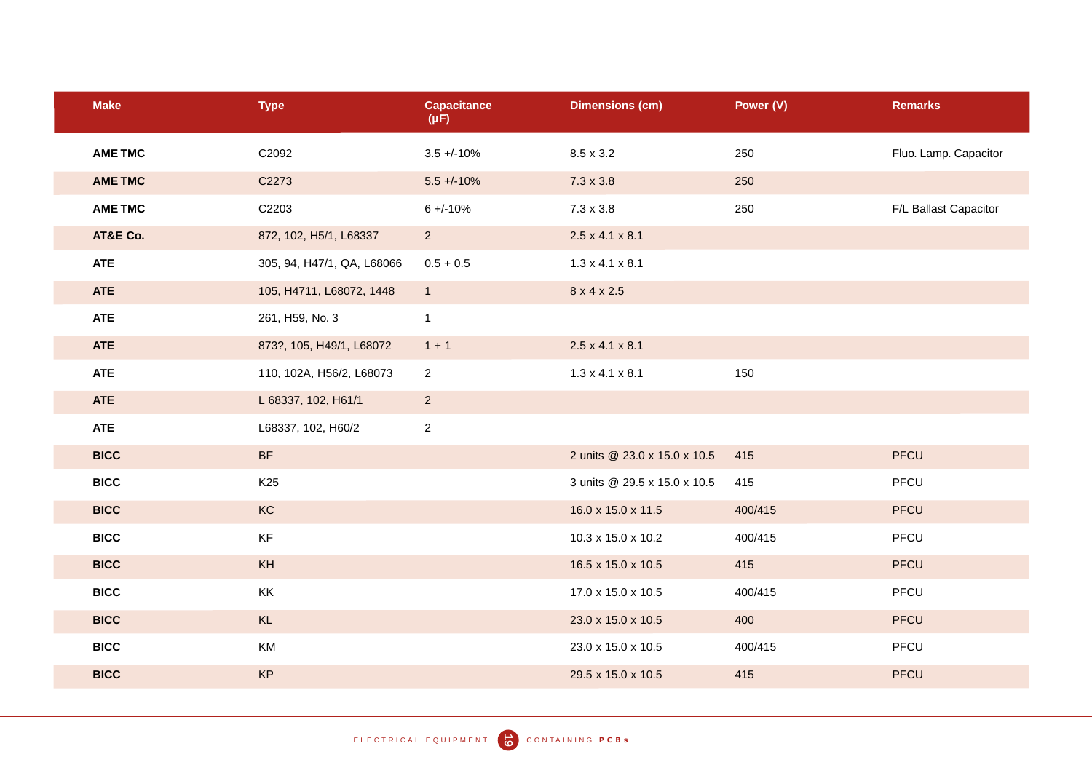| <b>Make</b>    | <b>Type</b>                | <b>Capacitance</b><br>$(\mu F)$ | <b>Dimensions (cm)</b>       | Power (V) | <b>Remarks</b>        |
|----------------|----------------------------|---------------------------------|------------------------------|-----------|-----------------------|
| <b>AME TMC</b> | C2092                      | $3.5 + (-10\%)$                 | $8.5 \times 3.2$             | 250       | Fluo. Lamp. Capacitor |
| <b>AME TMC</b> | C2273                      | $5.5 + (-10%)$                  | $7.3 \times 3.8$             | 250       |                       |
| <b>AME TMC</b> | C2203                      | $6 + -10%$                      | $7.3 \times 3.8$             | 250       | F/L Ballast Capacitor |
| AT&E Co.       | 872, 102, H5/1, L68337     | $2^{\circ}$                     | $2.5 \times 4.1 \times 8.1$  |           |                       |
| <b>ATE</b>     | 305, 94, H47/1, QA, L68066 | $0.5 + 0.5$                     | $1.3 \times 4.1 \times 8.1$  |           |                       |
| <b>ATE</b>     | 105, H4711, L68072, 1448   | 1                               | 8 x 4 x 2.5                  |           |                       |
| <b>ATE</b>     | 261, H59, No. 3            | $\mathbf{1}$                    |                              |           |                       |
| <b>ATE</b>     | 873?, 105, H49/1, L68072   | $1 + 1$                         | $2.5 \times 4.1 \times 8.1$  |           |                       |
| <b>ATE</b>     | 110, 102A, H56/2, L68073   | $\overline{2}$                  | $1.3 \times 4.1 \times 8.1$  | 150       |                       |
| <b>ATE</b>     | L 68337, 102, H61/1        | $2^{\circ}$                     |                              |           |                       |
| <b>ATE</b>     | L68337, 102, H60/2         | $\overline{a}$                  |                              |           |                       |
| <b>BICC</b>    | <b>BF</b>                  |                                 | 2 units @ 23.0 x 15.0 x 10.5 | 415       | PFCU                  |
| <b>BICC</b>    | K <sub>25</sub>            |                                 | 3 units @ 29.5 x 15.0 x 10.5 | 415       | PFCU                  |
| <b>BICC</b>    | KC                         |                                 | 16.0 x 15.0 x 11.5           | 400/415   | PFCU                  |
| <b>BICC</b>    | KF                         |                                 | 10.3 x 15.0 x 10.2           | 400/415   | PFCU                  |
| <b>BICC</b>    | KH                         |                                 | 16.5 x 15.0 x 10.5           | 415       | <b>PFCU</b>           |
| <b>BICC</b>    | KK                         |                                 | 17.0 x 15.0 x 10.5           | 400/415   | PFCU                  |
| <b>BICC</b>    | KL                         |                                 | 23.0 x 15.0 x 10.5           | 400       | PFCU                  |
| <b>BICC</b>    | KM                         |                                 | 23.0 x 15.0 x 10.5           | 400/415   | PFCU                  |
| <b>BICC</b>    | KP                         |                                 | 29.5 x 15.0 x 10.5           | 415       | PFCU                  |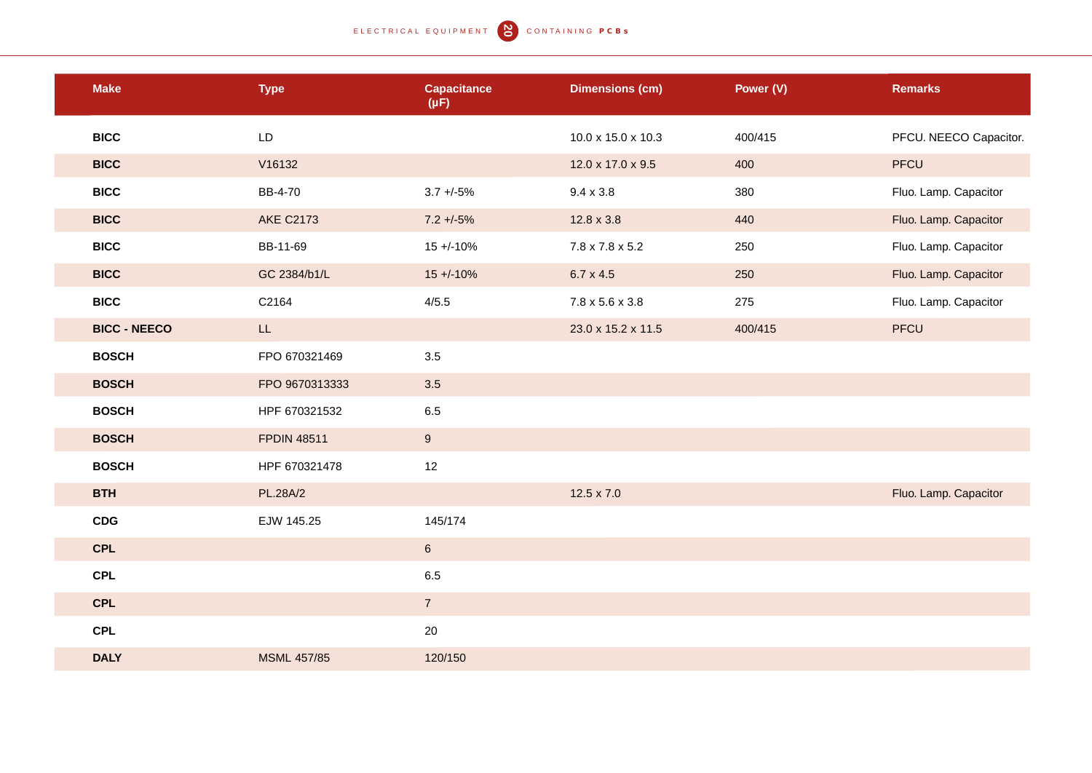| <b>Make</b>         | <b>Type</b>        | <b>Capacitance</b><br>$(\mu F)$ | <b>Dimensions (cm)</b>      | Power (V) | <b>Remarks</b>         |
|---------------------|--------------------|---------------------------------|-----------------------------|-----------|------------------------|
| <b>BICC</b>         | LD                 |                                 | 10.0 x 15.0 x 10.3          | 400/415   | PFCU. NEECO Capacitor. |
| <b>BICC</b>         | V16132             |                                 | 12.0 x 17.0 x 9.5           | 400       | PFCU                   |
| <b>BICC</b>         | BB-4-70            | $3.7 + -5\%$                    | $9.4 \times 3.8$            | 380       | Fluo. Lamp. Capacitor  |
| <b>BICC</b>         | <b>AKE C2173</b>   | $7.2 + -5%$                     | $12.8 \times 3.8$           | 440       | Fluo. Lamp. Capacitor  |
| <b>BICC</b>         | BB-11-69           | $15 + (-10\%)$                  | $7.8 \times 7.8 \times 5.2$ | 250       | Fluo. Lamp. Capacitor  |
| <b>BICC</b>         | GC 2384/b1/L       | $15 + (-10\%)$                  | $6.7 \times 4.5$            | 250       | Fluo. Lamp. Capacitor  |
| <b>BICC</b>         | C2164              | 4/5.5                           | $7.8 \times 5.6 \times 3.8$ | 275       | Fluo. Lamp. Capacitor  |
| <b>BICC - NEECO</b> | LL                 |                                 | 23.0 x 15.2 x 11.5          | 400/415   | PFCU                   |
| <b>BOSCH</b>        | FPO 670321469      | 3.5                             |                             |           |                        |
| <b>BOSCH</b>        | FPO 9670313333     | 3.5                             |                             |           |                        |
| <b>BOSCH</b>        | HPF 670321532      | 6.5                             |                             |           |                        |
| <b>BOSCH</b>        | <b>FPDIN 48511</b> | 9                               |                             |           |                        |
| <b>BOSCH</b>        | HPF 670321478      | 12                              |                             |           |                        |
| <b>BTH</b>          | PL.28A/2           |                                 | $12.5 \times 7.0$           |           | Fluo. Lamp. Capacitor  |
| <b>CDG</b>          | EJW 145.25         | 145/174                         |                             |           |                        |
| <b>CPL</b>          |                    | $6\phantom{a}$                  |                             |           |                        |
| <b>CPL</b>          |                    | 6.5                             |                             |           |                        |
| <b>CPL</b>          |                    | $\overline{7}$                  |                             |           |                        |
| <b>CPL</b>          |                    | $20\,$                          |                             |           |                        |
| <b>DALY</b>         | <b>MSML 457/85</b> | 120/150                         |                             |           |                        |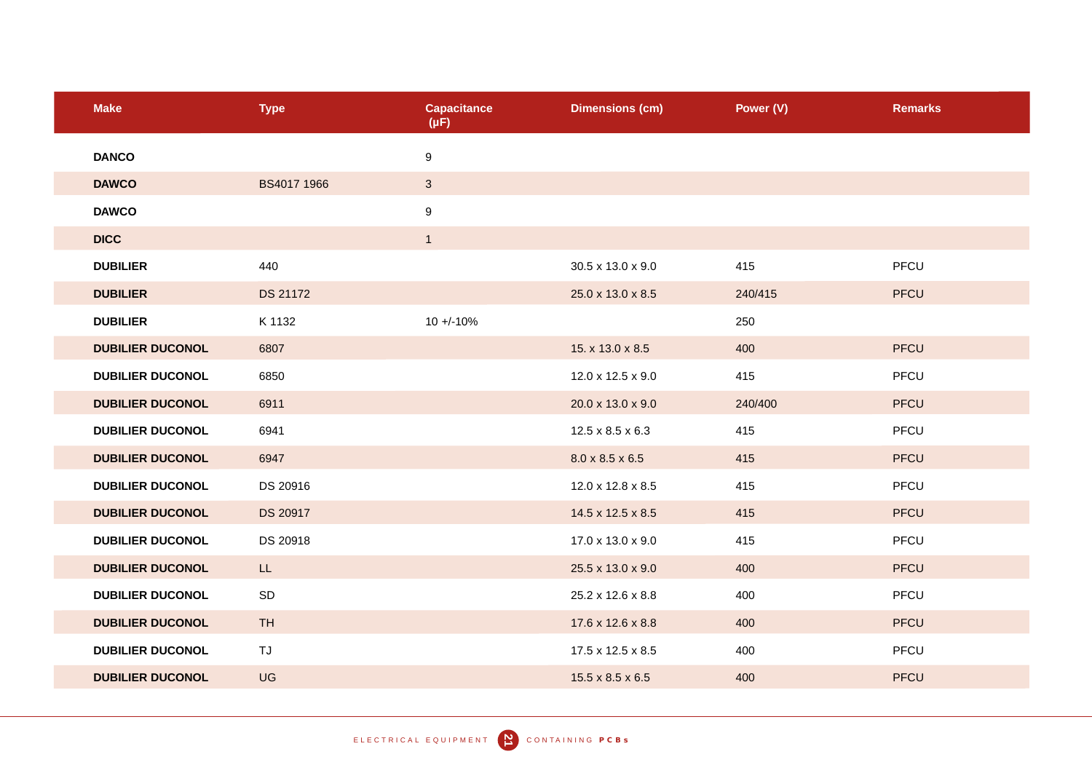| <b>Make</b>             | <b>Type</b>     | <b>Capacitance</b><br>$(\mu F)$ | <b>Dimensions (cm)</b>       | Power (V) | <b>Remarks</b> |
|-------------------------|-----------------|---------------------------------|------------------------------|-----------|----------------|
| <b>DANCO</b>            |                 | $\boldsymbol{9}$                |                              |           |                |
| <b>DAWCO</b>            | BS4017 1966     | $\mathbf{3}$                    |                              |           |                |
| <b>DAWCO</b>            |                 | $\boldsymbol{9}$                |                              |           |                |
| <b>DICC</b>             |                 | $\mathbf{1}$                    |                              |           |                |
| <b>DUBILIER</b>         | 440             |                                 | 30.5 x 13.0 x 9.0            | 415       | PFCU           |
| <b>DUBILIER</b>         | <b>DS 21172</b> |                                 | 25.0 x 13.0 x 8.5            | 240/415   | <b>PFCU</b>    |
| <b>DUBILIER</b>         | K 1132          | $10 + (-10\%$                   |                              | 250       |                |
| <b>DUBILIER DUCONOL</b> | 6807            |                                 | 15. x 13.0 x 8.5             | 400       | <b>PFCU</b>    |
| <b>DUBILIER DUCONOL</b> | 6850            |                                 | 12.0 x 12.5 x 9.0            | 415       | PFCU           |
| <b>DUBILIER DUCONOL</b> | 6911            |                                 | 20.0 x 13.0 x 9.0            | 240/400   | <b>PFCU</b>    |
| <b>DUBILIER DUCONOL</b> | 6941            |                                 | $12.5 \times 8.5 \times 6.3$ | 415       | PFCU           |
| <b>DUBILIER DUCONOL</b> | 6947            |                                 | $8.0 \times 8.5 \times 6.5$  | 415       | <b>PFCU</b>    |
| <b>DUBILIER DUCONOL</b> | DS 20916        |                                 | 12.0 x 12.8 x 8.5            | 415       | PFCU           |
| <b>DUBILIER DUCONOL</b> | DS 20917        |                                 | 14.5 x 12.5 x 8.5            | 415       | <b>PFCU</b>    |
| <b>DUBILIER DUCONOL</b> | DS 20918        |                                 | 17.0 x 13.0 x 9.0            | 415       | PFCU           |
| <b>DUBILIER DUCONOL</b> | LL              |                                 | 25.5 x 13.0 x 9.0            | 400       | <b>PFCU</b>    |
| <b>DUBILIER DUCONOL</b> | SD              |                                 | 25.2 x 12.6 x 8.8            | 400       | PFCU           |
| <b>DUBILIER DUCONOL</b> | <b>TH</b>       |                                 | 17.6 x 12.6 x 8.8            | 400       | <b>PFCU</b>    |
| <b>DUBILIER DUCONOL</b> | TJ              |                                 | 17.5 x 12.5 x 8.5            | 400       | PFCU           |
| <b>DUBILIER DUCONOL</b> | UG              |                                 | $15.5 \times 8.5 \times 6.5$ | 400       | <b>PFCU</b>    |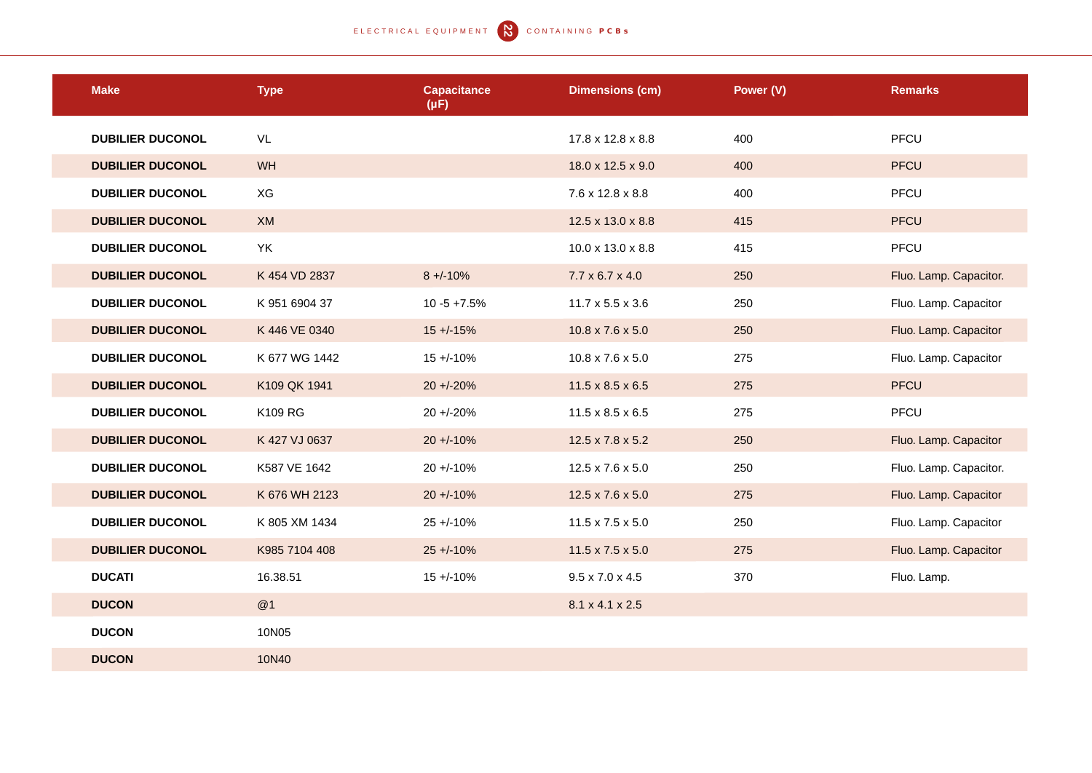## ELECTRICAL EQUIPMENT **N** CONTAINING PCBS

| <b>Make</b>             | <b>Type</b>   | <b>Capacitance</b><br>$(\mu F)$ | <b>Dimensions (cm)</b>       | Power (V) | <b>Remarks</b>         |
|-------------------------|---------------|---------------------------------|------------------------------|-----------|------------------------|
| <b>DUBILIER DUCONOL</b> | VL            |                                 | 17.8 x 12.8 x 8.8            | 400       | PFCU                   |
| <b>DUBILIER DUCONOL</b> | <b>WH</b>     |                                 | 18.0 x 12.5 x 9.0            | 400       | <b>PFCU</b>            |
| <b>DUBILIER DUCONOL</b> | XG            |                                 | 7.6 x 12.8 x 8.8             | 400       | PFCU                   |
| <b>DUBILIER DUCONOL</b> | XM            |                                 | 12.5 x 13.0 x 8.8            | 415       | PFCU                   |
| <b>DUBILIER DUCONOL</b> | YK            |                                 | 10.0 x 13.0 x 8.8            | 415       | PFCU                   |
| <b>DUBILIER DUCONOL</b> | K 454 VD 2837 | $8 + -10%$                      | $7.7 \times 6.7 \times 4.0$  | 250       | Fluo. Lamp. Capacitor. |
| <b>DUBILIER DUCONOL</b> | K 951 6904 37 | $10 - 5 + 7.5%$                 | $11.7 \times 5.5 \times 3.6$ | 250       | Fluo. Lamp. Capacitor  |
| <b>DUBILIER DUCONOL</b> | K 446 VE 0340 | $15 + (-15%)$                   | $10.8 \times 7.6 \times 5.0$ | 250       | Fluo. Lamp. Capacitor  |
| <b>DUBILIER DUCONOL</b> | K 677 WG 1442 | $15 + (-10\%)$                  | $10.8 \times 7.6 \times 5.0$ | 275       | Fluo. Lamp. Capacitor  |
| <b>DUBILIER DUCONOL</b> | K109 QK 1941  | $20 + -20%$                     | $11.5 \times 8.5 \times 6.5$ | 275       | <b>PFCU</b>            |
| <b>DUBILIER DUCONOL</b> | K109 RG       | $20 + -20%$                     | $11.5 \times 8.5 \times 6.5$ | 275       | PFCU                   |
| <b>DUBILIER DUCONOL</b> | K 427 VJ 0637 | $20 + 10%$                      | $12.5 \times 7.8 \times 5.2$ | 250       | Fluo. Lamp. Capacitor  |
| <b>DUBILIER DUCONOL</b> | K587 VE 1642  | $20 + 10%$                      | $12.5 \times 7.6 \times 5.0$ | 250       | Fluo. Lamp. Capacitor. |
| <b>DUBILIER DUCONOL</b> | K 676 WH 2123 | $20 + 10%$                      | $12.5 \times 7.6 \times 5.0$ | 275       | Fluo. Lamp. Capacitor  |
| <b>DUBILIER DUCONOL</b> | K 805 XM 1434 | $25 + 10%$                      | $11.5 \times 7.5 \times 5.0$ | 250       | Fluo. Lamp. Capacitor  |
| <b>DUBILIER DUCONOL</b> | K985 7104 408 | $25 + 10%$                      | $11.5 \times 7.5 \times 5.0$ | 275       | Fluo. Lamp. Capacitor  |
| <b>DUCATI</b>           | 16.38.51      | $15 + (-10\%$                   | $9.5 \times 7.0 \times 4.5$  | 370       | Fluo. Lamp.            |
| <b>DUCON</b>            | @1            |                                 | 8.1 x 4.1 x 2.5              |           |                        |
| <b>DUCON</b>            | 10N05         |                                 |                              |           |                        |
| <b>DUCON</b>            | 10N40         |                                 |                              |           |                        |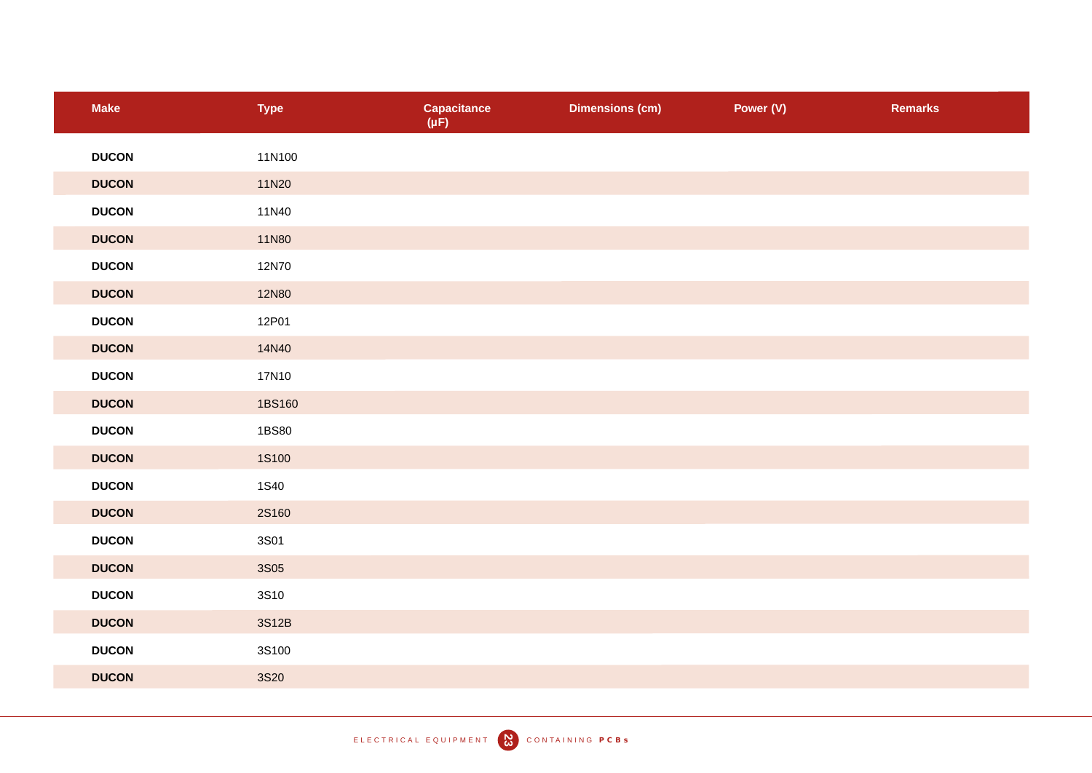| <b>Make</b>  | <b>Type</b>  | <b>Capacitance</b><br>$(\mu F)$ | <b>Dimensions (cm)</b> | Power (V) | <b>Remarks</b> |
|--------------|--------------|---------------------------------|------------------------|-----------|----------------|
| <b>DUCON</b> | 11N100       |                                 |                        |           |                |
| <b>DUCON</b> | 11N20        |                                 |                        |           |                |
| <b>DUCON</b> | 11N40        |                                 |                        |           |                |
| <b>DUCON</b> | <b>11N80</b> |                                 |                        |           |                |
| <b>DUCON</b> | 12N70        |                                 |                        |           |                |
| <b>DUCON</b> | <b>12N80</b> |                                 |                        |           |                |
| <b>DUCON</b> | 12P01        |                                 |                        |           |                |
| <b>DUCON</b> | 14N40        |                                 |                        |           |                |
| <b>DUCON</b> | 17N10        |                                 |                        |           |                |
| <b>DUCON</b> | 1BS160       |                                 |                        |           |                |
| <b>DUCON</b> | 1BS80        |                                 |                        |           |                |
| <b>DUCON</b> | <b>1S100</b> |                                 |                        |           |                |
| <b>DUCON</b> | <b>1S40</b>  |                                 |                        |           |                |
| <b>DUCON</b> | <b>2S160</b> |                                 |                        |           |                |
| <b>DUCON</b> | 3S01         |                                 |                        |           |                |
| <b>DUCON</b> | <b>3S05</b>  |                                 |                        |           |                |
| <b>DUCON</b> | 3S10         |                                 |                        |           |                |
| <b>DUCON</b> | 3S12B        |                                 |                        |           |                |
| <b>DUCON</b> | 3S100        |                                 |                        |           |                |
| <b>DUCON</b> | <b>3S20</b>  |                                 |                        |           |                |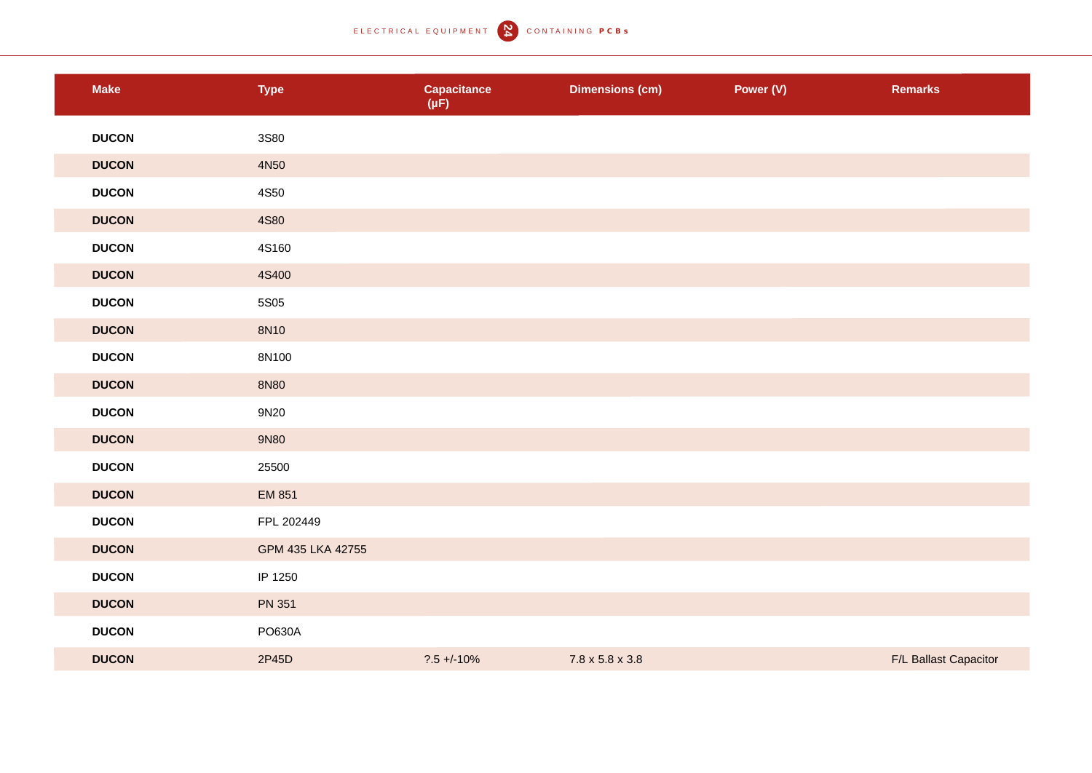ELECTRICAL EQUIPMENT **N** CONTAINING PCBS

| <b>Make</b>  | <b>Type</b>       | <b>Capacitance</b><br>$(\mu F)$ | <b>Dimensions (cm)</b>      | Power (V) | <b>Remarks</b>        |
|--------------|-------------------|---------------------------------|-----------------------------|-----------|-----------------------|
| <b>DUCON</b> | 3S80              |                                 |                             |           |                       |
| <b>DUCON</b> | 4N50              |                                 |                             |           |                       |
| <b>DUCON</b> | 4S50              |                                 |                             |           |                       |
| <b>DUCON</b> | 4S80              |                                 |                             |           |                       |
| <b>DUCON</b> | 4S160             |                                 |                             |           |                       |
| <b>DUCON</b> | 4S400             |                                 |                             |           |                       |
| <b>DUCON</b> | 5S05              |                                 |                             |           |                       |
| <b>DUCON</b> | 8N10              |                                 |                             |           |                       |
| <b>DUCON</b> | 8N100             |                                 |                             |           |                       |
| <b>DUCON</b> | 8N80              |                                 |                             |           |                       |
| <b>DUCON</b> | 9N20              |                                 |                             |           |                       |
| <b>DUCON</b> | 9N80              |                                 |                             |           |                       |
| <b>DUCON</b> | 25500             |                                 |                             |           |                       |
| <b>DUCON</b> | EM 851            |                                 |                             |           |                       |
| <b>DUCON</b> | FPL 202449        |                                 |                             |           |                       |
| <b>DUCON</b> | GPM 435 LKA 42755 |                                 |                             |           |                       |
| <b>DUCON</b> | IP 1250           |                                 |                             |           |                       |
| <b>DUCON</b> | <b>PN 351</b>     |                                 |                             |           |                       |
| <b>DUCON</b> | PO630A            |                                 |                             |           |                       |
| <b>DUCON</b> | 2P45D             | $?.5 + / -10%$                  | $7.8 \times 5.8 \times 3.8$ |           | F/L Ballast Capacitor |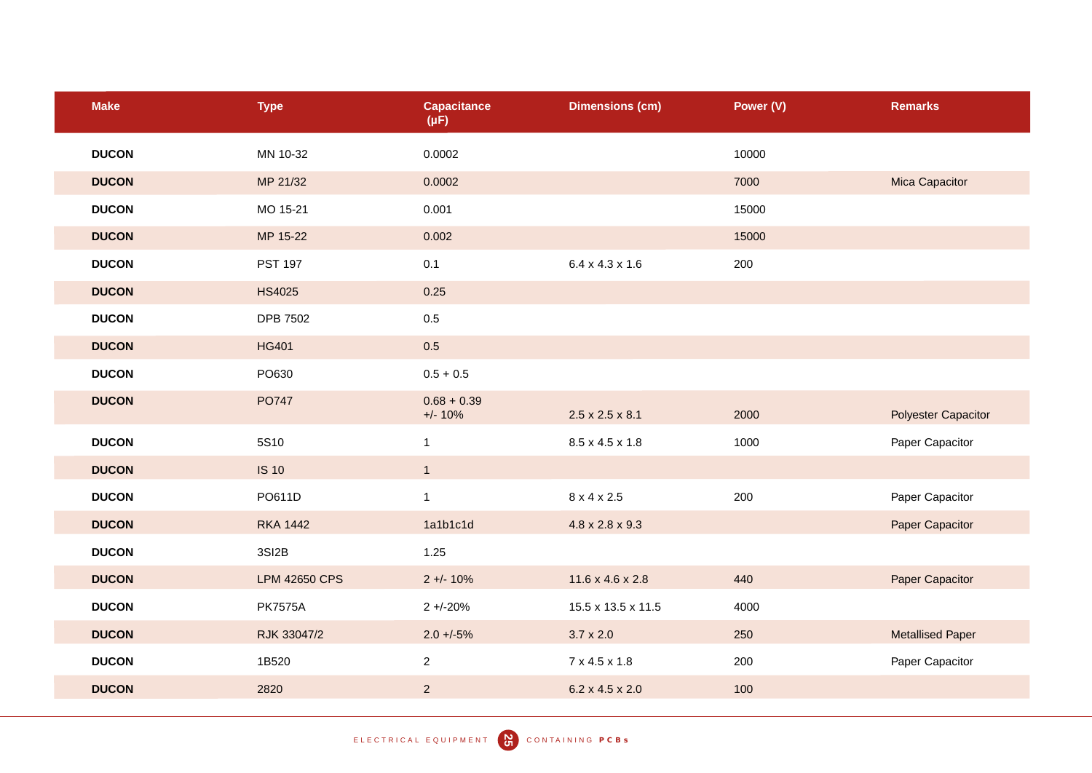| <b>Make</b>  | <b>Type</b>          | <b>Capacitance</b><br>$(\mu F)$ | <b>Dimensions (cm)</b>       | Power (V) | <b>Remarks</b>             |
|--------------|----------------------|---------------------------------|------------------------------|-----------|----------------------------|
| <b>DUCON</b> | MN 10-32             | 0.0002                          |                              | 10000     |                            |
| <b>DUCON</b> | MP 21/32             | 0.0002                          |                              | 7000      | Mica Capacitor             |
| <b>DUCON</b> | MO 15-21             | 0.001                           |                              | 15000     |                            |
| <b>DUCON</b> | MP 15-22             | 0.002                           |                              | 15000     |                            |
| <b>DUCON</b> | <b>PST 197</b>       | 0.1                             | $6.4 \times 4.3 \times 1.6$  | 200       |                            |
| <b>DUCON</b> | <b>HS4025</b>        | 0.25                            |                              |           |                            |
| <b>DUCON</b> | <b>DPB 7502</b>      | $0.5\,$                         |                              |           |                            |
| <b>DUCON</b> | <b>HG401</b>         | $0.5\,$                         |                              |           |                            |
| <b>DUCON</b> | PO630                | $0.5 + 0.5$                     |                              |           |                            |
| <b>DUCON</b> | PO747                | $0.68 + 0.39$<br>$+/- 10%$      | $2.5 \times 2.5 \times 8.1$  | 2000      | <b>Polyester Capacitor</b> |
| <b>DUCON</b> | 5S10                 | $\mathbf{1}$                    | 8.5 x 4.5 x 1.8              | 1000      | Paper Capacitor            |
| <b>DUCON</b> | <b>IS 10</b>         | 1                               |                              |           |                            |
| <b>DUCON</b> | PO611D               | $\mathbf{1}$                    | 8 x 4 x 2.5                  | 200       | Paper Capacitor            |
| <b>DUCON</b> | <b>RKA 1442</b>      | 1a1b1c1d                        | $4.8 \times 2.8 \times 9.3$  |           | Paper Capacitor            |
| <b>DUCON</b> | 3SI2B                | 1.25                            |                              |           |                            |
| <b>DUCON</b> | <b>LPM 42650 CPS</b> | $2 + 10%$                       | $11.6 \times 4.6 \times 2.8$ | 440       | Paper Capacitor            |
| <b>DUCON</b> | <b>PK7575A</b>       | $2 + -20%$                      | 15.5 x 13.5 x 11.5           | 4000      |                            |
| <b>DUCON</b> | RJK 33047/2          | $2.0 + 5\%$                     | $3.7 \times 2.0$             | 250       | <b>Metallised Paper</b>    |
| <b>DUCON</b> | 1B520                | $\overline{2}$                  | 7 x 4.5 x 1.8                | 200       | Paper Capacitor            |
| <b>DUCON</b> | 2820                 | $\overline{2}$                  | $6.2 \times 4.5 \times 2.0$  | 100       |                            |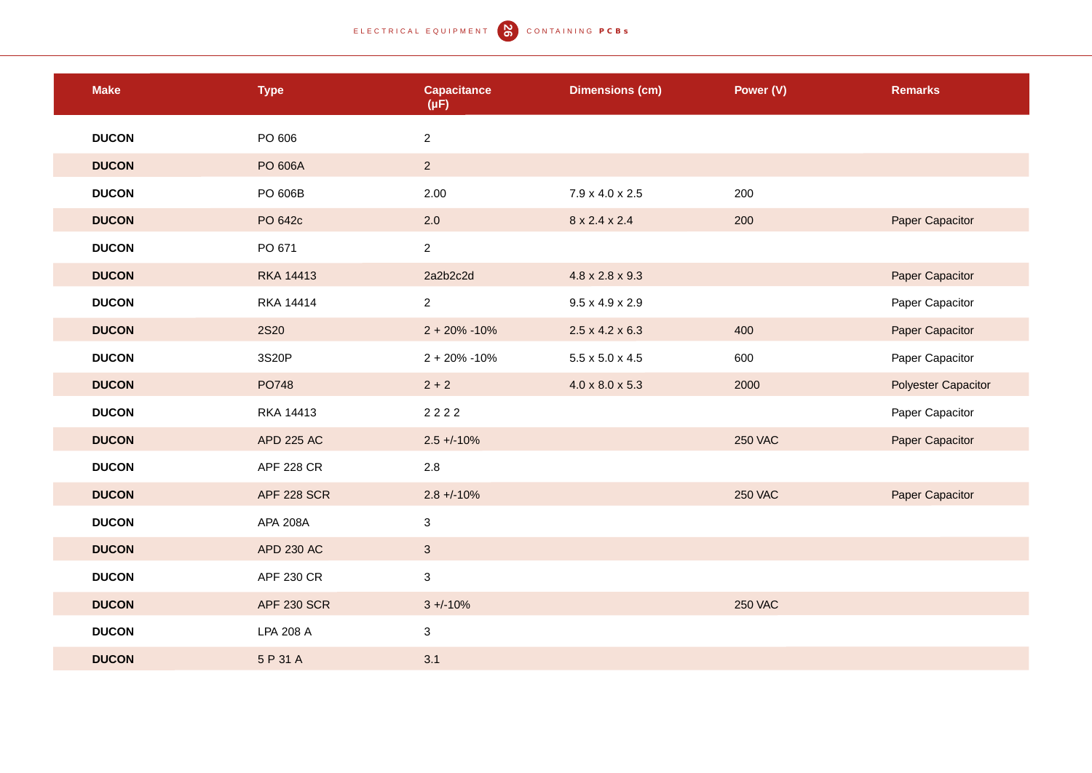## ELECTRICAL EQUIPMENT (CONTAINING PCBS)

| <b>Make</b>  | <b>Type</b>        | <b>Capacitance</b><br>$(\mu F)$ | <b>Dimensions (cm)</b>      | Power (V)      | <b>Remarks</b>             |
|--------------|--------------------|---------------------------------|-----------------------------|----------------|----------------------------|
| <b>DUCON</b> | PO 606             | $\overline{2}$                  |                             |                |                            |
| <b>DUCON</b> | PO 606A            | 2 <sup>7</sup>                  |                             |                |                            |
| <b>DUCON</b> | PO 606B            | 2.00                            | 7.9 x 4.0 x 2.5             | 200            |                            |
| <b>DUCON</b> | PO 642c            | 2.0                             | 8 x 2.4 x 2.4               | 200            | Paper Capacitor            |
| <b>DUCON</b> | PO 671             | $\overline{2}$                  |                             |                |                            |
| <b>DUCON</b> | <b>RKA 14413</b>   | 2a2b2c2d                        | $4.8 \times 2.8 \times 9.3$ |                | Paper Capacitor            |
| <b>DUCON</b> | <b>RKA 14414</b>   | $\overline{2}$                  | $9.5 \times 4.9 \times 2.9$ |                | Paper Capacitor            |
| <b>DUCON</b> | <b>2S20</b>        | $2 + 20\% - 10\%$               | $2.5 \times 4.2 \times 6.3$ | 400            | Paper Capacitor            |
| <b>DUCON</b> | 3S20P              | $2 + 20\% - 10\%$               | $5.5 \times 5.0 \times 4.5$ | 600            | Paper Capacitor            |
| <b>DUCON</b> | PO748              | $2 + 2$                         | $4.0 \times 8.0 \times 5.3$ | 2000           | <b>Polyester Capacitor</b> |
| <b>DUCON</b> | RKA 14413          | 2222                            |                             |                | Paper Capacitor            |
| <b>DUCON</b> | <b>APD 225 AC</b>  | $2.5 + (-10\%)$                 |                             | <b>250 VAC</b> | Paper Capacitor            |
| <b>DUCON</b> | <b>APF 228 CR</b>  | 2.8                             |                             |                |                            |
| <b>DUCON</b> | <b>APF 228 SCR</b> | $2.8 + -10%$                    |                             | <b>250 VAC</b> | Paper Capacitor            |
| <b>DUCON</b> | <b>APA 208A</b>    | $\mathbf{3}$                    |                             |                |                            |
| <b>DUCON</b> | APD 230 AC         | $\mathbf{3}$                    |                             |                |                            |
| <b>DUCON</b> | <b>APF 230 CR</b>  | $\mathbf{3}$                    |                             |                |                            |
| <b>DUCON</b> | <b>APF 230 SCR</b> | $3 + (-10\%)$                   |                             | <b>250 VAC</b> |                            |
| <b>DUCON</b> | LPA 208 A          | $\mathbf{3}$                    |                             |                |                            |
| <b>DUCON</b> | 5 P 31 A           | 3.1                             |                             |                |                            |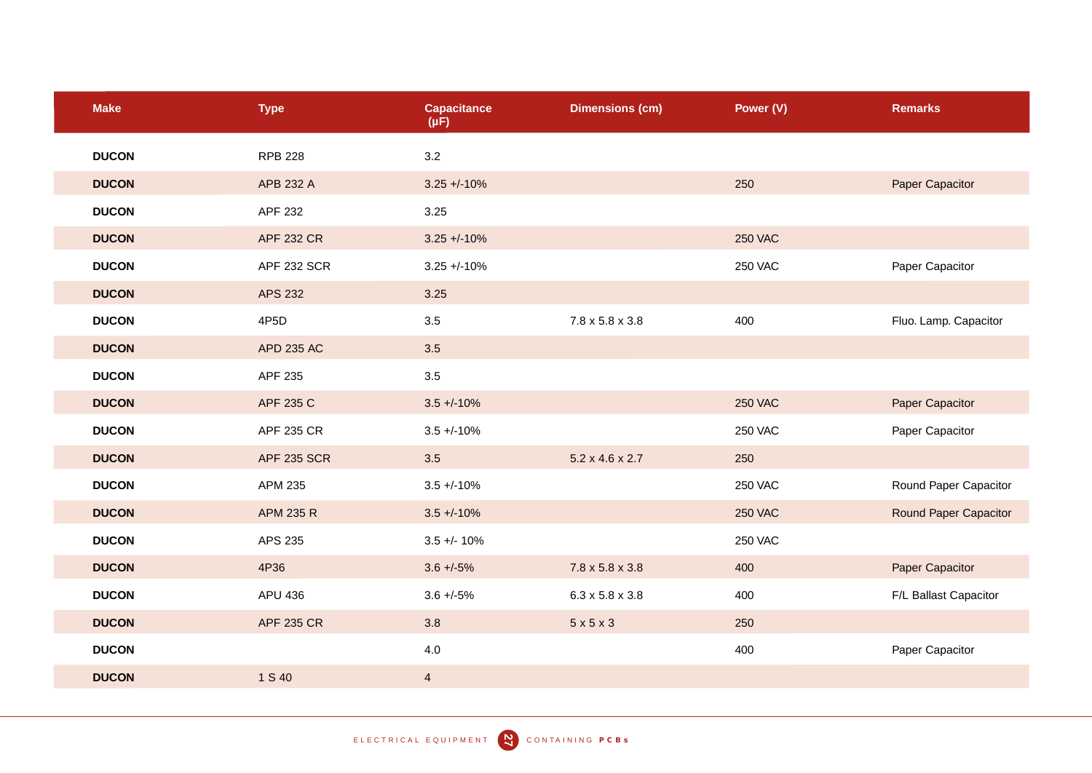| <b>Make</b>  | <b>Type</b>        | <b>Capacitance</b><br>$(\mu F)$ | <b>Dimensions (cm)</b>      | Power (V)      | <b>Remarks</b>        |
|--------------|--------------------|---------------------------------|-----------------------------|----------------|-----------------------|
| <b>DUCON</b> | <b>RPB 228</b>     | 3.2                             |                             |                |                       |
| <b>DUCON</b> | APB 232 A          | $3.25 + -10%$                   |                             | 250            | Paper Capacitor       |
| <b>DUCON</b> | APF 232            | 3.25                            |                             |                |                       |
| <b>DUCON</b> | <b>APF 232 CR</b>  | $3.25 + 10%$                    |                             | <b>250 VAC</b> |                       |
| <b>DUCON</b> | <b>APF 232 SCR</b> | $3.25 + -10%$                   |                             | <b>250 VAC</b> | Paper Capacitor       |
| <b>DUCON</b> | <b>APS 232</b>     | 3.25                            |                             |                |                       |
| <b>DUCON</b> | 4P <sub>5</sub> D  | 3.5                             | $7.8 \times 5.8 \times 3.8$ | 400            | Fluo. Lamp. Capacitor |
| <b>DUCON</b> | <b>APD 235 AC</b>  | 3.5                             |                             |                |                       |
| <b>DUCON</b> | APF 235            | 3.5                             |                             |                |                       |
| <b>DUCON</b> | APF 235 C          | $3.5 + 10%$                     |                             | <b>250 VAC</b> | Paper Capacitor       |
| <b>DUCON</b> | APF 235 CR         | $3.5 + (-10%)$                  |                             | <b>250 VAC</b> | Paper Capacitor       |
| <b>DUCON</b> | <b>APF 235 SCR</b> | 3.5                             | $5.2 \times 4.6 \times 2.7$ | 250            |                       |
| <b>DUCON</b> | APM 235            | $3.5 + (-10\%)$                 |                             | <b>250 VAC</b> | Round Paper Capacitor |
| <b>DUCON</b> | APM 235 R          | $3.5 + (-10\%$                  |                             | <b>250 VAC</b> | Round Paper Capacitor |
| <b>DUCON</b> | APS 235            | $3.5 + - 10%$                   |                             | <b>250 VAC</b> |                       |
| <b>DUCON</b> | 4P36               | $3.6 + -5\%$                    | $7.8 \times 5.8 \times 3.8$ | 400            | Paper Capacitor       |
| <b>DUCON</b> | APU 436            | $3.6 + -5\%$                    | $6.3 \times 5.8 \times 3.8$ | 400            | F/L Ballast Capacitor |
| <b>DUCON</b> | <b>APF 235 CR</b>  | 3.8                             | 5x5x3                       | 250            |                       |
| <b>DUCON</b> |                    | 4.0                             |                             | 400            | Paper Capacitor       |
| <b>DUCON</b> | 1 S 40             | $\overline{4}$                  |                             |                |                       |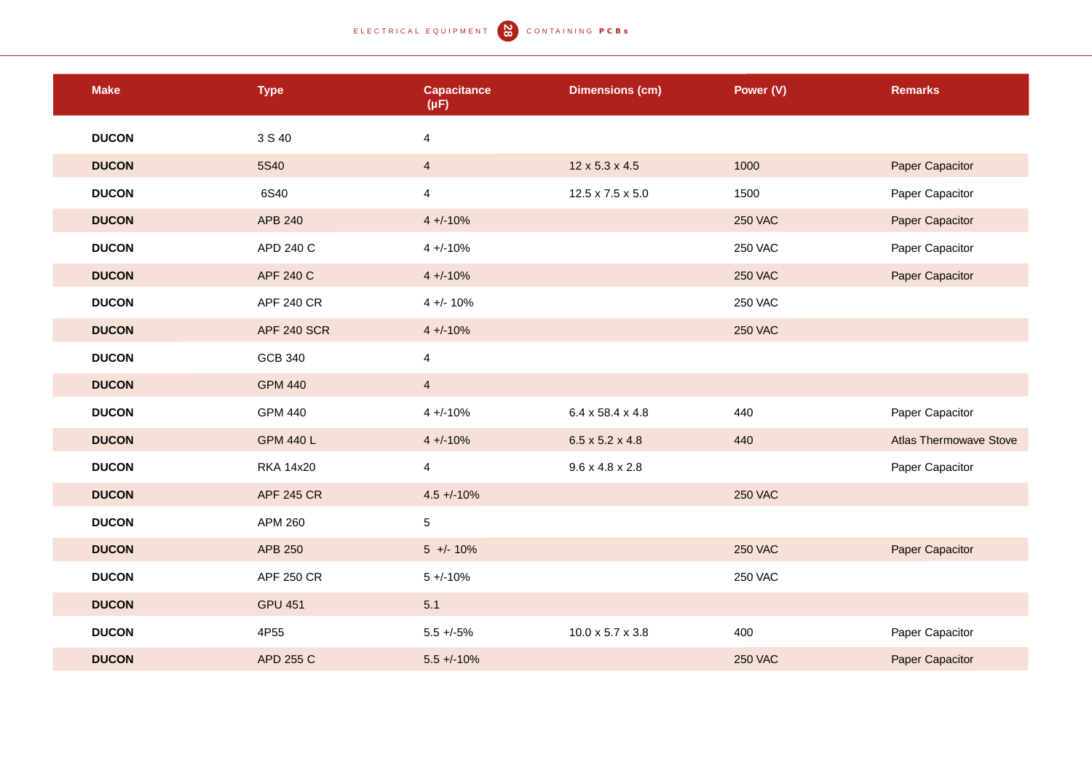| <b>Make</b>  | <b>Type</b>        | <b>Capacitance</b><br>$(\mu F)$ | <b>Dimensions (cm)</b>       | Power (V)      | <b>Remarks</b>                |
|--------------|--------------------|---------------------------------|------------------------------|----------------|-------------------------------|
| <b>DUCON</b> | 3 S 40             | $\overline{4}$                  |                              |                |                               |
| <b>DUCON</b> | 5S40               | $\overline{4}$                  | 12 x 5.3 x 4.5               | 1000           | Paper Capacitor               |
| <b>DUCON</b> | 6S40               | $\overline{4}$                  | $12.5 \times 7.5 \times 5.0$ | 1500           | Paper Capacitor               |
| <b>DUCON</b> | <b>APB 240</b>     | $4 + (-10\%)$                   |                              | <b>250 VAC</b> | Paper Capacitor               |
| <b>DUCON</b> | APD 240 C          | $4 + (-10%)$                    |                              | <b>250 VAC</b> | Paper Capacitor               |
| <b>DUCON</b> | APF 240 C          | $4 + (-10\%)$                   |                              | <b>250 VAC</b> | Paper Capacitor               |
| <b>DUCON</b> | <b>APF 240 CR</b>  | $4 +/- 10%$                     |                              | <b>250 VAC</b> |                               |
| <b>DUCON</b> | <b>APF 240 SCR</b> | $4 + (-10\%)$                   |                              | <b>250 VAC</b> |                               |
| <b>DUCON</b> | <b>GCB 340</b>     | $\overline{4}$                  |                              |                |                               |
| <b>DUCON</b> | <b>GPM 440</b>     | $\overline{4}$                  |                              |                |                               |
| <b>DUCON</b> | <b>GPM 440</b>     | $4 + (-10\%$                    | 6.4 x 58.4 x 4.8             | 440            | Paper Capacitor               |
| <b>DUCON</b> | <b>GPM 440 L</b>   | $4 + (-10\%)$                   | $6.5 \times 5.2 \times 4.8$  | 440            | <b>Atlas Thermowave Stove</b> |
| <b>DUCON</b> | <b>RKA 14x20</b>   | $\overline{4}$                  | $9.6 \times 4.8 \times 2.8$  |                | Paper Capacitor               |
| <b>DUCON</b> | <b>APF 245 CR</b>  | $4.5 + -10%$                    |                              | <b>250 VAC</b> |                               |
| <b>DUCON</b> | APM 260            | $\overline{5}$                  |                              |                |                               |
| <b>DUCON</b> | APB 250            | $5 +/- 10%$                     |                              | <b>250 VAC</b> | Paper Capacitor               |
| <b>DUCON</b> | APF 250 CR         | $5 + -10%$                      |                              | <b>250 VAC</b> |                               |
| <b>DUCON</b> | <b>GPU 451</b>     | 5.1                             |                              |                |                               |
| <b>DUCON</b> | 4P55               | $5.5 + -5\%$                    | $10.0 \times 5.7 \times 3.8$ | 400            | Paper Capacitor               |
| <b>DUCON</b> | APD 255 C          | $5.5 + (-10\%)$                 |                              | <b>250 VAC</b> | Paper Capacitor               |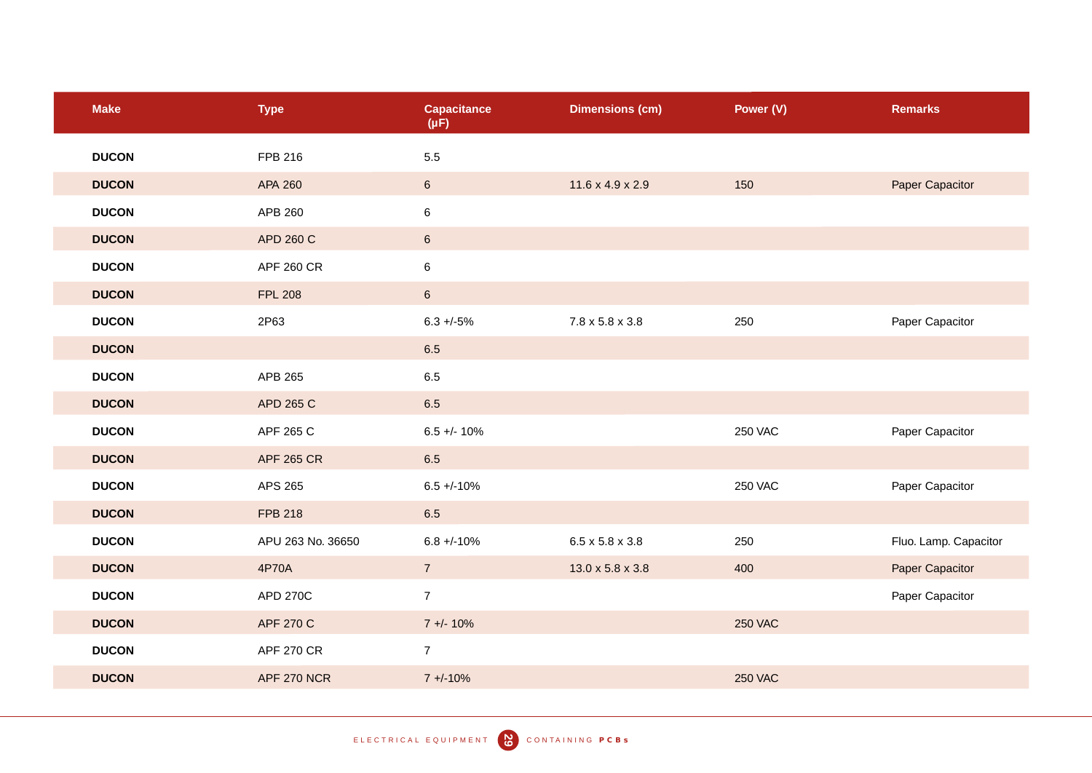| <b>Make</b>  | <b>Type</b>       | <b>Capacitance</b><br>$(\mu F)$ | <b>Dimensions (cm)</b>       | Power (V)      | <b>Remarks</b>        |
|--------------|-------------------|---------------------------------|------------------------------|----------------|-----------------------|
| <b>DUCON</b> | FPB 216           | 5.5                             |                              |                |                       |
| <b>DUCON</b> | APA 260           | $6\phantom{.}$                  | $11.6 \times 4.9 \times 2.9$ | 150            | Paper Capacitor       |
| <b>DUCON</b> | APB 260           | 6                               |                              |                |                       |
| <b>DUCON</b> | <b>APD 260 C</b>  | $6\phantom{.}6$                 |                              |                |                       |
| <b>DUCON</b> | <b>APF 260 CR</b> | 6                               |                              |                |                       |
| <b>DUCON</b> | <b>FPL 208</b>    | $6\phantom{.}$                  |                              |                |                       |
| <b>DUCON</b> | 2P63              | $6.3 +/-5%$                     | $7.8 \times 5.8 \times 3.8$  | 250            | Paper Capacitor       |
| <b>DUCON</b> |                   | 6.5                             |                              |                |                       |
| <b>DUCON</b> | APB 265           | 6.5                             |                              |                |                       |
| <b>DUCON</b> | APD 265 C         | 6.5                             |                              |                |                       |
| <b>DUCON</b> | APF 265 C         | $6.5 + - 10%$                   |                              | <b>250 VAC</b> | Paper Capacitor       |
| <b>DUCON</b> | <b>APF 265 CR</b> | 6.5                             |                              |                |                       |
| <b>DUCON</b> | APS 265           | $6.5 + (-10\%$                  |                              | <b>250 VAC</b> | Paper Capacitor       |
| <b>DUCON</b> | <b>FPB 218</b>    | 6.5                             |                              |                |                       |
| <b>DUCON</b> | APU 263 No. 36650 | $6.8 + -10\%$                   | $6.5 \times 5.8 \times 3.8$  | 250            | Fluo. Lamp. Capacitor |
| <b>DUCON</b> | 4P70A             | $\overline{7}$                  | 13.0 x 5.8 x 3.8             | 400            | Paper Capacitor       |
| <b>DUCON</b> | APD 270C          | $\overline{7}$                  |                              |                | Paper Capacitor       |
| <b>DUCON</b> | APF 270 C         | $7 + 10%$                       |                              | <b>250 VAC</b> |                       |
| <b>DUCON</b> | <b>APF 270 CR</b> | $\overline{7}$                  |                              |                |                       |
| <b>DUCON</b> | APF 270 NCR       | $7 + (-10%)$                    |                              | <b>250 VAC</b> |                       |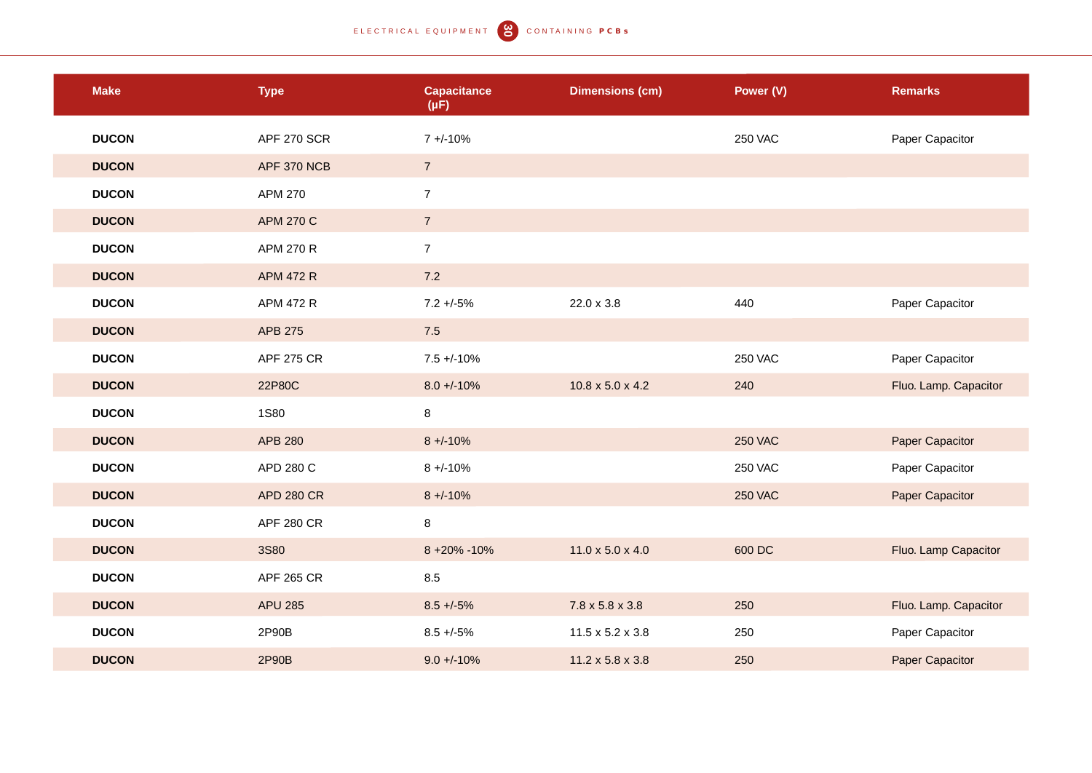| <b>Make</b>  | <b>Type</b>        | <b>Capacitance</b><br>$(\mu F)$ | <b>Dimensions (cm)</b>       | Power (V)      | <b>Remarks</b>        |
|--------------|--------------------|---------------------------------|------------------------------|----------------|-----------------------|
| <b>DUCON</b> | <b>APF 270 SCR</b> | $7 + (-10\%)$                   |                              | <b>250 VAC</b> | Paper Capacitor       |
| <b>DUCON</b> | APF 370 NCB        | $\overline{7}$                  |                              |                |                       |
| <b>DUCON</b> | <b>APM 270</b>     | $\overline{7}$                  |                              |                |                       |
| <b>DUCON</b> | <b>APM 270 C</b>   | $\overline{7}$                  |                              |                |                       |
| <b>DUCON</b> | <b>APM 270 R</b>   | $\overline{7}$                  |                              |                |                       |
| <b>DUCON</b> | <b>APM 472 R</b>   | 7.2                             |                              |                |                       |
| <b>DUCON</b> | APM 472 R          | $7.2 + -5%$                     | 22.0 x 3.8                   | 440            | Paper Capacitor       |
| <b>DUCON</b> | APB 275            | 7.5                             |                              |                |                       |
| <b>DUCON</b> | <b>APF 275 CR</b>  | $7.5 + -10%$                    |                              | <b>250 VAC</b> | Paper Capacitor       |
| <b>DUCON</b> | 22P80C             | $8.0 + -10%$                    | $10.8 \times 5.0 \times 4.2$ | 240            | Fluo. Lamp. Capacitor |
| <b>DUCON</b> | <b>1S80</b>        | $\bf 8$                         |                              |                |                       |
| <b>DUCON</b> | APB 280            | $8 + -10%$                      |                              | <b>250 VAC</b> | Paper Capacitor       |
| <b>DUCON</b> | APD 280 C          | $8 + -10%$                      |                              | <b>250 VAC</b> | Paper Capacitor       |
| <b>DUCON</b> | <b>APD 280 CR</b>  | $8 + (-10\%)$                   |                              | <b>250 VAC</b> | Paper Capacitor       |
| <b>DUCON</b> | <b>APF 280 CR</b>  | $\,8\,$                         |                              |                |                       |
| <b>DUCON</b> | <b>3S80</b>        | 8 +20% -10%                     | $11.0 \times 5.0 \times 4.0$ | 600 DC         | Fluo. Lamp Capacitor  |
| <b>DUCON</b> | <b>APF 265 CR</b>  | 8.5                             |                              |                |                       |
| <b>DUCON</b> | <b>APU 285</b>     | $8.5 + -5\%$                    | 7.8 x 5.8 x 3.8              | 250            | Fluo. Lamp. Capacitor |
| <b>DUCON</b> | 2P90B              | $8.5 + -5\%$                    | $11.5 \times 5.2 \times 3.8$ | 250            | Paper Capacitor       |
| <b>DUCON</b> | 2P90B              | $9.0 + -10%$                    | $11.2 \times 5.8 \times 3.8$ | 250            | Paper Capacitor       |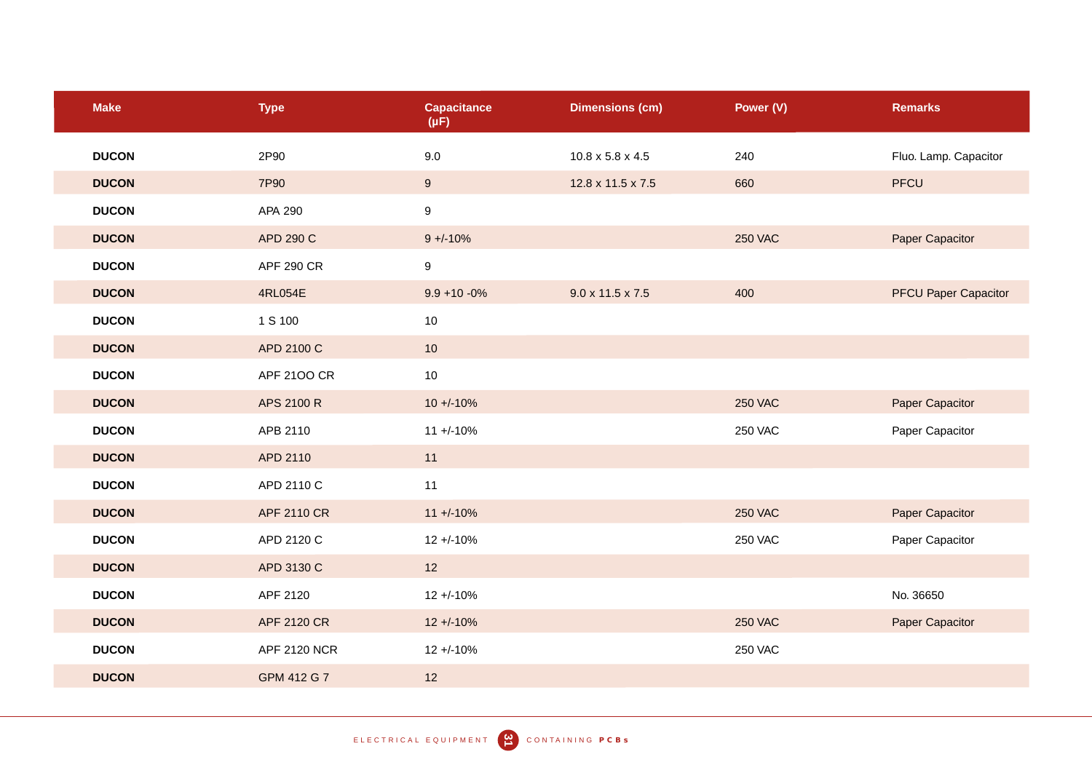| <b>Make</b>  | <b>Type</b>         | <b>Capacitance</b><br>$(\mu F)$ | <b>Dimensions (cm)</b>       | Power (V)      | <b>Remarks</b>              |
|--------------|---------------------|---------------------------------|------------------------------|----------------|-----------------------------|
| <b>DUCON</b> | 2P90                | 9.0                             | $10.8 \times 5.8 \times 4.5$ | 240            | Fluo. Lamp. Capacitor       |
| <b>DUCON</b> | 7P90                | 9                               | 12.8 x 11.5 x 7.5            | 660            | <b>PFCU</b>                 |
| <b>DUCON</b> | APA 290             | $\boldsymbol{9}$                |                              |                |                             |
| <b>DUCON</b> | APD 290 C           | $9 + (-10%)$                    |                              | <b>250 VAC</b> | Paper Capacitor             |
| <b>DUCON</b> | <b>APF 290 CR</b>   | $\boldsymbol{9}$                |                              |                |                             |
| <b>DUCON</b> | 4RL054E             | $9.9 + 10 - 0\%$                | $9.0 \times 11.5 \times 7.5$ | 400            | <b>PFCU Paper Capacitor</b> |
| <b>DUCON</b> | 1 S 100             | 10                              |                              |                |                             |
| <b>DUCON</b> | APD 2100 C          | 10                              |                              |                |                             |
| <b>DUCON</b> | APF 2100 CR         | 10                              |                              |                |                             |
| <b>DUCON</b> | APS 2100 R          | $10 + (-10\%$                   |                              | <b>250 VAC</b> | Paper Capacitor             |
| <b>DUCON</b> | APB 2110            | $11 + (-10\%$                   |                              | <b>250 VAC</b> | Paper Capacitor             |
| <b>DUCON</b> | APD 2110            | 11                              |                              |                |                             |
| <b>DUCON</b> | APD 2110 C          | 11                              |                              |                |                             |
| <b>DUCON</b> | APF 2110 CR         | $11 + (-10\%$                   |                              | <b>250 VAC</b> | Paper Capacitor             |
| <b>DUCON</b> | APD 2120 C          | $12 + -10%$                     |                              | <b>250 VAC</b> | Paper Capacitor             |
| <b>DUCON</b> | APD 3130 C          | 12                              |                              |                |                             |
| <b>DUCON</b> | APF 2120            | $12 + -10%$                     |                              |                | No. 36650                   |
| <b>DUCON</b> | APF 2120 CR         | $12 + 10%$                      |                              | <b>250 VAC</b> | Paper Capacitor             |
| <b>DUCON</b> | <b>APF 2120 NCR</b> | $12 + -10%$                     |                              | <b>250 VAC</b> |                             |
| <b>DUCON</b> | GPM 412 G 7         | 12                              |                              |                |                             |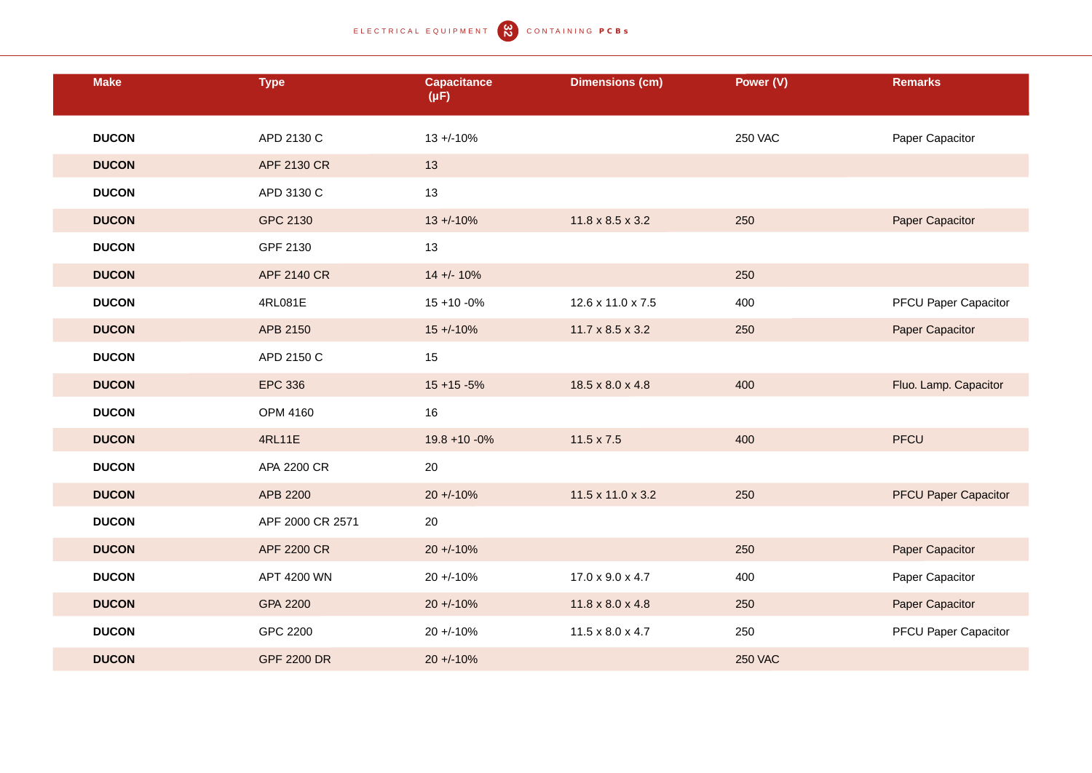| <b>Make</b>  | <b>Type</b>        | Capacitance<br>$(\mu F)$ | <b>Dimensions (cm)</b>       | Power (V)      | <b>Remarks</b>              |
|--------------|--------------------|--------------------------|------------------------------|----------------|-----------------------------|
| <b>DUCON</b> | APD 2130 C         | $13 + (-10\%)$           |                              | <b>250 VAC</b> | Paper Capacitor             |
| <b>DUCON</b> | APF 2130 CR        | 13                       |                              |                |                             |
| <b>DUCON</b> | APD 3130 C         | 13                       |                              |                |                             |
| <b>DUCON</b> | GPC 2130           | $13 + (-10\%)$           | $11.8 \times 8.5 \times 3.2$ | 250            | Paper Capacitor             |
| <b>DUCON</b> | GPF 2130           | 13                       |                              |                |                             |
| <b>DUCON</b> | <b>APF 2140 CR</b> | $14 + (-10\%$            |                              | 250            |                             |
| <b>DUCON</b> | 4RL081E            | $15 + 10 - 0%$           | 12.6 x 11.0 x 7.5            | 400            | <b>PFCU Paper Capacitor</b> |
| <b>DUCON</b> | APB 2150           | $15 + (-10\%$            | $11.7 \times 8.5 \times 3.2$ | 250            | Paper Capacitor             |
| <b>DUCON</b> | APD 2150 C         | 15                       |                              |                |                             |
| <b>DUCON</b> | <b>EPC 336</b>     | $15 + 15 - 5%$           | 18.5 x 8.0 x 4.8             | 400            | Fluo. Lamp. Capacitor       |
| <b>DUCON</b> | <b>OPM 4160</b>    | 16                       |                              |                |                             |
| <b>DUCON</b> | 4RL11E             | $19.8 + 10 - 0\%$        | $11.5 \times 7.5$            | 400            | <b>PFCU</b>                 |
| <b>DUCON</b> | APA 2200 CR        | 20                       |                              |                |                             |
| <b>DUCON</b> | APB 2200           | $20 + 10%$               | 11.5 x 11.0 x 3.2            | 250            | <b>PFCU Paper Capacitor</b> |
| <b>DUCON</b> | APF 2000 CR 2571   | 20                       |                              |                |                             |
| <b>DUCON</b> | <b>APF 2200 CR</b> | $20 + 10%$               |                              | 250            | Paper Capacitor             |
| <b>DUCON</b> | APT 4200 WN        | $20 + -10%$              | 17.0 x 9.0 x 4.7             | 400            | Paper Capacitor             |
| <b>DUCON</b> | GPA 2200           | $20 + 10%$               | $11.8 \times 8.0 \times 4.8$ | 250            | Paper Capacitor             |
| <b>DUCON</b> | GPC 2200           | $20 + 10%$               | $11.5 \times 8.0 \times 4.7$ | 250            | <b>PFCU Paper Capacitor</b> |
| <b>DUCON</b> | <b>GPF 2200 DR</b> | $20 + 10%$               |                              | <b>250 VAC</b> |                             |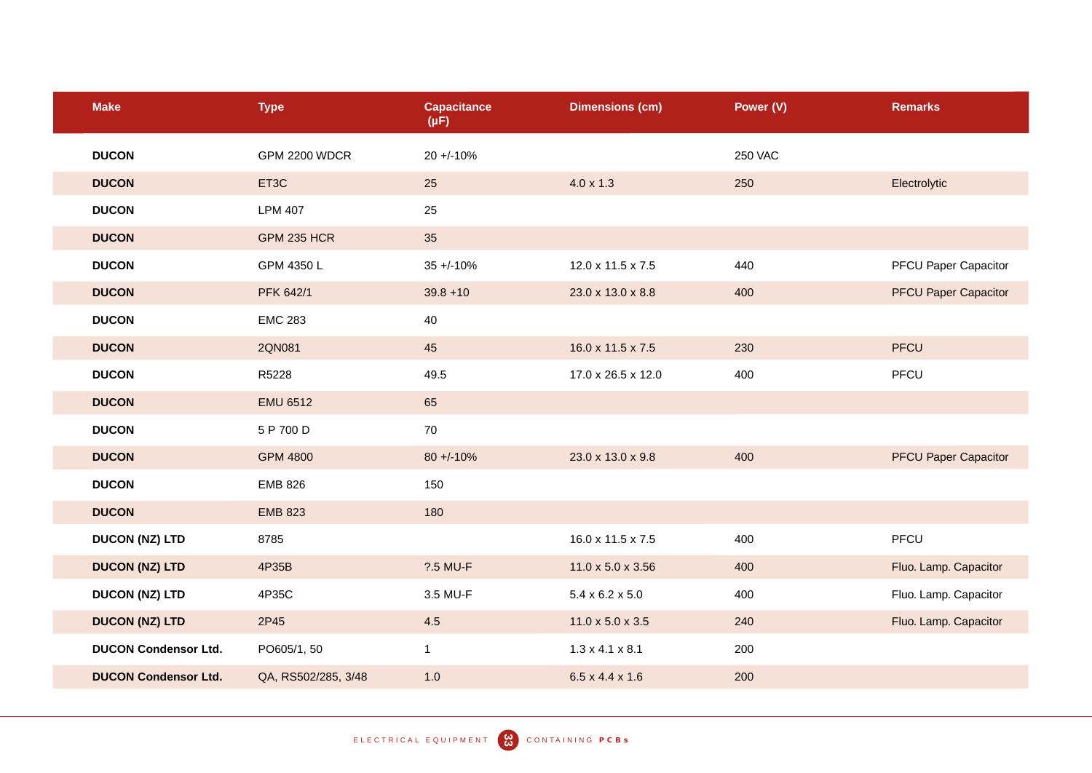| <b>Make</b>                 | <b>Type</b>         | <b>Capacitance</b><br>$(\mu F)$ | <b>Dimensions (cm)</b>        | Power (V)      | <b>Remarks</b>              |
|-----------------------------|---------------------|---------------------------------|-------------------------------|----------------|-----------------------------|
| <b>DUCON</b>                | GPM 2200 WDCR       | $20 + 10%$                      |                               | <b>250 VAC</b> |                             |
| <b>DUCON</b>                | ET3C                | 25                              | $4.0 \times 1.3$              | 250            | Electrolytic                |
| <b>DUCON</b>                | <b>LPM 407</b>      | 25                              |                               |                |                             |
| <b>DUCON</b>                | <b>GPM 235 HCR</b>  | 35                              |                               |                |                             |
| <b>DUCON</b>                | GPM 4350 L          | $35 + (-10\%$                   | 12.0 x 11.5 x 7.5             | 440            | <b>PFCU Paper Capacitor</b> |
| <b>DUCON</b>                | PFK 642/1           | $39.8 + 10$                     | 23.0 x 13.0 x 8.8             | 400            | <b>PFCU Paper Capacitor</b> |
| <b>DUCON</b>                | <b>EMC 283</b>      | 40                              |                               |                |                             |
| <b>DUCON</b>                | 2QN081              | 45                              | 16.0 x 11.5 x 7.5             | 230            | PFCU                        |
| <b>DUCON</b>                | R5228               | 49.5                            | 17.0 x 26.5 x 12.0            | 400            | PFCU                        |
| <b>DUCON</b>                | <b>EMU 6512</b>     | 65                              |                               |                |                             |
| <b>DUCON</b>                | 5 P 700 D           | 70                              |                               |                |                             |
| <b>DUCON</b>                | <b>GPM 4800</b>     | $80 + (-10%)$                   | 23.0 x 13.0 x 9.8             | 400            | <b>PFCU Paper Capacitor</b> |
| <b>DUCON</b>                | <b>EMB 826</b>      | 150                             |                               |                |                             |
| <b>DUCON</b>                | <b>EMB 823</b>      | 180                             |                               |                |                             |
| <b>DUCON (NZ) LTD</b>       | 8785                |                                 | 16.0 x 11.5 x 7.5             | 400            | PFCU                        |
| <b>DUCON (NZ) LTD</b>       | 4P35B               | <b>?.5 MU-F</b>                 | $11.0 \times 5.0 \times 3.56$ | 400            | Fluo. Lamp. Capacitor       |
| <b>DUCON (NZ) LTD</b>       | 4P35C               | 3.5 MU-F                        | $5.4 \times 6.2 \times 5.0$   | 400            | Fluo. Lamp. Capacitor       |
| <b>DUCON (NZ) LTD</b>       | 2P45                | 4.5                             | $11.0 \times 5.0 \times 3.5$  | 240            | Fluo. Lamp. Capacitor       |
| <b>DUCON Condensor Ltd.</b> | PO605/1, 50         | $\mathbf{1}$                    | $1.3 \times 4.1 \times 8.1$   | 200            |                             |
| <b>DUCON Condensor Ltd.</b> | QA, RS502/285, 3/48 | 1.0                             | $6.5 \times 4.4 \times 1.6$   | 200            |                             |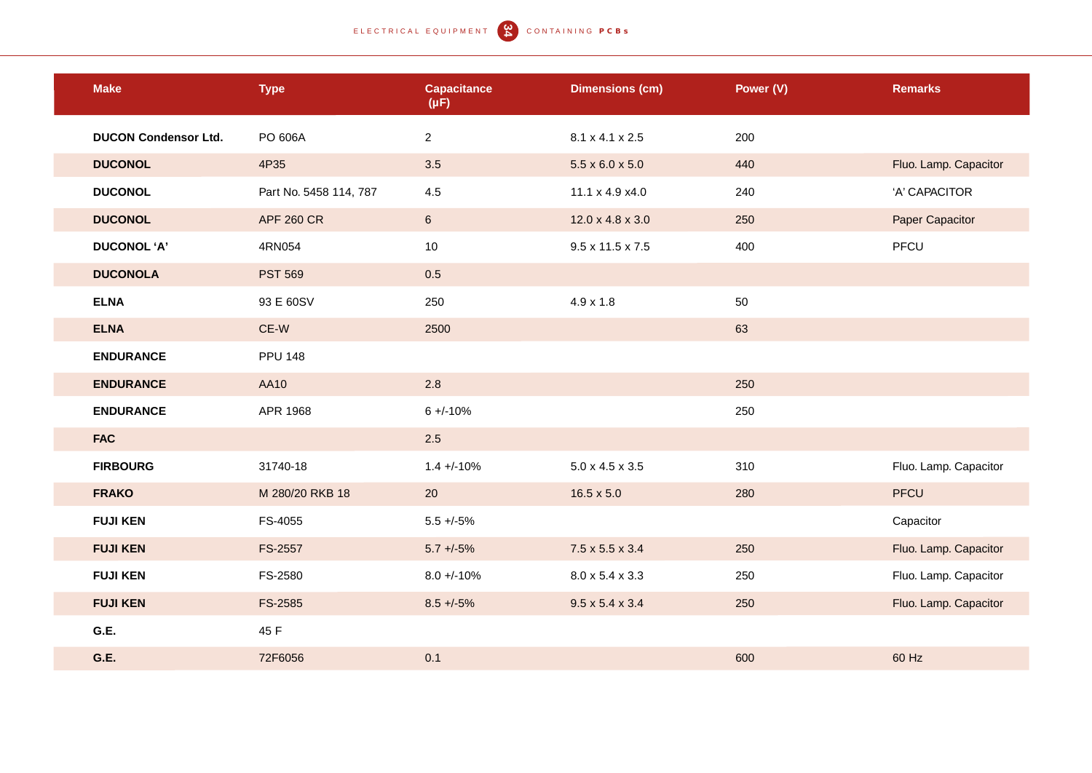## ELECTRICAL EQUIPMENT (2) CONTAINING PCBS

| <b>Make</b>                 | <b>Type</b>            | <b>Capacitance</b><br>$(\mu F)$ | <b>Dimensions (cm)</b>      | Power (V) | <b>Remarks</b>        |
|-----------------------------|------------------------|---------------------------------|-----------------------------|-----------|-----------------------|
| <b>DUCON Condensor Ltd.</b> | PO 606A                | $\mathbf{2}$                    | 8.1 x 4.1 x 2.5             | 200       |                       |
| <b>DUCONOL</b>              | 4P35                   | 3.5                             | $5.5 \times 6.0 \times 5.0$ | 440       | Fluo. Lamp. Capacitor |
| <b>DUCONOL</b>              | Part No. 5458 114, 787 | 4.5                             | 11.1 x 4.9 x4.0             | 240       | 'A' CAPACITOR         |
| <b>DUCONOL</b>              | <b>APF 260 CR</b>      | $6\phantom{.}$                  | 12.0 x 4.8 x 3.0            | 250       | Paper Capacitor       |
| <b>DUCONOL 'A'</b>          | 4RN054                 | 10                              | 9.5 x 11.5 x 7.5            | 400       | PFCU                  |
| <b>DUCONOLA</b>             | <b>PST 569</b>         | 0.5                             |                             |           |                       |
| <b>ELNA</b>                 | 93 E 60SV              | 250                             | $4.9 \times 1.8$            | 50        |                       |
| <b>ELNA</b>                 | CE-W                   | 2500                            |                             | 63        |                       |
| <b>ENDURANCE</b>            | <b>PPU 148</b>         |                                 |                             |           |                       |
| <b>ENDURANCE</b>            | AA10                   | 2.8                             |                             | 250       |                       |
| <b>ENDURANCE</b>            | APR 1968               | $6 + (-10%)$                    |                             | 250       |                       |
| <b>FAC</b>                  |                        | 2.5                             |                             |           |                       |
| <b>FIRBOURG</b>             | 31740-18               | $1.4 + -10%$                    | $5.0 \times 4.5 \times 3.5$ | 310       | Fluo. Lamp. Capacitor |
| <b>FRAKO</b>                | M 280/20 RKB 18        | 20                              | $16.5 \times 5.0$           | 280       | PFCU                  |
| <b>FUJI KEN</b>             | FS-4055                | $5.5 + (-5%)$                   |                             |           | Capacitor             |
| <b>FUJI KEN</b>             | FS-2557                | $5.7 + -5\%$                    | $7.5 \times 5.5 \times 3.4$ | 250       | Fluo. Lamp. Capacitor |
| <b>FUJI KEN</b>             | FS-2580                | $8.0 + -10%$                    | 8.0 x 5.4 x 3.3             | 250       | Fluo. Lamp. Capacitor |
| <b>FUJI KEN</b>             | FS-2585                | $8.5 + -5\%$                    | $9.5 \times 5.4 \times 3.4$ | 250       | Fluo. Lamp. Capacitor |
| G.E.                        | 45 F                   |                                 |                             |           |                       |
| G.E.                        | 72F6056                | 0.1                             |                             | 600       | 60 Hz                 |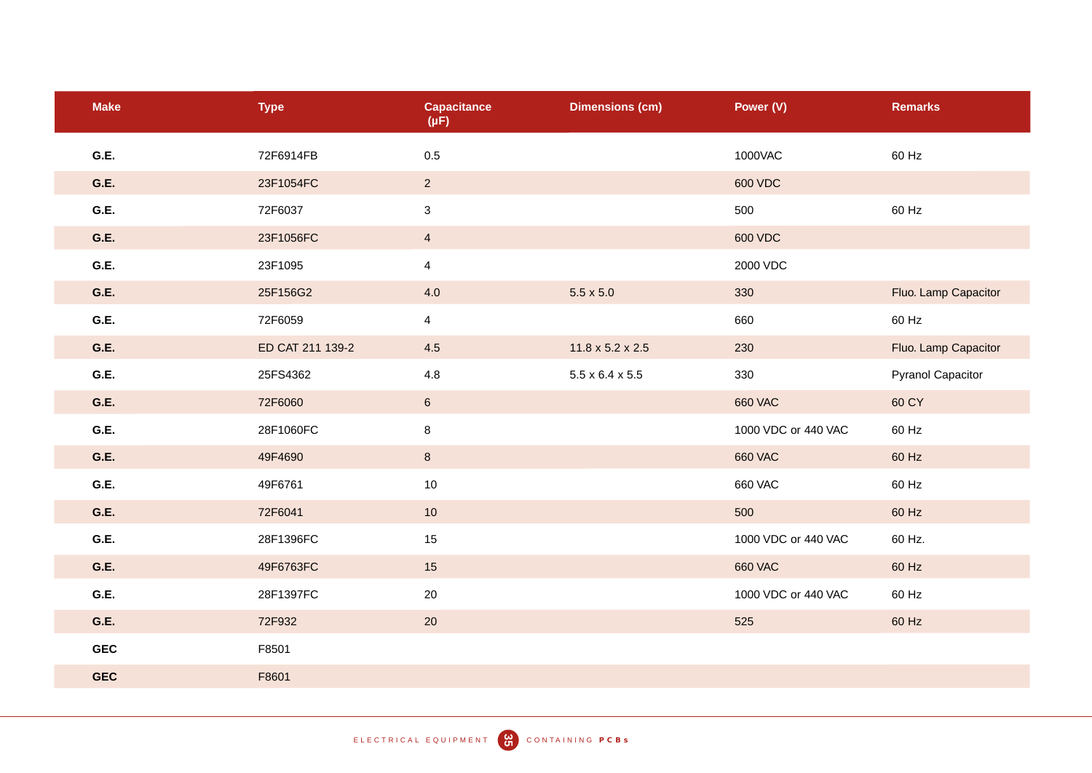| <b>Make</b> | <b>Type</b>      | <b>Capacitance</b><br>$(\mu F)$ | <b>Dimensions (cm)</b>       | Power (V)           | <b>Remarks</b>           |
|-------------|------------------|---------------------------------|------------------------------|---------------------|--------------------------|
| G.E.        | 72F6914FB        | 0.5                             |                              | 1000VAC             | 60 Hz                    |
| G.E.        | 23F1054FC        | $\overline{2}$                  |                              | 600 VDC             |                          |
| G.E.        | 72F6037          | $\ensuremath{\mathsf{3}}$       |                              | 500                 | 60 Hz                    |
| G.E.        | 23F1056FC        | $\overline{4}$                  |                              | 600 VDC             |                          |
| G.E.        | 23F1095          | $\overline{4}$                  |                              | 2000 VDC            |                          |
| G.E.        | 25F156G2         | 4.0                             | $5.5 \times 5.0$             | 330                 | Fluo. Lamp Capacitor     |
| G.E.        | 72F6059          | $\overline{4}$                  |                              | 660                 | 60 Hz                    |
| G.E.        | ED CAT 211 139-2 | 4.5                             | $11.8 \times 5.2 \times 2.5$ | 230                 | Fluo. Lamp Capacitor     |
| G.E.        | 25FS4362         | $4.8\,$                         | $5.5 \times 6.4 \times 5.5$  | 330                 | <b>Pyranol Capacitor</b> |
| G.E.        | 72F6060          | $\,$ 6 $\,$                     |                              | <b>660 VAC</b>      | 60 CY                    |
| G.E.        | 28F1060FC        | 8                               |                              | 1000 VDC or 440 VAC | 60 Hz                    |
| G.E.        | 49F4690          | $\bf 8$                         |                              | <b>660 VAC</b>      | 60 Hz                    |
| G.E.        | 49F6761          | 10                              |                              | <b>660 VAC</b>      | 60 Hz                    |
| G.E.        | 72F6041          | 10                              |                              | 500                 | 60 Hz                    |
| G.E.        | 28F1396FC        | 15                              |                              | 1000 VDC or 440 VAC | 60 Hz.                   |
| G.E.        | 49F6763FC        | 15                              |                              | <b>660 VAC</b>      | 60 Hz                    |
| G.E.        | 28F1397FC        | 20                              |                              | 1000 VDC or 440 VAC | 60 Hz                    |
| G.E.        | 72F932           | 20                              |                              | 525                 | 60 Hz                    |
| <b>GEC</b>  | F8501            |                                 |                              |                     |                          |
| <b>GEC</b>  | F8601            |                                 |                              |                     |                          |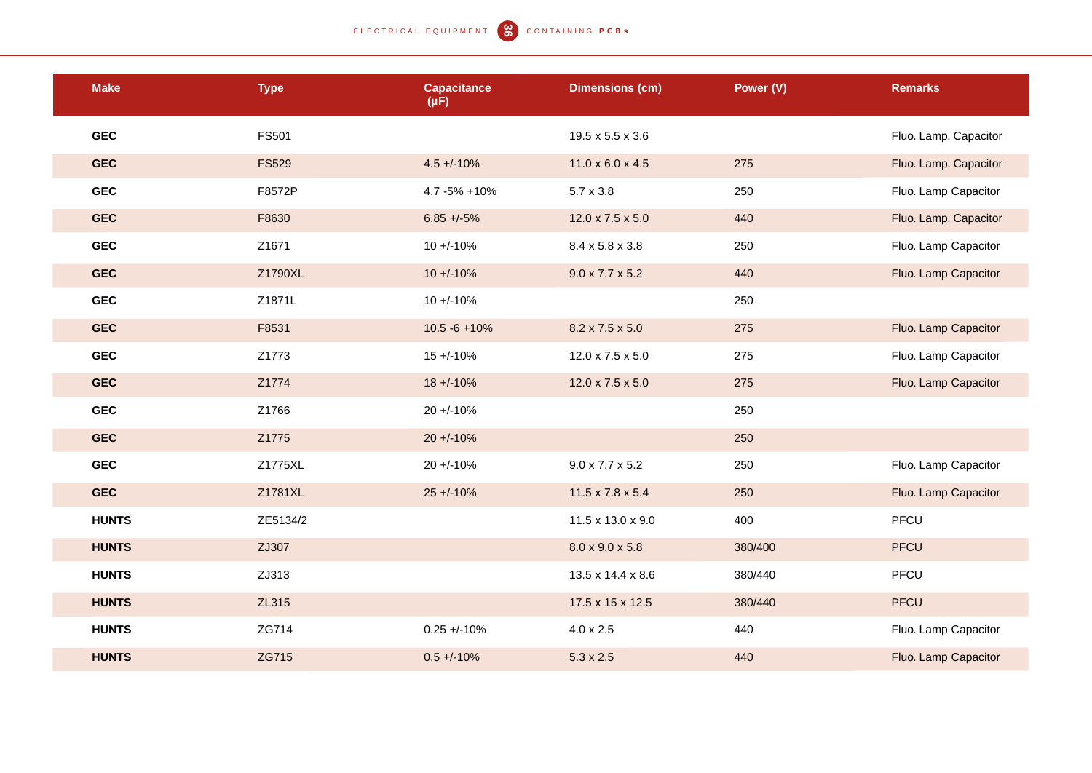ELECTRICAL EQUIPMENT (C) CONTAINING PCBS

| <b>Make</b>  | <b>Type</b>  | <b>Capacitance</b><br>$(\mu F)$ | <b>Dimensions (cm)</b>       | Power (V) | <b>Remarks</b>        |
|--------------|--------------|---------------------------------|------------------------------|-----------|-----------------------|
| <b>GEC</b>   | <b>FS501</b> |                                 | 19.5 x 5.5 x 3.6             |           | Fluo. Lamp. Capacitor |
| <b>GEC</b>   | <b>FS529</b> | $4.5 + -10%$                    | $11.0 \times 6.0 \times 4.5$ | 275       | Fluo. Lamp. Capacitor |
| <b>GEC</b>   | F8572P       | 4.7 - 5% + 10%                  | $5.7 \times 3.8$             | 250       | Fluo. Lamp Capacitor  |
| <b>GEC</b>   | F8630        | $6.85 + -5\%$                   | 12.0 x 7.5 x 5.0             | 440       | Fluo. Lamp. Capacitor |
| <b>GEC</b>   | Z1671        | $10 + (-10\%$                   | 8.4 x 5.8 x 3.8              | 250       | Fluo. Lamp Capacitor  |
| <b>GEC</b>   | Z1790XL      | $10 + (-10\%$                   | $9.0 \times 7.7 \times 5.2$  | 440       | Fluo. Lamp Capacitor  |
| <b>GEC</b>   | Z1871L       | $10 + (-10\%$                   |                              | 250       |                       |
| <b>GEC</b>   | F8531        | $10.5 - 6 + 10%$                | 8.2 x 7.5 x 5.0              | 275       | Fluo. Lamp Capacitor  |
| <b>GEC</b>   | Z1773        | $15 + (-10\%$                   | 12.0 x 7.5 x 5.0             | 275       | Fluo. Lamp Capacitor  |
| <b>GEC</b>   | Z1774        | $18 + (-10\%)$                  | 12.0 x 7.5 x 5.0             | 275       | Fluo. Lamp Capacitor  |
| <b>GEC</b>   | Z1766        | $20 + 10%$                      |                              | 250       |                       |
| <b>GEC</b>   | Z1775        | $20 + 10%$                      |                              | 250       |                       |
| <b>GEC</b>   | Z1775XL      | $20 + -10%$                     | $9.0 \times 7.7 \times 5.2$  | 250       | Fluo. Lamp Capacitor  |
| <b>GEC</b>   | Z1781XL      | $25 + 10%$                      | 11.5 x 7.8 x 5.4             | 250       | Fluo. Lamp Capacitor  |
| <b>HUNTS</b> | ZE5134/2     |                                 | 11.5 x 13.0 x 9.0            | 400       | PFCU                  |
| <b>HUNTS</b> | ZJ307        |                                 | 8.0 x 9.0 x 5.8              | 380/400   | <b>PFCU</b>           |
| <b>HUNTS</b> | ZJ313        |                                 | 13.5 x 14.4 x 8.6            | 380/440   | PFCU                  |
| <b>HUNTS</b> | ZL315        |                                 | 17.5 x 15 x 12.5             | 380/440   | <b>PFCU</b>           |
| <b>HUNTS</b> | ZG714        | $0.25 + (-10%)$                 | $4.0 \times 2.5$             | 440       | Fluo. Lamp Capacitor  |
| <b>HUNTS</b> | ZG715        | $0.5 + 10%$                     | $5.3 \times 2.5$             | 440       | Fluo. Lamp Capacitor  |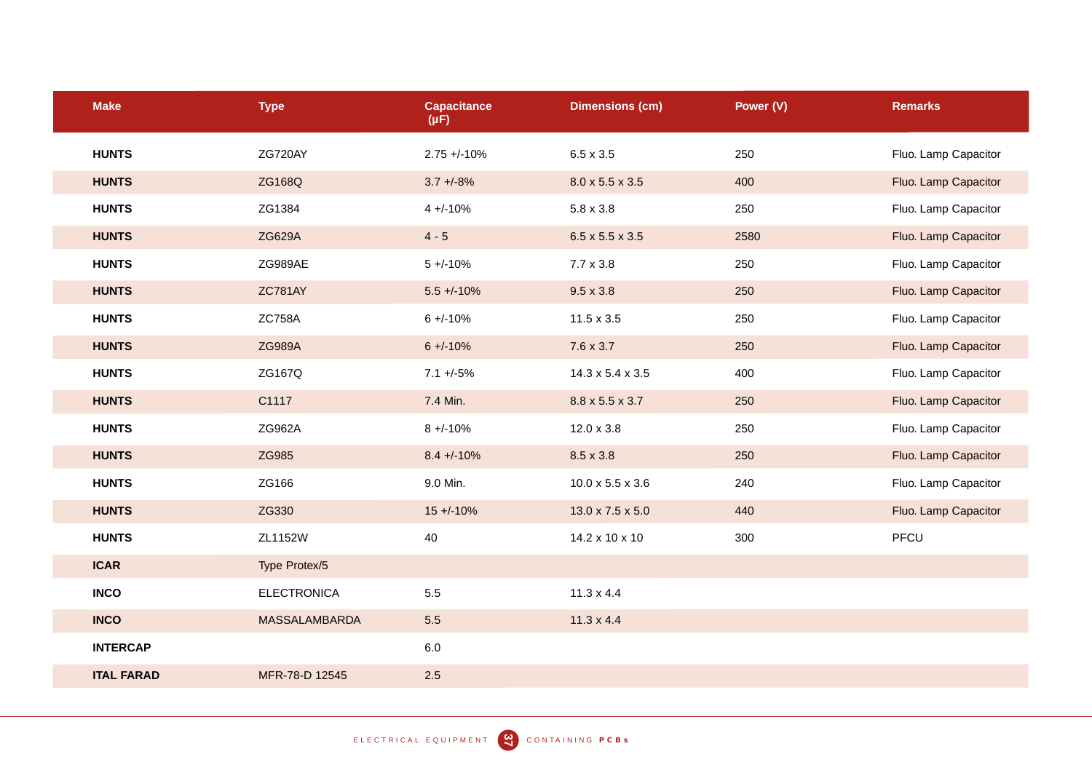| <b>Make</b>       | <b>Type</b>          | <b>Capacitance</b><br>$(\mu F)$ | <b>Dimensions (cm)</b>       | Power (V) | <b>Remarks</b>       |
|-------------------|----------------------|---------------------------------|------------------------------|-----------|----------------------|
| <b>HUNTS</b>      | ZG720AY              | $2.75 + -10%$                   | $6.5 \times 3.5$             | 250       | Fluo. Lamp Capacitor |
| <b>HUNTS</b>      | ZG168Q               | $3.7 + -8%$                     | $8.0 \times 5.5 \times 3.5$  | 400       | Fluo. Lamp Capacitor |
| <b>HUNTS</b>      | ZG1384               | $4 + -10%$                      | $5.8 \times 3.8$             | 250       | Fluo. Lamp Capacitor |
| <b>HUNTS</b>      | <b>ZG629A</b>        | $4 - 5$                         | $6.5 \times 5.5 \times 3.5$  | 2580      | Fluo. Lamp Capacitor |
| <b>HUNTS</b>      | ZG989AE              | $5 + -10%$                      | $7.7 \times 3.8$             | 250       | Fluo. Lamp Capacitor |
| <b>HUNTS</b>      | <b>ZC781AY</b>       | $5.5 + (-10\%$                  | $9.5 \times 3.8$             | 250       | Fluo. Lamp Capacitor |
| <b>HUNTS</b>      | <b>ZC758A</b>        | $6 + (-10%)$                    | $11.5 \times 3.5$            | 250       | Fluo. Lamp Capacitor |
| <b>HUNTS</b>      | <b>ZG989A</b>        | $6 + (-10%)$                    | 7.6 x 3.7                    | 250       | Fluo. Lamp Capacitor |
| <b>HUNTS</b>      | ZG167Q               | $7.1 + -5%$                     | $14.3 \times 5.4 \times 3.5$ | 400       | Fluo. Lamp Capacitor |
| <b>HUNTS</b>      | C1117                | 7.4 Min.                        | 8.8 x 5.5 x 3.7              | 250       | Fluo. Lamp Capacitor |
| <b>HUNTS</b>      | ZG962A               | $8 + -10%$                      | $12.0 \times 3.8$            | 250       | Fluo. Lamp Capacitor |
| <b>HUNTS</b>      | ZG985                | $8.4 + -10%$                    | $8.5 \times 3.8$             | 250       | Fluo. Lamp Capacitor |
| <b>HUNTS</b>      | ZG166                | 9.0 Min.                        | $10.0 \times 5.5 \times 3.6$ | 240       | Fluo. Lamp Capacitor |
| <b>HUNTS</b>      | ZG330                | $15 + (-10\%)$                  | $13.0 \times 7.5 \times 5.0$ | 440       | Fluo. Lamp Capacitor |
| <b>HUNTS</b>      | ZL1152W              | 40                              | 14.2 x 10 x 10               | 300       | PFCU                 |
| <b>ICAR</b>       | Type Protex/5        |                                 |                              |           |                      |
| <b>INCO</b>       | <b>ELECTRONICA</b>   | 5.5                             | $11.3 \times 4.4$            |           |                      |
| <b>INCO</b>       | <b>MASSALAMBARDA</b> | 5.5                             | $11.3 \times 4.4$            |           |                      |
| <b>INTERCAP</b>   |                      | $6.0\,$                         |                              |           |                      |
| <b>ITAL FARAD</b> | MFR-78-D 12545       | 2.5                             |                              |           |                      |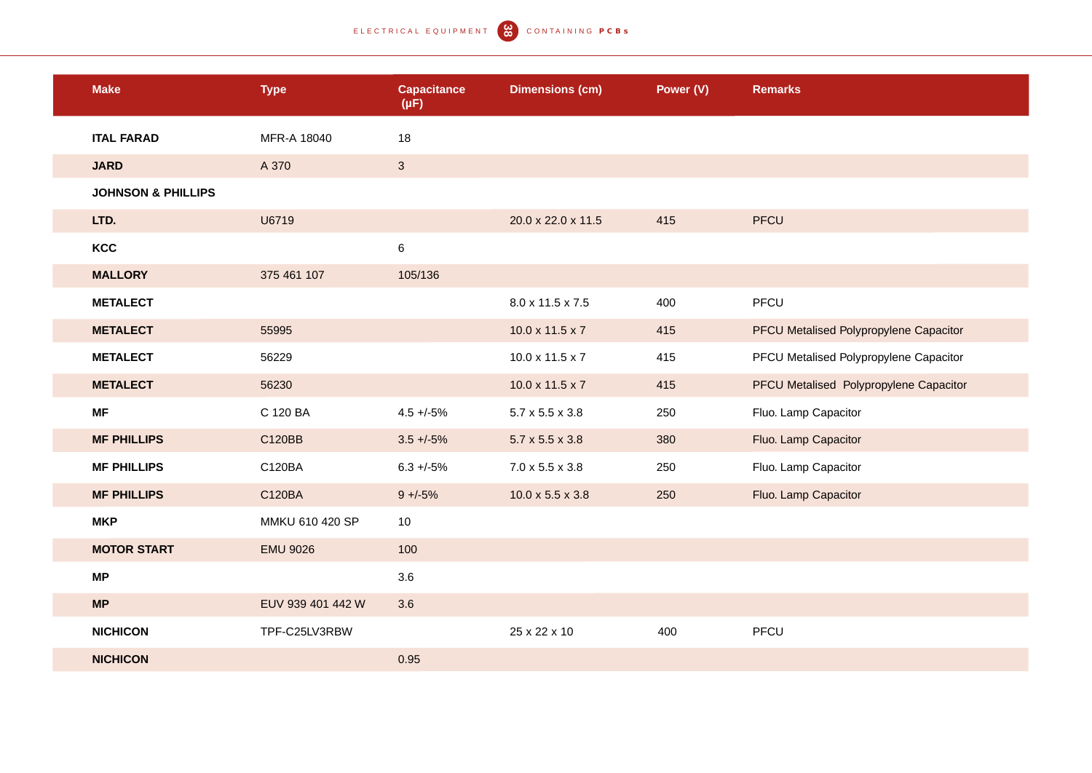| <b>Make</b>                   | <b>Type</b>       | <b>Capacitance</b><br>$(\mu F)$ | <b>Dimensions (cm)</b>       | Power (V) | <b>Remarks</b>                         |
|-------------------------------|-------------------|---------------------------------|------------------------------|-----------|----------------------------------------|
| <b>ITAL FARAD</b>             | MFR-A 18040       | 18                              |                              |           |                                        |
| <b>JARD</b>                   | A 370             | $\mathbf{3}$                    |                              |           |                                        |
| <b>JOHNSON &amp; PHILLIPS</b> |                   |                                 |                              |           |                                        |
| LTD.                          | U6719             |                                 | 20.0 x 22.0 x 11.5           | 415       | <b>PFCU</b>                            |
| KCC                           |                   | 6                               |                              |           |                                        |
| <b>MALLORY</b>                | 375 461 107       | 105/136                         |                              |           |                                        |
| <b>METALECT</b>               |                   |                                 | 8.0 x 11.5 x 7.5             | 400       | PFCU                                   |
| <b>METALECT</b>               | 55995             |                                 | $10.0 \times 11.5 \times 7$  | 415       | PFCU Metalised Polypropylene Capacitor |
| <b>METALECT</b>               | 56229             |                                 | $10.0 \times 11.5 \times 7$  | 415       | PFCU Metalised Polypropylene Capacitor |
| <b>METALECT</b>               | 56230             |                                 | $10.0 \times 11.5 \times 7$  | 415       | PFCU Metalised Polypropylene Capacitor |
| <b>MF</b>                     | C 120 BA          | $4.5 + -5\%$                    | $5.7 \times 5.5 \times 3.8$  | 250       | Fluo. Lamp Capacitor                   |
| <b>MF PHILLIPS</b>            | C120BB            | $3.5 + -5\%$                    | $5.7 \times 5.5 \times 3.8$  | 380       | Fluo. Lamp Capacitor                   |
| <b>MF PHILLIPS</b>            | C120BA            | $6.3 + (-5%)$                   | $7.0 \times 5.5 \times 3.8$  | 250       | Fluo. Lamp Capacitor                   |
| <b>MF PHILLIPS</b>            | C120BA            | $9 + -5\%$                      | $10.0 \times 5.5 \times 3.8$ | 250       | Fluo. Lamp Capacitor                   |
| <b>MKP</b>                    | MMKU 610 420 SP   | 10                              |                              |           |                                        |
| <b>MOTOR START</b>            | <b>EMU 9026</b>   | 100                             |                              |           |                                        |
| <b>MP</b>                     |                   | 3.6                             |                              |           |                                        |
| <b>MP</b>                     | EUV 939 401 442 W | 3.6                             |                              |           |                                        |
| <b>NICHICON</b>               | TPF-C25LV3RBW     |                                 | 25 x 22 x 10                 | 400       | PFCU                                   |
| <b>NICHICON</b>               |                   | 0.95                            |                              |           |                                        |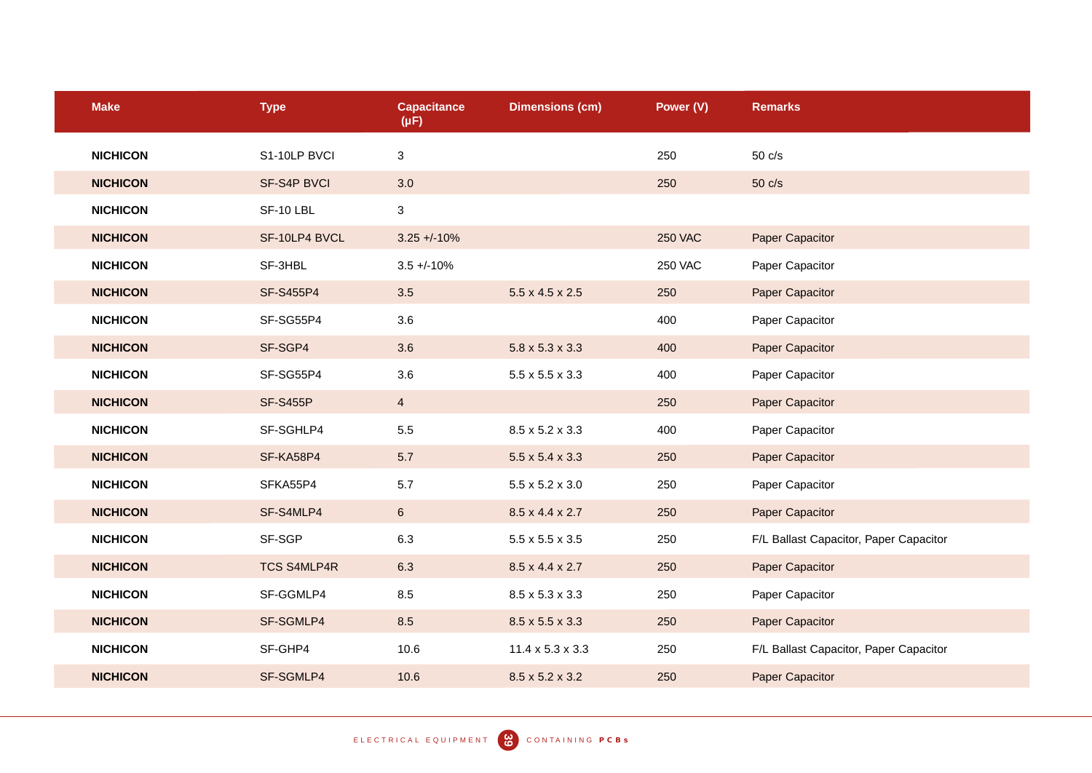| <b>Make</b>     | <b>Type</b>        | <b>Capacitance</b><br>$(\mu F)$ | <b>Dimensions (cm)</b>       | Power (V)      | <b>Remarks</b>                         |
|-----------------|--------------------|---------------------------------|------------------------------|----------------|----------------------------------------|
| <b>NICHICON</b> | S1-10LP BVCI       | 3                               |                              | 250            | $50 \text{ c/s}$                       |
| <b>NICHICON</b> | SF-S4P BVCI        | 3.0                             |                              | 250            | $50 \text{ c/s}$                       |
| <b>NICHICON</b> | SF-10 LBL          | $\mathbf{3}$                    |                              |                |                                        |
| <b>NICHICON</b> | SF-10LP4 BVCL      | $3.25 + -10%$                   |                              | <b>250 VAC</b> | Paper Capacitor                        |
| <b>NICHICON</b> | SF-3HBL            | $3.5 + (-10\%$                  |                              | <b>250 VAC</b> | Paper Capacitor                        |
| <b>NICHICON</b> | SF-S455P4          | 3.5                             | $5.5 \times 4.5 \times 2.5$  | 250            | Paper Capacitor                        |
| <b>NICHICON</b> | SF-SG55P4          | 3.6                             |                              | 400            | Paper Capacitor                        |
| <b>NICHICON</b> | SF-SGP4            | 3.6                             | $5.8 \times 5.3 \times 3.3$  | 400            | Paper Capacitor                        |
| <b>NICHICON</b> | SF-SG55P4          | 3.6                             | $5.5 \times 5.5 \times 3.3$  | 400            | Paper Capacitor                        |
| <b>NICHICON</b> | <b>SF-S455P</b>    | $\overline{4}$                  |                              | 250            | Paper Capacitor                        |
| <b>NICHICON</b> | SF-SGHLP4          | 5.5                             | 8.5 x 5.2 x 3.3              | 400            | Paper Capacitor                        |
| <b>NICHICON</b> | SF-KA58P4          | 5.7                             | $5.5 \times 5.4 \times 3.3$  | 250            | Paper Capacitor                        |
| <b>NICHICON</b> | SFKA55P4           | 5.7                             | $5.5 \times 5.2 \times 3.0$  | 250            | Paper Capacitor                        |
| <b>NICHICON</b> | SF-S4MLP4          | $6\overline{6}$                 | 8.5 x 4.4 x 2.7              | 250            | Paper Capacitor                        |
| <b>NICHICON</b> | SF-SGP             | 6.3                             | $5.5 \times 5.5 \times 3.5$  | 250            | F/L Ballast Capacitor, Paper Capacitor |
| <b>NICHICON</b> | <b>TCS S4MLP4R</b> | 6.3                             | 8.5 x 4.4 x 2.7              | 250            | Paper Capacitor                        |
| <b>NICHICON</b> | SF-GGMLP4          | 8.5                             | 8.5 x 5.3 x 3.3              | 250            | Paper Capacitor                        |
| <b>NICHICON</b> | SF-SGMLP4          | 8.5                             | 8.5 x 5.5 x 3.3              | 250            | Paper Capacitor                        |
| <b>NICHICON</b> | SF-GHP4            | 10.6                            | $11.4 \times 5.3 \times 3.3$ | 250            | F/L Ballast Capacitor, Paper Capacitor |
| <b>NICHICON</b> | SF-SGMLP4          | 10.6                            | 8.5 x 5.2 x 3.2              | 250            | Paper Capacitor                        |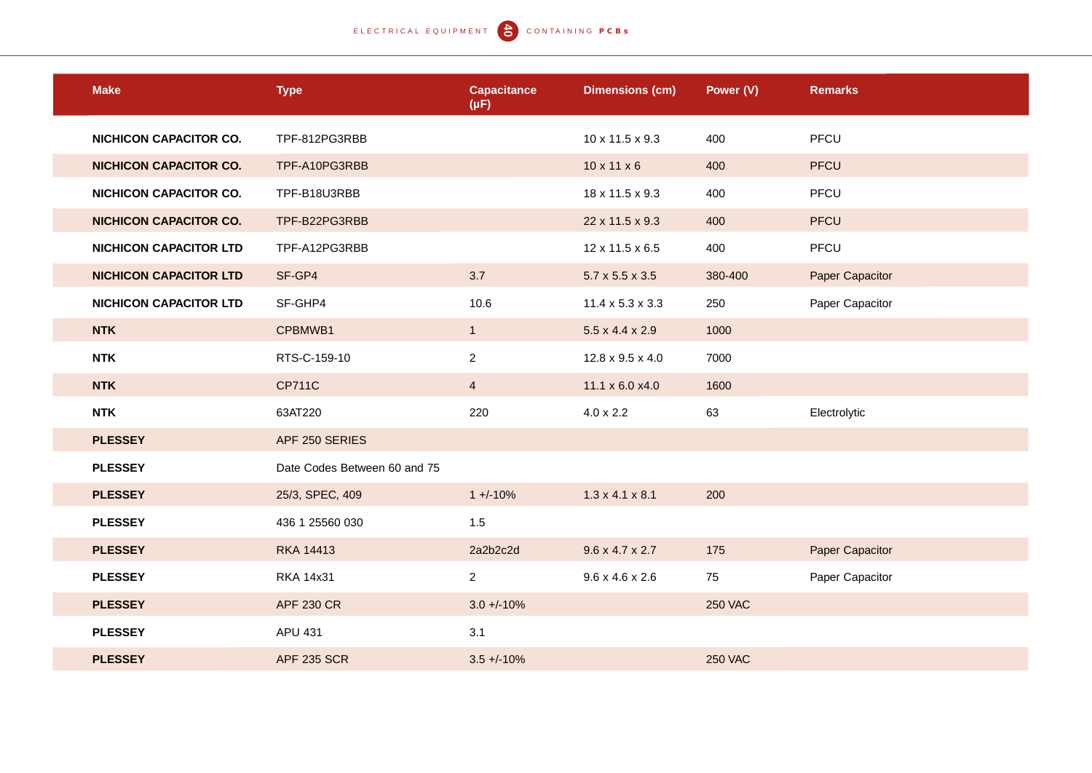| <b>Make</b>                   | <b>Type</b>                  | <b>Capacitance</b><br>$(\mu F)$ | <b>Dimensions (cm)</b>       | Power (V)      | <b>Remarks</b>  |
|-------------------------------|------------------------------|---------------------------------|------------------------------|----------------|-----------------|
| <b>NICHICON CAPACITOR CO.</b> | TPF-812PG3RBB                |                                 | 10 x 11.5 x 9.3              | 400            | PFCU            |
| <b>NICHICON CAPACITOR CO.</b> | TPF-A10PG3RBB                |                                 | $10 \times 11 \times 6$      | 400            | <b>PFCU</b>     |
| <b>NICHICON CAPACITOR CO.</b> | TPF-B18U3RBB                 |                                 | 18 x 11.5 x 9.3              | 400            | PFCU            |
| <b>NICHICON CAPACITOR CO.</b> | TPF-B22PG3RBB                |                                 | 22 x 11.5 x 9.3              | 400            | <b>PFCU</b>     |
| <b>NICHICON CAPACITOR LTD</b> | TPF-A12PG3RBB                |                                 | 12 x 11.5 x 6.5              | 400            | PFCU            |
| <b>NICHICON CAPACITOR LTD</b> | SF-GP4                       | 3.7                             | $5.7 \times 5.5 \times 3.5$  | 380-400        | Paper Capacitor |
| <b>NICHICON CAPACITOR LTD</b> | SF-GHP4                      | 10.6                            | $11.4 \times 5.3 \times 3.3$ | 250            | Paper Capacitor |
| <b>NTK</b>                    | CPBMWB1                      | 1                               | $5.5 \times 4.4 \times 2.9$  | 1000           |                 |
| <b>NTK</b>                    | RTS-C-159-10                 | $\overline{2}$                  | 12.8 x 9.5 x 4.0             | 7000           |                 |
| <b>NTK</b>                    | <b>CP711C</b>                | $\overline{4}$                  | 11.1 x 6.0 x4.0              | 1600           |                 |
| <b>NTK</b>                    | 63AT220                      | 220                             | $4.0 \times 2.2$             | 63             | Electrolytic    |
| <b>PLESSEY</b>                | APF 250 SERIES               |                                 |                              |                |                 |
| <b>PLESSEY</b>                | Date Codes Between 60 and 75 |                                 |                              |                |                 |
| <b>PLESSEY</b>                | 25/3, SPEC, 409              | $1 + (-10\%)$                   | $1.3 \times 4.1 \times 8.1$  | 200            |                 |
| <b>PLESSEY</b>                | 436 1 25560 030              | 1.5                             |                              |                |                 |
| <b>PLESSEY</b>                | <b>RKA 14413</b>             | 2a2b2c2d                        | $9.6 \times 4.7 \times 2.7$  | 175            | Paper Capacitor |
| <b>PLESSEY</b>                | <b>RKA 14x31</b>             | $\overline{a}$                  | $9.6 \times 4.6 \times 2.6$  | 75             | Paper Capacitor |
| <b>PLESSEY</b>                | <b>APF 230 CR</b>            | $3.0 + 10%$                     |                              | <b>250 VAC</b> |                 |
| <b>PLESSEY</b>                | APU 431                      | 3.1                             |                              |                |                 |
| <b>PLESSEY</b>                | <b>APF 235 SCR</b>           | $3.5 + 10%$                     |                              | <b>250 VAC</b> |                 |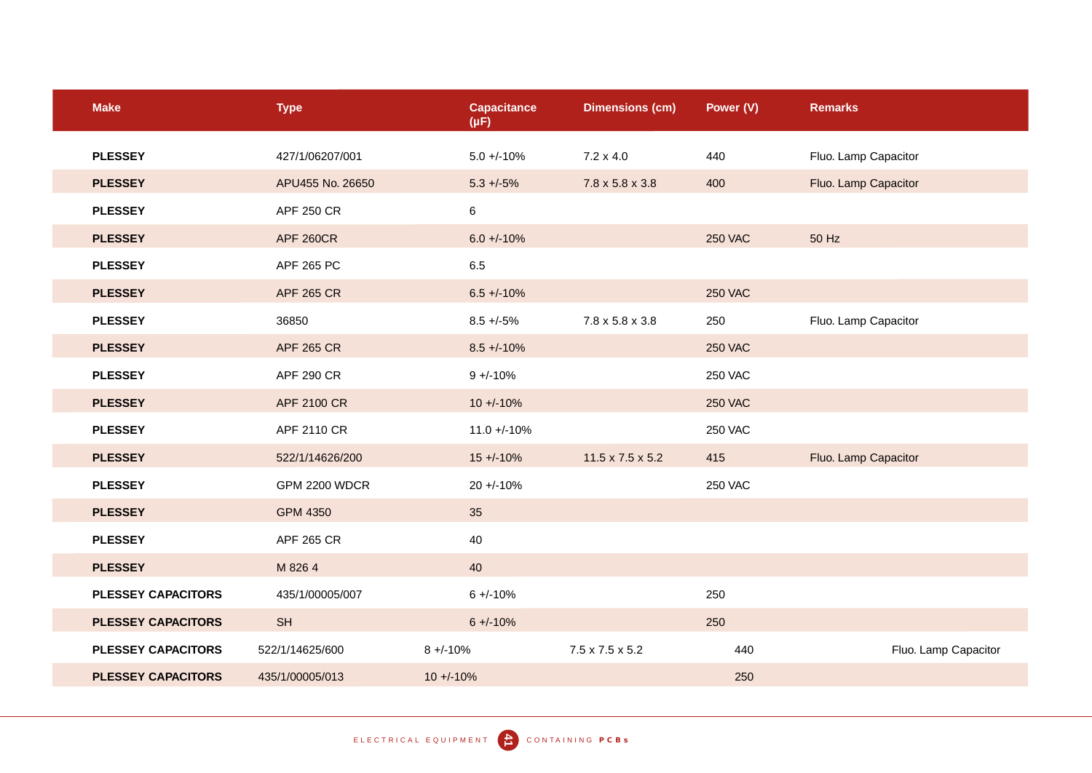| <b>Make</b>               | <b>Type</b>          | <b>Capacitance</b><br>$(\mu F)$ | <b>Dimensions (cm)</b>      | Power (V)      | <b>Remarks</b>       |
|---------------------------|----------------------|---------------------------------|-----------------------------|----------------|----------------------|
| <b>PLESSEY</b>            | 427/1/06207/001      | $5.0 + -10%$                    | $7.2 \times 4.0$            | 440            | Fluo. Lamp Capacitor |
| <b>PLESSEY</b>            | APU455 No. 26650     | $5.3 + (-5)$                    | $7.8 \times 5.8 \times 3.8$ | 400            | Fluo. Lamp Capacitor |
| <b>PLESSEY</b>            | APF 250 CR           | 6                               |                             |                |                      |
| <b>PLESSEY</b>            | <b>APF 260CR</b>     | $6.0 + (-10\%$                  |                             | <b>250 VAC</b> | 50 Hz                |
| <b>PLESSEY</b>            | APF 265 PC           | 6.5                             |                             |                |                      |
| <b>PLESSEY</b>            | <b>APF 265 CR</b>    | $6.5 + (-10\%)$                 |                             | <b>250 VAC</b> |                      |
| <b>PLESSEY</b>            | 36850                | $8.5 + -5\%$                    | 7.8 x 5.8 x 3.8             | 250            | Fluo. Lamp Capacitor |
| <b>PLESSEY</b>            | <b>APF 265 CR</b>    | $8.5 + (-10%)$                  |                             | <b>250 VAC</b> |                      |
| <b>PLESSEY</b>            | <b>APF 290 CR</b>    | $9 + -10%$                      |                             | <b>250 VAC</b> |                      |
| <b>PLESSEY</b>            | APF 2100 CR          | $10 + (-10\%$                   |                             | <b>250 VAC</b> |                      |
| <b>PLESSEY</b>            | APF 2110 CR          | $11.0 + -10%$                   |                             | <b>250 VAC</b> |                      |
| <b>PLESSEY</b>            | 522/1/14626/200      | $15 + (-10\%$                   | 11.5 x 7.5 x 5.2            | 415            | Fluo. Lamp Capacitor |
| <b>PLESSEY</b>            | <b>GPM 2200 WDCR</b> | $20 + -10%$                     |                             | <b>250 VAC</b> |                      |
| <b>PLESSEY</b>            | <b>GPM 4350</b>      | 35                              |                             |                |                      |
| <b>PLESSEY</b>            | APF 265 CR           | 40                              |                             |                |                      |
| <b>PLESSEY</b>            | M 826 4              | 40                              |                             |                |                      |
| <b>PLESSEY CAPACITORS</b> | 435/1/00005/007      | $6 + (-10\%)$                   |                             | 250            |                      |
| <b>PLESSEY CAPACITORS</b> | <b>SH</b>            | $6 + (-10%)$                    |                             | 250            |                      |
| <b>PLESSEY CAPACITORS</b> | 522/1/14625/600      | $8 + -10%$                      | 7.5 x 7.5 x 5.2             | 440            | Fluo. Lamp Capacitor |
| <b>PLESSEY CAPACITORS</b> | 435/1/00005/013      | $10 + (-10\%$                   |                             | 250            |                      |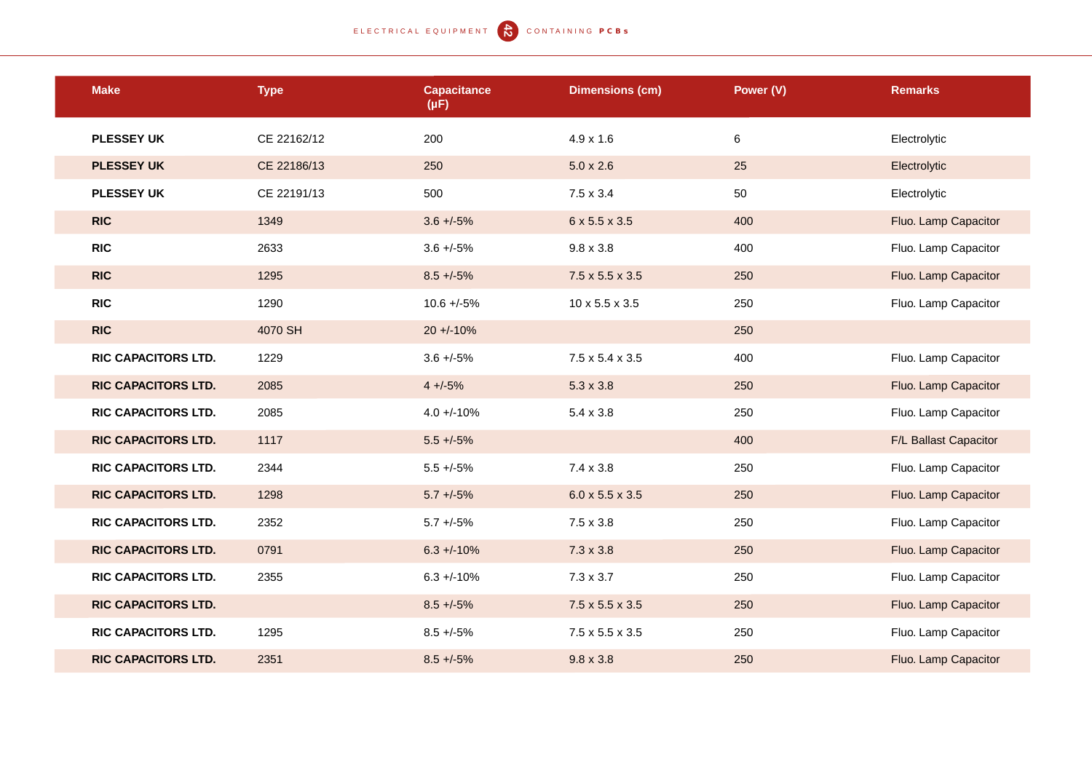| <b>Make</b>                | <b>Type</b> | <b>Capacitance</b><br>$(\mu F)$ | <b>Dimensions (cm)</b>      | Power (V) | <b>Remarks</b>        |
|----------------------------|-------------|---------------------------------|-----------------------------|-----------|-----------------------|
| <b>PLESSEY UK</b>          | CE 22162/12 | 200                             | $4.9 \times 1.6$            | 6         | Electrolytic          |
| <b>PLESSEY UK</b>          | CE 22186/13 | 250                             | $5.0 \times 2.6$            | 25        | Electrolytic          |
| <b>PLESSEY UK</b>          | CE 22191/13 | 500                             | $7.5 \times 3.4$            | 50        | Electrolytic          |
| <b>RIC</b>                 | 1349        | $3.6 + (-5)$                    | 6 x 5.5 x 3.5               | 400       | Fluo. Lamp Capacitor  |
| <b>RIC</b>                 | 2633        | $3.6 + -5\%$                    | $9.8 \times 3.8$            | 400       | Fluo. Lamp Capacitor  |
| <b>RIC</b>                 | 1295        | $8.5 + (-5%)$                   | $7.5 \times 5.5 \times 3.5$ | 250       | Fluo. Lamp Capacitor  |
| <b>RIC</b>                 | 1290        | $10.6 + -5%$                    | 10 x 5.5 x 3.5              | 250       | Fluo. Lamp Capacitor  |
| <b>RIC</b>                 | 4070 SH     | $20 + 10%$                      |                             | 250       |                       |
| <b>RIC CAPACITORS LTD.</b> | 1229        | $3.6 + -5\%$                    | $7.5 \times 5.4 \times 3.5$ | 400       | Fluo. Lamp Capacitor  |
| <b>RIC CAPACITORS LTD.</b> | 2085        | $4 + (-5)$                      | $5.3 \times 3.8$            | 250       | Fluo. Lamp Capacitor  |
| <b>RIC CAPACITORS LTD.</b> | 2085        | $4.0 + -10%$                    | $5.4 \times 3.8$            | 250       | Fluo. Lamp Capacitor  |
| <b>RIC CAPACITORS LTD.</b> | 1117        | $5.5 + (-5%)$                   |                             | 400       | F/L Ballast Capacitor |
| RIC CAPACITORS LTD.        | 2344        | $5.5 + (-5%)$                   | $7.4 \times 3.8$            | 250       | Fluo. Lamp Capacitor  |
| <b>RIC CAPACITORS LTD.</b> | 1298        | $5.7 + (-5%)$                   | $6.0 \times 5.5 \times 3.5$ | 250       | Fluo. Lamp Capacitor  |
| <b>RIC CAPACITORS LTD.</b> | 2352        | $5.7 + -5%$                     | $7.5 \times 3.8$            | 250       | Fluo. Lamp Capacitor  |
| <b>RIC CAPACITORS LTD.</b> | 0791        | $6.3 + (-10\%$                  | $7.3 \times 3.8$            | 250       | Fluo. Lamp Capacitor  |
| <b>RIC CAPACITORS LTD.</b> | 2355        | $6.3 + -10\%$                   | $7.3 \times 3.7$            | 250       | Fluo. Lamp Capacitor  |
| <b>RIC CAPACITORS LTD.</b> |             | $8.5 + -5\%$                    | $7.5 \times 5.5 \times 3.5$ | 250       | Fluo. Lamp Capacitor  |
| <b>RIC CAPACITORS LTD.</b> | 1295        | $8.5 + -5\%$                    | $7.5 \times 5.5 \times 3.5$ | 250       | Fluo. Lamp Capacitor  |
| <b>RIC CAPACITORS LTD.</b> | 2351        | $8.5 + (-5%)$                   | $9.8 \times 3.8$            | 250       | Fluo. Lamp Capacitor  |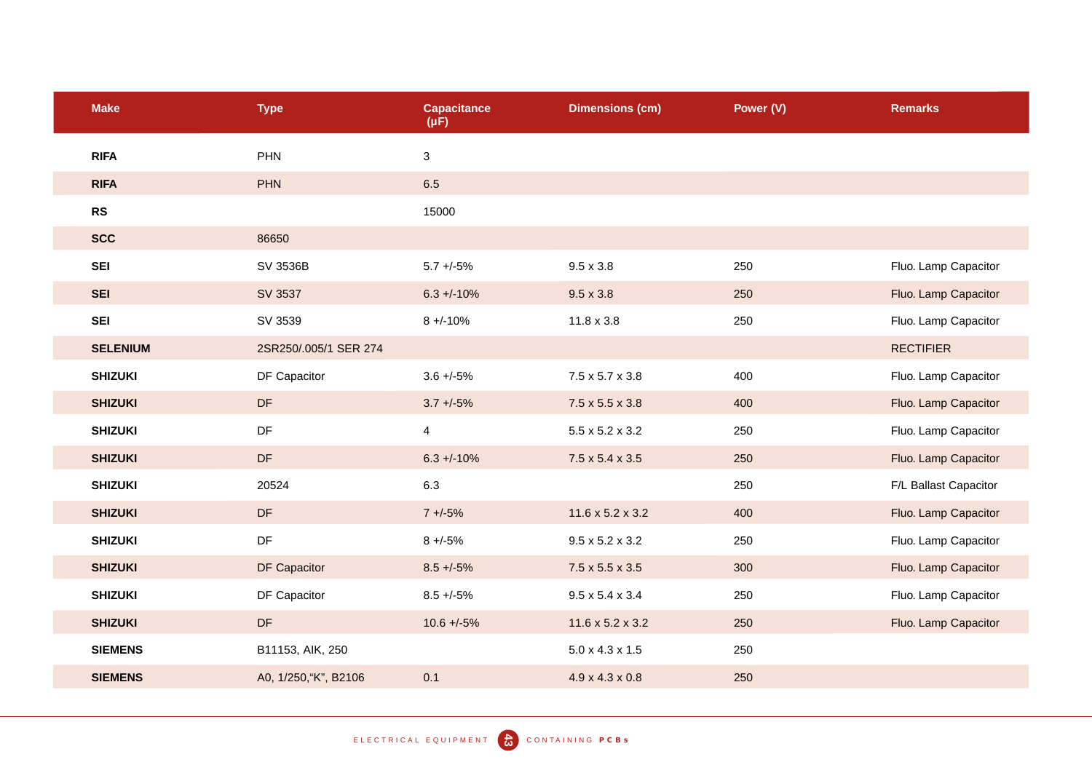| <b>Make</b>     | <b>Type</b>            | <b>Capacitance</b><br>$(\mu F)$ | <b>Dimensions (cm)</b>       | Power (V) | <b>Remarks</b>        |
|-----------------|------------------------|---------------------------------|------------------------------|-----------|-----------------------|
| <b>RIFA</b>     | PHN                    | $\mathbf 3$                     |                              |           |                       |
| <b>RIFA</b>     | <b>PHN</b>             | 6.5                             |                              |           |                       |
| RS              |                        | 15000                           |                              |           |                       |
| <b>SCC</b>      | 86650                  |                                 |                              |           |                       |
| <b>SEI</b>      | SV 3536B               | $5.7 + -5\%$                    | $9.5 \times 3.8$             | 250       | Fluo. Lamp Capacitor  |
| <b>SEI</b>      | SV 3537                | $6.3 + 10\%$                    | $9.5 \times 3.8$             | 250       | Fluo. Lamp Capacitor  |
| <b>SEI</b>      | SV 3539                | $8 + -10%$                      | $11.8 \times 3.8$            | 250       | Fluo. Lamp Capacitor  |
| <b>SELENIUM</b> | 2SR250/.005/1 SER 274  |                                 |                              |           | <b>RECTIFIER</b>      |
| <b>SHIZUKI</b>  | DF Capacitor           | $3.6 + -5\%$                    | $7.5 \times 5.7 \times 3.8$  | 400       | Fluo. Lamp Capacitor  |
| <b>SHIZUKI</b>  | DF                     | $3.7 + 5\%$                     | $7.5 \times 5.5 \times 3.8$  | 400       | Fluo. Lamp Capacitor  |
| <b>SHIZUKI</b>  | DF                     | $\overline{4}$                  | $5.5 \times 5.2 \times 3.2$  | 250       | Fluo. Lamp Capacitor  |
| <b>SHIZUKI</b>  | DF                     | $6.3 + (-10\%$                  | $7.5 \times 5.4 \times 3.5$  | 250       | Fluo. Lamp Capacitor  |
| <b>SHIZUKI</b>  | 20524                  | 6.3                             |                              | 250       | F/L Ballast Capacitor |
| <b>SHIZUKI</b>  | DF                     | $7 + 5\%$                       | $11.6 \times 5.2 \times 3.2$ | 400       | Fluo. Lamp Capacitor  |
| <b>SHIZUKI</b>  | DF                     | $8 + -5\%$                      | $9.5 \times 5.2 \times 3.2$  | 250       | Fluo. Lamp Capacitor  |
| <b>SHIZUKI</b>  | DF Capacitor           | $8.5 + (-5%)$                   | $7.5 \times 5.5 \times 3.5$  | 300       | Fluo. Lamp Capacitor  |
| <b>SHIZUKI</b>  | DF Capacitor           | $8.5 + -5\%$                    | $9.5 \times 5.4 \times 3.4$  | 250       | Fluo. Lamp Capacitor  |
| <b>SHIZUKI</b>  | $\mathsf{D}\mathsf{F}$ | $10.6 + -5\%$                   | $11.6 \times 5.2 \times 3.2$ | 250       | Fluo. Lamp Capacitor  |
| <b>SIEMENS</b>  | B11153, AIK, 250       |                                 | $5.0 \times 4.3 \times 1.5$  | 250       |                       |
| <b>SIEMENS</b>  | A0, 1/250, "K", B2106  | 0.1                             | $4.9 \times 4.3 \times 0.8$  | 250       |                       |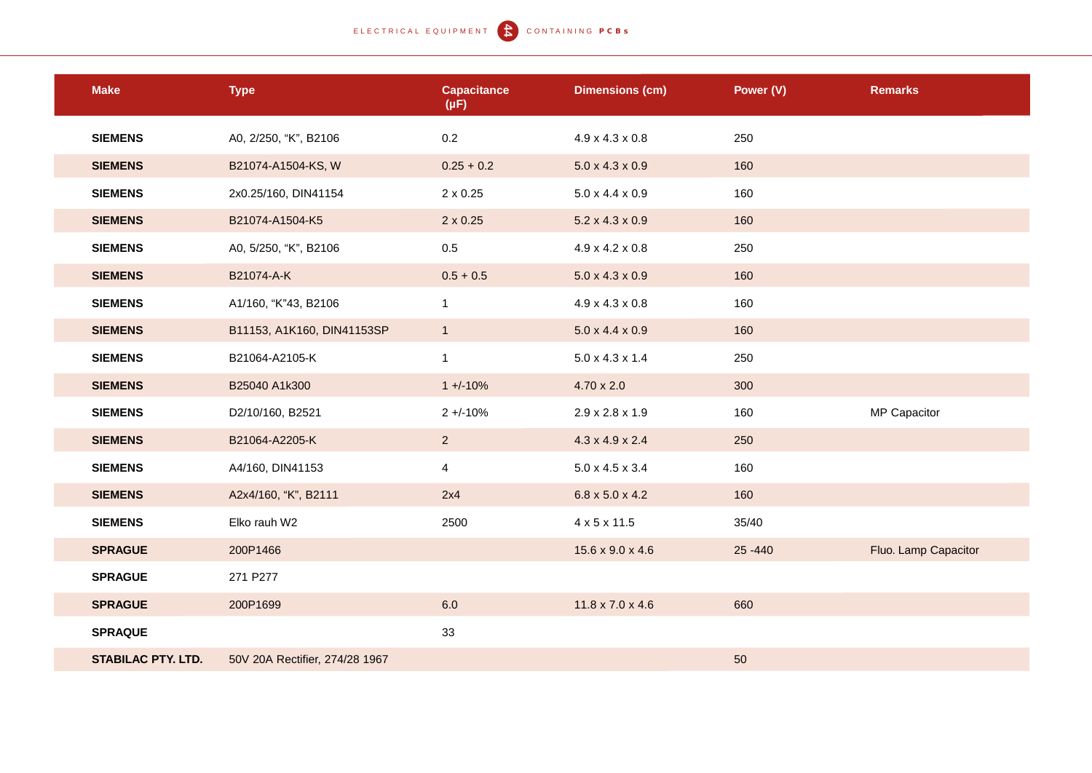# ELECTRICAL EQUIPMENT **CONTAINING PCBS**

| <b>Make</b>               | <b>Type</b>                    | <b>Capacitance</b><br>$(\mu F)$ | <b>Dimensions (cm)</b>       | Power (V)  | <b>Remarks</b>       |
|---------------------------|--------------------------------|---------------------------------|------------------------------|------------|----------------------|
| <b>SIEMENS</b>            | A0, 2/250, "K", B2106          | $0.2\,$                         | $4.9 \times 4.3 \times 0.8$  | 250        |                      |
| <b>SIEMENS</b>            | B21074-A1504-KS, W             | $0.25 + 0.2$                    | $5.0 \times 4.3 \times 0.9$  | 160        |                      |
| <b>SIEMENS</b>            | 2x0.25/160, DIN41154           | 2 x 0.25                        | $5.0 \times 4.4 \times 0.9$  | 160        |                      |
| <b>SIEMENS</b>            | B21074-A1504-K5                | $2 \times 0.25$                 | $5.2 \times 4.3 \times 0.9$  | 160        |                      |
| <b>SIEMENS</b>            | A0, 5/250, "K", B2106          | 0.5                             | $4.9 \times 4.2 \times 0.8$  | 250        |                      |
| <b>SIEMENS</b>            | B21074-A-K                     | $0.5 + 0.5$                     | $5.0 \times 4.3 \times 0.9$  | 160        |                      |
| <b>SIEMENS</b>            | A1/160, "K"43, B2106           | $\mathbf{1}$                    | $4.9 \times 4.3 \times 0.8$  | 160        |                      |
| <b>SIEMENS</b>            | B11153, A1K160, DIN41153SP     | 1                               | $5.0 \times 4.4 \times 0.9$  | 160        |                      |
| <b>SIEMENS</b>            | B21064-A2105-K                 | $\mathbf{1}$                    | $5.0 \times 4.3 \times 1.4$  | 250        |                      |
| <b>SIEMENS</b>            | B25040 A1k300                  | $1 + (-10%)$                    | $4.70 \times 2.0$            | 300        |                      |
| <b>SIEMENS</b>            | D2/10/160, B2521               | $2 + 10%$                       | $2.9 \times 2.8 \times 1.9$  | 160        | MP Capacitor         |
| <b>SIEMENS</b>            | B21064-A2205-K                 | 2 <sup>2</sup>                  | $4.3 \times 4.9 \times 2.4$  | 250        |                      |
| <b>SIEMENS</b>            | A4/160, DIN41153               | $\overline{\mathbf{4}}$         | $5.0 \times 4.5 \times 3.4$  | 160        |                      |
| <b>SIEMENS</b>            | A2x4/160, "K", B2111           | 2x4                             | $6.8 \times 5.0 \times 4.2$  | 160        |                      |
| <b>SIEMENS</b>            | Elko rauh W2                   | 2500                            | 4 x 5 x 11.5                 | 35/40      |                      |
| <b>SPRAGUE</b>            | 200P1466                       |                                 | $15.6 \times 9.0 \times 4.6$ | $25 - 440$ | Fluo. Lamp Capacitor |
| <b>SPRAGUE</b>            | 271 P277                       |                                 |                              |            |                      |
| <b>SPRAGUE</b>            | 200P1699                       | 6.0                             | $11.8 \times 7.0 \times 4.6$ | 660        |                      |
| <b>SPRAQUE</b>            |                                | 33                              |                              |            |                      |
| <b>STABILAC PTY. LTD.</b> | 50V 20A Rectifier, 274/28 1967 |                                 |                              | 50         |                      |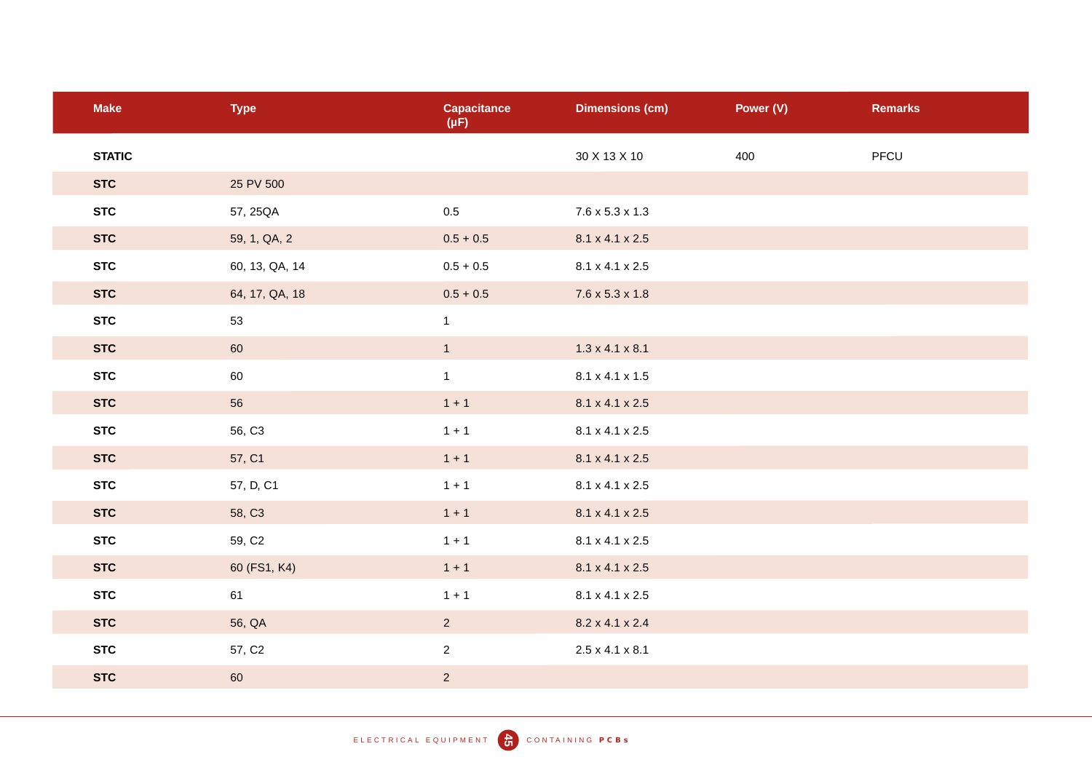| <b>Make</b>   | <b>Type</b>        | <b>Capacitance</b><br>$(\mu F)$ | <b>Dimensions (cm)</b>      | Power (V) | <b>Remarks</b> |
|---------------|--------------------|---------------------------------|-----------------------------|-----------|----------------|
| <b>STATIC</b> |                    |                                 | 30 X 13 X 10                | 400       | PFCU           |
| <b>STC</b>    | 25 PV 500          |                                 |                             |           |                |
| <b>STC</b>    | 57, 25QA           | $0.5\,$                         | $7.6 \times 5.3 \times 1.3$ |           |                |
| <b>STC</b>    | 59, 1, QA, 2       | $0.5 + 0.5$                     | 8.1 x 4.1 x 2.5             |           |                |
| <b>STC</b>    | 60, 13, QA, 14     | $0.5 + 0.5$                     | 8.1 x 4.1 x 2.5             |           |                |
| <b>STC</b>    | 64, 17, QA, 18     | $0.5 + 0.5$                     | $7.6 \times 5.3 \times 1.8$ |           |                |
| <b>STC</b>    | 53                 | $\mathbf{1}$                    |                             |           |                |
| <b>STC</b>    | 60                 | $\mathbf{1}$                    | $1.3 \times 4.1 \times 8.1$ |           |                |
| <b>STC</b>    | 60                 | $\mathbf{1}$                    | 8.1 x 4.1 x 1.5             |           |                |
| <b>STC</b>    | 56                 | $1 + 1$                         | $8.1 \times 4.1 \times 2.5$ |           |                |
| <b>STC</b>    | 56, C3             | $1 + 1$                         | 8.1 x 4.1 x 2.5             |           |                |
| <b>STC</b>    | 57, C1             | $1 + 1$                         | 8.1 x 4.1 x 2.5             |           |                |
| <b>STC</b>    | 57, D, C1          | $1 + 1$                         | 8.1 x 4.1 x 2.5             |           |                |
| <b>STC</b>    | 58, C3             | $1 + 1$                         | 8.1 x 4.1 x 2.5             |           |                |
| <b>STC</b>    | 59, C <sub>2</sub> | $1 + 1$                         | 8.1 x 4.1 x 2.5             |           |                |
| <b>STC</b>    | 60 (FS1, K4)       | $1 + 1$                         | 8.1 x 4.1 x 2.5             |           |                |
| <b>STC</b>    | 61                 | $1 + 1$                         | 8.1 x 4.1 x 2.5             |           |                |
| <b>STC</b>    | 56, QA             | $\overline{a}$                  | $8.2 \times 4.1 \times 2.4$ |           |                |
| <b>STC</b>    | 57, C <sub>2</sub> | $\overline{a}$                  | $2.5 \times 4.1 \times 8.1$ |           |                |
| <b>STC</b>    | 60                 | $\overline{2}$                  |                             |           |                |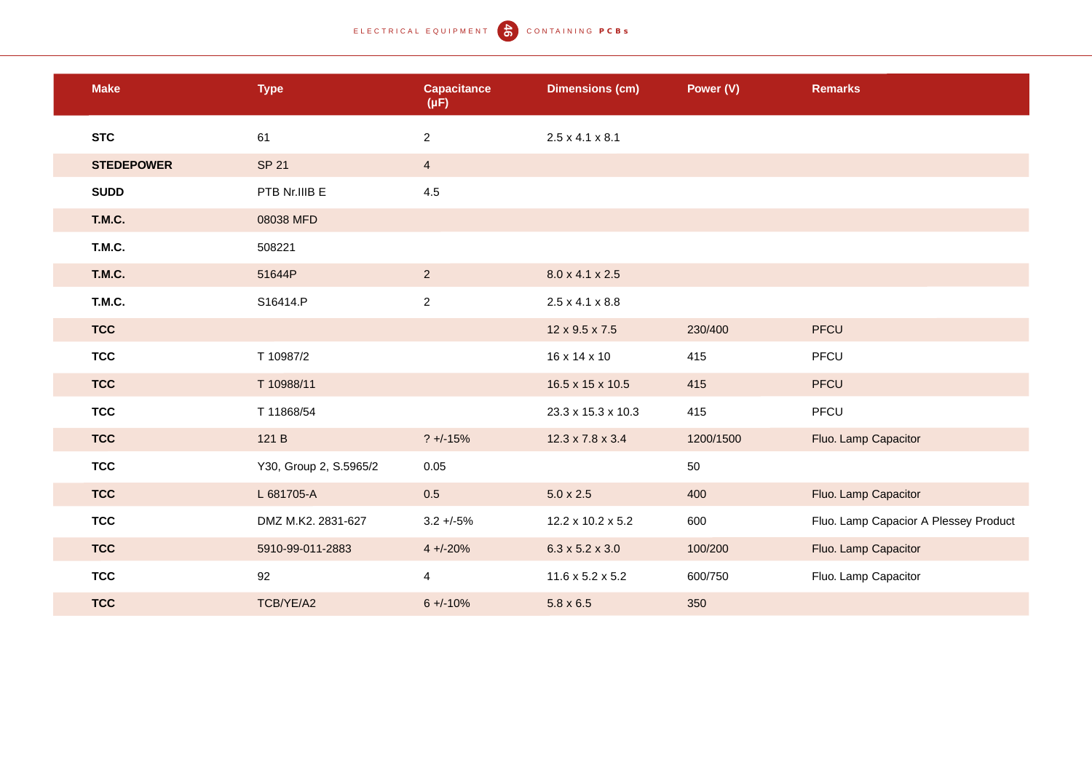#### ELECTRICAL EQUIPMENT **C** CONTAINING PCBS

| <b>Make</b>       | <b>Type</b>            | <b>Capacitance</b><br>$(\mu F)$ | <b>Dimensions (cm)</b>       | Power (V) | <b>Remarks</b>                        |
|-------------------|------------------------|---------------------------------|------------------------------|-----------|---------------------------------------|
| <b>STC</b>        | 61                     | $\overline{2}$                  | $2.5 \times 4.1 \times 8.1$  |           |                                       |
| <b>STEDEPOWER</b> | <b>SP 21</b>           | $\overline{4}$                  |                              |           |                                       |
| <b>SUDD</b>       | PTB Nr.IIIB E          | 4.5                             |                              |           |                                       |
| T.M.C.            | 08038 MFD              |                                 |                              |           |                                       |
| T.M.C.            | 508221                 |                                 |                              |           |                                       |
| <b>T.M.C.</b>     | 51644P                 | $\overline{2}$                  | 8.0 x 4.1 x 2.5              |           |                                       |
| T.M.C.            | S16414.P               | $\overline{2}$                  | $2.5 \times 4.1 \times 8.8$  |           |                                       |
| <b>TCC</b>        |                        |                                 | 12 x 9.5 x 7.5               | 230/400   | PFCU                                  |
| <b>TCC</b>        | T 10987/2              |                                 | 16 x 14 x 10                 | 415       | PFCU                                  |
| <b>TCC</b>        | T 10988/11             |                                 | 16.5 x 15 x 10.5             | 415       | PFCU                                  |
| <b>TCC</b>        | T 11868/54             |                                 | 23.3 x 15.3 x 10.3           | 415       | PFCU                                  |
| <b>TCC</b>        | 121 B                  | $? +/-15%$                      | $12.3 \times 7.8 \times 3.4$ | 1200/1500 | Fluo. Lamp Capacitor                  |
| <b>TCC</b>        | Y30, Group 2, S.5965/2 | 0.05                            |                              | 50        |                                       |
| <b>TCC</b>        | L 681705-A             | 0.5                             | $5.0 \times 2.5$             | 400       | Fluo. Lamp Capacitor                  |
| <b>TCC</b>        | DMZ M.K2. 2831-627     | $3.2 + -5%$                     | 12.2 x 10.2 x 5.2            | 600       | Fluo. Lamp Capacior A Plessey Product |
| <b>TCC</b>        | 5910-99-011-2883       | $4 + (-20%)$                    | $6.3 \times 5.2 \times 3.0$  | 100/200   | Fluo. Lamp Capacitor                  |
| <b>TCC</b>        | 92                     | $\overline{4}$                  | $11.6 \times 5.2 \times 5.2$ | 600/750   | Fluo. Lamp Capacitor                  |
| <b>TCC</b>        | TCB/YE/A2              | $6 + (-10\%)$                   | $5.8 \times 6.5$             | 350       |                                       |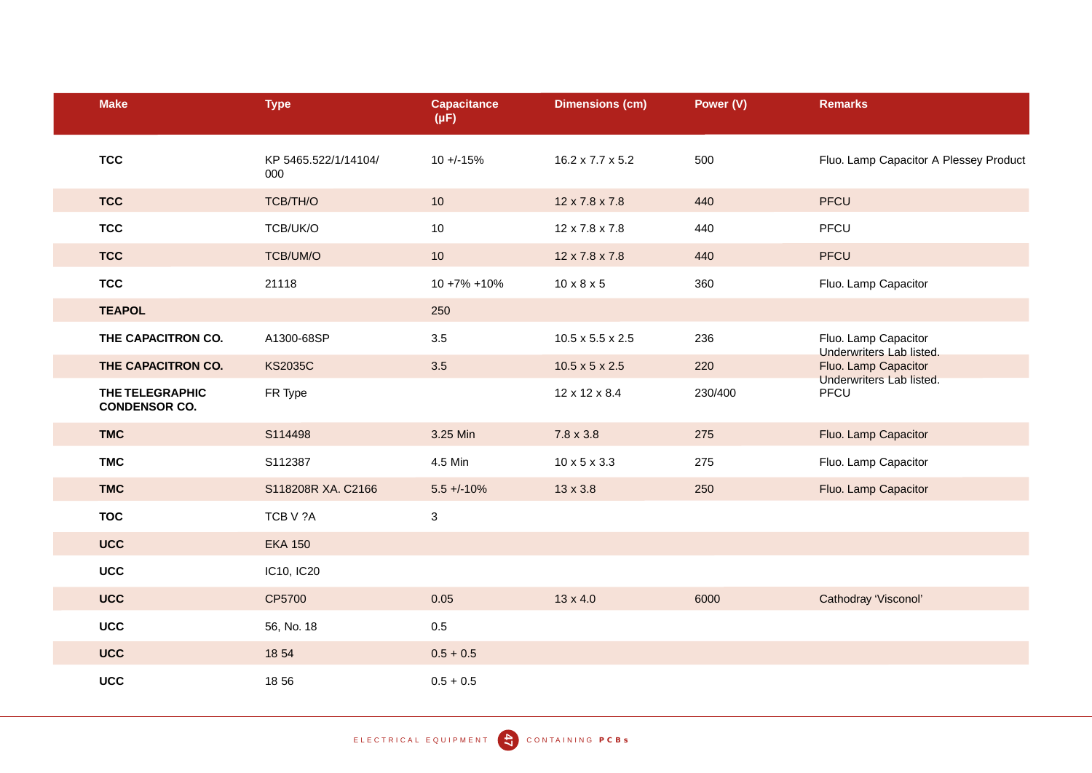| <b>Make</b>                             | <b>Type</b>                 | <b>Capacitance</b><br>$(\mu F)$ | <b>Dimensions (cm)</b>       | Power (V) | <b>Remarks</b>                                   |
|-----------------------------------------|-----------------------------|---------------------------------|------------------------------|-----------|--------------------------------------------------|
| <b>TCC</b>                              | KP 5465.522/1/14104/<br>000 | $10 + (-15%)$                   | $16.2 \times 7.7 \times 5.2$ | 500       | Fluo. Lamp Capacitor A Plessey Product           |
| <b>TCC</b>                              | TCB/TH/O                    | 10 <sup>1</sup>                 | 12 x 7.8 x 7.8               | 440       | <b>PFCU</b>                                      |
| <b>TCC</b>                              | TCB/UK/O                    | 10                              | 12 x 7.8 x 7.8               | 440       | PFCU                                             |
| <b>TCC</b>                              | TCB/UM/O                    | 10                              | 12 x 7.8 x 7.8               | 440       | <b>PFCU</b>                                      |
| <b>TCC</b>                              | 21118                       | $10 + 7\% + 10\%$               | $10 \times 8 \times 5$       | 360       | Fluo. Lamp Capacitor                             |
| <b>TEAPOL</b>                           |                             | 250                             |                              |           |                                                  |
| THE CAPACITRON CO.                      | A1300-68SP                  | 3.5                             | $10.5 \times 5.5 \times 2.5$ | 236       | Fluo. Lamp Capacitor                             |
| THE CAPACITRON CO.                      | <b>KS2035C</b>              | 3.5                             | $10.5 \times 5 \times 2.5$   | 220       | Underwriters Lab listed.<br>Fluo. Lamp Capacitor |
| THE TELEGRAPHIC<br><b>CONDENSOR CO.</b> | FR Type                     |                                 | 12 x 12 x 8.4                | 230/400   | Underwriters Lab listed.<br>PFCU                 |
| <b>TMC</b>                              | S114498                     | 3.25 Min                        | $7.8 \times 3.8$             | 275       | Fluo. Lamp Capacitor                             |
| <b>TMC</b>                              | S112387                     | 4.5 Min                         | $10 \times 5 \times 3.3$     | 275       | Fluo. Lamp Capacitor                             |
| <b>TMC</b>                              | S118208R XA. C2166          | $5.5 + (-10\%$                  | $13 \times 3.8$              | 250       | Fluo. Lamp Capacitor                             |
| <b>TOC</b>                              | TCB V ?A                    | $\mathbf{3}$                    |                              |           |                                                  |
| <b>UCC</b>                              | <b>EKA 150</b>              |                                 |                              |           |                                                  |
| <b>UCC</b>                              | IC10, IC20                  |                                 |                              |           |                                                  |
| <b>UCC</b>                              | CP5700                      | 0.05                            | $13 \times 4.0$              | 6000      | Cathodray 'Visconol'                             |
| <b>UCC</b>                              | 56, No. 18                  | $0.5\,$                         |                              |           |                                                  |
| <b>UCC</b>                              | 18 54                       | $0.5 + 0.5$                     |                              |           |                                                  |
| <b>UCC</b>                              | 1856                        | $0.5 + 0.5$                     |                              |           |                                                  |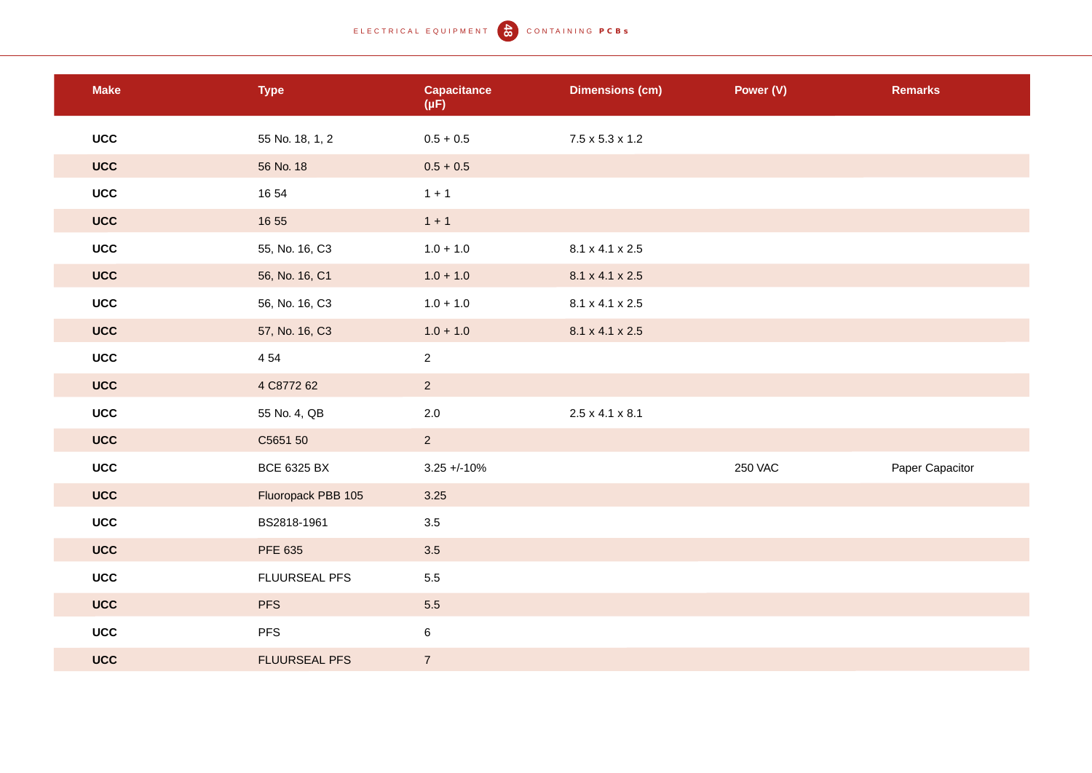# ELECTRICAL EQUIPMENT (CONTAINING PCBS)

| <b>Make</b> | <b>Type</b>          | <b>Capacitance</b><br>$(\mu F)$ | <b>Dimensions (cm)</b>      | Power (V)      | <b>Remarks</b>  |
|-------------|----------------------|---------------------------------|-----------------------------|----------------|-----------------|
| <b>UCC</b>  | 55 No. 18, 1, 2      | $0.5 + 0.5$                     | $7.5 \times 5.3 \times 1.2$ |                |                 |
| <b>UCC</b>  | 56 No. 18            | $0.5 + 0.5$                     |                             |                |                 |
| <b>UCC</b>  | 16 54                | $1 + 1$                         |                             |                |                 |
| <b>UCC</b>  | 16 55                | $1 + 1$                         |                             |                |                 |
| <b>UCC</b>  | 55, No. 16, C3       | $1.0 + 1.0$                     | 8.1 x 4.1 x 2.5             |                |                 |
| <b>UCC</b>  | 56, No. 16, C1       | $1.0 + 1.0$                     | 8.1 x 4.1 x 2.5             |                |                 |
| <b>UCC</b>  | 56, No. 16, C3       | $1.0 + 1.0$                     | 8.1 x 4.1 x 2.5             |                |                 |
| <b>UCC</b>  | 57, No. 16, C3       | $1.0 + 1.0$                     | 8.1 x 4.1 x 2.5             |                |                 |
| <b>UCC</b>  | 4 5 4                | $\overline{2}$                  |                             |                |                 |
| <b>UCC</b>  | 4 C8772 62           | $\overline{2}$                  |                             |                |                 |
| <b>UCC</b>  | 55 No. 4, QB         | $2.0\,$                         | $2.5 \times 4.1 \times 8.1$ |                |                 |
| <b>UCC</b>  | C5651 50             | $\overline{2}$                  |                             |                |                 |
| <b>UCC</b>  | <b>BCE 6325 BX</b>   | $3.25 + 10%$                    |                             | <b>250 VAC</b> | Paper Capacitor |
| <b>UCC</b>  | Fluoropack PBB 105   | 3.25                            |                             |                |                 |
| <b>UCC</b>  | BS2818-1961          | 3.5                             |                             |                |                 |
| <b>UCC</b>  | PFE 635              | 3.5                             |                             |                |                 |
| <b>UCC</b>  | FLUURSEAL PFS        | 5.5                             |                             |                |                 |
| <b>UCC</b>  | <b>PFS</b>           | 5.5                             |                             |                |                 |
| <b>UCC</b>  | <b>PFS</b>           | $\,6\,$                         |                             |                |                 |
| <b>UCC</b>  | <b>FLUURSEAL PFS</b> | $\overline{7}$                  |                             |                |                 |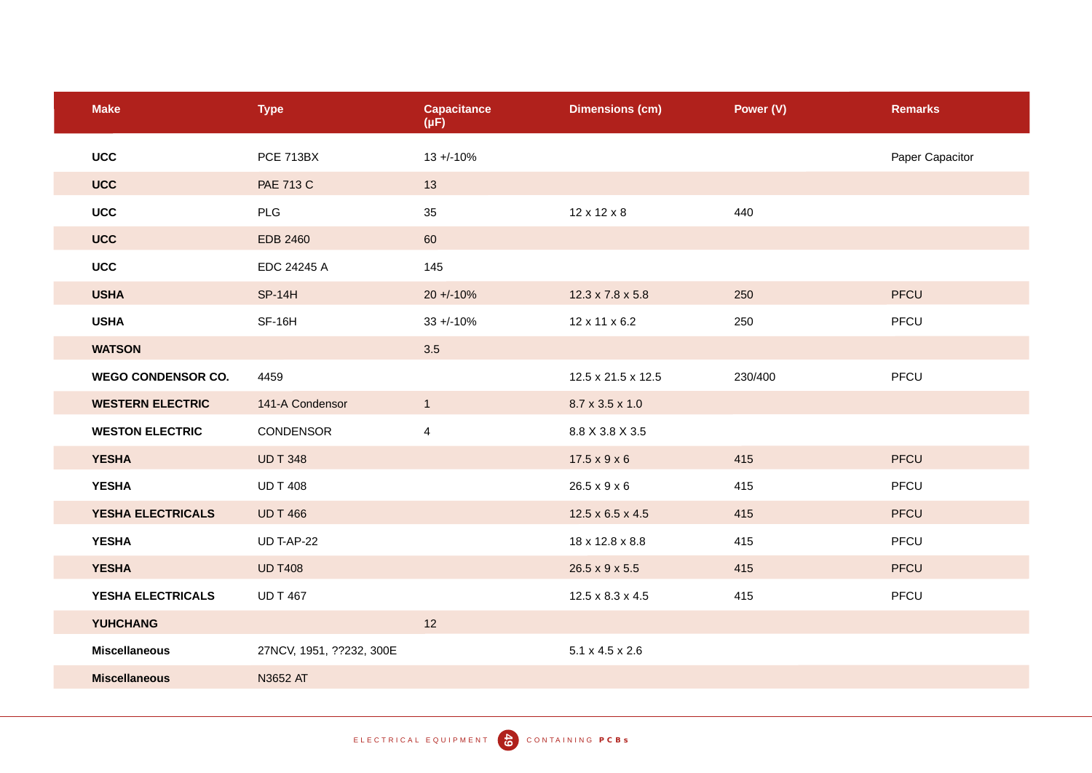| <b>Make</b>               | <b>Type</b>              | <b>Capacitance</b><br>$(\mu F)$ | <b>Dimensions (cm)</b>       | Power (V) | <b>Remarks</b>  |
|---------------------------|--------------------------|---------------------------------|------------------------------|-----------|-----------------|
| <b>UCC</b>                | <b>PCE 713BX</b>         | $13 + (-10\%)$                  |                              |           | Paper Capacitor |
| <b>UCC</b>                | <b>PAE 713 C</b>         | 13                              |                              |           |                 |
| <b>UCC</b>                | PLG                      | 35                              | $12 \times 12 \times 8$      | 440       |                 |
| <b>UCC</b>                | <b>EDB 2460</b>          | 60                              |                              |           |                 |
| <b>UCC</b>                | EDC 24245 A              | 145                             |                              |           |                 |
| <b>USHA</b>               | <b>SP-14H</b>            | $20 + 10%$                      | $12.3 \times 7.8 \times 5.8$ | 250       | PFCU            |
| <b>USHA</b>               | SF-16H                   | $33 + 10%$                      | 12 x 11 x 6.2                | 250       | PFCU            |
| <b>WATSON</b>             |                          | 3.5                             |                              |           |                 |
| <b>WEGO CONDENSOR CO.</b> | 4459                     |                                 | 12.5 x 21.5 x 12.5           | 230/400   | PFCU            |
| <b>WESTERN ELECTRIC</b>   | 141-A Condensor          | $\overline{1}$                  | 8.7 x 3.5 x 1.0              |           |                 |
| <b>WESTON ELECTRIC</b>    | <b>CONDENSOR</b>         | $\overline{4}$                  | 8.8 X 3.8 X 3.5              |           |                 |
| <b>YESHA</b>              | <b>UD T 348</b>          |                                 | $17.5 \times 9 \times 6$     | 415       | <b>PFCU</b>     |
| <b>YESHA</b>              | <b>UD T 408</b>          |                                 | $26.5 \times 9 \times 6$     | 415       | PFCU            |
| YESHA ELECTRICALS         | <b>UD T 466</b>          |                                 | $12.5 \times 6.5 \times 4.5$ | 415       | <b>PFCU</b>     |
| <b>YESHA</b>              | <b>UD T-AP-22</b>        |                                 | 18 x 12.8 x 8.8              | 415       | PFCU            |
| <b>YESHA</b>              | <b>UD T408</b>           |                                 | $26.5 \times 9 \times 5.5$   | 415       | PFCU            |
| YESHA ELECTRICALS         | <b>UD T 467</b>          |                                 | $12.5 \times 8.3 \times 4.5$ | 415       | PFCU            |
| <b>YUHCHANG</b>           |                          | 12                              |                              |           |                 |
| <b>Miscellaneous</b>      | 27NCV, 1951, ??232, 300E |                                 | $5.1 \times 4.5 \times 2.6$  |           |                 |
| <b>Miscellaneous</b>      | N3652 AT                 |                                 |                              |           |                 |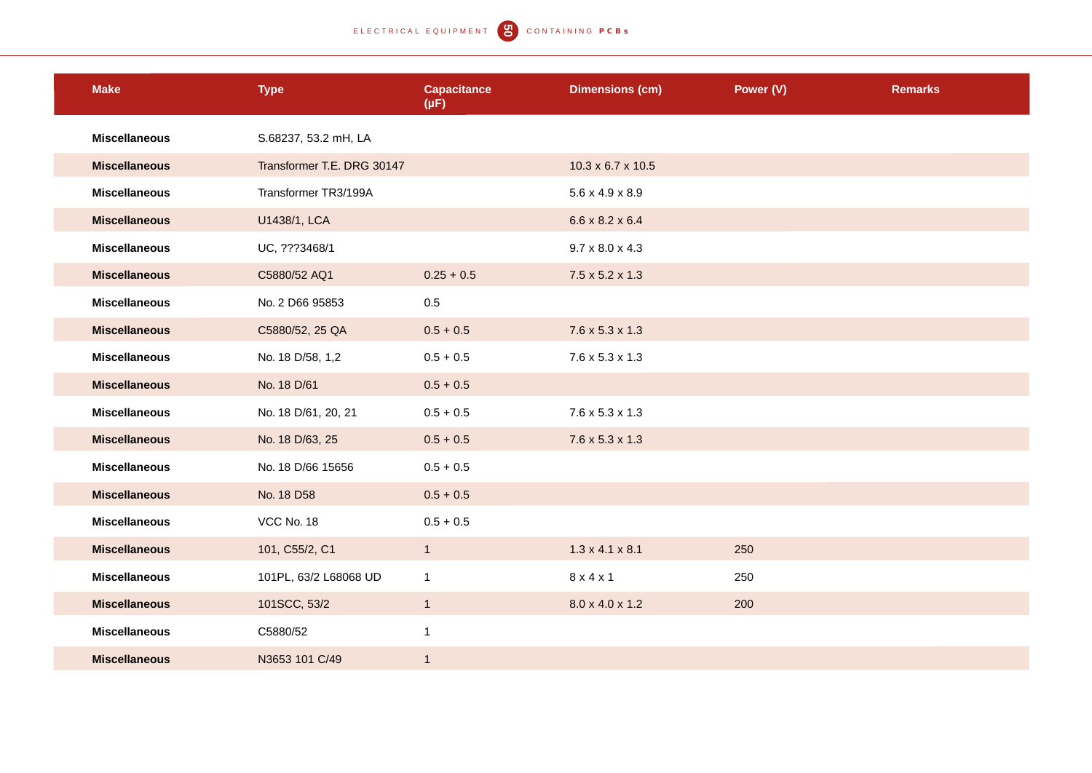| <b>Make</b>          | <b>Type</b>                | <b>Capacitance</b><br>$(\mu F)$ | <b>Dimensions (cm)</b>        | Power (V) | <b>Remarks</b> |
|----------------------|----------------------------|---------------------------------|-------------------------------|-----------|----------------|
| <b>Miscellaneous</b> | S.68237, 53.2 mH, LA       |                                 |                               |           |                |
| <b>Miscellaneous</b> | Transformer T.E. DRG 30147 |                                 | $10.3 \times 6.7 \times 10.5$ |           |                |
| <b>Miscellaneous</b> | Transformer TR3/199A       |                                 | $5.6 \times 4.9 \times 8.9$   |           |                |
| <b>Miscellaneous</b> | U1438/1, LCA               |                                 | $6.6 \times 8.2 \times 6.4$   |           |                |
| <b>Miscellaneous</b> | UC, ???3468/1              |                                 | $9.7 \times 8.0 \times 4.3$   |           |                |
| <b>Miscellaneous</b> | C5880/52 AQ1               | $0.25 + 0.5$                    | $7.5 \times 5.2 \times 1.3$   |           |                |
| <b>Miscellaneous</b> | No. 2 D66 95853            | $0.5\,$                         |                               |           |                |
| <b>Miscellaneous</b> | C5880/52, 25 QA            | $0.5 + 0.5$                     | $7.6 \times 5.3 \times 1.3$   |           |                |
| <b>Miscellaneous</b> | No. 18 D/58, 1,2           | $0.5 + 0.5$                     | $7.6 \times 5.3 \times 1.3$   |           |                |
| <b>Miscellaneous</b> | No. 18 D/61                | $0.5 + 0.5$                     |                               |           |                |
| <b>Miscellaneous</b> | No. 18 D/61, 20, 21        | $0.5 + 0.5$                     | $7.6 \times 5.3 \times 1.3$   |           |                |
| <b>Miscellaneous</b> | No. 18 D/63, 25            | $0.5 + 0.5$                     | $7.6 \times 5.3 \times 1.3$   |           |                |
| <b>Miscellaneous</b> | No. 18 D/66 15656          | $0.5 + 0.5$                     |                               |           |                |
| <b>Miscellaneous</b> | No. 18 D58                 | $0.5 + 0.5$                     |                               |           |                |
| <b>Miscellaneous</b> | VCC No. 18                 | $0.5 + 0.5$                     |                               |           |                |
| <b>Miscellaneous</b> | 101, C55/2, C1             | $\overline{1}$                  | $1.3 \times 4.1 \times 8.1$   | 250       |                |
| <b>Miscellaneous</b> | 101PL, 63/2 L68068 UD      | $\mathbf{1}$                    | 8x4x1                         | 250       |                |
| <b>Miscellaneous</b> | 101SCC, 53/2               | $\mathbf{1}$                    | 8.0 x 4.0 x 1.2               | 200       |                |
| <b>Miscellaneous</b> | C5880/52                   | $\mathbf{1}$                    |                               |           |                |
| <b>Miscellaneous</b> | N3653 101 C/49             | $\mathbf{1}$                    |                               |           |                |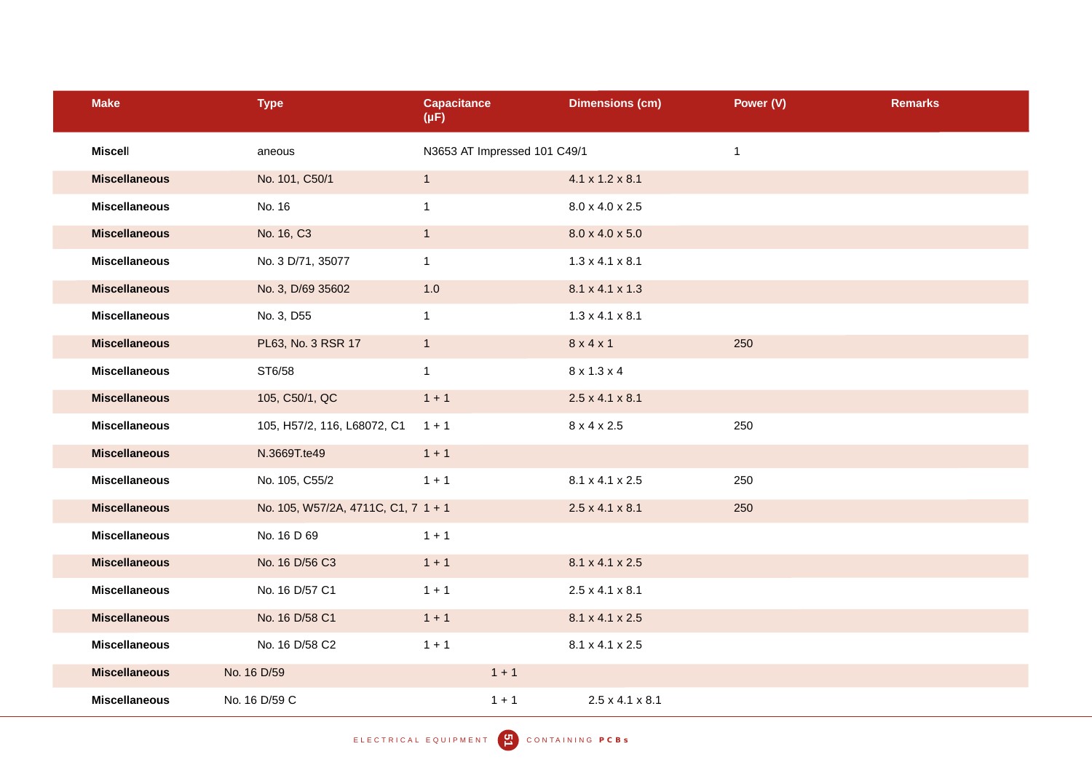| <b>Make</b>          | <b>Type</b>                         | <b>Capacitance</b><br>$(\mu F)$ |                              | <b>Dimensions (cm)</b>      | Power (V)    | <b>Remarks</b> |
|----------------------|-------------------------------------|---------------------------------|------------------------------|-----------------------------|--------------|----------------|
| <b>Miscell</b>       | aneous                              |                                 | N3653 AT Impressed 101 C49/1 |                             | $\mathbf{1}$ |                |
| <b>Miscellaneous</b> | No. 101, C50/1                      | $\mathbf{1}$                    |                              | $4.1 \times 1.2 \times 8.1$ |              |                |
| <b>Miscellaneous</b> | No. 16                              | $\mathbf{1}$                    |                              | 8.0 x 4.0 x 2.5             |              |                |
| <b>Miscellaneous</b> | No. 16, C3                          | $\mathbf{1}$                    |                              | $8.0 \times 4.0 \times 5.0$ |              |                |
| <b>Miscellaneous</b> | No. 3 D/71, 35077                   | $\mathbf{1}$                    |                              | $1.3 \times 4.1 \times 8.1$ |              |                |
| <b>Miscellaneous</b> | No. 3, D/69 35602                   | $1.0$                           |                              | 8.1 x 4.1 x 1.3             |              |                |
| <b>Miscellaneous</b> | No. 3, D55                          | $\mathbf{1}$                    |                              | $1.3 \times 4.1 \times 8.1$ |              |                |
| <b>Miscellaneous</b> | PL63, No. 3 RSR 17                  | $\mathbf{1}$                    |                              | 8 x 4 x 1                   | 250          |                |
| <b>Miscellaneous</b> | ST6/58                              | $\mathbf{1}$                    |                              | 8 x 1.3 x 4                 |              |                |
| <b>Miscellaneous</b> | 105, C50/1, QC                      | $1 + 1$                         |                              | $2.5 \times 4.1 \times 8.1$ |              |                |
| <b>Miscellaneous</b> | 105, H57/2, 116, L68072, C1         | $1 + 1$                         |                              | 8 x 4 x 2.5                 | 250          |                |
| <b>Miscellaneous</b> | N.3669T.te49                        | $1 + 1$                         |                              |                             |              |                |
| <b>Miscellaneous</b> | No. 105, C55/2                      | $1 + 1$                         |                              | 8.1 x 4.1 x 2.5             | 250          |                |
| <b>Miscellaneous</b> | No. 105, W57/2A, 4711C, C1, 7 1 + 1 |                                 |                              | $2.5 \times 4.1 \times 8.1$ | 250          |                |
| <b>Miscellaneous</b> | No. 16 D 69                         | $1 + 1$                         |                              |                             |              |                |
| <b>Miscellaneous</b> | No. 16 D/56 C3                      | $1 + 1$                         |                              | 8.1 x 4.1 x 2.5             |              |                |
| <b>Miscellaneous</b> | No. 16 D/57 C1                      | $1 + 1$                         |                              | $2.5 \times 4.1 \times 8.1$ |              |                |
| <b>Miscellaneous</b> | No. 16 D/58 C1                      | $1 + 1$                         |                              | 8.1 x 4.1 x 2.5             |              |                |
| <b>Miscellaneous</b> | No. 16 D/58 C2                      | $1 + 1$                         |                              | 8.1 x 4.1 x 2.5             |              |                |
| <b>Miscellaneous</b> | No. 16 D/59                         |                                 | $1 + 1$                      |                             |              |                |
| <b>Miscellaneous</b> | No. 16 D/59 C                       |                                 | $1 + 1$                      | $2.5 \times 4.1 \times 8.1$ |              |                |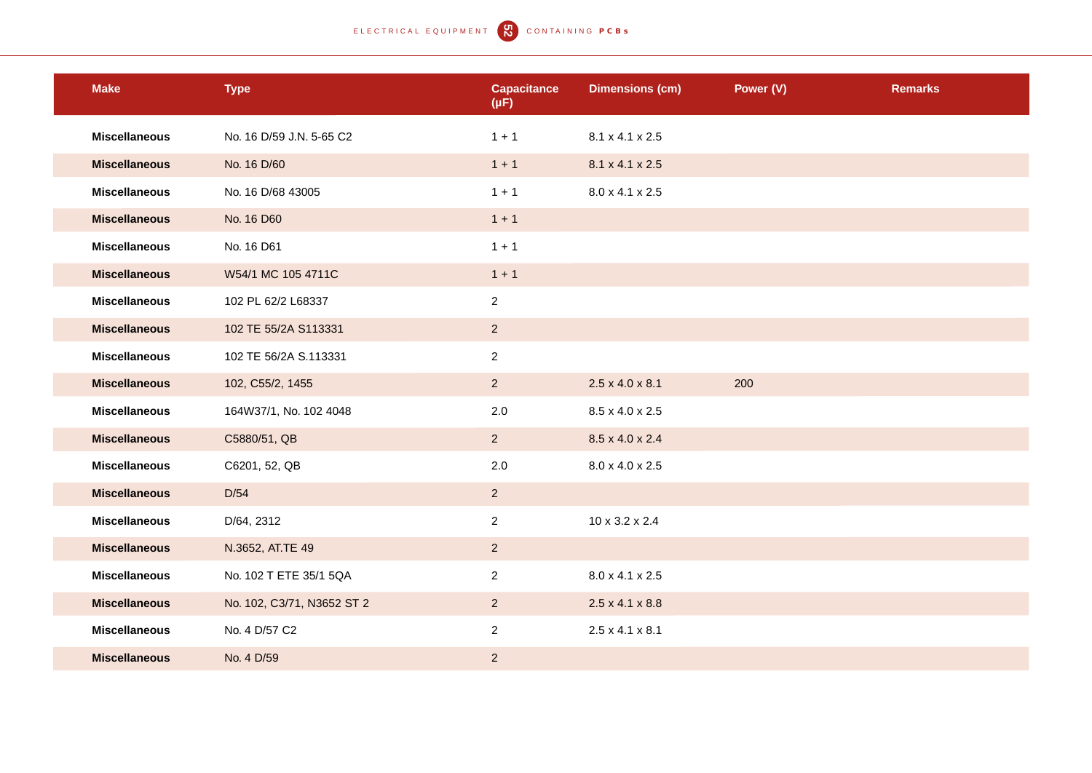# ELECTRICAL EQUIPMENT **Q** CONTAINING PCBS

| <b>Make</b>          | <b>Type</b>                | <b>Capacitance</b><br>$(\mu F)$ | <b>Dimensions (cm)</b>      | Power (V) | <b>Remarks</b> |
|----------------------|----------------------------|---------------------------------|-----------------------------|-----------|----------------|
| <b>Miscellaneous</b> | No. 16 D/59 J.N. 5-65 C2   | $1 + 1$                         | 8.1 x 4.1 x 2.5             |           |                |
| <b>Miscellaneous</b> | No. 16 D/60                | $1 + 1$                         | 8.1 x 4.1 x 2.5             |           |                |
| <b>Miscellaneous</b> | No. 16 D/68 43005          | $1 + 1$                         | 8.0 x 4.1 x 2.5             |           |                |
| <b>Miscellaneous</b> | No. 16 D60                 | $1 + 1$                         |                             |           |                |
| <b>Miscellaneous</b> | No. 16 D61                 | $1 + 1$                         |                             |           |                |
| <b>Miscellaneous</b> | W54/1 MC 105 4711C         | $1 + 1$                         |                             |           |                |
| <b>Miscellaneous</b> | 102 PL 62/2 L68337         | $\overline{2}$                  |                             |           |                |
| <b>Miscellaneous</b> | 102 TE 55/2A S113331       | $2^{\circ}$                     |                             |           |                |
| <b>Miscellaneous</b> | 102 TE 56/2A S.113331      | $\overline{2}$                  |                             |           |                |
| <b>Miscellaneous</b> | 102, C55/2, 1455           | $2^{\circ}$                     | $2.5 \times 4.0 \times 8.1$ | 200       |                |
| <b>Miscellaneous</b> | 164W37/1, No. 102 4048     | 2.0                             | 8.5 x 4.0 x 2.5             |           |                |
| <b>Miscellaneous</b> | C5880/51, QB               | $2^{\circ}$                     | 8.5 x 4.0 x 2.4             |           |                |
| <b>Miscellaneous</b> | C6201, 52, QB              | 2.0                             | 8.0 x 4.0 x 2.5             |           |                |
| <b>Miscellaneous</b> | D/54                       | $2^{\circ}$                     |                             |           |                |
| <b>Miscellaneous</b> | D/64, 2312                 | $\overline{2}$                  | 10 x 3.2 x 2.4              |           |                |
| <b>Miscellaneous</b> | N.3652, AT.TE 49           | 2                               |                             |           |                |
| <b>Miscellaneous</b> | No. 102 T ETE 35/1 5QA     | $\overline{2}$                  | 8.0 x 4.1 x 2.5             |           |                |
| <b>Miscellaneous</b> | No. 102, C3/71, N3652 ST 2 | $2^{\circ}$                     | $2.5 \times 4.1 \times 8.8$ |           |                |
| <b>Miscellaneous</b> | No. 4 D/57 C2              | $\overline{2}$                  | $2.5 \times 4.1 \times 8.1$ |           |                |
| <b>Miscellaneous</b> | No. 4 D/59                 | $\overline{2}$                  |                             |           |                |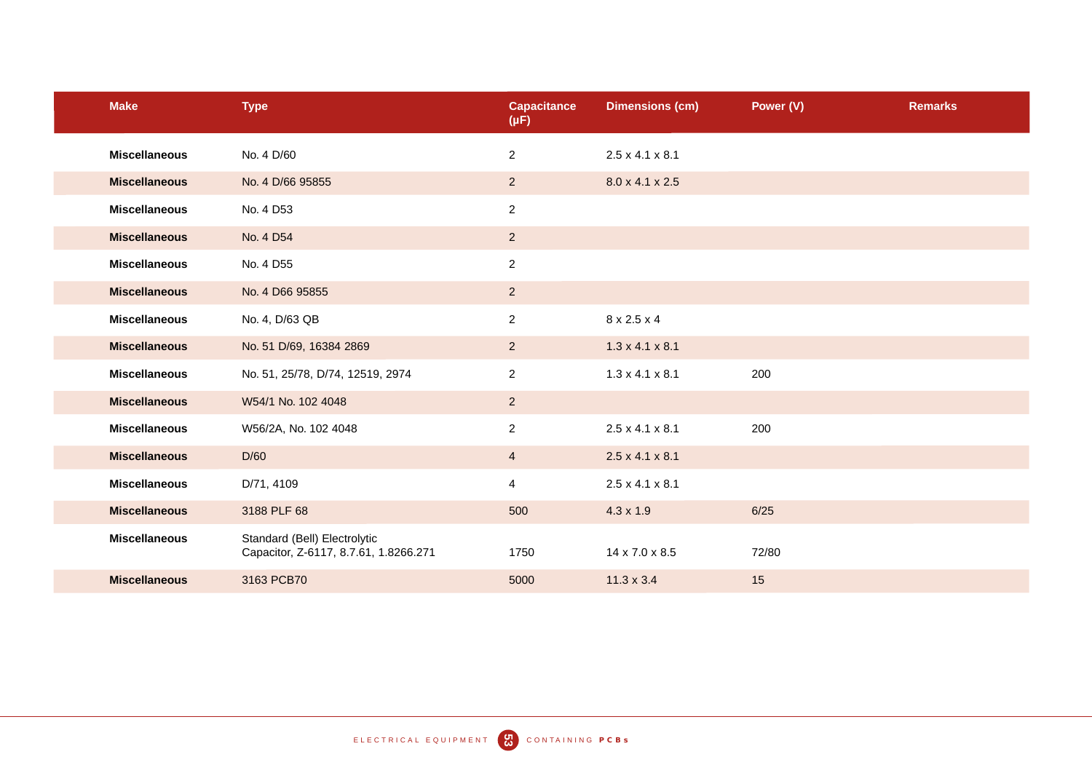| <b>Make</b>          | <b>Type</b>                                                           | <b>Capacitance</b><br>$(\mu F)$ | <b>Dimensions (cm)</b>      | Power (V) | <b>Remarks</b> |
|----------------------|-----------------------------------------------------------------------|---------------------------------|-----------------------------|-----------|----------------|
| <b>Miscellaneous</b> | No. 4 D/60                                                            | $\overline{2}$                  | $2.5 \times 4.1 \times 8.1$ |           |                |
| <b>Miscellaneous</b> | No. 4 D/66 95855                                                      | $2^{\circ}$                     | 8.0 x 4.1 x 2.5             |           |                |
| <b>Miscellaneous</b> | No. 4 D53                                                             | $\overline{c}$                  |                             |           |                |
| <b>Miscellaneous</b> | No. 4 D54                                                             | $2^{\circ}$                     |                             |           |                |
| <b>Miscellaneous</b> | No. 4 D55                                                             | $\overline{c}$                  |                             |           |                |
| <b>Miscellaneous</b> | No. 4 D66 95855                                                       | $\overline{2}$                  |                             |           |                |
| <b>Miscellaneous</b> | No. 4, D/63 QB                                                        | $\overline{2}$                  | 8 x 2.5 x 4                 |           |                |
| <b>Miscellaneous</b> | No. 51 D/69, 16384 2869                                               | 2                               | $1.3 \times 4.1 \times 8.1$ |           |                |
| <b>Miscellaneous</b> | No. 51, 25/78, D/74, 12519, 2974                                      | $\overline{2}$                  | $1.3 \times 4.1 \times 8.1$ | 200       |                |
| <b>Miscellaneous</b> | W54/1 No. 102 4048                                                    | $\overline{2}$                  |                             |           |                |
| <b>Miscellaneous</b> | W56/2A, No. 102 4048                                                  | $\overline{2}$                  | $2.5 \times 4.1 \times 8.1$ | 200       |                |
| <b>Miscellaneous</b> | D/60                                                                  | $\overline{4}$                  | $2.5 \times 4.1 \times 8.1$ |           |                |
| <b>Miscellaneous</b> | D/71, 4109                                                            | $\overline{4}$                  | $2.5 \times 4.1 \times 8.1$ |           |                |
| <b>Miscellaneous</b> | 3188 PLF 68                                                           | 500                             | $4.3 \times 1.9$            | 6/25      |                |
| <b>Miscellaneous</b> | Standard (Bell) Electrolytic<br>Capacitor, Z-6117, 8.7.61, 1.8266.271 | 1750                            | 14 x 7.0 x 8.5              | 72/80     |                |
| <b>Miscellaneous</b> | 3163 PCB70                                                            | 5000                            | $11.3 \times 3.4$           | 15        |                |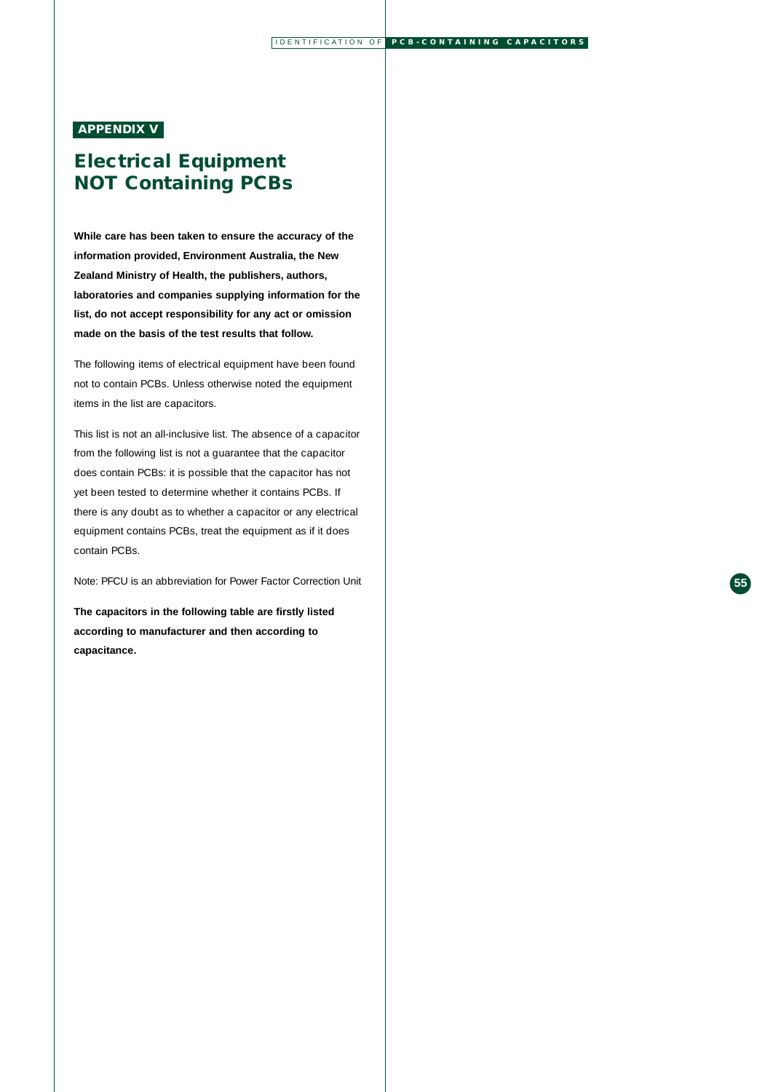### **APPENDIX V**

# **Electrical Equipment NOT Containing PCBs**

**While care has been taken to ensure the accuracy of the information provided, Environment Australia, the New Zealand Ministry of Health, the publishers, authors, laboratories and companies supplying information for the list, do not accept responsibility for any act or omission made on the basis of the test results that follow.**

The following items of electrical equipment have been found not to contain PCBs. Unless otherwise noted the equipment items in the list are capacitors.

This list is not an all-inclusive list. The absence of a capacitor from the following list is not a guarantee that the capacitor does contain PCBs: it is possible that the capacitor has not yet been tested to determine whether it contains PCBs. If there is any doubt as to whether a capacitor or any electrical equipment contains PCBs, treat the equipment as if it does contain PCBs.

Note: PFCU is an abbreviation for Power Factor Correction Unit

**The capacitors in the following table are firstly listed according to manufacturer and then according to capacitance.**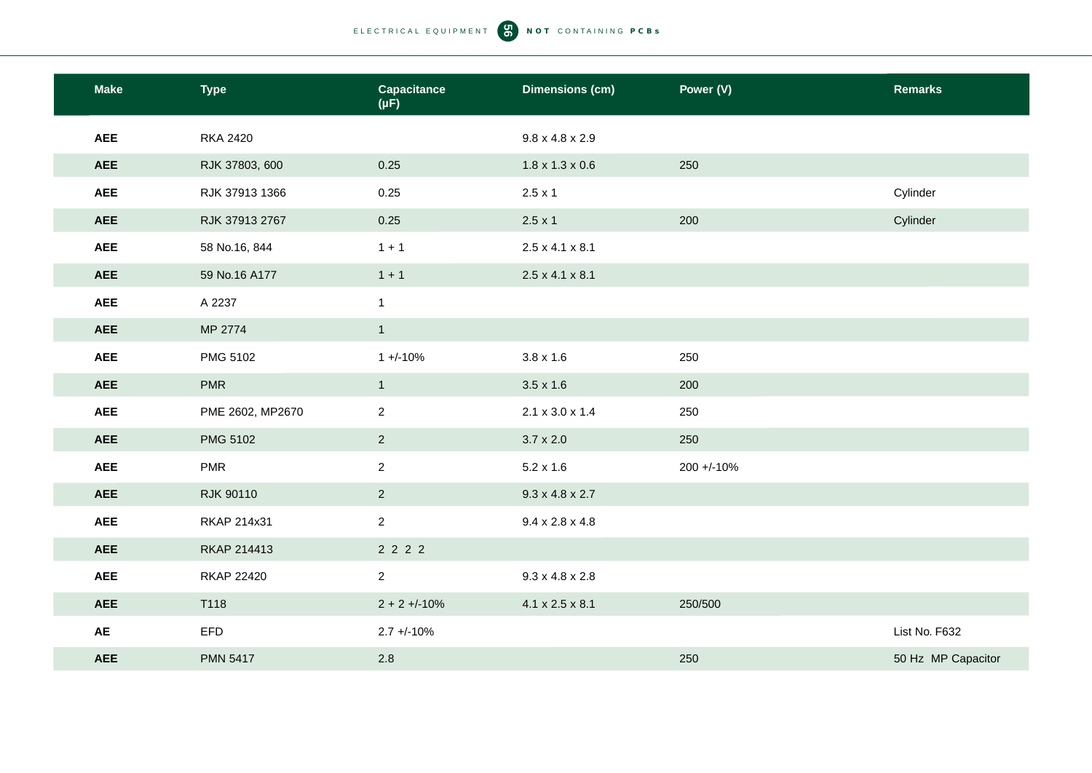| <b>Make</b> | <b>Type</b>       | <b>Capacitance</b><br>$(\mu F)$ | <b>Dimensions (cm)</b>      | Power (V)  | <b>Remarks</b>     |
|-------------|-------------------|---------------------------------|-----------------------------|------------|--------------------|
| <b>AEE</b>  | <b>RKA 2420</b>   |                                 | $9.8 \times 4.8 \times 2.9$ |            |                    |
| <b>AEE</b>  | RJK 37803, 600    | 0.25                            | $1.8 \times 1.3 \times 0.6$ | 250        |                    |
| <b>AEE</b>  | RJK 37913 1366    | 0.25                            | $2.5 \times 1$              |            | Cylinder           |
| <b>AEE</b>  | RJK 37913 2767    | 0.25                            | $2.5 \times 1$              | 200        | Cylinder           |
| <b>AEE</b>  | 58 No.16, 844     | $1 + 1$                         | $2.5 \times 4.1 \times 8.1$ |            |                    |
| <b>AEE</b>  | 59 No.16 A177     | $1 + 1$                         | $2.5 \times 4.1 \times 8.1$ |            |                    |
| <b>AEE</b>  | A 2237            | $\mathbf{1}$                    |                             |            |                    |
| <b>AEE</b>  | MP 2774           | $\mathbf{1}$                    |                             |            |                    |
| <b>AEE</b>  | PMG 5102          | $1 + (-10%)$                    | $3.8 \times 1.6$            | 250        |                    |
| <b>AEE</b>  | <b>PMR</b>        | $\overline{1}$                  | $3.5 \times 1.6$            | 200        |                    |
| <b>AEE</b>  | PME 2602, MP2670  | $\overline{2}$                  | $2.1 \times 3.0 \times 1.4$ | 250        |                    |
| <b>AEE</b>  | PMG 5102          | $\overline{2}$                  | $3.7 \times 2.0$            | 250        |                    |
| <b>AEE</b>  | <b>PMR</b>        | $\overline{a}$                  | $5.2 \times 1.6$            | 200 +/-10% |                    |
| <b>AEE</b>  | <b>RJK 90110</b>  | $\overline{2}$                  | $9.3 \times 4.8 \times 2.7$ |            |                    |
| <b>AEE</b>  | RKAP 214x31       | $\overline{2}$                  | $9.4 \times 2.8 \times 4.8$ |            |                    |
| <b>AEE</b>  | RKAP 214413       | 2 2 2 2                         |                             |            |                    |
| <b>AEE</b>  | <b>RKAP 22420</b> | $\overline{2}$                  | $9.3 \times 4.8 \times 2.8$ |            |                    |
| <b>AEE</b>  | T118              | $2 + 2 + (-10%)$                | $4.1 \times 2.5 \times 8.1$ | 250/500    |                    |
| AE          | EFD               | $2.7 + -10%$                    |                             |            | List No. F632      |
| <b>AEE</b>  | <b>PMN 5417</b>   | $2.8\,$                         |                             | 250        | 50 Hz MP Capacitor |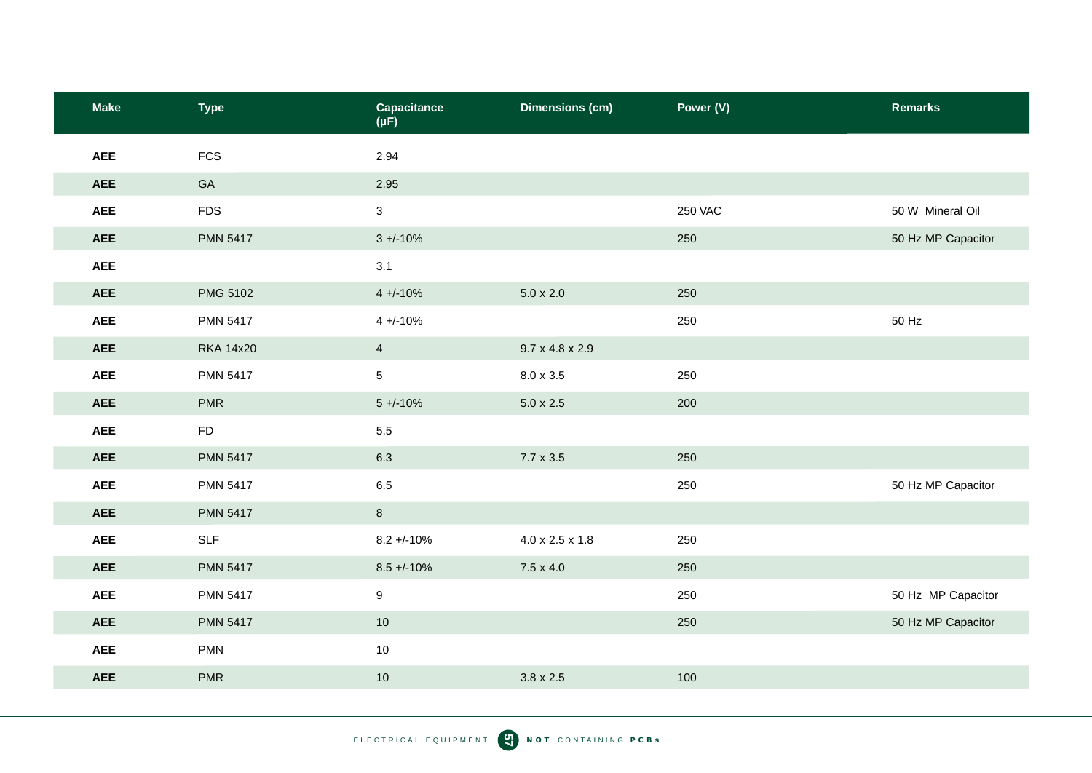| <b>Make</b> | <b>Type</b>      | <b>Capacitance</b><br>$(\mu F)$ | <b>Dimensions (cm)</b>      | Power (V)      | <b>Remarks</b>     |
|-------------|------------------|---------------------------------|-----------------------------|----------------|--------------------|
| <b>AEE</b>  | <b>FCS</b>       | 2.94                            |                             |                |                    |
| <b>AEE</b>  | GA               | 2.95                            |                             |                |                    |
| <b>AEE</b>  | <b>FDS</b>       | $\mathbf{3}$                    |                             | <b>250 VAC</b> | 50 W Mineral Oil   |
| <b>AEE</b>  | <b>PMN 5417</b>  | $3 + (-10\%$                    |                             | 250            | 50 Hz MP Capacitor |
| <b>AEE</b>  |                  | 3.1                             |                             |                |                    |
| <b>AEE</b>  | PMG 5102         | $4 + (-10\%$                    | $5.0 \times 2.0$            | 250            |                    |
| <b>AEE</b>  | <b>PMN 5417</b>  | $4 + 10%$                       |                             | 250            | 50 Hz              |
| <b>AEE</b>  | <b>RKA 14x20</b> | $\overline{4}$                  | $9.7 \times 4.8 \times 2.9$ |                |                    |
| <b>AEE</b>  | <b>PMN 5417</b>  | 5                               | $8.0 \times 3.5$            | 250            |                    |
| <b>AEE</b>  | <b>PMR</b>       | $5 + (-10\%$                    | $5.0 \times 2.5$            | 200            |                    |
| <b>AEE</b>  | <b>FD</b>        | $5.5\,$                         |                             |                |                    |
| <b>AEE</b>  | <b>PMN 5417</b>  | 6.3                             | $7.7 \times 3.5$            | 250            |                    |
| <b>AEE</b>  | <b>PMN 5417</b>  | 6.5                             |                             | 250            | 50 Hz MP Capacitor |
| <b>AEE</b>  | <b>PMN 5417</b>  | $\bf{8}$                        |                             |                |                    |
| <b>AEE</b>  | <b>SLF</b>       | $8.2 + -10%$                    | $4.0 \times 2.5 \times 1.8$ | 250            |                    |
| <b>AEE</b>  | <b>PMN 5417</b>  | $8.5 + -10%$                    | $7.5 \times 4.0$            | 250            |                    |
| <b>AEE</b>  | <b>PMN 5417</b>  | $\boldsymbol{9}$                |                             | 250            | 50 Hz MP Capacitor |
| <b>AEE</b>  | <b>PMN 5417</b>  | $10$                            |                             | 250            | 50 Hz MP Capacitor |
| <b>AEE</b>  | <b>PMN</b>       | 10                              |                             |                |                    |
| <b>AEE</b>  | <b>PMR</b>       | $10$                            | $3.8 \times 2.5$            | 100            |                    |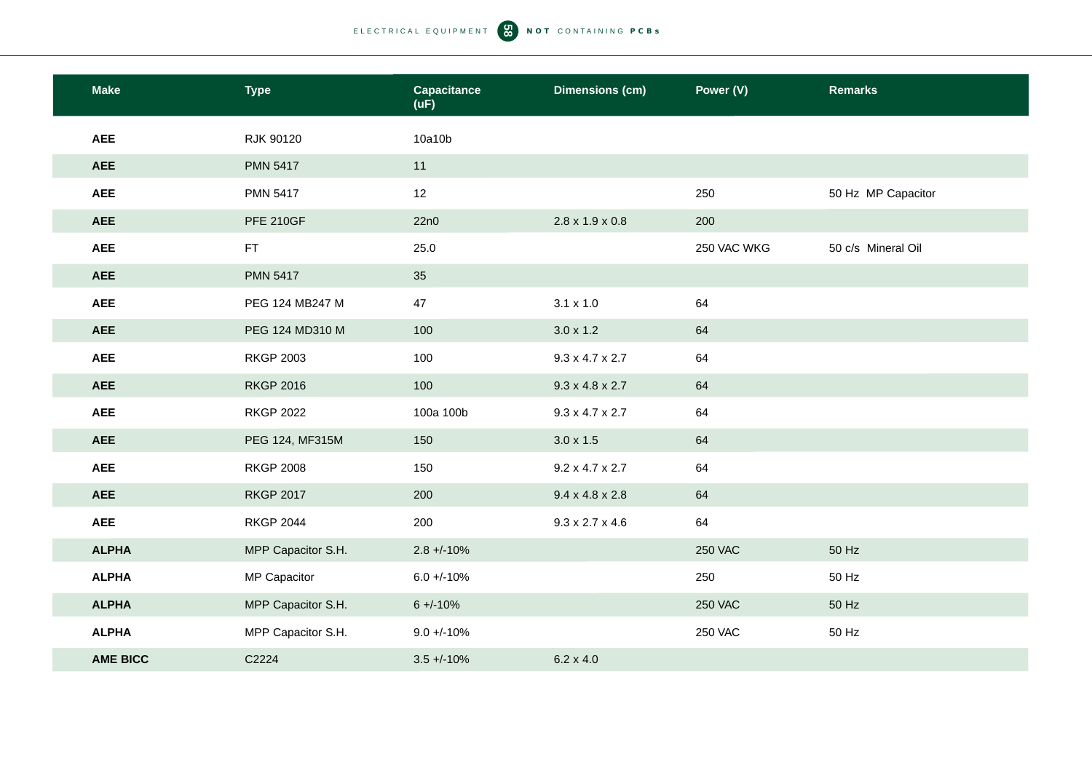| <b>Make</b>     | <b>Type</b>        | <b>Capacitance</b><br>(uF) | <b>Dimensions (cm)</b>      | Power (V)      | <b>Remarks</b>     |
|-----------------|--------------------|----------------------------|-----------------------------|----------------|--------------------|
| <b>AEE</b>      | RJK 90120          | 10a10b                     |                             |                |                    |
| <b>AEE</b>      | <b>PMN 5417</b>    | 11                         |                             |                |                    |
| <b>AEE</b>      | <b>PMN 5417</b>    | 12                         |                             | 250            | 50 Hz MP Capacitor |
| <b>AEE</b>      | <b>PFE 210GF</b>   | 22n0                       | $2.8 \times 1.9 \times 0.8$ | 200            |                    |
| <b>AEE</b>      | FT.                | 25.0                       |                             | 250 VAC WKG    | 50 c/s Mineral Oil |
| <b>AEE</b>      | <b>PMN 5417</b>    | 35                         |                             |                |                    |
| <b>AEE</b>      | PEG 124 MB247 M    | 47                         | $3.1 \times 1.0$            | 64             |                    |
| <b>AEE</b>      | PEG 124 MD310 M    | 100                        | $3.0 \times 1.2$            | 64             |                    |
| <b>AEE</b>      | <b>RKGP 2003</b>   | 100                        | $9.3 \times 4.7 \times 2.7$ | 64             |                    |
| <b>AEE</b>      | <b>RKGP 2016</b>   | 100                        | $9.3 \times 4.8 \times 2.7$ | 64             |                    |
| <b>AEE</b>      | <b>RKGP 2022</b>   | 100a 100b                  | $9.3 \times 4.7 \times 2.7$ | 64             |                    |
| <b>AEE</b>      | PEG 124, MF315M    | 150                        | $3.0 \times 1.5$            | 64             |                    |
| <b>AEE</b>      | <b>RKGP 2008</b>   | 150                        | $9.2 \times 4.7 \times 2.7$ | 64             |                    |
| <b>AEE</b>      | <b>RKGP 2017</b>   | 200                        | $9.4 \times 4.8 \times 2.8$ | 64             |                    |
| <b>AEE</b>      | <b>RKGP 2044</b>   | 200                        | $9.3 \times 2.7 \times 4.6$ | 64             |                    |
| <b>ALPHA</b>    | MPP Capacitor S.H. | $2.8 + -10%$               |                             | <b>250 VAC</b> | 50 Hz              |
| <b>ALPHA</b>    | MP Capacitor       | $6.0 + (-10\%$             |                             | 250            | 50 Hz              |
| <b>ALPHA</b>    | MPP Capacitor S.H. | $6 + -10%$                 |                             | <b>250 VAC</b> | 50 Hz              |
| <b>ALPHA</b>    | MPP Capacitor S.H. | $9.0 + / -10%$             |                             | <b>250 VAC</b> | 50 Hz              |
| <b>AME BICC</b> | C2224              | $3.5 + -10%$               | $6.2 \times 4.0$            |                |                    |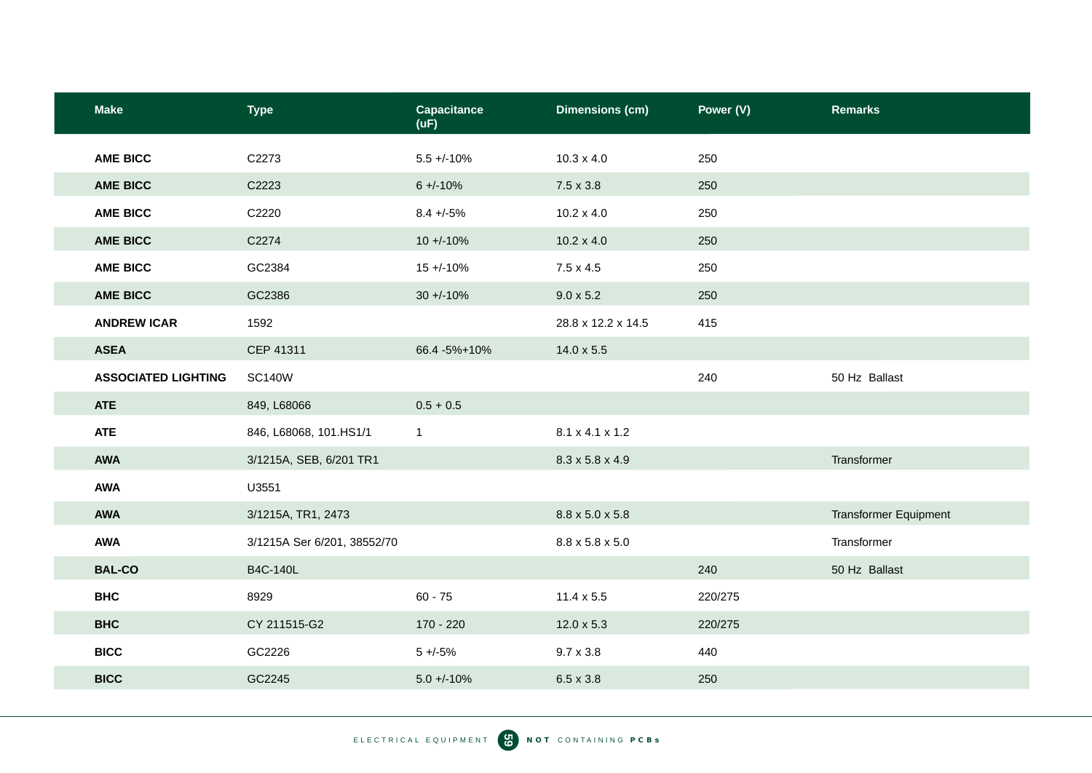| <b>Make</b>                | <b>Type</b>                 | <b>Capacitance</b><br>(UF) | <b>Dimensions (cm)</b>      | Power (V) | <b>Remarks</b>               |
|----------------------------|-----------------------------|----------------------------|-----------------------------|-----------|------------------------------|
| <b>AME BICC</b>            | C2273                       | $5.5 + (-10\%$             | $10.3 \times 4.0$           | 250       |                              |
| <b>AME BICC</b>            | C2223                       | $6 + -10%$                 | $7.5 \times 3.8$            | 250       |                              |
| <b>AME BICC</b>            | C2220                       | $8.4 + -5%$                | $10.2 \times 4.0$           | 250       |                              |
| <b>AME BICC</b>            | C2274                       | $10 + (-10\%$              | $10.2 \times 4.0$           | 250       |                              |
| <b>AME BICC</b>            | GC2384                      | $15 + (-10\%$              | $7.5 \times 4.5$            | 250       |                              |
| <b>AME BICC</b>            | GC2386                      | $30 + (-10\%$              | $9.0 \times 5.2$            | 250       |                              |
| <b>ANDREW ICAR</b>         | 1592                        |                            | 28.8 x 12.2 x 14.5          | 415       |                              |
| <b>ASEA</b>                | CEP 41311                   | 66.4 - 5% + 10%            | $14.0 \times 5.5$           |           |                              |
| <b>ASSOCIATED LIGHTING</b> | <b>SC140W</b>               |                            |                             | 240       | 50 Hz Ballast                |
| <b>ATE</b>                 | 849, L68066                 | $0.5 + 0.5$                |                             |           |                              |
| <b>ATE</b>                 | 846, L68068, 101.HS1/1      | $\mathbf{1}$               | 8.1 x 4.1 x 1.2             |           |                              |
| <b>AWA</b>                 | 3/1215A, SEB, 6/201 TR1     |                            | $8.3 \times 5.8 \times 4.9$ |           | Transformer                  |
| <b>AWA</b>                 | U3551                       |                            |                             |           |                              |
| <b>AWA</b>                 | 3/1215A, TR1, 2473          |                            | 8.8 x 5.0 x 5.8             |           | <b>Transformer Equipment</b> |
| <b>AWA</b>                 | 3/1215A Ser 6/201, 38552/70 |                            | $8.8 \times 5.8 \times 5.0$ |           | Transformer                  |
| <b>BAL-CO</b>              | <b>B4C-140L</b>             |                            |                             | 240       | 50 Hz Ballast                |
| <b>BHC</b>                 | 8929                        | $60 - 75$                  | $11.4 \times 5.5$           | 220/275   |                              |
| <b>BHC</b>                 | CY 211515-G2                | 170 - 220                  | $12.0 \times 5.3$           | 220/275   |                              |
| <b>BICC</b>                | GC2226                      | $5 + (-5)$                 | $9.7 \times 3.8$            | 440       |                              |
| <b>BICC</b>                | GC2245                      | $5.0 + (-10\%$             | $6.5 \times 3.8$            | 250       |                              |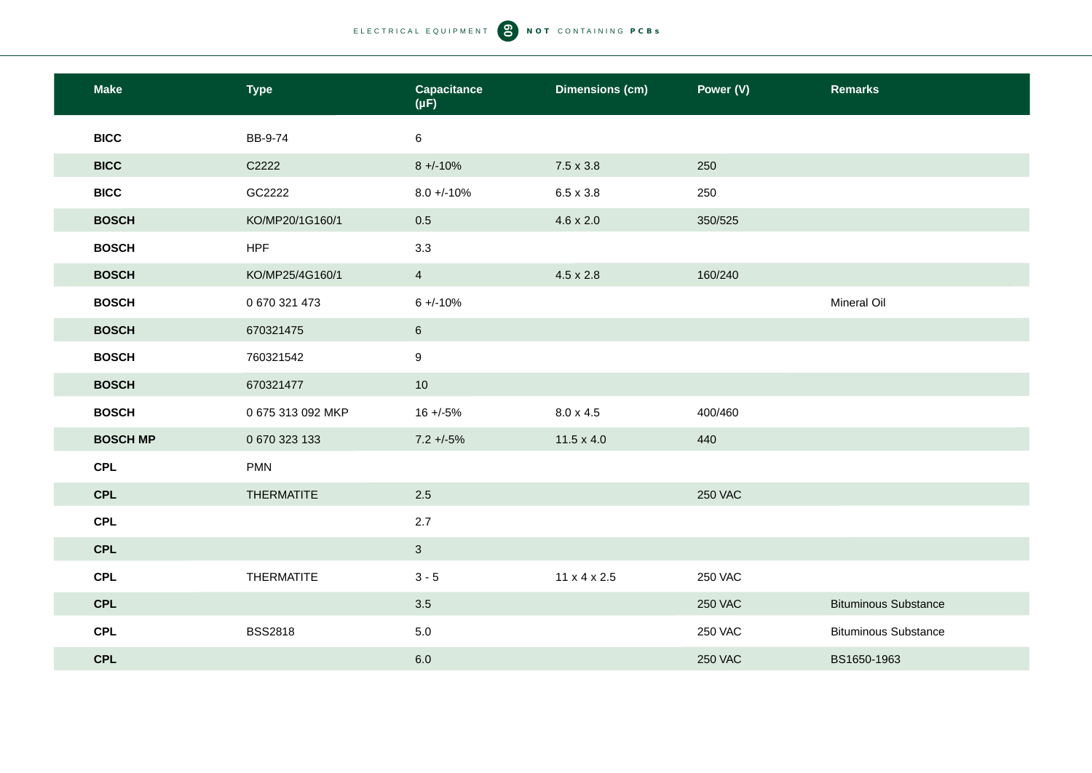| <b>Make</b>     | <b>Type</b>       | <b>Capacitance</b><br>$(\mu F)$ | <b>Dimensions (cm)</b>   | Power (V)      | <b>Remarks</b>              |
|-----------------|-------------------|---------------------------------|--------------------------|----------------|-----------------------------|
| <b>BICC</b>     | BB-9-74           | 6                               |                          |                |                             |
| <b>BICC</b>     | C2222             | $8 + -10%$                      | $7.5 \times 3.8$         | 250            |                             |
| <b>BICC</b>     | GC2222            | $8.0 + (-10\%)$                 | $6.5 \times 3.8$         | 250            |                             |
| <b>BOSCH</b>    | KO/MP20/1G160/1   | 0.5                             | $4.6 \times 2.0$         | 350/525        |                             |
| <b>BOSCH</b>    | <b>HPF</b>        | 3.3                             |                          |                |                             |
| <b>BOSCH</b>    | KO/MP25/4G160/1   | $\overline{4}$                  | $4.5 \times 2.8$         | 160/240        |                             |
| <b>BOSCH</b>    | 0 670 321 473     | $6 + (-10%)$                    |                          |                | Mineral Oil                 |
| <b>BOSCH</b>    | 670321475         | $6\phantom{.}6$                 |                          |                |                             |
| <b>BOSCH</b>    | 760321542         | $9\,$                           |                          |                |                             |
| <b>BOSCH</b>    | 670321477         | 10                              |                          |                |                             |
| <b>BOSCH</b>    | 0 675 313 092 MKP | $16 + (-5%)$                    | $8.0 \times 4.5$         | 400/460        |                             |
| <b>BOSCH MP</b> | 0 670 323 133     | $7.2 + 5\%$                     | $11.5 \times 4.0$        | 440            |                             |
| <b>CPL</b>      | <b>PMN</b>        |                                 |                          |                |                             |
| <b>CPL</b>      | <b>THERMATITE</b> | 2.5                             |                          | <b>250 VAC</b> |                             |
| <b>CPL</b>      |                   | 2.7                             |                          |                |                             |
| <b>CPL</b>      |                   | $\mathbf{3}$                    |                          |                |                             |
| <b>CPL</b>      | <b>THERMATITE</b> | $3 - 5$                         | $11 \times 4 \times 2.5$ | <b>250 VAC</b> |                             |
| <b>CPL</b>      |                   | 3.5                             |                          | <b>250 VAC</b> | <b>Bituminous Substance</b> |
| <b>CPL</b>      | <b>BSS2818</b>    | 5.0                             |                          | <b>250 VAC</b> | <b>Bituminous Substance</b> |
| <b>CPL</b>      |                   | 6.0                             |                          | <b>250 VAC</b> | BS1650-1963                 |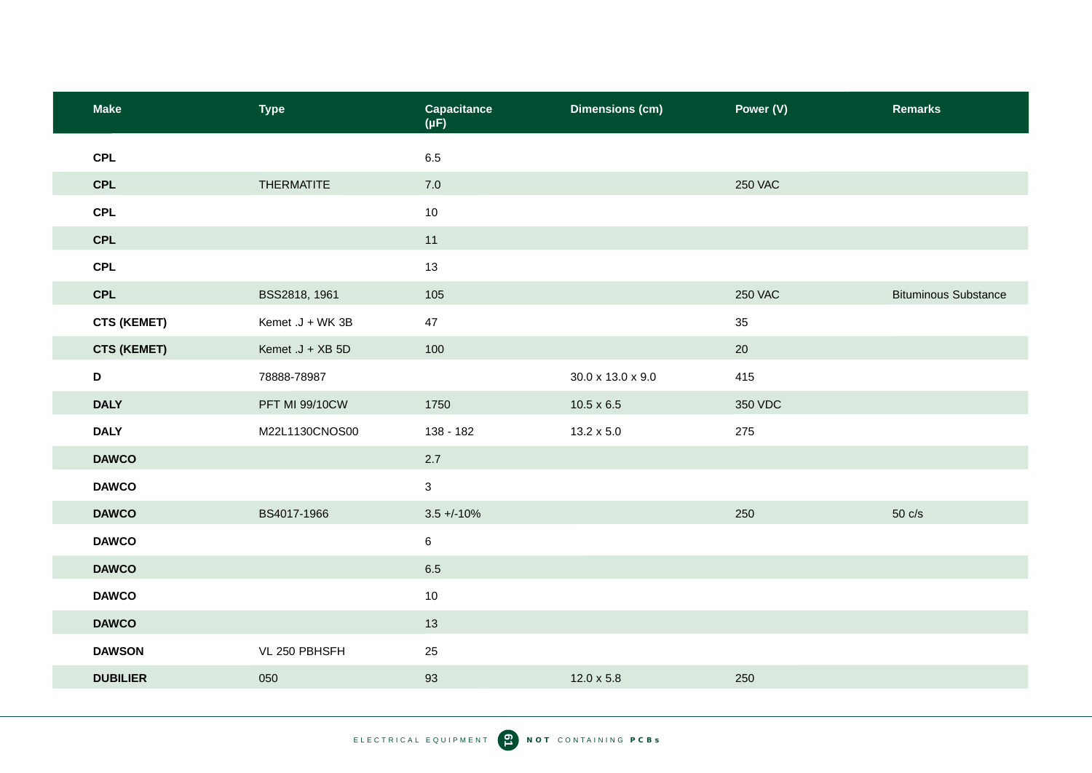| <b>Make</b>        | <b>Type</b>           | Capacitance<br>$(\mu F)$ | <b>Dimensions (cm)</b> | Power (V)      | <b>Remarks</b>              |
|--------------------|-----------------------|--------------------------|------------------------|----------------|-----------------------------|
| <b>CPL</b>         |                       | 6.5                      |                        |                |                             |
| <b>CPL</b>         | <b>THERMATITE</b>     | $7.0$                    |                        | <b>250 VAC</b> |                             |
| <b>CPL</b>         |                       | 10                       |                        |                |                             |
| <b>CPL</b>         |                       | 11                       |                        |                |                             |
| <b>CPL</b>         |                       | 13                       |                        |                |                             |
| CPL                | BSS2818, 1961         | 105                      |                        | <b>250 VAC</b> | <b>Bituminous Substance</b> |
| <b>CTS (KEMET)</b> | Kemet .J + WK 3B      | 47                       |                        | 35             |                             |
| <b>CTS (KEMET)</b> | Kemet .J + XB 5D      | 100                      |                        | 20             |                             |
| D                  | 78888-78987           |                          | 30.0 x 13.0 x 9.0      | 415            |                             |
| <b>DALY</b>        | <b>PFT MI 99/10CW</b> | 1750                     | $10.5 \times 6.5$      | 350 VDC        |                             |
| <b>DALY</b>        | M22L1130CNOS00        | 138 - 182                | $13.2 \times 5.0$      | 275            |                             |
| <b>DAWCO</b>       |                       | 2.7                      |                        |                |                             |
| <b>DAWCO</b>       |                       | $\mathbf{3}$             |                        |                |                             |
| <b>DAWCO</b>       | BS4017-1966           | $3.5 + (-10\%)$          |                        | 250            | $50 \text{ c/s}$            |
| <b>DAWCO</b>       |                       | $\,6$                    |                        |                |                             |
| <b>DAWCO</b>       |                       | 6.5                      |                        |                |                             |
| <b>DAWCO</b>       |                       | 10                       |                        |                |                             |
| <b>DAWCO</b>       |                       | 13                       |                        |                |                             |
| <b>DAWSON</b>      | VL 250 PBHSFH         | 25                       |                        |                |                             |
| <b>DUBILIER</b>    | 050                   | 93                       | $12.0 \times 5.8$      | 250            |                             |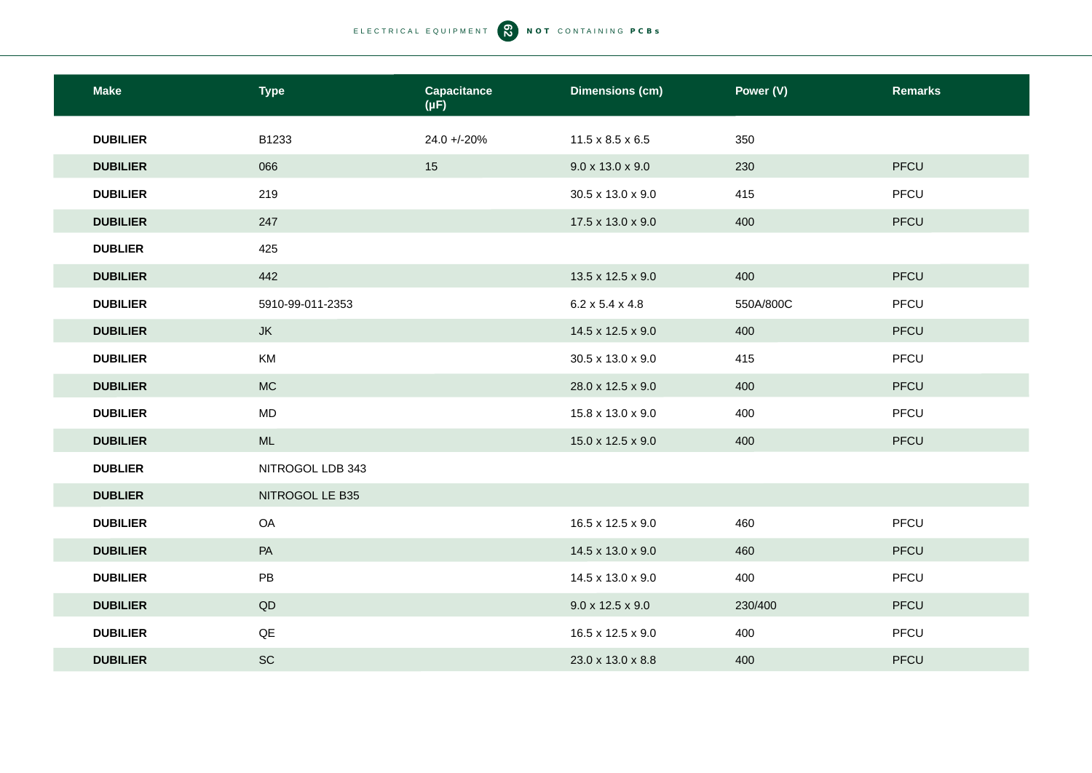| <b>Make</b>     | <b>Type</b>            | Capacitance<br>$(\mu F)$ | <b>Dimensions (cm)</b>       | Power (V) | <b>Remarks</b> |
|-----------------|------------------------|--------------------------|------------------------------|-----------|----------------|
| <b>DUBILIER</b> | B1233                  | 24.0 +/-20%              | $11.5 \times 8.5 \times 6.5$ | 350       |                |
| <b>DUBILIER</b> | 066                    | 15                       | $9.0 \times 13.0 \times 9.0$ | 230       | PFCU           |
| <b>DUBILIER</b> | 219                    |                          | 30.5 x 13.0 x 9.0            | 415       | PFCU           |
| <b>DUBILIER</b> | 247                    |                          | 17.5 x 13.0 x 9.0            | 400       | PFCU           |
| <b>DUBLIER</b>  | 425                    |                          |                              |           |                |
| <b>DUBILIER</b> | 442                    |                          | 13.5 x 12.5 x 9.0            | 400       | PFCU           |
| <b>DUBILIER</b> | 5910-99-011-2353       |                          | $6.2 \times 5.4 \times 4.8$  | 550A/800C | PFCU           |
| <b>DUBILIER</b> | <b>JK</b>              |                          | 14.5 x 12.5 x 9.0            | 400       | PFCU           |
| <b>DUBILIER</b> | KM                     |                          | 30.5 x 13.0 x 9.0            | 415       | PFCU           |
| <b>DUBILIER</b> | <b>MC</b>              |                          | 28.0 x 12.5 x 9.0            | 400       | PFCU           |
| <b>DUBILIER</b> | <b>MD</b>              |                          | 15.8 x 13.0 x 9.0            | 400       | PFCU           |
| <b>DUBILIER</b> | ML                     |                          | 15.0 x 12.5 x 9.0            | 400       | PFCU           |
| <b>DUBLIER</b>  | NITROGOL LDB 343       |                          |                              |           |                |
| <b>DUBLIER</b>  | NITROGOL LE B35        |                          |                              |           |                |
| <b>DUBILIER</b> | OA                     |                          | 16.5 x 12.5 x 9.0            | 460       | PFCU           |
| <b>DUBILIER</b> | PA                     |                          | 14.5 x 13.0 x 9.0            | 460       | PFCU           |
| <b>DUBILIER</b> | PB                     |                          | 14.5 x 13.0 x 9.0            | 400       | PFCU           |
| <b>DUBILIER</b> | $\mathsf{Q}\mathsf{D}$ |                          | $9.0 \times 12.5 \times 9.0$ | 230/400   | PFCU           |
| <b>DUBILIER</b> | $\mathsf{Q}\mathsf{E}$ |                          | 16.5 x 12.5 x 9.0            | 400       | PFCU           |
| <b>DUBILIER</b> | SC                     |                          | 23.0 x 13.0 x 8.8            | 400       | <b>PFCU</b>    |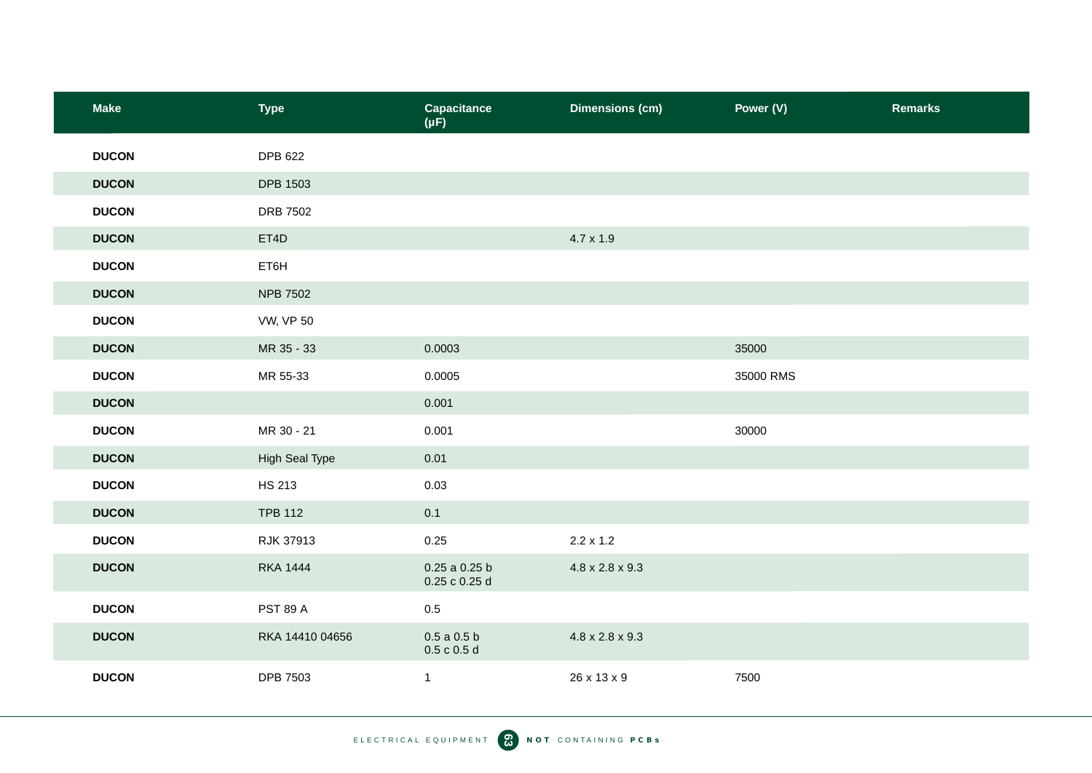| <b>Make</b>  | <b>Type</b>      | Capacitance<br>$(\mu F)$           | <b>Dimensions (cm)</b>      | Power (V) | <b>Remarks</b> |
|--------------|------------------|------------------------------------|-----------------------------|-----------|----------------|
| <b>DUCON</b> | <b>DPB 622</b>   |                                    |                             |           |                |
| <b>DUCON</b> | <b>DPB 1503</b>  |                                    |                             |           |                |
| <b>DUCON</b> | DRB 7502         |                                    |                             |           |                |
| <b>DUCON</b> | ET4D             |                                    | $4.7 \times 1.9$            |           |                |
| <b>DUCON</b> | ET6H             |                                    |                             |           |                |
| <b>DUCON</b> | <b>NPB 7502</b>  |                                    |                             |           |                |
| <b>DUCON</b> | <b>VW, VP 50</b> |                                    |                             |           |                |
| <b>DUCON</b> | MR 35 - 33       | 0.0003                             |                             | 35000     |                |
| <b>DUCON</b> | MR 55-33         | 0.0005                             |                             | 35000 RMS |                |
| <b>DUCON</b> |                  | 0.001                              |                             |           |                |
| <b>DUCON</b> | MR 30 - 21       | 0.001                              |                             | 30000     |                |
| <b>DUCON</b> | High Seal Type   | 0.01                               |                             |           |                |
| <b>DUCON</b> | <b>HS 213</b>    | 0.03                               |                             |           |                |
| <b>DUCON</b> | <b>TPB 112</b>   | 0.1                                |                             |           |                |
| <b>DUCON</b> | RJK 37913        | 0.25                               | $2.2 \times 1.2$            |           |                |
| <b>DUCON</b> | <b>RKA 1444</b>  | $0.25$ a $0.25$ b<br>0.25 c 0.25 d | 4.8 x 2.8 x 9.3             |           |                |
| <b>DUCON</b> | <b>PST 89 A</b>  | $0.5\,$                            |                             |           |                |
| <b>DUCON</b> | RKA 14410 04656  | $0.5$ a $0.5$ b<br>0.5 c 0.5 d     | $4.8 \times 2.8 \times 9.3$ |           |                |
| <b>DUCON</b> | <b>DPB 7503</b>  | $\mathbf{1}$                       | 26 x 13 x 9                 | 7500      |                |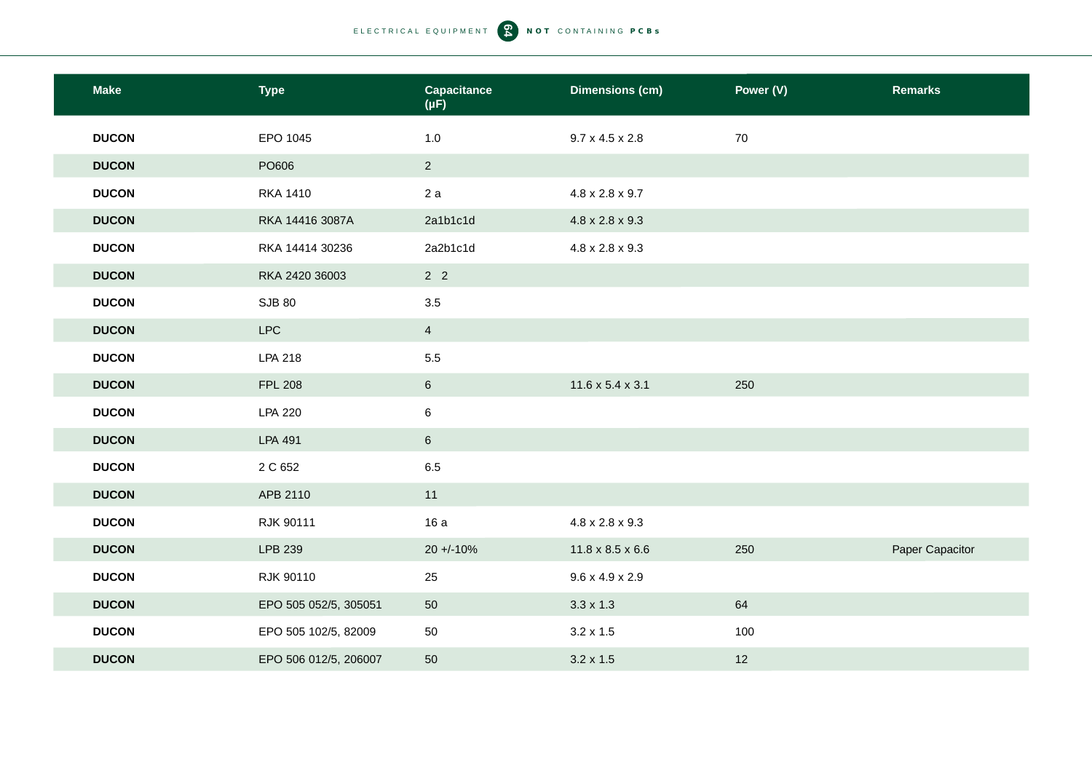| <b>Make</b>  | <b>Type</b>           | <b>Capacitance</b><br>$(\mu F)$ | <b>Dimensions (cm)</b>       | Power (V) | <b>Remarks</b>  |
|--------------|-----------------------|---------------------------------|------------------------------|-----------|-----------------|
| <b>DUCON</b> | EPO 1045              | 1.0                             | $9.7 \times 4.5 \times 2.8$  | 70        |                 |
| <b>DUCON</b> | PO606                 | $2^{\circ}$                     |                              |           |                 |
| <b>DUCON</b> | <b>RKA 1410</b>       | 2a                              | $4.8 \times 2.8 \times 9.7$  |           |                 |
| <b>DUCON</b> | RKA 14416 3087A       | 2a1b1c1d                        | $4.8 \times 2.8 \times 9.3$  |           |                 |
| <b>DUCON</b> | RKA 14414 30236       | 2a2b1c1d                        | $4.8 \times 2.8 \times 9.3$  |           |                 |
| <b>DUCON</b> | RKA 2420 36003        | 2 <sub>2</sub>                  |                              |           |                 |
| <b>DUCON</b> | <b>SJB 80</b>         | 3.5                             |                              |           |                 |
| <b>DUCON</b> | <b>LPC</b>            | $\overline{4}$                  |                              |           |                 |
| <b>DUCON</b> | <b>LPA 218</b>        | 5.5                             |                              |           |                 |
| <b>DUCON</b> | <b>FPL 208</b>        | $6\phantom{.}$                  | $11.6 \times 5.4 \times 3.1$ | 250       |                 |
| <b>DUCON</b> | <b>LPA 220</b>        | 6                               |                              |           |                 |
| <b>DUCON</b> | LPA 491               | $6\phantom{.}$                  |                              |           |                 |
| <b>DUCON</b> | 2 C 652               | 6.5                             |                              |           |                 |
| <b>DUCON</b> | APB 2110              | 11                              |                              |           |                 |
| <b>DUCON</b> | RJK 90111             | 16 a                            | $4.8 \times 2.8 \times 9.3$  |           |                 |
| <b>DUCON</b> | LPB 239               | $20 + 10%$                      | $11.8 \times 8.5 \times 6.6$ | 250       | Paper Capacitor |
| <b>DUCON</b> | RJK 90110             | 25                              | $9.6 \times 4.9 \times 2.9$  |           |                 |
| <b>DUCON</b> | EPO 505 052/5, 305051 | 50                              | $3.3 \times 1.3$             | 64        |                 |
| <b>DUCON</b> | EPO 505 102/5, 82009  | 50                              | $3.2 \times 1.5$             | 100       |                 |
| <b>DUCON</b> | EPO 506 012/5, 206007 | 50                              | $3.2 \times 1.5$             | 12        |                 |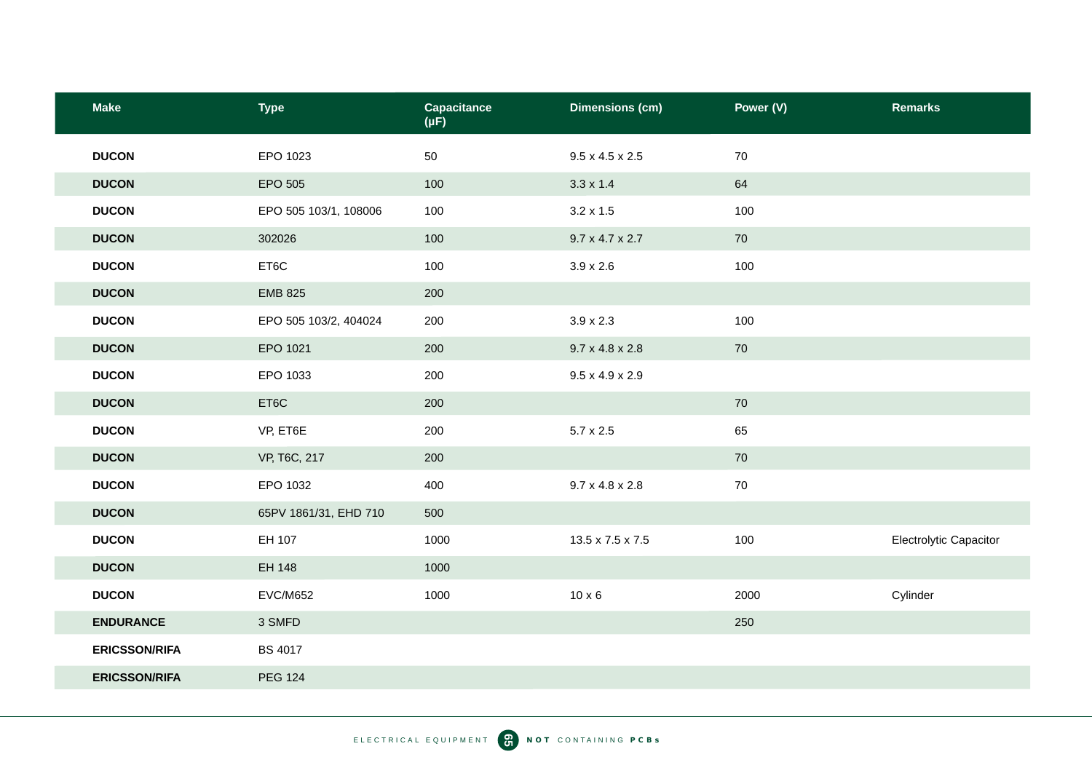| <b>Make</b>          | <b>Type</b>           | <b>Capacitance</b><br>$(\mu F)$ | <b>Dimensions (cm)</b>      | Power (V) | <b>Remarks</b>         |
|----------------------|-----------------------|---------------------------------|-----------------------------|-----------|------------------------|
| <b>DUCON</b>         | EPO 1023              | 50                              | $9.5 \times 4.5 \times 2.5$ | 70        |                        |
| <b>DUCON</b>         | EPO 505               | 100                             | $3.3 \times 1.4$            | 64        |                        |
| <b>DUCON</b>         | EPO 505 103/1, 108006 | 100                             | $3.2 \times 1.5$            | 100       |                        |
| <b>DUCON</b>         | 302026                | 100                             | $9.7 \times 4.7 \times 2.7$ | 70        |                        |
| <b>DUCON</b>         | ET6C                  | 100                             | $3.9 \times 2.6$            | 100       |                        |
| <b>DUCON</b>         | <b>EMB 825</b>        | 200                             |                             |           |                        |
| <b>DUCON</b>         | EPO 505 103/2, 404024 | 200                             | $3.9 \times 2.3$            | 100       |                        |
| <b>DUCON</b>         | EPO 1021              | 200                             | $9.7 \times 4.8 \times 2.8$ | 70        |                        |
| <b>DUCON</b>         | EPO 1033              | 200                             | $9.5 \times 4.9 \times 2.9$ |           |                        |
| <b>DUCON</b>         | ET6C                  | 200                             |                             | 70        |                        |
| <b>DUCON</b>         | VP, ET6E              | 200                             | $5.7 \times 2.5$            | 65        |                        |
| <b>DUCON</b>         | VP, T6C, 217          | 200                             |                             | 70        |                        |
| <b>DUCON</b>         | EPO 1032              | 400                             | $9.7 \times 4.8 \times 2.8$ | 70        |                        |
| <b>DUCON</b>         | 65PV 1861/31, EHD 710 | 500                             |                             |           |                        |
| <b>DUCON</b>         | EH 107                | 1000                            | 13.5 x 7.5 x 7.5            | 100       | Electrolytic Capacitor |
| <b>DUCON</b>         | EH 148                | 1000                            |                             |           |                        |
| <b>DUCON</b>         | <b>EVC/M652</b>       | 1000                            | $10 \times 6$               | 2000      | Cylinder               |
| <b>ENDURANCE</b>     | 3 SMFD                |                                 |                             | 250       |                        |
| <b>ERICSSON/RIFA</b> | <b>BS 4017</b>        |                                 |                             |           |                        |
| <b>ERICSSON/RIFA</b> | <b>PEG 124</b>        |                                 |                             |           |                        |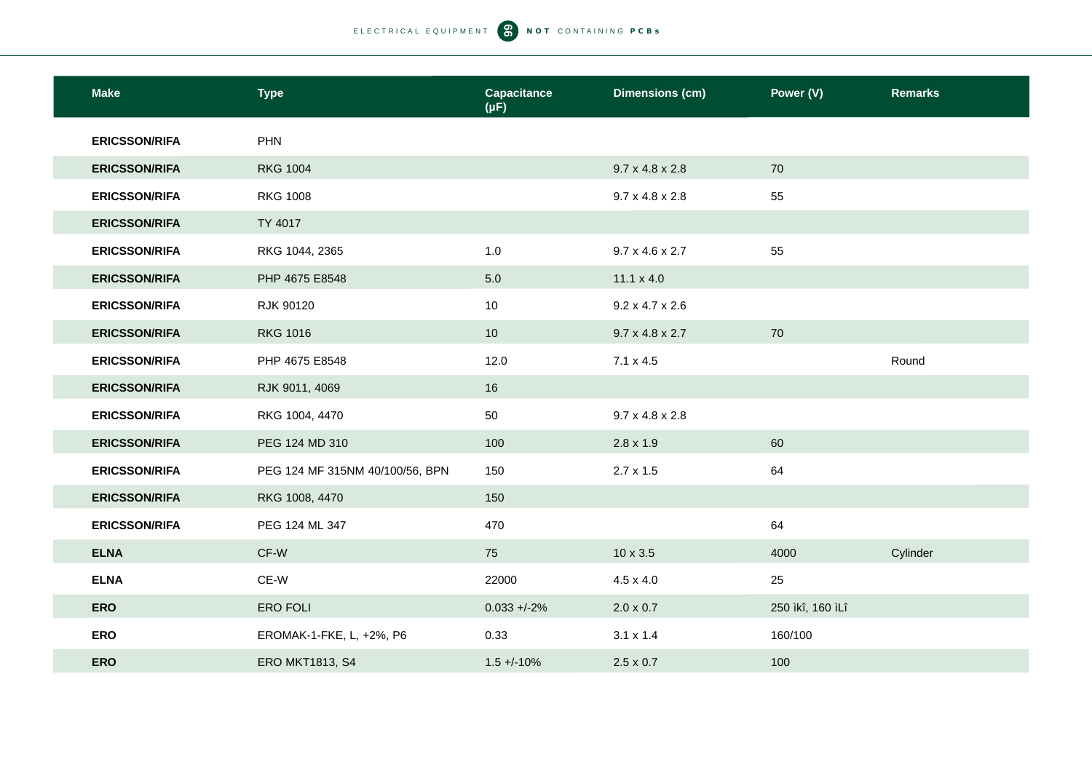| <b>Make</b>          | <b>Type</b>                     | <b>Capacitance</b><br>$(\mu F)$ | <b>Dimensions (cm)</b>      | Power (V)        | <b>Remarks</b> |
|----------------------|---------------------------------|---------------------------------|-----------------------------|------------------|----------------|
| <b>ERICSSON/RIFA</b> | <b>PHN</b>                      |                                 |                             |                  |                |
| <b>ERICSSON/RIFA</b> | <b>RKG 1004</b>                 |                                 | $9.7 \times 4.8 \times 2.8$ | 70               |                |
| <b>ERICSSON/RIFA</b> | <b>RKG 1008</b>                 |                                 | $9.7 \times 4.8 \times 2.8$ | 55               |                |
| <b>ERICSSON/RIFA</b> | TY 4017                         |                                 |                             |                  |                |
| <b>ERICSSON/RIFA</b> | RKG 1044, 2365                  | 1.0                             | $9.7 \times 4.6 \times 2.7$ | 55               |                |
| <b>ERICSSON/RIFA</b> | PHP 4675 E8548                  | 5.0                             | $11.1 \times 4.0$           |                  |                |
| <b>ERICSSON/RIFA</b> | RJK 90120                       | 10                              | $9.2 \times 4.7 \times 2.6$ |                  |                |
| <b>ERICSSON/RIFA</b> | <b>RKG 1016</b>                 | 10                              | $9.7 \times 4.8 \times 2.7$ | 70               |                |
| <b>ERICSSON/RIFA</b> | PHP 4675 E8548                  | 12.0                            | $7.1 \times 4.5$            |                  | Round          |
| <b>ERICSSON/RIFA</b> | RJK 9011, 4069                  | 16                              |                             |                  |                |
| <b>ERICSSON/RIFA</b> | RKG 1004, 4470                  | 50                              | $9.7 \times 4.8 \times 2.8$ |                  |                |
| <b>ERICSSON/RIFA</b> | PEG 124 MD 310                  | 100                             | $2.8 \times 1.9$            | 60               |                |
| <b>ERICSSON/RIFA</b> | PEG 124 MF 315NM 40/100/56, BPN | 150                             | $2.7 \times 1.5$            | 64               |                |
| <b>ERICSSON/RIFA</b> | RKG 1008, 4470                  | 150                             |                             |                  |                |
| <b>ERICSSON/RIFA</b> | PEG 124 ML 347                  | 470                             |                             | 64               |                |
| <b>ELNA</b>          | CF-W                            | 75                              | $10 \times 3.5$             | 4000             | Cylinder       |
| <b>ELNA</b>          | CE-W                            | 22000                           | $4.5 \times 4.0$            | 25               |                |
| <b>ERO</b>           | <b>ERO FOLI</b>                 | $0.033 + -2%$                   | $2.0 \times 0.7$            | 250 ìkî, 160 ìLî |                |
| <b>ERO</b>           | EROMAK-1-FKE, L, +2%, P6        | 0.33                            | $3.1 \times 1.4$            | 160/100          |                |
| <b>ERO</b>           | <b>ERO MKT1813, S4</b>          | $1.5 + -10%$                    | $2.5 \times 0.7$            | 100              |                |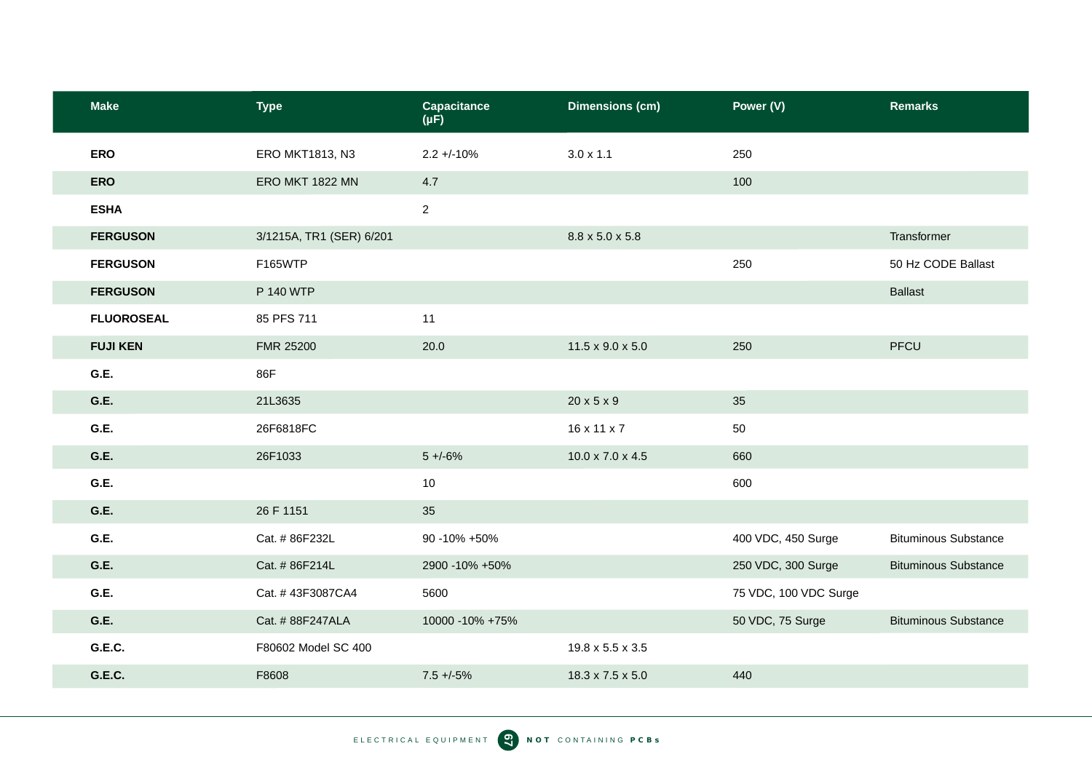| <b>Make</b>       | <b>Type</b>              | Capacitance<br>$(\mu F)$ | <b>Dimensions (cm)</b>       | Power (V)             | <b>Remarks</b>              |
|-------------------|--------------------------|--------------------------|------------------------------|-----------------------|-----------------------------|
| <b>ERO</b>        | ERO MKT1813, N3          | $2.2 + -10%$             | $3.0 \times 1.1$             | 250                   |                             |
| <b>ERO</b>        | ERO MKT 1822 MN          | 4.7                      |                              | 100                   |                             |
| <b>ESHA</b>       |                          | $\overline{2}$           |                              |                       |                             |
| <b>FERGUSON</b>   | 3/1215A, TR1 (SER) 6/201 |                          | 8.8 x 5.0 x 5.8              |                       | Transformer                 |
| <b>FERGUSON</b>   | F165WTP                  |                          |                              | 250                   | 50 Hz CODE Ballast          |
| <b>FERGUSON</b>   | P 140 WTP                |                          |                              |                       | <b>Ballast</b>              |
| <b>FLUOROSEAL</b> | 85 PFS 711               | 11                       |                              |                       |                             |
| <b>FUJI KEN</b>   | FMR 25200                | 20.0                     | $11.5 \times 9.0 \times 5.0$ | 250                   | PFCU                        |
| G.E.              | 86F                      |                          |                              |                       |                             |
| G.E.              | 21L3635                  |                          | $20 \times 5 \times 9$       | 35                    |                             |
| G.E.              | 26F6818FC                |                          | 16 x 11 x 7                  | 50                    |                             |
| G.E.              | 26F1033                  | $5 + -6%$                | $10.0 \times 7.0 \times 4.5$ | 660                   |                             |
| G.E.              |                          | 10                       |                              | 600                   |                             |
| G.E.              | 26 F 1151                | 35                       |                              |                       |                             |
| G.E.              | Cat. # 86F232L           | 90 -10% +50%             |                              | 400 VDC, 450 Surge    | <b>Bituminous Substance</b> |
| G.E.              | Cat. # 86F214L           | 2900 - 10% + 50%         |                              | 250 VDC, 300 Surge    | <b>Bituminous Substance</b> |
| G.E.              | Cat. #43F3087CA4         | 5600                     |                              | 75 VDC, 100 VDC Surge |                             |
| G.E.              | Cat. # 88F247ALA         | 10000 - 10% + 75%        |                              | 50 VDC, 75 Surge      | <b>Bituminous Substance</b> |
| G.E.C.            | F80602 Model SC 400      |                          | 19.8 x 5.5 x 3.5             |                       |                             |
| G.E.C.            | F8608                    | $7.5 + -5%$              | 18.3 x 7.5 x 5.0             | 440                   |                             |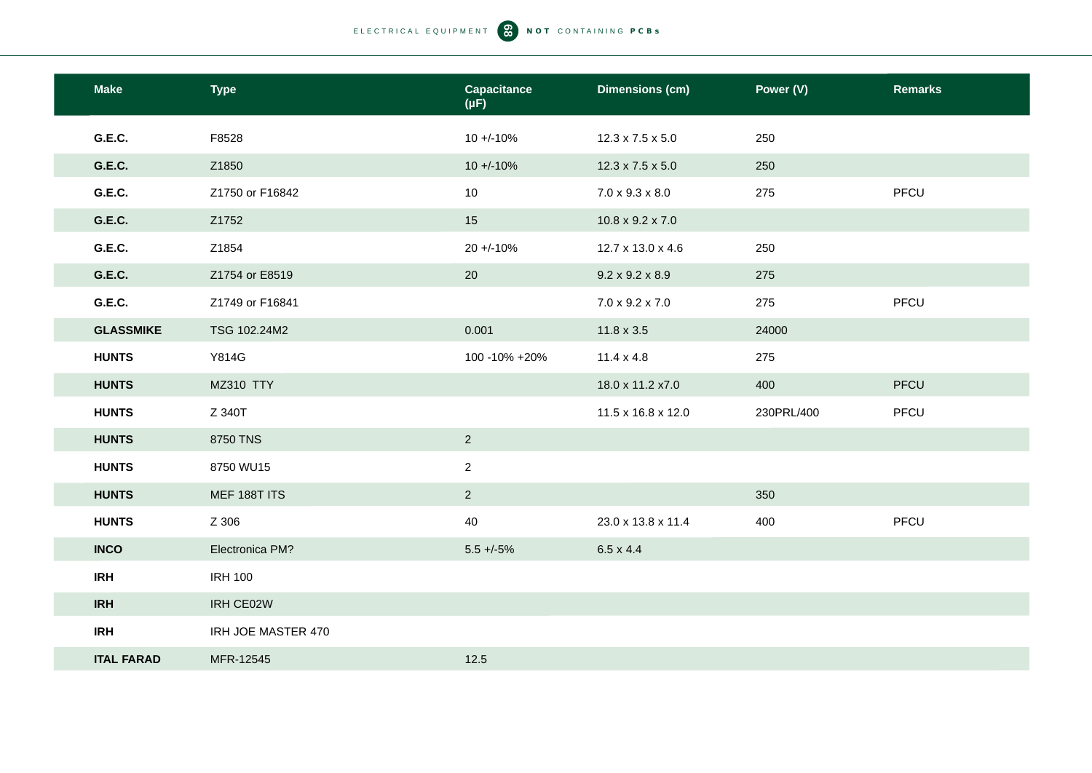| <b>Make</b>       | <b>Type</b>        | <b>Capacitance</b><br>$(\mu F)$ | <b>Dimensions (cm)</b>       | Power (V)  | <b>Remarks</b> |
|-------------------|--------------------|---------------------------------|------------------------------|------------|----------------|
| G.E.C.            | F8528              | $10 + (-10\%$                   | $12.3 \times 7.5 \times 5.0$ | 250        |                |
| <b>G.E.C.</b>     | Z1850              | $10 + -10%$                     | $12.3 \times 7.5 \times 5.0$ | 250        |                |
| G.E.C.            | Z1750 or F16842    | 10                              | $7.0 \times 9.3 \times 8.0$  | 275        | PFCU           |
| G.E.C.            | Z1752              | 15                              | $10.8 \times 9.2 \times 7.0$ |            |                |
| G.E.C.            | Z1854              | $20 + -10%$                     | 12.7 x 13.0 x 4.6            | 250        |                |
| G.E.C.            | Z1754 or E8519     | 20                              | $9.2 \times 9.2 \times 8.9$  | 275        |                |
| <b>G.E.C.</b>     | Z1749 or F16841    |                                 | $7.0 \times 9.2 \times 7.0$  | 275        | PFCU           |
| <b>GLASSMIKE</b>  | TSG 102.24M2       | 0.001                           | $11.8 \times 3.5$            | 24000      |                |
| <b>HUNTS</b>      | Y814G              | 100 -10% +20%                   | $11.4 \times 4.8$            | 275        |                |
| <b>HUNTS</b>      | <b>MZ310 TTY</b>   |                                 | 18.0 x 11.2 x7.0             | 400        | PFCU           |
| <b>HUNTS</b>      | Z 340T             |                                 | 11.5 x 16.8 x 12.0           | 230PRL/400 | PFCU           |
| <b>HUNTS</b>      | 8750 TNS           | $\overline{2}$                  |                              |            |                |
| <b>HUNTS</b>      | 8750 WU15          | $\overline{2}$                  |                              |            |                |
| <b>HUNTS</b>      | MEF 188T ITS       | $\overline{2}$                  |                              | 350        |                |
| <b>HUNTS</b>      | Z 306              | 40                              | 23.0 x 13.8 x 11.4           | 400        | PFCU           |
| <b>INCO</b>       | Electronica PM?    | $5.5 + -5\%$                    | $6.5 \times 4.4$             |            |                |
| <b>IRH</b>        | <b>IRH 100</b>     |                                 |                              |            |                |
| <b>IRH</b>        | IRH CE02W          |                                 |                              |            |                |
| <b>IRH</b>        | IRH JOE MASTER 470 |                                 |                              |            |                |
| <b>ITAL FARAD</b> | MFR-12545          | 12.5                            |                              |            |                |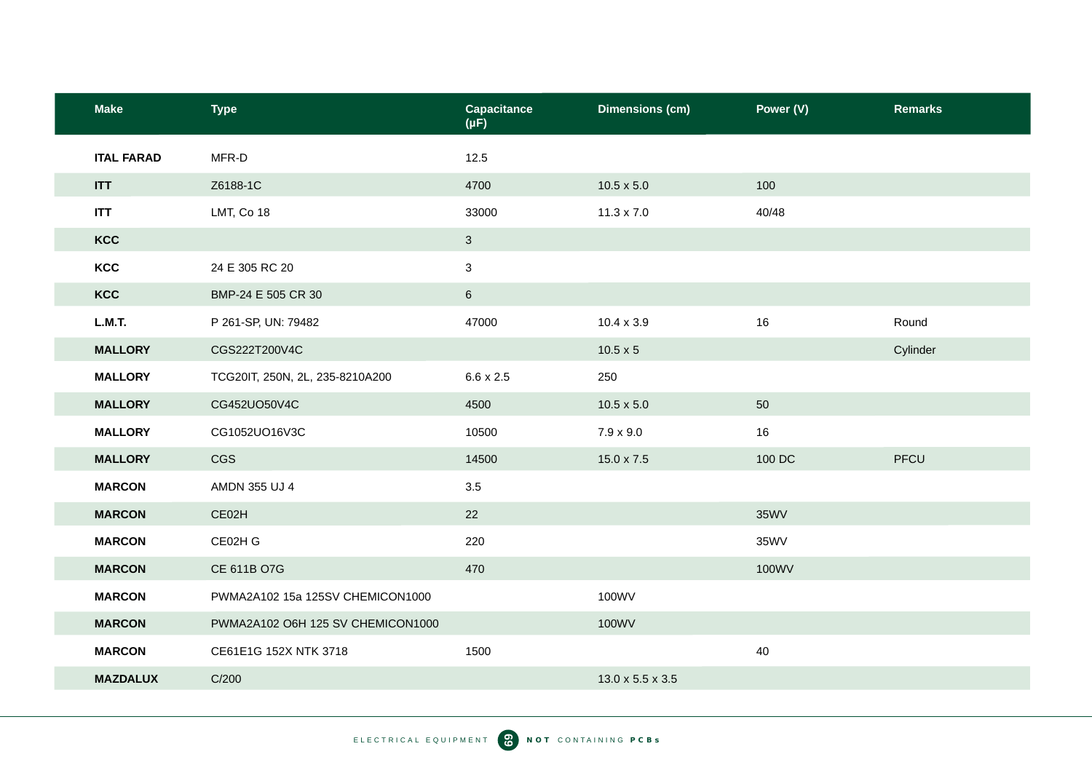| <b>Make</b>       | <b>Type</b>                       | <b>Capacitance</b><br>$(\mu F)$ | <b>Dimensions (cm)</b> | Power (V)   | <b>Remarks</b> |
|-------------------|-----------------------------------|---------------------------------|------------------------|-------------|----------------|
| <b>ITAL FARAD</b> | MFR-D                             | 12.5                            |                        |             |                |
| <b>ITT</b>        | Z6188-1C                          | 4700                            | $10.5 \times 5.0$      | 100         |                |
| <b>ITT</b>        | LMT, Co 18                        | 33000                           | $11.3 \times 7.0$      | 40/48       |                |
| KCC               |                                   | $\mathbf{3}$                    |                        |             |                |
| KCC               | 24 E 305 RC 20                    | $\mathbf{3}$                    |                        |             |                |
| KCC               | BMP-24 E 505 CR 30                | 6                               |                        |             |                |
| L.M.T.            | P 261-SP, UN: 79482               | 47000                           | $10.4 \times 3.9$      | 16          | Round          |
| <b>MALLORY</b>    | CGS222T200V4C                     |                                 | $10.5 \times 5$        |             | Cylinder       |
| <b>MALLORY</b>    | TCG20IT, 250N, 2L, 235-8210A200   | $6.6 \times 2.5$                | 250                    |             |                |
| <b>MALLORY</b>    | CG452UO50V4C                      | 4500                            | $10.5 \times 5.0$      | 50          |                |
| <b>MALLORY</b>    | CG1052UO16V3C                     | 10500                           | $7.9 \times 9.0$       | 16          |                |
| <b>MALLORY</b>    | CGS                               | 14500                           | $15.0 \times 7.5$      | 100 DC      | PFCU           |
| <b>MARCON</b>     | AMDN 355 UJ 4                     | $3.5\,$                         |                        |             |                |
| <b>MARCON</b>     | CE02H                             | 22                              |                        | <b>35WV</b> |                |
| <b>MARCON</b>     | CE02H G                           | 220                             |                        | 35WV        |                |
| <b>MARCON</b>     | CE 611B O7G                       | 470                             |                        | 100WV       |                |
| <b>MARCON</b>     | PWMA2A102 15a 125SV CHEMICON1000  |                                 | 100WV                  |             |                |
| <b>MARCON</b>     | PWMA2A102 O6H 125 SV CHEMICON1000 |                                 | 100WV                  |             |                |
| <b>MARCON</b>     | CE61E1G 152X NTK 3718             | 1500                            |                        | 40          |                |
| <b>MAZDALUX</b>   | C/200                             |                                 | 13.0 x 5.5 x 3.5       |             |                |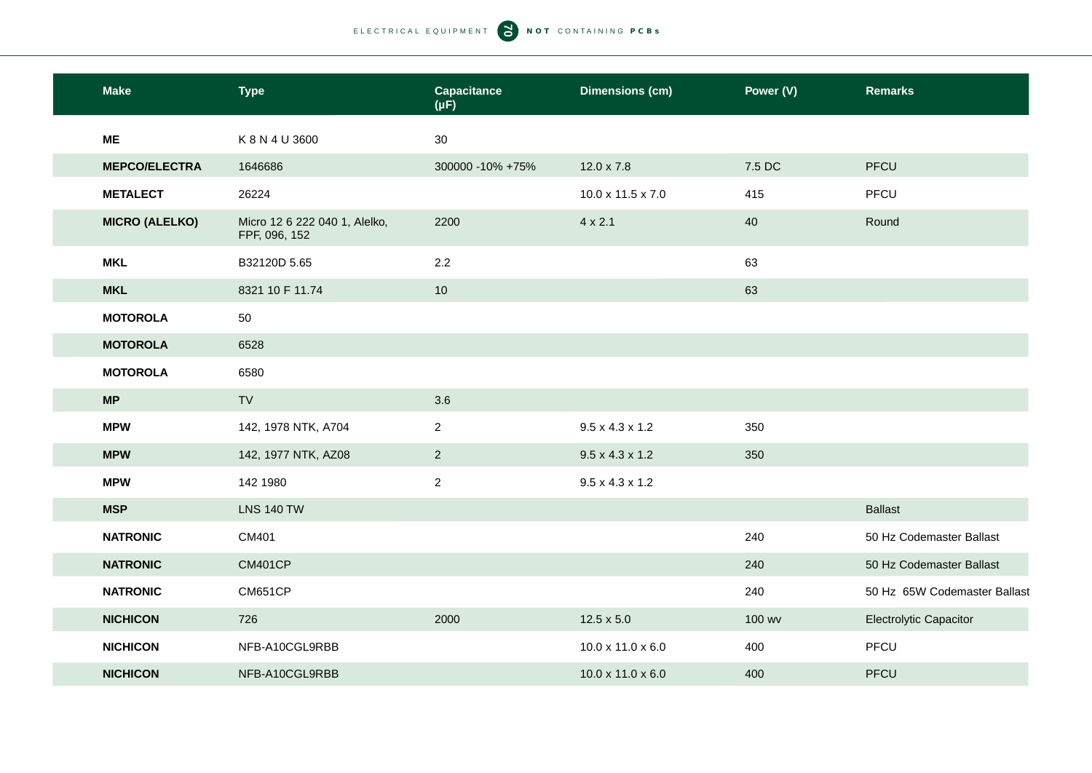| <b>Make</b>           | <b>Type</b>                                    | <b>Capacitance</b><br>$(\mu F)$ | <b>Dimensions (cm)</b>      | Power (V) | <b>Remarks</b>                |
|-----------------------|------------------------------------------------|---------------------------------|-----------------------------|-----------|-------------------------------|
| <b>ME</b>             | K 8 N 4 U 3600                                 | 30                              |                             |           |                               |
| <b>MEPCO/ELECTRA</b>  | 1646686                                        | 300000 -10% +75%                | $12.0 \times 7.8$           | 7.5 DC    | PFCU                          |
| <b>METALECT</b>       | 26224                                          |                                 | 10.0 x 11.5 x 7.0           | 415       | PFCU                          |
| <b>MICRO (ALELKO)</b> | Micro 12 6 222 040 1, Alelko,<br>FPF, 096, 152 | 2200                            | $4 \times 2.1$              | 40        | Round                         |
| <b>MKL</b>            | B32120D 5.65                                   | 2.2                             |                             | 63        |                               |
| <b>MKL</b>            | 8321 10 F 11.74                                | 10                              |                             | 63        |                               |
| <b>MOTOROLA</b>       | 50                                             |                                 |                             |           |                               |
| <b>MOTOROLA</b>       | 6528                                           |                                 |                             |           |                               |
| <b>MOTOROLA</b>       | 6580                                           |                                 |                             |           |                               |
| MP                    | TV                                             | 3.6                             |                             |           |                               |
| <b>MPW</b>            | 142, 1978 NTK, A704                            | $\overline{2}$                  | $9.5 \times 4.3 \times 1.2$ | 350       |                               |
| <b>MPW</b>            | 142, 1977 NTK, AZ08                            | $\overline{2}$                  | $9.5 \times 4.3 \times 1.2$ | 350       |                               |
| <b>MPW</b>            | 142 1980                                       | $\overline{2}$                  | $9.5 \times 4.3 \times 1.2$ |           |                               |
| <b>MSP</b>            | <b>LNS 140 TW</b>                              |                                 |                             |           | <b>Ballast</b>                |
| <b>NATRONIC</b>       | CM401                                          |                                 |                             | 240       | 50 Hz Codemaster Ballast      |
| <b>NATRONIC</b>       | <b>CM401CP</b>                                 |                                 |                             | 240       | 50 Hz Codemaster Ballast      |
| <b>NATRONIC</b>       | <b>CM651CP</b>                                 |                                 |                             | 240       | 50 Hz 65W Codemaster Ballast  |
| <b>NICHICON</b>       | 726                                            | 2000                            | $12.5 \times 5.0$           | 100 wv    | <b>Electrolytic Capacitor</b> |
| <b>NICHICON</b>       | NFB-A10CGL9RBB                                 |                                 | 10.0 x 11.0 x 6.0           | 400       | PFCU                          |
| <b>NICHICON</b>       | NFB-A10CGL9RBB                                 |                                 | 10.0 x 11.0 x 6.0           | 400       | <b>PFCU</b>                   |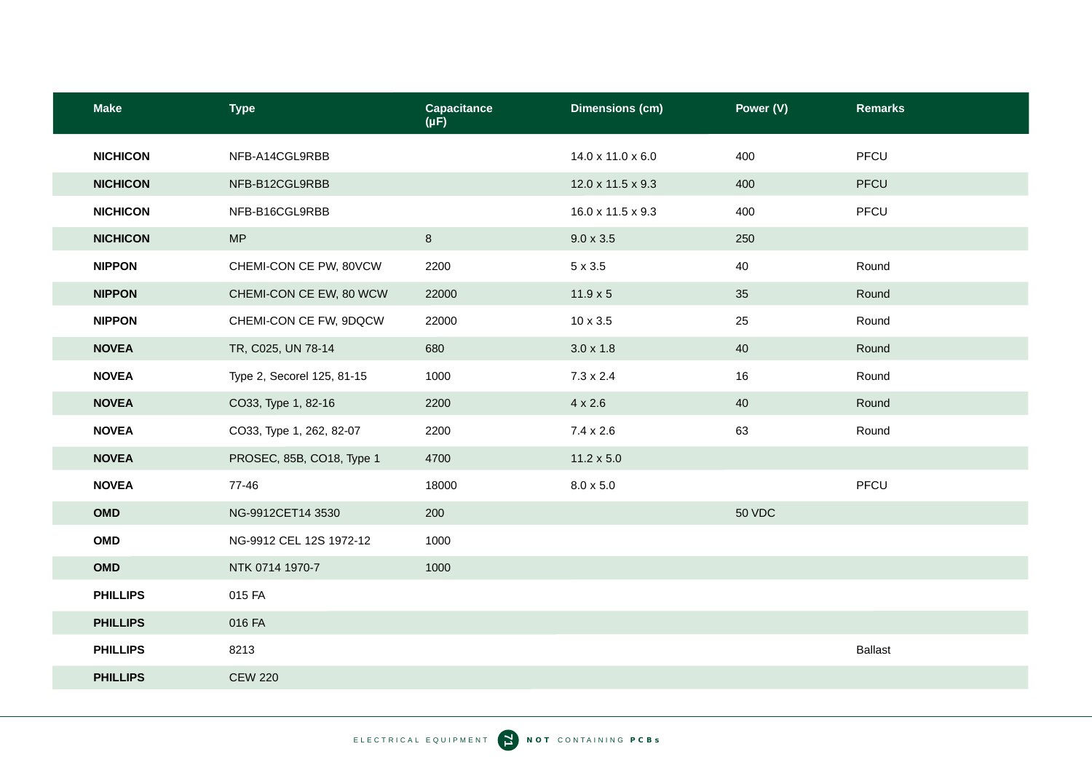| <b>Make</b>     | <b>Type</b>                | <b>Capacitance</b><br>$(\mu F)$ | <b>Dimensions (cm)</b> | Power (V)     | <b>Remarks</b> |
|-----------------|----------------------------|---------------------------------|------------------------|---------------|----------------|
| <b>NICHICON</b> | NFB-A14CGL9RBB             |                                 | 14.0 x 11.0 x 6.0      | 400           | PFCU           |
| <b>NICHICON</b> | NFB-B12CGL9RBB             |                                 | 12.0 x 11.5 x 9.3      | 400           | PFCU           |
| <b>NICHICON</b> | NFB-B16CGL9RBB             |                                 | 16.0 x 11.5 x 9.3      | 400           | PFCU           |
| <b>NICHICON</b> | MP                         | $8\phantom{.}$                  | $9.0 \times 3.5$       | 250           |                |
| <b>NIPPON</b>   | CHEMI-CON CE PW, 80VCW     | 2200                            | $5 \times 3.5$         | 40            | Round          |
| <b>NIPPON</b>   | CHEMI-CON CE EW, 80 WCW    | 22000                           | $11.9 \times 5$        | 35            | Round          |
| <b>NIPPON</b>   | CHEMI-CON CE FW, 9DQCW     | 22000                           | 10 x 3.5               | 25            | Round          |
| <b>NOVEA</b>    | TR, C025, UN 78-14         | 680                             | $3.0 \times 1.8$       | 40            | Round          |
| <b>NOVEA</b>    | Type 2, Secorel 125, 81-15 | 1000                            | $7.3 \times 2.4$       | 16            | Round          |
| <b>NOVEA</b>    | CO33, Type 1, 82-16        | 2200                            | $4 \times 2.6$         | 40            | Round          |
| <b>NOVEA</b>    | CO33, Type 1, 262, 82-07   | 2200                            | $7.4 \times 2.6$       | 63            | Round          |
| <b>NOVEA</b>    | PROSEC, 85B, CO18, Type 1  | 4700                            | $11.2 \times 5.0$      |               |                |
| <b>NOVEA</b>    | 77-46                      | 18000                           | $8.0 \times 5.0$       |               | PFCU           |
| OMD             | NG-9912CET14 3530          | 200                             |                        | <b>50 VDC</b> |                |
| OMD             | NG-9912 CEL 12S 1972-12    | 1000                            |                        |               |                |
| OMD             | NTK 0714 1970-7            | 1000                            |                        |               |                |
| <b>PHILLIPS</b> | 015 FA                     |                                 |                        |               |                |
| <b>PHILLIPS</b> | 016 FA                     |                                 |                        |               |                |
| <b>PHILLIPS</b> | 8213                       |                                 |                        |               | <b>Ballast</b> |
| <b>PHILLIPS</b> | <b>CEW 220</b>             |                                 |                        |               |                |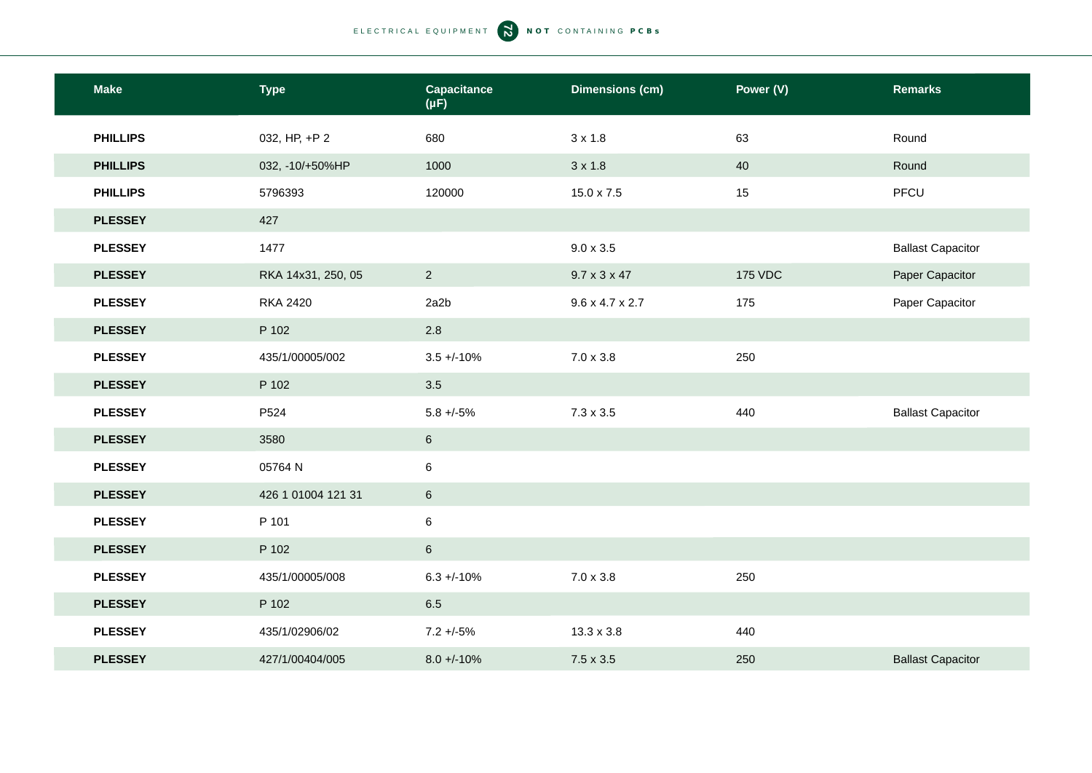| <b>Make</b>     | <b>Type</b>        | <b>Capacitance</b><br>$(\mu F)$ | <b>Dimensions (cm)</b>      | Power (V)      | <b>Remarks</b>           |
|-----------------|--------------------|---------------------------------|-----------------------------|----------------|--------------------------|
| <b>PHILLIPS</b> | 032, HP, +P 2      | 680                             | $3 \times 1.8$              | 63             | Round                    |
| <b>PHILLIPS</b> | 032, -10/+50%HP    | 1000                            | $3 \times 1.8$              | 40             | Round                    |
| <b>PHILLIPS</b> | 5796393            | 120000                          | 15.0 x 7.5                  | 15             | PFCU                     |
| <b>PLESSEY</b>  | 427                |                                 |                             |                |                          |
| <b>PLESSEY</b>  | 1477               |                                 | $9.0 \times 3.5$            |                | <b>Ballast Capacitor</b> |
| <b>PLESSEY</b>  | RKA 14x31, 250, 05 | $\overline{2}$                  | $9.7 \times 3 \times 47$    | <b>175 VDC</b> | Paper Capacitor          |
| <b>PLESSEY</b>  | <b>RKA 2420</b>    | 2a2b                            | $9.6 \times 4.7 \times 2.7$ | 175            | Paper Capacitor          |
| <b>PLESSEY</b>  | P 102              | $2.8$                           |                             |                |                          |
| <b>PLESSEY</b>  | 435/1/00005/002    | $3.5 + (-10\%$                  | $7.0 \times 3.8$            | 250            |                          |
| <b>PLESSEY</b>  | P 102              | 3.5                             |                             |                |                          |
| <b>PLESSEY</b>  | P524               | $5.8 + -5\%$                    | $7.3 \times 3.5$            | 440            | <b>Ballast Capacitor</b> |
| <b>PLESSEY</b>  | 3580               | $\,6\,$                         |                             |                |                          |
| <b>PLESSEY</b>  | 05764 N            | $\,6\,$                         |                             |                |                          |
| <b>PLESSEY</b>  | 426 1 01004 121 31 | $\,6\,$                         |                             |                |                          |
| <b>PLESSEY</b>  | P 101              | 6                               |                             |                |                          |
| <b>PLESSEY</b>  | P 102              | $\,$ 6 $\,$                     |                             |                |                          |
| <b>PLESSEY</b>  | 435/1/00005/008    | $6.3 + -10\%$                   | $7.0 \times 3.8$            | 250            |                          |
| <b>PLESSEY</b>  | P 102              | 6.5                             |                             |                |                          |
| <b>PLESSEY</b>  | 435/1/02906/02     | $7.2 + -5%$                     | $13.3 \times 3.8$           | 440            |                          |
| <b>PLESSEY</b>  | 427/1/00404/005    | $8.0 + -10%$                    | $7.5 \times 3.5$            | 250            | <b>Ballast Capacitor</b> |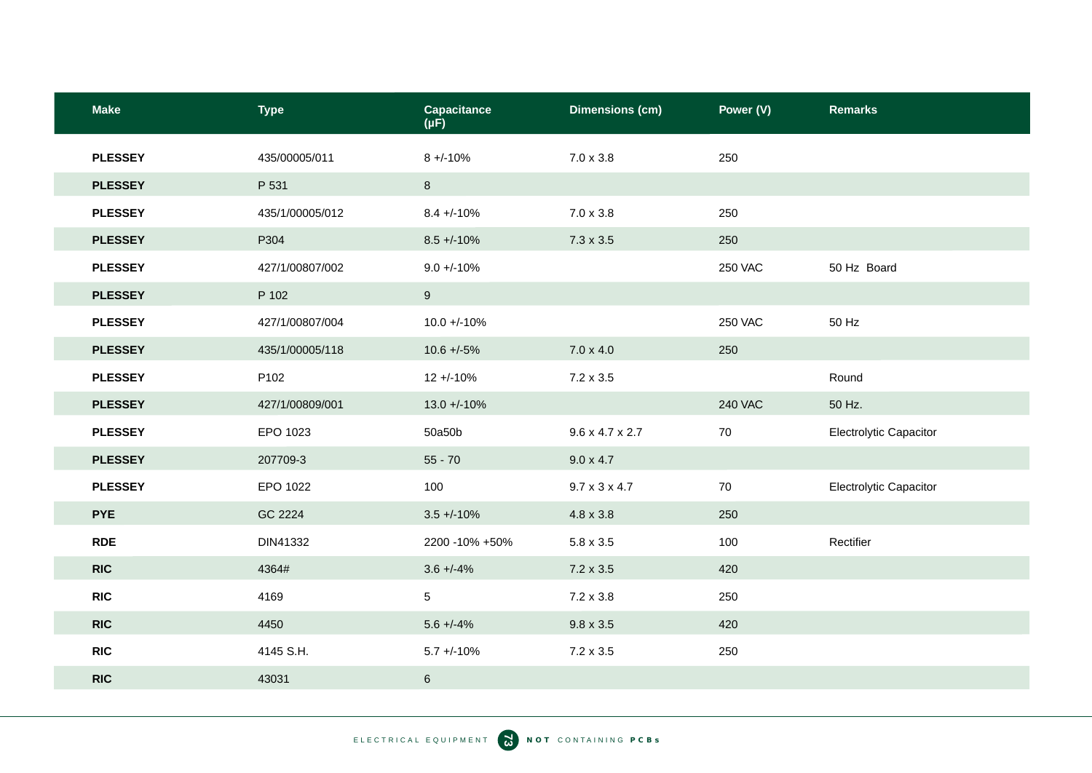| <b>Make</b>    | <b>Type</b>     | <b>Capacitance</b><br>$(\mu F)$ | <b>Dimensions (cm)</b>      | Power (V)      | <b>Remarks</b>         |
|----------------|-----------------|---------------------------------|-----------------------------|----------------|------------------------|
| <b>PLESSEY</b> | 435/00005/011   | $8 + -10%$                      | $7.0 \times 3.8$            | 250            |                        |
| <b>PLESSEY</b> | P 531           | 8                               |                             |                |                        |
| <b>PLESSEY</b> | 435/1/00005/012 | $8.4 + -10%$                    | $7.0 \times 3.8$            | 250            |                        |
| <b>PLESSEY</b> | P304            | $8.5 + (-10\%)$                 | $7.3 \times 3.5$            | 250            |                        |
| <b>PLESSEY</b> | 427/1/00807/002 | $9.0 + (-10\%$                  |                             | <b>250 VAC</b> | 50 Hz Board            |
| <b>PLESSEY</b> | P 102           | 9                               |                             |                |                        |
| <b>PLESSEY</b> | 427/1/00807/004 | $10.0 + 10%$                    |                             | <b>250 VAC</b> | 50 Hz                  |
| <b>PLESSEY</b> | 435/1/00005/118 | $10.6 + -5\%$                   | $7.0 \times 4.0$            | 250            |                        |
| <b>PLESSEY</b> | P102            | $12 + 10%$                      | $7.2 \times 3.5$            |                | Round                  |
| <b>PLESSEY</b> | 427/1/00809/001 | $13.0 + 10\%$                   |                             | <b>240 VAC</b> | 50 Hz.                 |
| <b>PLESSEY</b> | EPO 1023        | 50a50b                          | $9.6 \times 4.7 \times 2.7$ | 70             | Electrolytic Capacitor |
| <b>PLESSEY</b> | 207709-3        | $55 - 70$                       | $9.0 \times 4.7$            |                |                        |
| <b>PLESSEY</b> | EPO 1022        | 100                             | $9.7 \times 3 \times 4.7$   | 70             | Electrolytic Capacitor |
| <b>PYE</b>     | GC 2224         | $3.5 + (-10\%$                  | 4.8 x 3.8                   | 250            |                        |
| <b>RDE</b>     | DIN41332        | 2200 -10% +50%                  | $5.8 \times 3.5$            | 100            | Rectifier              |
| <b>RIC</b>     | 4364#           | $3.6 + -4\%$                    | $7.2 \times 3.5$            | 420            |                        |
| <b>RIC</b>     | 4169            | 5                               | $7.2 \times 3.8$            | 250            |                        |
| <b>RIC</b>     | 4450            | $5.6 + -4\%$                    | $9.8 \times 3.5$            | 420            |                        |
| <b>RIC</b>     | 4145 S.H.       | $5.7 + -10%$                    | $7.2 \times 3.5$            | 250            |                        |
| <b>RIC</b>     | 43031           | $6\phantom{.}$                  |                             |                |                        |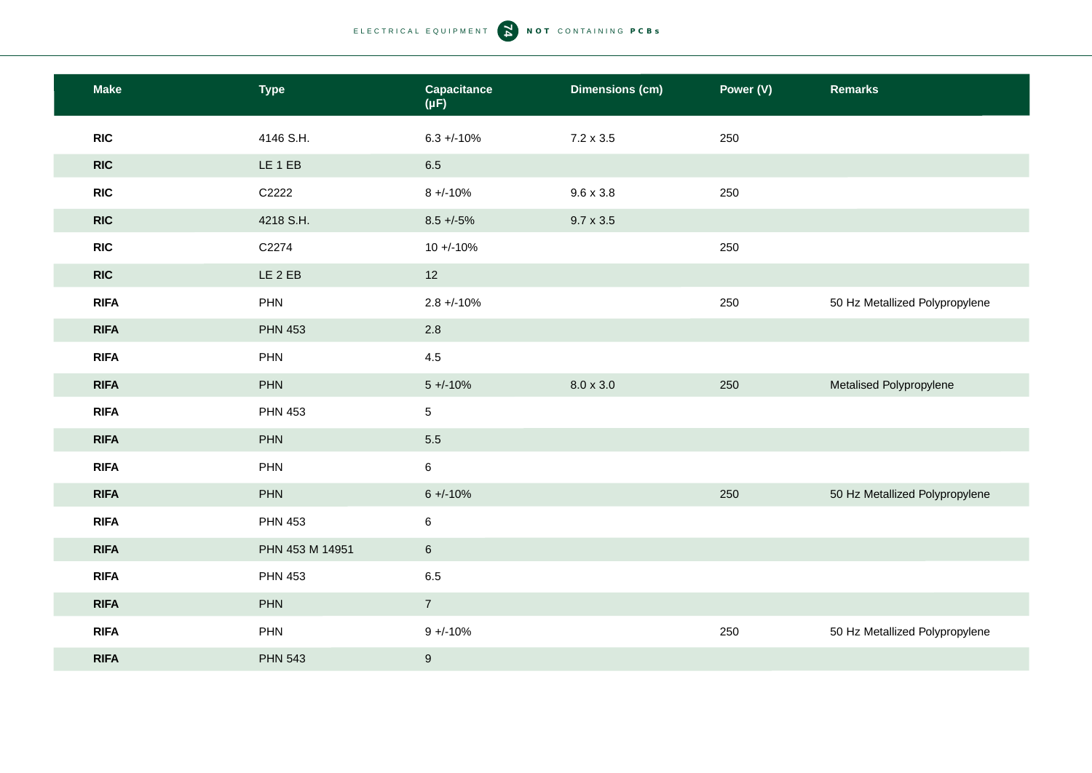| <b>Make</b> | <b>Type</b>     | <b>Capacitance</b><br>$(\mu F)$ | <b>Dimensions (cm)</b> | Power (V) | <b>Remarks</b>                 |
|-------------|-----------------|---------------------------------|------------------------|-----------|--------------------------------|
| <b>RIC</b>  | 4146 S.H.       | $6.3 + -10\%$                   | $7.2 \times 3.5$       | 250       |                                |
| <b>RIC</b>  | LE 1 EB         | 6.5                             |                        |           |                                |
| <b>RIC</b>  | C2222           | $8 + -10%$                      | $9.6 \times 3.8$       | 250       |                                |
| <b>RIC</b>  | 4218 S.H.       | $8.5 + -5\%$                    | $9.7 \times 3.5$       |           |                                |
| <b>RIC</b>  | C2274           | $10 + (-10\%$                   |                        | 250       |                                |
| <b>RIC</b>  | LE 2 EB         | 12                              |                        |           |                                |
| <b>RIFA</b> | PHN             | $2.8 + -10%$                    |                        | 250       | 50 Hz Metallized Polypropylene |
| <b>RIFA</b> | <b>PHN 453</b>  | 2.8                             |                        |           |                                |
| <b>RIFA</b> | PHN             | 4.5                             |                        |           |                                |
| <b>RIFA</b> | PHN             | $5 + (-10\%)$                   | $8.0 \times 3.0$       | 250       | Metalised Polypropylene        |
| <b>RIFA</b> | <b>PHN 453</b>  | 5 <sup>5</sup>                  |                        |           |                                |
| <b>RIFA</b> | PHN             | $5.5\,$                         |                        |           |                                |
| <b>RIFA</b> | PHN             | $\,6\,$                         |                        |           |                                |
| <b>RIFA</b> | PHN             | $6 + (-10%)$                    |                        | 250       | 50 Hz Metallized Polypropylene |
| <b>RIFA</b> | <b>PHN 453</b>  | $\,6$                           |                        |           |                                |
| <b>RIFA</b> | PHN 453 M 14951 | $\,6\,$                         |                        |           |                                |
| <b>RIFA</b> | <b>PHN 453</b>  | 6.5                             |                        |           |                                |
| <b>RIFA</b> | PHN             | $\overline{7}$                  |                        |           |                                |
| <b>RIFA</b> | PHN             | $9 + -10%$                      |                        | 250       | 50 Hz Metallized Polypropylene |
| <b>RIFA</b> | <b>PHN 543</b>  | $\boldsymbol{9}$                |                        |           |                                |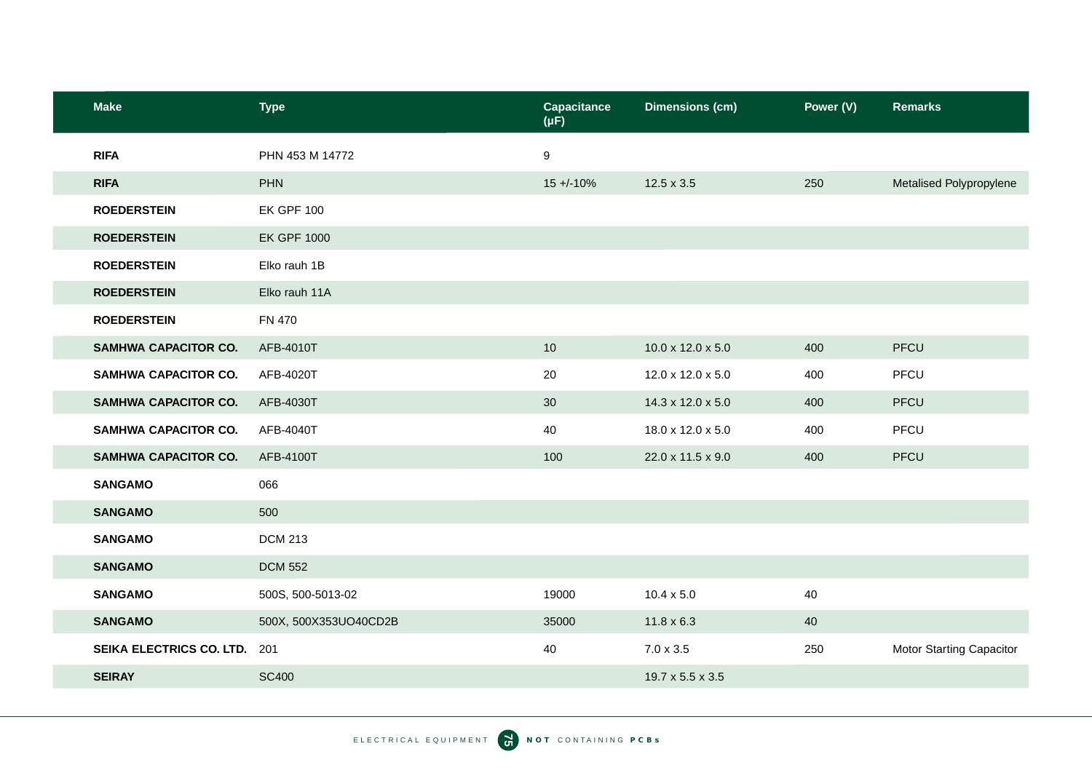| <b>Make</b>                 | <b>Type</b>           | Capacitance<br>$(\mu F)$ | <b>Dimensions (cm)</b> | Power (V) | <b>Remarks</b>                  |
|-----------------------------|-----------------------|--------------------------|------------------------|-----------|---------------------------------|
| <b>RIFA</b>                 | PHN 453 M 14772       | 9                        |                        |           |                                 |
| <b>RIFA</b>                 | <b>PHN</b>            | $15 + (-10\%$            | $12.5 \times 3.5$      | 250       | Metalised Polypropylene         |
| <b>ROEDERSTEIN</b>          | <b>EK GPF 100</b>     |                          |                        |           |                                 |
| <b>ROEDERSTEIN</b>          | <b>EK GPF 1000</b>    |                          |                        |           |                                 |
| <b>ROEDERSTEIN</b>          | Elko rauh 1B          |                          |                        |           |                                 |
| <b>ROEDERSTEIN</b>          | Elko rauh 11A         |                          |                        |           |                                 |
| <b>ROEDERSTEIN</b>          | <b>FN 470</b>         |                          |                        |           |                                 |
| SAMHWA CAPACITOR CO.        | AFB-4010T             | $10$                     | 10.0 x 12.0 x 5.0      | 400       | PFCU                            |
| <b>SAMHWA CAPACITOR CO.</b> | AFB-4020T             | 20                       | 12.0 x 12.0 x 5.0      | 400       | PFCU                            |
| <b>SAMHWA CAPACITOR CO.</b> | AFB-4030T             | 30                       | 14.3 x 12.0 x 5.0      | 400       | PFCU                            |
| <b>SAMHWA CAPACITOR CO.</b> | AFB-4040T             | 40                       | 18.0 x 12.0 x 5.0      | 400       | PFCU                            |
| <b>SAMHWA CAPACITOR CO.</b> | AFB-4100T             | 100                      | 22.0 x 11.5 x 9.0      | 400       | PFCU                            |
| <b>SANGAMO</b>              | 066                   |                          |                        |           |                                 |
| <b>SANGAMO</b>              | 500                   |                          |                        |           |                                 |
| <b>SANGAMO</b>              | <b>DCM 213</b>        |                          |                        |           |                                 |
| <b>SANGAMO</b>              | <b>DCM 552</b>        |                          |                        |           |                                 |
| <b>SANGAMO</b>              | 500S, 500-5013-02     | 19000                    | $10.4 \times 5.0$      | 40        |                                 |
| <b>SANGAMO</b>              | 500X, 500X353UO40CD2B | 35000                    | $11.8 \times 6.3$      | 40        |                                 |
| SEIKA ELECTRICS CO. LTD.    | 201                   | 40                       | $7.0 \times 3.5$       | 250       | <b>Motor Starting Capacitor</b> |
| <b>SEIRAY</b>               | <b>SC400</b>          |                          | 19.7 x 5.5 x 3.5       |           |                                 |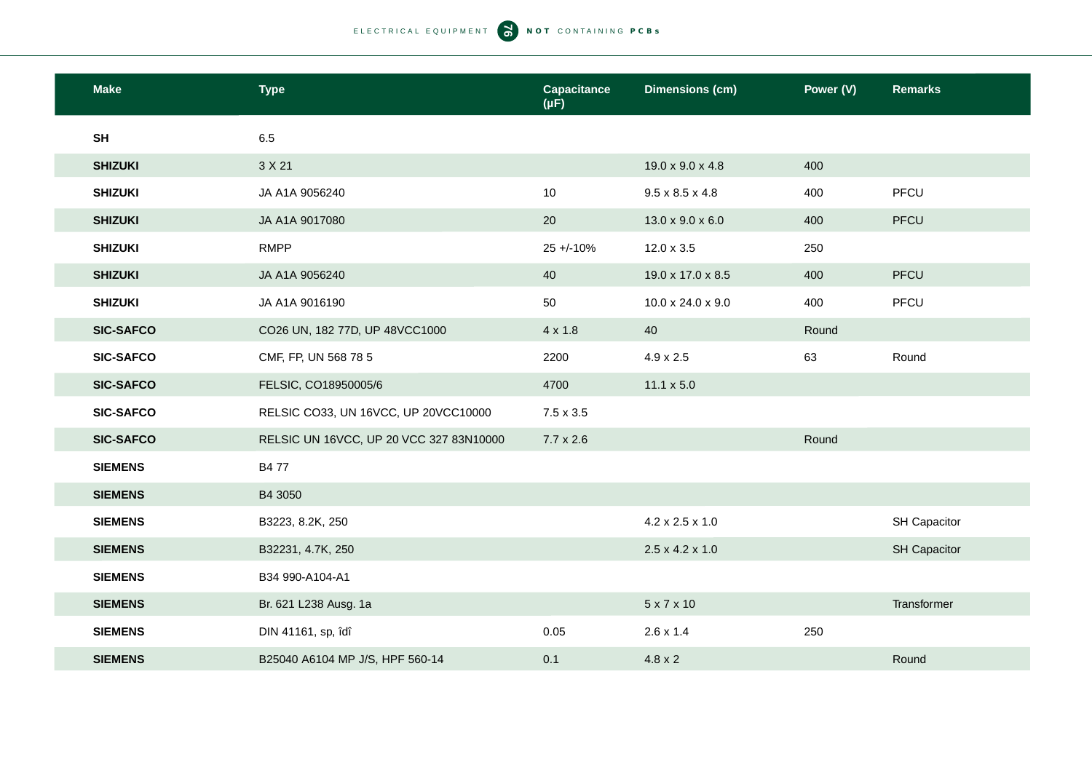| <b>Make</b>      | <b>Type</b>                             | <b>Capacitance</b><br>$(\mu F)$ | <b>Dimensions (cm)</b>       | Power (V) | <b>Remarks</b> |
|------------------|-----------------------------------------|---------------------------------|------------------------------|-----------|----------------|
| SH               | 6.5                                     |                                 |                              |           |                |
| <b>SHIZUKI</b>   | 3 X 21                                  |                                 | 19.0 x 9.0 x 4.8             | 400       |                |
| <b>SHIZUKI</b>   | JA A1A 9056240                          | 10                              | $9.5 \times 8.5 \times 4.8$  | 400       | PFCU           |
| <b>SHIZUKI</b>   | JA A1A 9017080                          | 20                              | $13.0 \times 9.0 \times 6.0$ | 400       | <b>PFCU</b>    |
| <b>SHIZUKI</b>   | <b>RMPP</b>                             | $25 + 10%$                      | $12.0 \times 3.5$            | 250       |                |
| <b>SHIZUKI</b>   | JA A1A 9056240                          | 40                              | 19.0 x 17.0 x 8.5            | 400       | PFCU           |
| <b>SHIZUKI</b>   | JA A1A 9016190                          | 50                              | 10.0 x 24.0 x 9.0            | 400       | PFCU           |
| <b>SIC-SAFCO</b> | CO26 UN, 182 77D, UP 48VCC1000          | $4 \times 1.8$                  | 40                           | Round     |                |
| <b>SIC-SAFCO</b> | CMF, FP, UN 568 78 5                    | 2200                            | $4.9 \times 2.5$             | 63        | Round          |
| <b>SIC-SAFCO</b> | FELSIC, CO18950005/6                    | 4700                            | $11.1 \times 5.0$            |           |                |
| <b>SIC-SAFCO</b> | RELSIC CO33, UN 16VCC, UP 20VCC10000    | $7.5 \times 3.5$                |                              |           |                |
| <b>SIC-SAFCO</b> | RELSIC UN 16VCC, UP 20 VCC 327 83N10000 | $7.7 \times 2.6$                |                              | Round     |                |
| <b>SIEMENS</b>   | <b>B477</b>                             |                                 |                              |           |                |
| <b>SIEMENS</b>   | B4 3050                                 |                                 |                              |           |                |
| <b>SIEMENS</b>   | B3223, 8.2K, 250                        |                                 | 4.2 x 2.5 x 1.0              |           | SH Capacitor   |
| <b>SIEMENS</b>   | B32231, 4.7K, 250                       |                                 | $2.5 \times 4.2 \times 1.0$  |           | SH Capacitor   |
| <b>SIEMENS</b>   | B34 990-A104-A1                         |                                 |                              |           |                |
| <b>SIEMENS</b>   | Br. 621 L238 Ausg. 1a                   |                                 | $5 \times 7 \times 10$       |           | Transformer    |
| <b>SIEMENS</b>   | DIN 41161, sp, îdî                      | 0.05                            | $2.6 \times 1.4$             | 250       |                |
| <b>SIEMENS</b>   | B25040 A6104 MP J/S, HPF 560-14         | 0.1                             | $4.8 \times 2$               |           | Round          |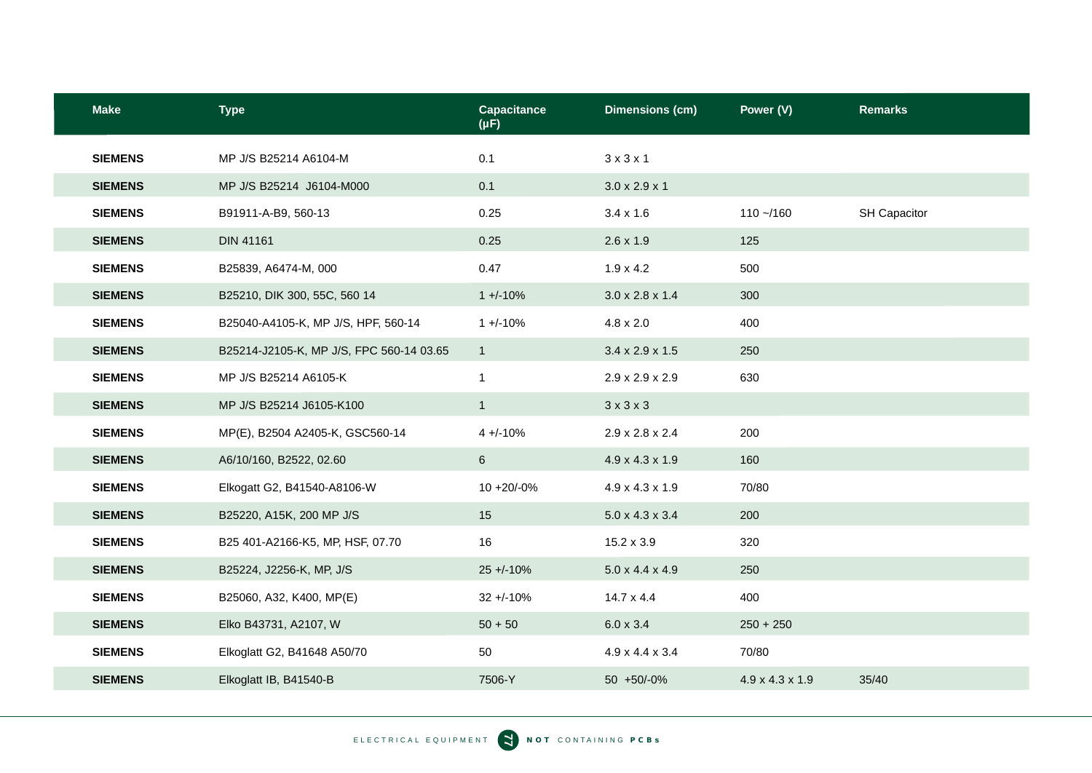| <b>Make</b>    | <b>Type</b>                              | <b>Capacitance</b><br>$(\mu F)$ | <b>Dimensions (cm)</b>      | Power (V)                   | <b>Remarks</b> |
|----------------|------------------------------------------|---------------------------------|-----------------------------|-----------------------------|----------------|
| <b>SIEMENS</b> | MP J/S B25214 A6104-M                    | 0.1                             | $3 \times 3 \times 1$       |                             |                |
| <b>SIEMENS</b> | MP J/S B25214 J6104-M000                 | 0.1                             | $3.0 \times 2.9 \times 1$   |                             |                |
| <b>SIEMENS</b> | B91911-A-B9, 560-13                      | 0.25                            | $3.4 \times 1.6$            | $110 - 160$                 | SH Capacitor   |
| <b>SIEMENS</b> | <b>DIN 41161</b>                         | 0.25                            | $2.6 \times 1.9$            | 125                         |                |
| <b>SIEMENS</b> | B25839, A6474-M, 000                     | 0.47                            | $1.9 \times 4.2$            | 500                         |                |
| <b>SIEMENS</b> | B25210, DIK 300, 55C, 560 14             | $1 + (-10\%)$                   | $3.0 \times 2.8 \times 1.4$ | 300                         |                |
| <b>SIEMENS</b> | B25040-A4105-K, MP J/S, HPF, 560-14      | $1 + (-10%)$                    | $4.8 \times 2.0$            | 400                         |                |
| <b>SIEMENS</b> | B25214-J2105-K, MP J/S, FPC 560-14 03.65 | $\mathbf{1}$                    | $3.4 \times 2.9 \times 1.5$ | 250                         |                |
| <b>SIEMENS</b> | MP J/S B25214 A6105-K                    | $\mathbf{1}$                    | $2.9 \times 2.9 \times 2.9$ | 630                         |                |
| <b>SIEMENS</b> | MP J/S B25214 J6105-K100                 | $\mathbf{1}$                    | $3 \times 3 \times 3$       |                             |                |
| <b>SIEMENS</b> | MP(E), B2504 A2405-K, GSC560-14          | $4 + (-10\%)$                   | $2.9 \times 2.8 \times 2.4$ | 200                         |                |
| <b>SIEMENS</b> | A6/10/160, B2522, 02.60                  | $6\phantom{.}$                  | 4.9 x 4.3 x 1.9             | 160                         |                |
| <b>SIEMENS</b> | Elkogatt G2, B41540-A8106-W              | $10 + 20/ -0%$                  | $4.9 \times 4.3 \times 1.9$ | 70/80                       |                |
| <b>SIEMENS</b> | B25220, A15K, 200 MP J/S                 | 15                              | $5.0 \times 4.3 \times 3.4$ | 200                         |                |
| <b>SIEMENS</b> | B25 401-A2166-K5, MP, HSF, 07.70         | 16                              | $15.2 \times 3.9$           | 320                         |                |
| <b>SIEMENS</b> | B25224, J2256-K, MP, J/S                 | $25 + 10%$                      | $5.0 \times 4.4 \times 4.9$ | 250                         |                |
| <b>SIEMENS</b> | B25060, A32, K400, MP(E)                 | $32 + -10%$                     | $14.7 \times 4.4$           | 400                         |                |
| <b>SIEMENS</b> | Elko B43731, A2107, W                    | $50 + 50$                       | $6.0 \times 3.4$            | $250 + 250$                 |                |
| <b>SIEMENS</b> | Elkoglatt G2, B41648 A50/70              | 50                              | $4.9 \times 4.4 \times 3.4$ | 70/80                       |                |
| <b>SIEMENS</b> | Elkoglatt IB, B41540-B                   | 7506-Y                          | 50 +50/-0%                  | $4.9 \times 4.3 \times 1.9$ | 35/40          |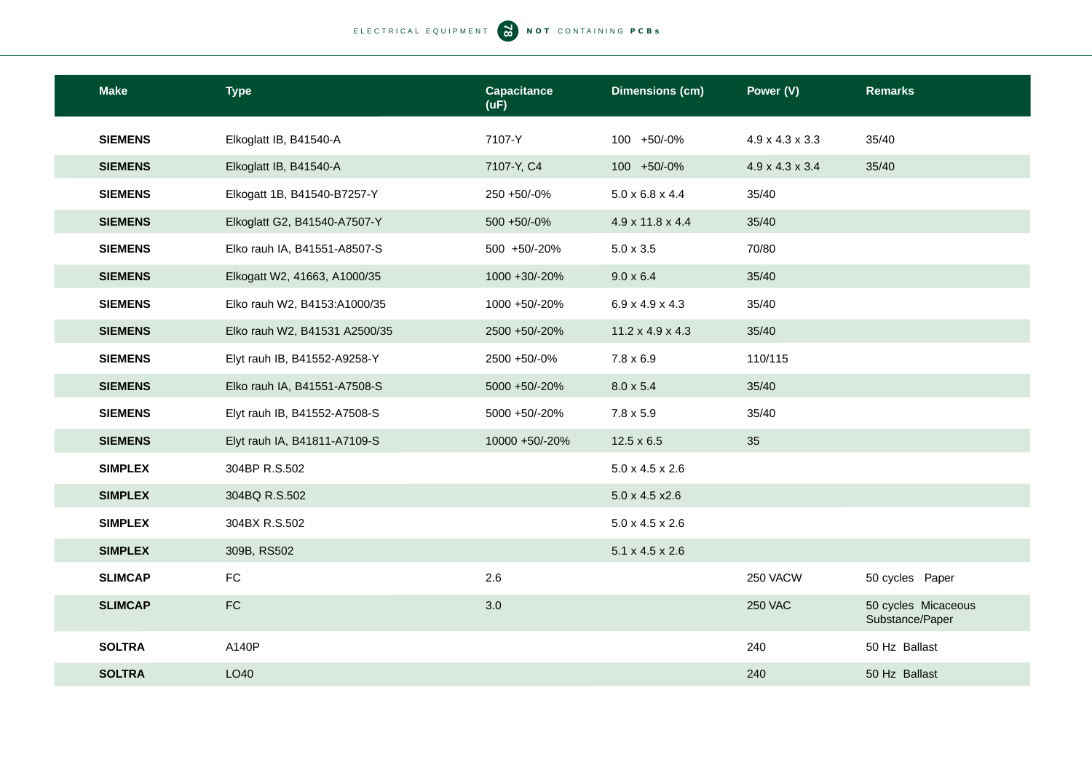| <b>Make</b>    | <b>Type</b>                   | <b>Capacitance</b><br>(UF) | <b>Dimensions (cm)</b>       | Power (V)                   | <b>Remarks</b>                         |
|----------------|-------------------------------|----------------------------|------------------------------|-----------------------------|----------------------------------------|
| <b>SIEMENS</b> | Elkoglatt IB, B41540-A        | 7107-Y                     | 100 +50/-0%                  | $4.9 \times 4.3 \times 3.3$ | 35/40                                  |
| <b>SIEMENS</b> | Elkoglatt IB, B41540-A        | 7107-Y, C4                 | 100 +50/-0%                  | $4.9 \times 4.3 \times 3.4$ | 35/40                                  |
| <b>SIEMENS</b> | Elkogatt 1B, B41540-B7257-Y   | 250 +50/-0%                | $5.0 \times 6.8 \times 4.4$  | 35/40                       |                                        |
| <b>SIEMENS</b> | Elkoglatt G2, B41540-A7507-Y  | 500 +50/-0%                | 4.9 x 11.8 x 4.4             | 35/40                       |                                        |
| <b>SIEMENS</b> | Elko rauh IA, B41551-A8507-S  | 500 +50/-20%               | $5.0 \times 3.5$             | 70/80                       |                                        |
| <b>SIEMENS</b> | Elkogatt W2, 41663, A1000/35  | 1000 +30/-20%              | $9.0 \times 6.4$             | 35/40                       |                                        |
| <b>SIEMENS</b> | Elko rauh W2, B4153:A1000/35  | 1000 +50/-20%              | $6.9 \times 4.9 \times 4.3$  | 35/40                       |                                        |
| <b>SIEMENS</b> | Elko rauh W2, B41531 A2500/35 | 2500 +50/-20%              | $11.2 \times 4.9 \times 4.3$ | 35/40                       |                                        |
| <b>SIEMENS</b> | Elyt rauh IB, B41552-A9258-Y  | 2500 +50/-0%               | $7.8 \times 6.9$             | 110/115                     |                                        |
| <b>SIEMENS</b> | Elko rauh IA, B41551-A7508-S  | 5000 +50/-20%              | $8.0 \times 5.4$             | 35/40                       |                                        |
| <b>SIEMENS</b> | Elyt rauh IB, B41552-A7508-S  | 5000 +50/-20%              | $7.8 \times 5.9$             | 35/40                       |                                        |
| <b>SIEMENS</b> | Elyt rauh IA, B41811-A7109-S  | 10000 +50/-20%             | $12.5 \times 6.5$            | 35                          |                                        |
| <b>SIMPLEX</b> | 304BP R.S.502                 |                            | $5.0 \times 4.5 \times 2.6$  |                             |                                        |
| <b>SIMPLEX</b> | 304BQ R.S.502                 |                            | $5.0 \times 4.5 \times 2.6$  |                             |                                        |
| <b>SIMPLEX</b> | 304BX R.S.502                 |                            | $5.0 \times 4.5 \times 2.6$  |                             |                                        |
| <b>SIMPLEX</b> | 309B, RS502                   |                            | $5.1 \times 4.5 \times 2.6$  |                             |                                        |
| <b>SLIMCAP</b> | ${\sf FC}$                    | 2.6                        |                              | 250 VACW                    | 50 cycles Paper                        |
| <b>SLIMCAP</b> | ${\sf FC}$                    | 3.0                        |                              | <b>250 VAC</b>              | 50 cycles Micaceous<br>Substance/Paper |
| <b>SOLTRA</b>  | A140P                         |                            |                              | 240                         | 50 Hz Ballast                          |
| <b>SOLTRA</b>  | LO40                          |                            |                              | 240                         | 50 Hz Ballast                          |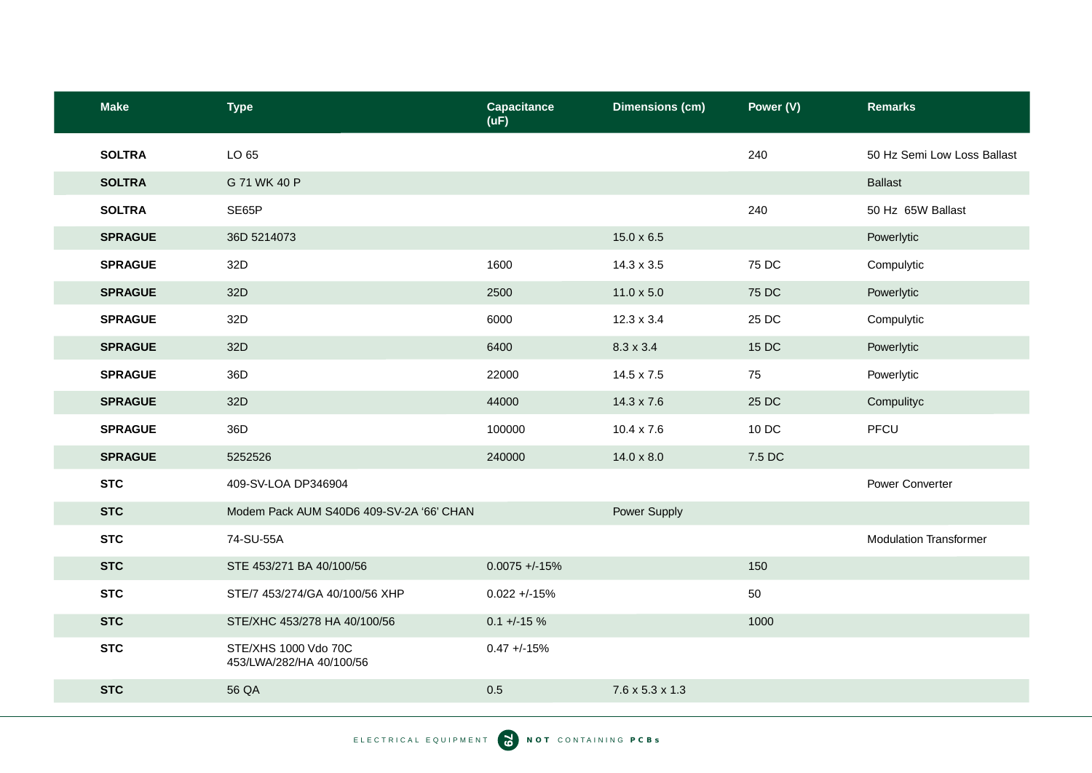| <b>Make</b>    | <b>Type</b>                                      | <b>Capacitance</b><br>(UF) | <b>Dimensions (cm)</b>      | Power (V) | <b>Remarks</b>                |
|----------------|--------------------------------------------------|----------------------------|-----------------------------|-----------|-------------------------------|
| <b>SOLTRA</b>  | LO 65                                            |                            |                             | 240       | 50 Hz Semi Low Loss Ballast   |
| <b>SOLTRA</b>  | G 71 WK 40 P                                     |                            |                             |           | <b>Ballast</b>                |
| <b>SOLTRA</b>  | SE65P                                            |                            |                             | 240       | 50 Hz 65W Ballast             |
| <b>SPRAGUE</b> | 36D 5214073                                      |                            | $15.0 \times 6.5$           |           | Powerlytic                    |
| <b>SPRAGUE</b> | 32D                                              | 1600                       | $14.3 \times 3.5$           | 75 DC     | Compulytic                    |
| <b>SPRAGUE</b> | 32D                                              | 2500                       | $11.0 \times 5.0$           | 75 DC     | Powerlytic                    |
| <b>SPRAGUE</b> | 32D                                              | 6000                       | $12.3 \times 3.4$           | 25 DC     | Compulytic                    |
| <b>SPRAGUE</b> | 32D                                              | 6400                       | $8.3 \times 3.4$            | 15 DC     | Powerlytic                    |
| <b>SPRAGUE</b> | 36D                                              | 22000                      | 14.5 x 7.5                  | 75        | Powerlytic                    |
| <b>SPRAGUE</b> | 32D                                              | 44000                      | $14.3 \times 7.6$           | 25 DC     | Compulityc                    |
| <b>SPRAGUE</b> | 36D                                              | 100000                     | 10.4 x 7.6                  | 10 DC     | PFCU                          |
| <b>SPRAGUE</b> | 5252526                                          | 240000                     | $14.0 \times 8.0$           | 7.5 DC    |                               |
| <b>STC</b>     | 409-SV-LOA DP346904                              |                            |                             |           | Power Converter               |
| <b>STC</b>     | Modem Pack AUM S40D6 409-SV-2A '66' CHAN         |                            | Power Supply                |           |                               |
| <b>STC</b>     | 74-SU-55A                                        |                            |                             |           | <b>Modulation Transformer</b> |
| <b>STC</b>     | STE 453/271 BA 40/100/56                         | $0.0075 + -15%$            |                             | 150       |                               |
| <b>STC</b>     | STE/7 453/274/GA 40/100/56 XHP                   | $0.022 + -15%$             |                             | 50        |                               |
| <b>STC</b>     | STE/XHC 453/278 HA 40/100/56                     | $0.1 + -15 \%$             |                             | 1000      |                               |
| <b>STC</b>     | STE/XHS 1000 Vdo 70C<br>453/LWA/282/HA 40/100/56 | $0.47 + -15%$              |                             |           |                               |
| <b>STC</b>     | 56 QA                                            | 0.5                        | $7.6 \times 5.3 \times 1.3$ |           |                               |
|                |                                                  |                            |                             |           |                               |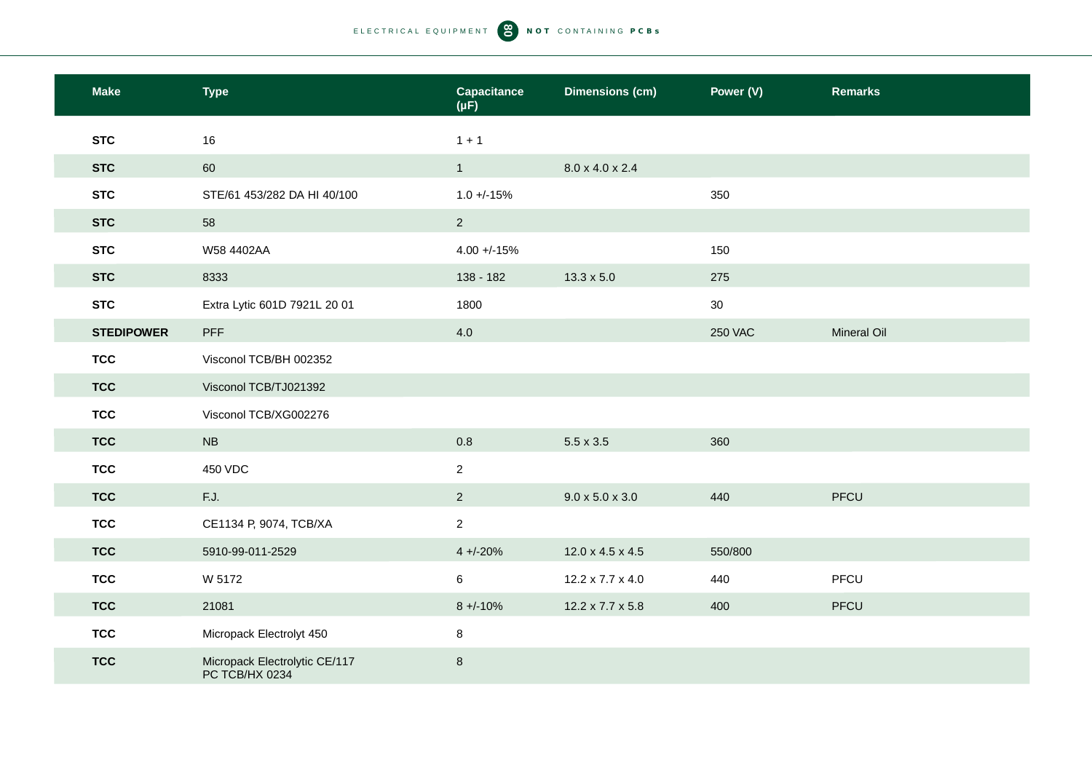| <b>Make</b>       | <b>Type</b>                                     | <b>Capacitance</b><br>$(\mu F)$ | <b>Dimensions (cm)</b>      | Power (V)      | <b>Remarks</b>     |
|-------------------|-------------------------------------------------|---------------------------------|-----------------------------|----------------|--------------------|
| <b>STC</b>        | 16                                              | $1 + 1$                         |                             |                |                    |
| <b>STC</b>        | 60                                              | 1                               | 8.0 x 4.0 x 2.4             |                |                    |
| <b>STC</b>        | STE/61 453/282 DA HI 40/100                     | $1.0 + (-15%)$                  |                             | 350            |                    |
| <b>STC</b>        | 58                                              | 2 <sup>1</sup>                  |                             |                |                    |
| <b>STC</b>        | W58 4402AA                                      | $4.00 + -15%$                   |                             | 150            |                    |
| <b>STC</b>        | 8333                                            | 138 - 182                       | $13.3 \times 5.0$           | 275            |                    |
| <b>STC</b>        | Extra Lytic 601D 7921L 20 01                    | 1800                            |                             | 30             |                    |
| <b>STEDIPOWER</b> | <b>PFF</b>                                      | 4.0                             |                             | <b>250 VAC</b> | <b>Mineral Oil</b> |
| <b>TCC</b>        | Visconol TCB/BH 002352                          |                                 |                             |                |                    |
| <b>TCC</b>        | Visconol TCB/TJ021392                           |                                 |                             |                |                    |
| <b>TCC</b>        | Visconol TCB/XG002276                           |                                 |                             |                |                    |
| <b>TCC</b>        | <b>NB</b>                                       | 0.8                             | $5.5 \times 3.5$            | 360            |                    |
| <b>TCC</b>        | 450 VDC                                         | $\overline{2}$                  |                             |                |                    |
| <b>TCC</b>        | F.J.                                            | $\overline{2}$                  | $9.0 \times 5.0 \times 3.0$ | 440            | PFCU               |
| <b>TCC</b>        | CE1134 P, 9074, TCB/XA                          | $\overline{2}$                  |                             |                |                    |
| <b>TCC</b>        | 5910-99-011-2529                                | $4 + (-20%)$                    | 12.0 x 4.5 x 4.5            | 550/800        |                    |
| <b>TCC</b>        | W 5172                                          | $\,6\,$                         | 12.2 x 7.7 x 4.0            | 440            | PFCU               |
| <b>TCC</b>        | 21081                                           | $8 + -10%$                      | 12.2 x 7.7 x 5.8            | 400            | PFCU               |
| <b>TCC</b>        | Micropack Electrolyt 450                        | 8                               |                             |                |                    |
| <b>TCC</b>        | Micropack Electrolytic CE/117<br>PC TCB/HX 0234 | $\,8\,$                         |                             |                |                    |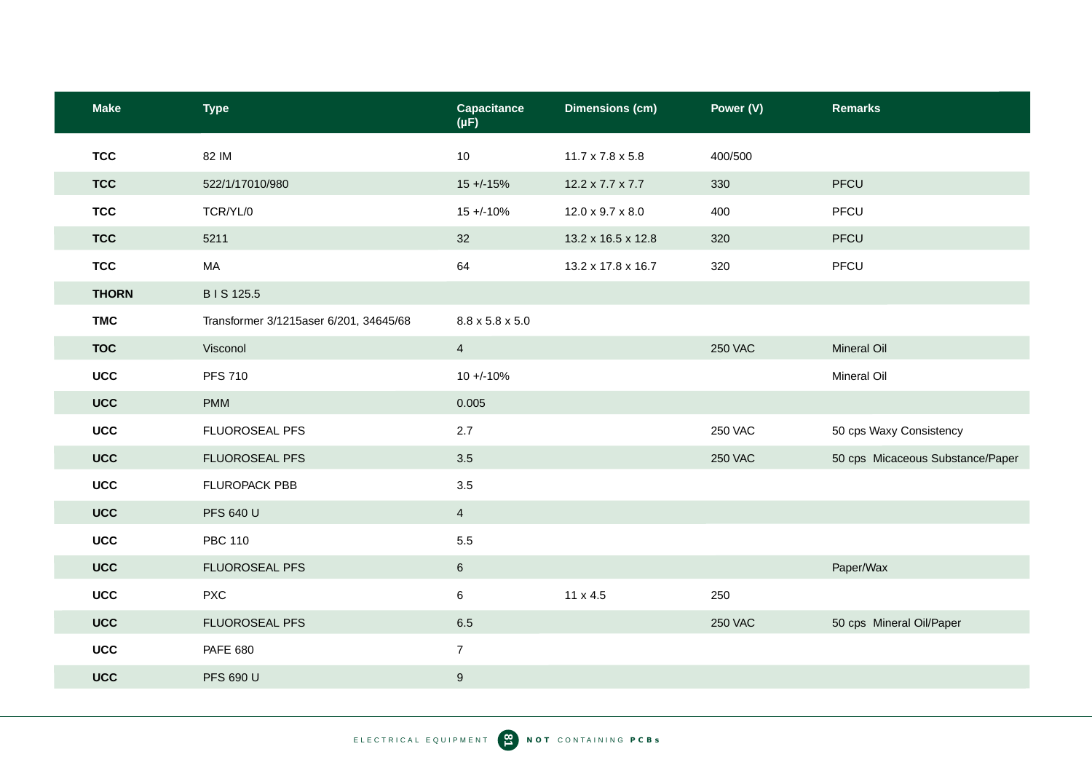| <b>Make</b>  | <b>Type</b>                            | <b>Capacitance</b><br>$(\mu F)$ | <b>Dimensions (cm)</b>       | Power (V)      | <b>Remarks</b>                   |
|--------------|----------------------------------------|---------------------------------|------------------------------|----------------|----------------------------------|
| <b>TCC</b>   | 82 IM                                  | 10                              | $11.7 \times 7.8 \times 5.8$ | 400/500        |                                  |
| <b>TCC</b>   | 522/1/17010/980                        | $15 + (-15%)$                   | 12.2 x 7.7 x 7.7             | 330            | PFCU                             |
| <b>TCC</b>   | TCR/YL/0                               | $15 + (-10\%)$                  | 12.0 x 9.7 x 8.0             | 400            | PFCU                             |
| <b>TCC</b>   | 5211                                   | 32                              | 13.2 x 16.5 x 12.8           | 320            | PFCU                             |
| <b>TCC</b>   | MA                                     | 64                              | 13.2 x 17.8 x 16.7           | 320            | PFCU                             |
| <b>THORN</b> | B I S 125.5                            |                                 |                              |                |                                  |
| <b>TMC</b>   | Transformer 3/1215aser 6/201, 34645/68 | $8.8 \times 5.8 \times 5.0$     |                              |                |                                  |
| <b>TOC</b>   | Visconol                               | $\overline{4}$                  |                              | <b>250 VAC</b> | <b>Mineral Oil</b>               |
| <b>UCC</b>   | <b>PFS 710</b>                         | $10 + -10%$                     |                              |                | Mineral Oil                      |
| <b>UCC</b>   | <b>PMM</b>                             | 0.005                           |                              |                |                                  |
| <b>UCC</b>   | FLUOROSEAL PFS                         | 2.7                             |                              | <b>250 VAC</b> | 50 cps Waxy Consistency          |
| <b>UCC</b>   | FLUOROSEAL PFS                         | 3.5                             |                              | <b>250 VAC</b> | 50 cps Micaceous Substance/Paper |
| <b>UCC</b>   | FLUROPACK PBB                          | 3.5                             |                              |                |                                  |
| <b>UCC</b>   | <b>PFS 640 U</b>                       | $\overline{4}$                  |                              |                |                                  |
| <b>UCC</b>   | <b>PBC 110</b>                         | 5.5                             |                              |                |                                  |
| <b>UCC</b>   | FLUOROSEAL PFS                         | $6\phantom{.}$                  |                              |                | Paper/Wax                        |
| <b>UCC</b>   | <b>PXC</b>                             | 6                               | 11 x 4.5                     | 250            |                                  |
| <b>UCC</b>   | FLUOROSEAL PFS                         | 6.5                             |                              | <b>250 VAC</b> | 50 cps Mineral Oil/Paper         |
| <b>UCC</b>   | <b>PAFE 680</b>                        | $\overline{7}$                  |                              |                |                                  |
| <b>UCC</b>   | <b>PFS 690 U</b>                       | $\boldsymbol{9}$                |                              |                |                                  |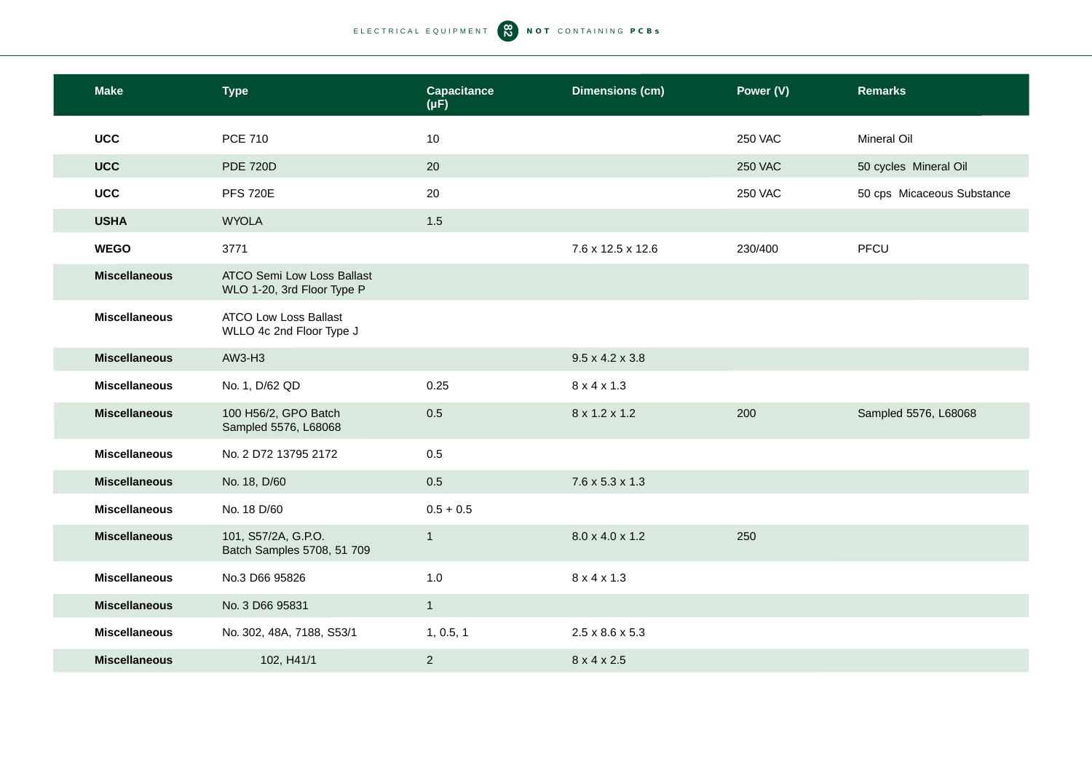| <b>Make</b>          | <b>Type</b>                                                     | <b>Capacitance</b><br>$(\mu F)$ | <b>Dimensions (cm)</b>      | Power (V)      | <b>Remarks</b>             |
|----------------------|-----------------------------------------------------------------|---------------------------------|-----------------------------|----------------|----------------------------|
| <b>UCC</b>           | <b>PCE 710</b>                                                  | 10                              |                             | <b>250 VAC</b> | Mineral Oil                |
| <b>UCC</b>           | <b>PDE 720D</b>                                                 | 20                              |                             | <b>250 VAC</b> | 50 cycles Mineral Oil      |
| <b>UCC</b>           | <b>PFS 720E</b>                                                 | 20                              |                             | <b>250 VAC</b> | 50 cps Micaceous Substance |
| <b>USHA</b>          | <b>WYOLA</b>                                                    | 1.5                             |                             |                |                            |
| <b>WEGO</b>          | 3771                                                            |                                 | 7.6 x 12.5 x 12.6           | 230/400        | PFCU                       |
| <b>Miscellaneous</b> | <b>ATCO Semi Low Loss Ballast</b><br>WLO 1-20, 3rd Floor Type P |                                 |                             |                |                            |
| <b>Miscellaneous</b> | <b>ATCO Low Loss Ballast</b><br>WLLO 4c 2nd Floor Type J        |                                 |                             |                |                            |
| <b>Miscellaneous</b> | AW3-H3                                                          |                                 | $9.5 \times 4.2 \times 3.8$ |                |                            |
| <b>Miscellaneous</b> | No. 1, D/62 QD                                                  | 0.25                            | $8 \times 4 \times 1.3$     |                |                            |
| <b>Miscellaneous</b> | 100 H56/2, GPO Batch<br>Sampled 5576, L68068                    | 0.5                             | 8 x 1.2 x 1.2               | 200            | Sampled 5576, L68068       |
| <b>Miscellaneous</b> | No. 2 D72 13795 2172                                            | 0.5                             |                             |                |                            |
| <b>Miscellaneous</b> | No. 18, D/60                                                    | 0.5                             | $7.6 \times 5.3 \times 1.3$ |                |                            |
| <b>Miscellaneous</b> | No. 18 D/60                                                     | $0.5 + 0.5$                     |                             |                |                            |
| <b>Miscellaneous</b> | 101, S57/2A, G.P.O.<br>Batch Samples 5708, 51 709               | $\mathbf{1}$                    | 8.0 x 4.0 x 1.2             | 250            |                            |
| <b>Miscellaneous</b> | No.3 D66 95826                                                  | 1.0                             | $8 \times 4 \times 1.3$     |                |                            |
| <b>Miscellaneous</b> | No. 3 D66 95831                                                 | $\mathbf{1}$                    |                             |                |                            |
| <b>Miscellaneous</b> | No. 302, 48A, 7188, S53/1                                       | 1, 0.5, 1                       | $2.5 \times 8.6 \times 5.3$ |                |                            |
| <b>Miscellaneous</b> | 102, H41/1                                                      | $\overline{2}$                  | 8 x 4 x 2.5                 |                |                            |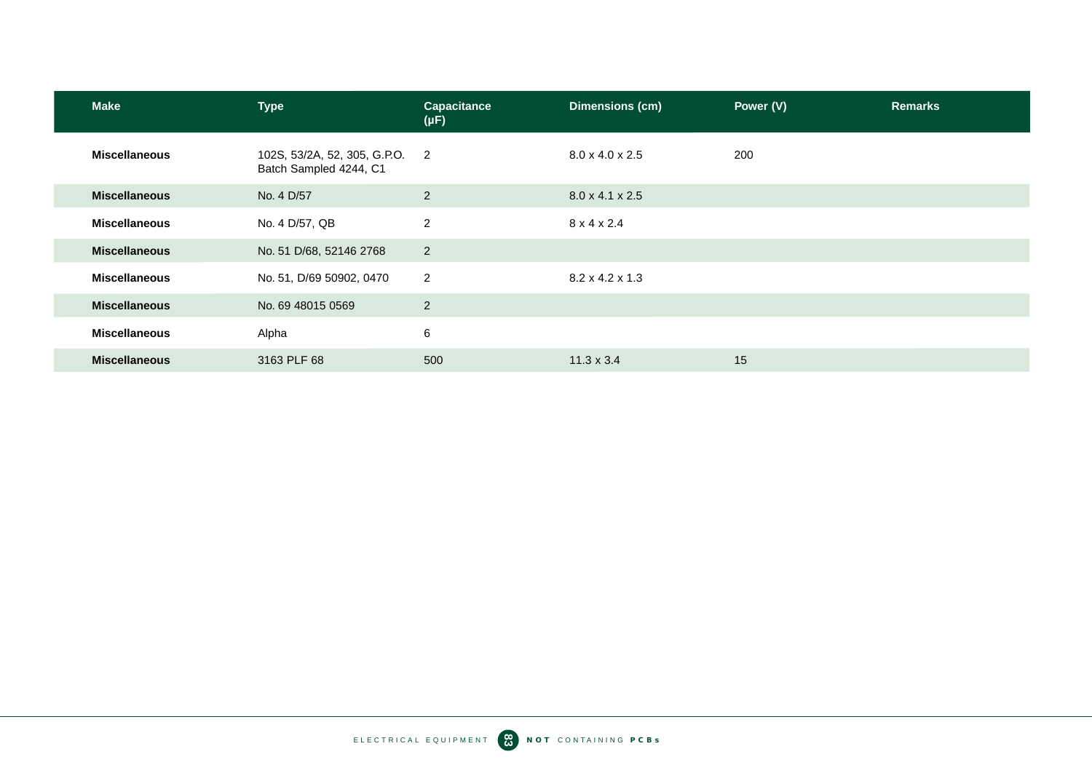| <b>Make</b>          | <b>Type</b>                                            | <b>Capacitance</b><br>$(\mu F)$ | <b>Dimensions (cm)</b>      | Power (V) | <b>Remarks</b> |
|----------------------|--------------------------------------------------------|---------------------------------|-----------------------------|-----------|----------------|
| <b>Miscellaneous</b> | 102S, 53/2A, 52, 305, G.P.O.<br>Batch Sampled 4244, C1 | $\overline{2}$                  | $8.0 \times 4.0 \times 2.5$ | 200       |                |
| <b>Miscellaneous</b> | No. 4 D/57                                             | 2                               | $8.0 \times 4.1 \times 2.5$ |           |                |
| <b>Miscellaneous</b> | No. 4 D/57, QB                                         | $\overline{2}$                  | $8 \times 4 \times 2.4$     |           |                |
| <b>Miscellaneous</b> | No. 51 D/68, 52146 2768                                | $\overline{2}$                  |                             |           |                |
| <b>Miscellaneous</b> | No. 51, D/69 50902, 0470                               | 2                               | $8.2 \times 4.2 \times 1.3$ |           |                |
| <b>Miscellaneous</b> | No. 69 48015 0569                                      | $\overline{2}$                  |                             |           |                |
| <b>Miscellaneous</b> | Alpha                                                  | 6                               |                             |           |                |
| <b>Miscellaneous</b> | 3163 PLF 68                                            | 500                             | $11.3 \times 3.4$           | 15        |                |